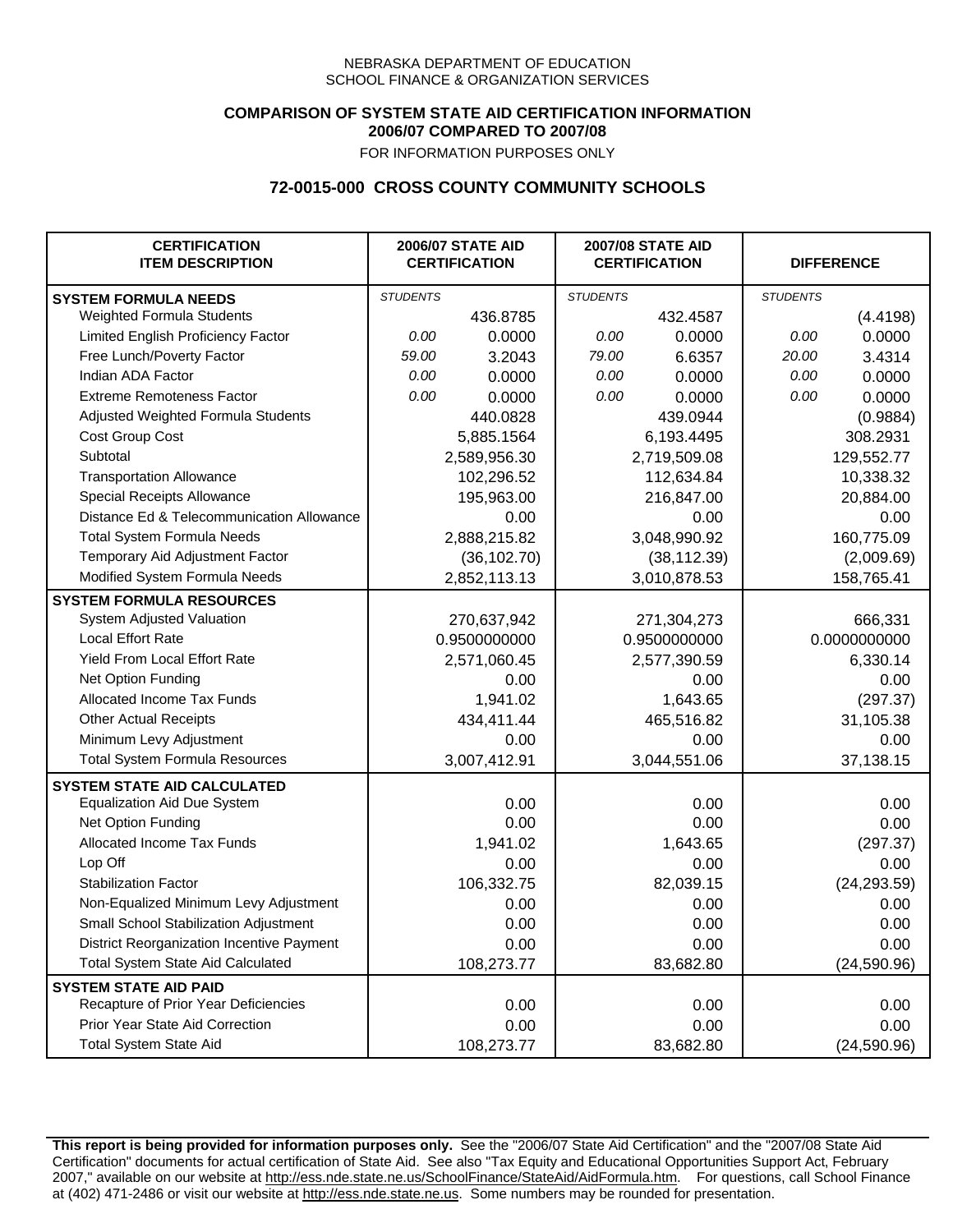## **COMPARISON OF SYSTEM STATE AID CERTIFICATION INFORMATION 2006/07 COMPARED TO 2007/08**

FOR INFORMATION PURPOSES ONLY

## **72-0015-000 CROSS COUNTY COMMUNITY SCHOOLS**

| <b>CERTIFICATION</b><br><b>ITEM DESCRIPTION</b> |                 | <b>2006/07 STATE AID</b><br><b>CERTIFICATION</b> | <b>2007/08 STATE AID</b><br><b>CERTIFICATION</b> |              | <b>DIFFERENCE</b> |              |
|-------------------------------------------------|-----------------|--------------------------------------------------|--------------------------------------------------|--------------|-------------------|--------------|
| <b>SYSTEM FORMULA NEEDS</b>                     | <b>STUDENTS</b> |                                                  | <b>STUDENTS</b>                                  |              | <b>STUDENTS</b>   |              |
| Weighted Formula Students                       |                 | 436.8785                                         |                                                  | 432.4587     |                   | (4.4198)     |
| Limited English Proficiency Factor              | 0.00            | 0.0000                                           | 0.00                                             | 0.0000       | 0.00              | 0.0000       |
| Free Lunch/Poverty Factor                       | 59.00           | 3.2043                                           | 79.00                                            | 6.6357       | 20.00             | 3.4314       |
| Indian ADA Factor                               | 0.00            | 0.0000                                           | 0.00                                             | 0.0000       | 0.00              | 0.0000       |
| <b>Extreme Remoteness Factor</b>                | 0.00            | 0.0000                                           | 0.00                                             | 0.0000       | 0.00              | 0.0000       |
| Adjusted Weighted Formula Students              |                 | 440.0828                                         |                                                  | 439.0944     |                   | (0.9884)     |
| Cost Group Cost                                 |                 | 5,885.1564                                       |                                                  | 6,193.4495   |                   | 308.2931     |
| Subtotal                                        |                 | 2,589,956.30                                     |                                                  | 2,719,509.08 |                   | 129,552.77   |
| <b>Transportation Allowance</b>                 |                 | 102,296.52                                       |                                                  | 112,634.84   |                   | 10,338.32    |
| Special Receipts Allowance                      |                 | 195,963.00                                       |                                                  | 216,847.00   |                   | 20,884.00    |
| Distance Ed & Telecommunication Allowance       |                 | 0.00                                             |                                                  | 0.00         |                   | 0.00         |
| <b>Total System Formula Needs</b>               |                 | 2,888,215.82                                     |                                                  | 3,048,990.92 | 160,775.09        |              |
| Temporary Aid Adjustment Factor                 |                 | (36, 102.70)                                     | (38, 112.39)                                     |              | (2,009.69)        |              |
| Modified System Formula Needs                   |                 | 2,852,113.13                                     |                                                  | 3,010,878.53 |                   | 158,765.41   |
| <b>SYSTEM FORMULA RESOURCES</b>                 |                 |                                                  |                                                  |              |                   |              |
| System Adjusted Valuation                       |                 | 270,637,942                                      |                                                  | 271,304,273  |                   | 666,331      |
| <b>Local Effort Rate</b>                        |                 | 0.9500000000                                     |                                                  | 0.9500000000 |                   | 0.0000000000 |
| Yield From Local Effort Rate                    |                 | 2,571,060.45                                     |                                                  | 2,577,390.59 |                   | 6,330.14     |
| Net Option Funding                              |                 | 0.00                                             |                                                  | 0.00         |                   | 0.00         |
| Allocated Income Tax Funds                      |                 | 1,941.02                                         |                                                  | 1,643.65     |                   | (297.37)     |
| <b>Other Actual Receipts</b>                    |                 | 434,411.44                                       |                                                  | 465,516.82   | 31,105.38         |              |
| Minimum Levy Adjustment                         |                 | 0.00                                             |                                                  | 0.00         |                   | 0.00         |
| <b>Total System Formula Resources</b>           |                 | 3,007,412.91                                     |                                                  | 3,044,551.06 |                   | 37,138.15    |
| <b>SYSTEM STATE AID CALCULATED</b>              |                 |                                                  |                                                  |              |                   |              |
| <b>Equalization Aid Due System</b>              |                 | 0.00                                             |                                                  | 0.00         |                   | 0.00         |
| Net Option Funding                              |                 | 0.00                                             |                                                  | 0.00         |                   | 0.00         |
| Allocated Income Tax Funds                      |                 | 1,941.02                                         |                                                  | 1,643.65     |                   | (297.37)     |
| Lop Off                                         |                 | 0.00                                             |                                                  | 0.00         |                   | 0.00         |
| <b>Stabilization Factor</b>                     |                 | 106,332.75                                       |                                                  | 82,039.15    |                   | (24, 293.59) |
| Non-Equalized Minimum Levy Adjustment           |                 | 0.00                                             |                                                  | 0.00         |                   | 0.00         |
| Small School Stabilization Adjustment           |                 | 0.00                                             |                                                  | 0.00         |                   | 0.00         |
| District Reorganization Incentive Payment       |                 | 0.00                                             |                                                  | 0.00         |                   | 0.00         |
| <b>Total System State Aid Calculated</b>        |                 | 108,273.77                                       |                                                  | 83,682.80    |                   | (24, 590.96) |
| <b>SYSTEM STATE AID PAID</b>                    |                 |                                                  |                                                  |              |                   |              |
| Recapture of Prior Year Deficiencies            |                 | 0.00                                             |                                                  | 0.00         |                   | 0.00         |
| Prior Year State Aid Correction                 |                 | 0.00                                             |                                                  | 0.00         |                   | 0.00         |
| <b>Total System State Aid</b>                   |                 | 108,273.77                                       |                                                  | 83,682.80    |                   | (24, 590.96) |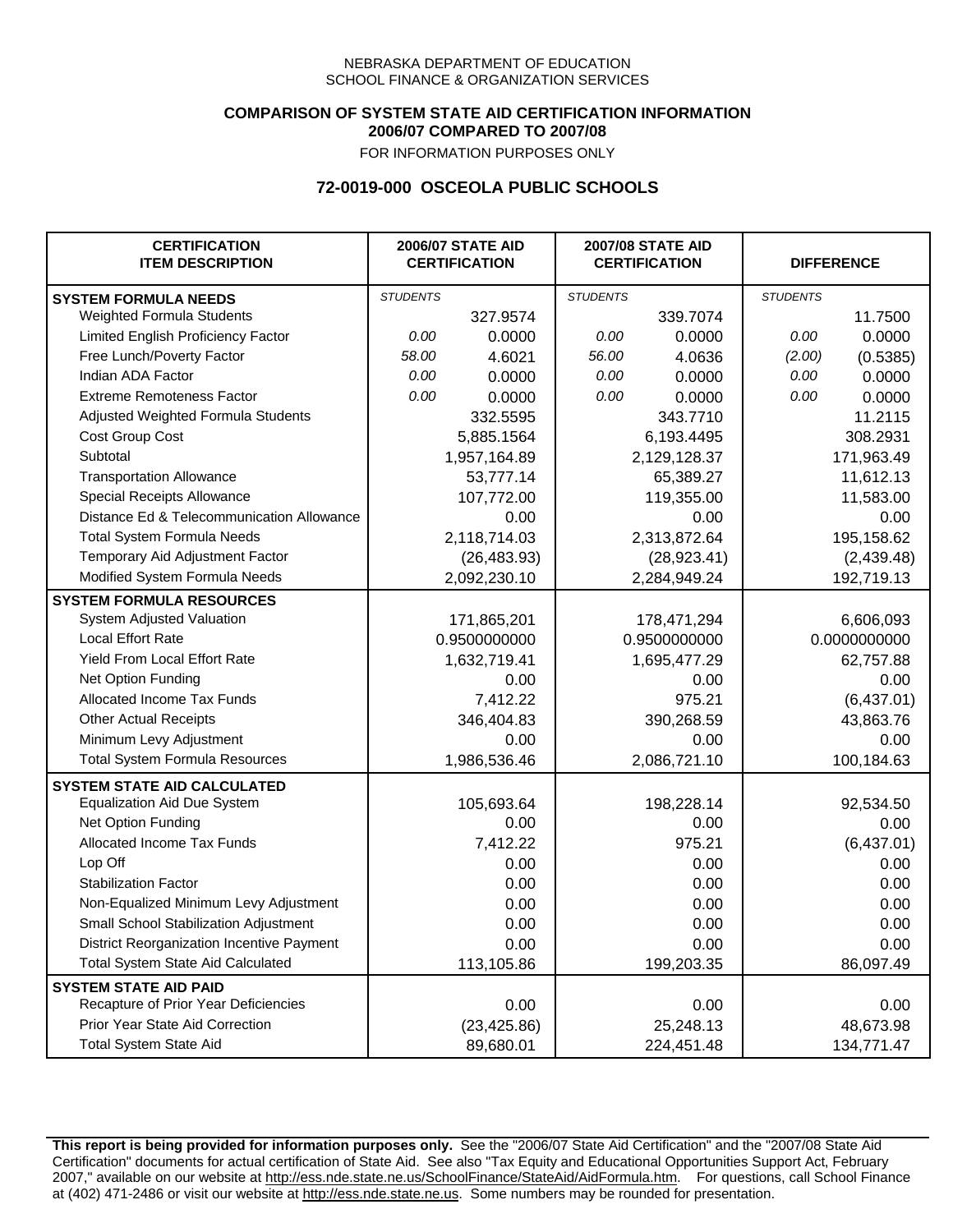### **COMPARISON OF SYSTEM STATE AID CERTIFICATION INFORMATION 2006/07 COMPARED TO 2007/08**

FOR INFORMATION PURPOSES ONLY

## **72-0019-000 OSCEOLA PUBLIC SCHOOLS**

| <b>CERTIFICATION</b><br><b>ITEM DESCRIPTION</b> |                 | <b>2006/07 STATE AID</b><br><b>CERTIFICATION</b> | <b>2007/08 STATE AID</b><br><b>CERTIFICATION</b> |              |                 | <b>DIFFERENCE</b> |
|-------------------------------------------------|-----------------|--------------------------------------------------|--------------------------------------------------|--------------|-----------------|-------------------|
| <b>SYSTEM FORMULA NEEDS</b>                     | <b>STUDENTS</b> |                                                  | <b>STUDENTS</b>                                  |              | <b>STUDENTS</b> |                   |
| Weighted Formula Students                       |                 | 327.9574                                         |                                                  | 339.7074     |                 | 11.7500           |
| Limited English Proficiency Factor              | 0.00            | 0.0000                                           | 0.00                                             | 0.0000       | 0.00            | 0.0000            |
| Free Lunch/Poverty Factor                       | 58.00           | 4.6021                                           | 56.00                                            | 4.0636       | (2.00)          | (0.5385)          |
| Indian ADA Factor                               | 0.00            | 0.0000                                           | 0.00                                             | 0.0000       | 0.00            | 0.0000            |
| <b>Extreme Remoteness Factor</b>                | 0.00            | 0.0000                                           | 0.00                                             | 0.0000       | 0.00            | 0.0000            |
| Adjusted Weighted Formula Students              |                 | 332.5595                                         |                                                  | 343.7710     |                 | 11.2115           |
| Cost Group Cost                                 |                 | 5,885.1564                                       |                                                  | 6,193.4495   |                 | 308.2931          |
| Subtotal                                        |                 | 1,957,164.89                                     |                                                  | 2,129,128.37 |                 | 171,963.49        |
| <b>Transportation Allowance</b>                 |                 | 53,777.14                                        |                                                  | 65,389.27    |                 | 11,612.13         |
| Special Receipts Allowance                      |                 | 107,772.00                                       |                                                  | 119,355.00   |                 | 11,583.00         |
| Distance Ed & Telecommunication Allowance       |                 | 0.00                                             |                                                  | 0.00         |                 | 0.00              |
| <b>Total System Formula Needs</b>               |                 | 2,118,714.03                                     |                                                  | 2,313,872.64 | 195,158.62      |                   |
| Temporary Aid Adjustment Factor                 |                 | (26, 483.93)                                     | (28, 923.41)                                     |              | (2,439.48)      |                   |
| Modified System Formula Needs                   |                 | 2,092,230.10                                     |                                                  | 2,284,949.24 |                 | 192,719.13        |
| <b>SYSTEM FORMULA RESOURCES</b>                 |                 |                                                  |                                                  |              |                 |                   |
| System Adjusted Valuation                       |                 | 171,865,201                                      |                                                  | 178,471,294  |                 | 6,606,093         |
| <b>Local Effort Rate</b>                        |                 | 0.9500000000                                     |                                                  | 0.9500000000 |                 | 0.0000000000      |
| Yield From Local Effort Rate                    |                 | 1,632,719.41                                     |                                                  | 1,695,477.29 |                 | 62,757.88         |
| Net Option Funding                              |                 | 0.00                                             | 0.00                                             |              | 0.00            |                   |
| Allocated Income Tax Funds                      |                 | 7,412.22                                         | 975.21                                           |              | (6,437.01)      |                   |
| <b>Other Actual Receipts</b>                    |                 | 346,404.83                                       | 390,268.59                                       |              | 43,863.76       |                   |
| Minimum Levy Adjustment                         |                 | 0.00                                             |                                                  | 0.00         |                 | 0.00              |
| <b>Total System Formula Resources</b>           |                 | 1,986,536.46                                     |                                                  | 2,086,721.10 |                 | 100,184.63        |
| <b>SYSTEM STATE AID CALCULATED</b>              |                 |                                                  |                                                  |              |                 |                   |
| <b>Equalization Aid Due System</b>              |                 | 105,693.64                                       |                                                  | 198,228.14   |                 | 92,534.50         |
| Net Option Funding                              |                 | 0.00                                             |                                                  | 0.00         |                 | 0.00              |
| Allocated Income Tax Funds                      |                 | 7,412.22                                         |                                                  | 975.21       |                 | (6,437.01)        |
| Lop Off                                         |                 | 0.00                                             |                                                  | 0.00         |                 | 0.00              |
| <b>Stabilization Factor</b>                     |                 | 0.00                                             |                                                  | 0.00         |                 | 0.00              |
| Non-Equalized Minimum Levy Adjustment           |                 | 0.00                                             |                                                  | 0.00         |                 | 0.00              |
| Small School Stabilization Adjustment           |                 | 0.00                                             |                                                  | 0.00         |                 | 0.00              |
| District Reorganization Incentive Payment       |                 | 0.00                                             |                                                  | 0.00         |                 | 0.00              |
| <b>Total System State Aid Calculated</b>        |                 | 113,105.86                                       |                                                  | 199,203.35   |                 | 86,097.49         |
| <b>SYSTEM STATE AID PAID</b>                    |                 |                                                  |                                                  |              |                 |                   |
| Recapture of Prior Year Deficiencies            |                 | 0.00                                             |                                                  | 0.00         |                 | 0.00              |
| Prior Year State Aid Correction                 |                 | (23, 425.86)                                     |                                                  | 25,248.13    |                 | 48,673.98         |
| <b>Total System State Aid</b>                   |                 | 89,680.01                                        |                                                  | 224,451.48   |                 | 134,771.47        |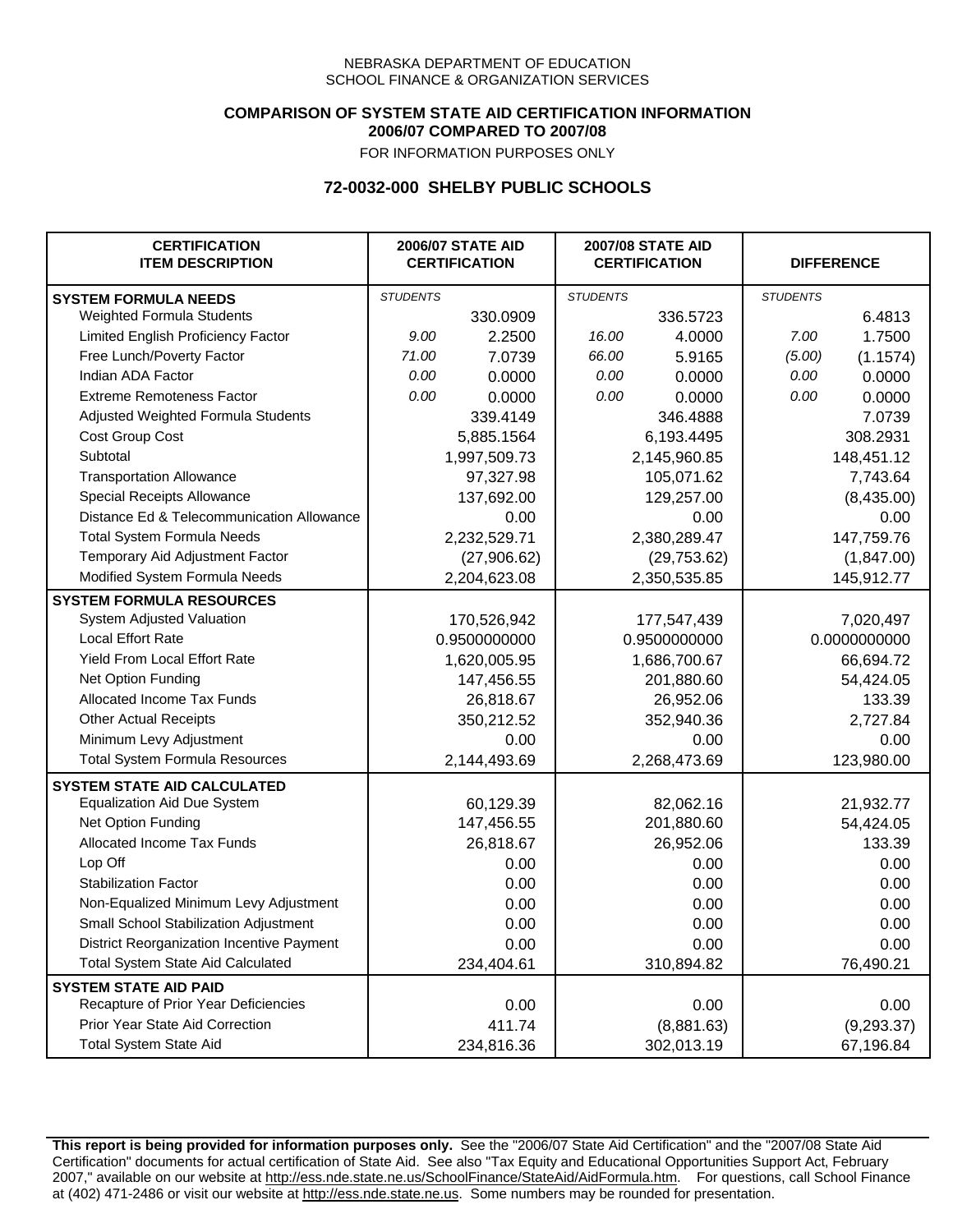### **COMPARISON OF SYSTEM STATE AID CERTIFICATION INFORMATION 2006/07 COMPARED TO 2007/08**

FOR INFORMATION PURPOSES ONLY

## **72-0032-000 SHELBY PUBLIC SCHOOLS**

| <b>CERTIFICATION</b><br><b>ITEM DESCRIPTION</b> |                 | <b>2006/07 STATE AID</b><br><b>CERTIFICATION</b> | <b>2007/08 STATE AID</b><br><b>CERTIFICATION</b> |              | <b>DIFFERENCE</b> |              |
|-------------------------------------------------|-----------------|--------------------------------------------------|--------------------------------------------------|--------------|-------------------|--------------|
| <b>SYSTEM FORMULA NEEDS</b>                     | <b>STUDENTS</b> |                                                  | <b>STUDENTS</b>                                  |              | <b>STUDENTS</b>   |              |
| Weighted Formula Students                       |                 | 330.0909                                         |                                                  | 336.5723     |                   | 6.4813       |
| Limited English Proficiency Factor              | 9.00            | 2.2500                                           | 16.00                                            | 4.0000       | 7.00              | 1.7500       |
| Free Lunch/Poverty Factor                       | 71.00           | 7.0739                                           | 66.00                                            | 5.9165       | (5.00)            | (1.1574)     |
| Indian ADA Factor                               | 0.00            | 0.0000                                           | 0.00                                             | 0.0000       | 0.00              | 0.0000       |
| <b>Extreme Remoteness Factor</b>                | 0.00            | 0.0000                                           | 0.00                                             | 0.0000       | 0.00              | 0.0000       |
| Adjusted Weighted Formula Students              |                 | 339.4149                                         |                                                  | 346.4888     |                   | 7.0739       |
| Cost Group Cost                                 |                 | 5,885.1564                                       |                                                  | 6,193.4495   |                   | 308.2931     |
| Subtotal                                        |                 | 1,997,509.73                                     |                                                  | 2,145,960.85 |                   | 148,451.12   |
| <b>Transportation Allowance</b>                 |                 | 97,327.98                                        |                                                  | 105,071.62   |                   | 7,743.64     |
| Special Receipts Allowance                      |                 | 137,692.00                                       |                                                  | 129,257.00   |                   | (8,435.00)   |
| Distance Ed & Telecommunication Allowance       |                 | 0.00                                             |                                                  | 0.00         |                   | 0.00         |
| <b>Total System Formula Needs</b>               |                 | 2,232,529.71                                     | 2,380,289.47                                     |              | 147,759.76        |              |
| Temporary Aid Adjustment Factor                 |                 | (27,906.62)                                      | (29, 753.62)                                     |              | (1,847.00)        |              |
| Modified System Formula Needs                   |                 | 2,204,623.08                                     |                                                  | 2,350,535.85 |                   | 145,912.77   |
| <b>SYSTEM FORMULA RESOURCES</b>                 |                 |                                                  |                                                  |              |                   |              |
| System Adjusted Valuation                       |                 | 170,526,942                                      |                                                  | 177,547,439  |                   | 7,020,497    |
| <b>Local Effort Rate</b>                        |                 | 0.9500000000                                     |                                                  | 0.9500000000 |                   | 0.0000000000 |
| Yield From Local Effort Rate                    |                 | 1,620,005.95                                     |                                                  | 1,686,700.67 |                   | 66,694.72    |
| Net Option Funding                              |                 | 147,456.55                                       | 201,880.60                                       |              | 54,424.05         |              |
| Allocated Income Tax Funds                      |                 | 26,818.67                                        | 26,952.06                                        |              | 133.39            |              |
| <b>Other Actual Receipts</b>                    |                 | 350,212.52                                       | 352,940.36                                       |              | 2,727.84          |              |
| Minimum Levy Adjustment                         |                 | 0.00                                             |                                                  | 0.00         |                   | 0.00         |
| <b>Total System Formula Resources</b>           |                 | 2,144,493.69                                     |                                                  | 2,268,473.69 |                   | 123,980.00   |
| <b>SYSTEM STATE AID CALCULATED</b>              |                 |                                                  |                                                  |              |                   |              |
| <b>Equalization Aid Due System</b>              |                 | 60,129.39                                        |                                                  | 82,062.16    |                   | 21,932.77    |
| Net Option Funding                              |                 | 147,456.55                                       |                                                  | 201,880.60   |                   | 54,424.05    |
| Allocated Income Tax Funds                      |                 | 26,818.67                                        |                                                  | 26,952.06    |                   | 133.39       |
| Lop Off                                         |                 | 0.00                                             |                                                  | 0.00         |                   | 0.00         |
| <b>Stabilization Factor</b>                     |                 | 0.00                                             |                                                  | 0.00         |                   | 0.00         |
| Non-Equalized Minimum Levy Adjustment           |                 | 0.00                                             |                                                  | 0.00         |                   | 0.00         |
| Small School Stabilization Adjustment           |                 | 0.00                                             |                                                  | 0.00         |                   | 0.00         |
| District Reorganization Incentive Payment       |                 | 0.00                                             |                                                  | 0.00         |                   | 0.00         |
| <b>Total System State Aid Calculated</b>        |                 | 234,404.61                                       |                                                  | 310,894.82   |                   | 76,490.21    |
| <b>SYSTEM STATE AID PAID</b>                    |                 |                                                  |                                                  |              |                   |              |
| Recapture of Prior Year Deficiencies            |                 | 0.00                                             |                                                  | 0.00         |                   | 0.00         |
| Prior Year State Aid Correction                 |                 | 411.74                                           |                                                  | (8,881.63)   |                   | (9, 293.37)  |
| <b>Total System State Aid</b>                   |                 | 234,816.36                                       |                                                  | 302,013.19   |                   | 67,196.84    |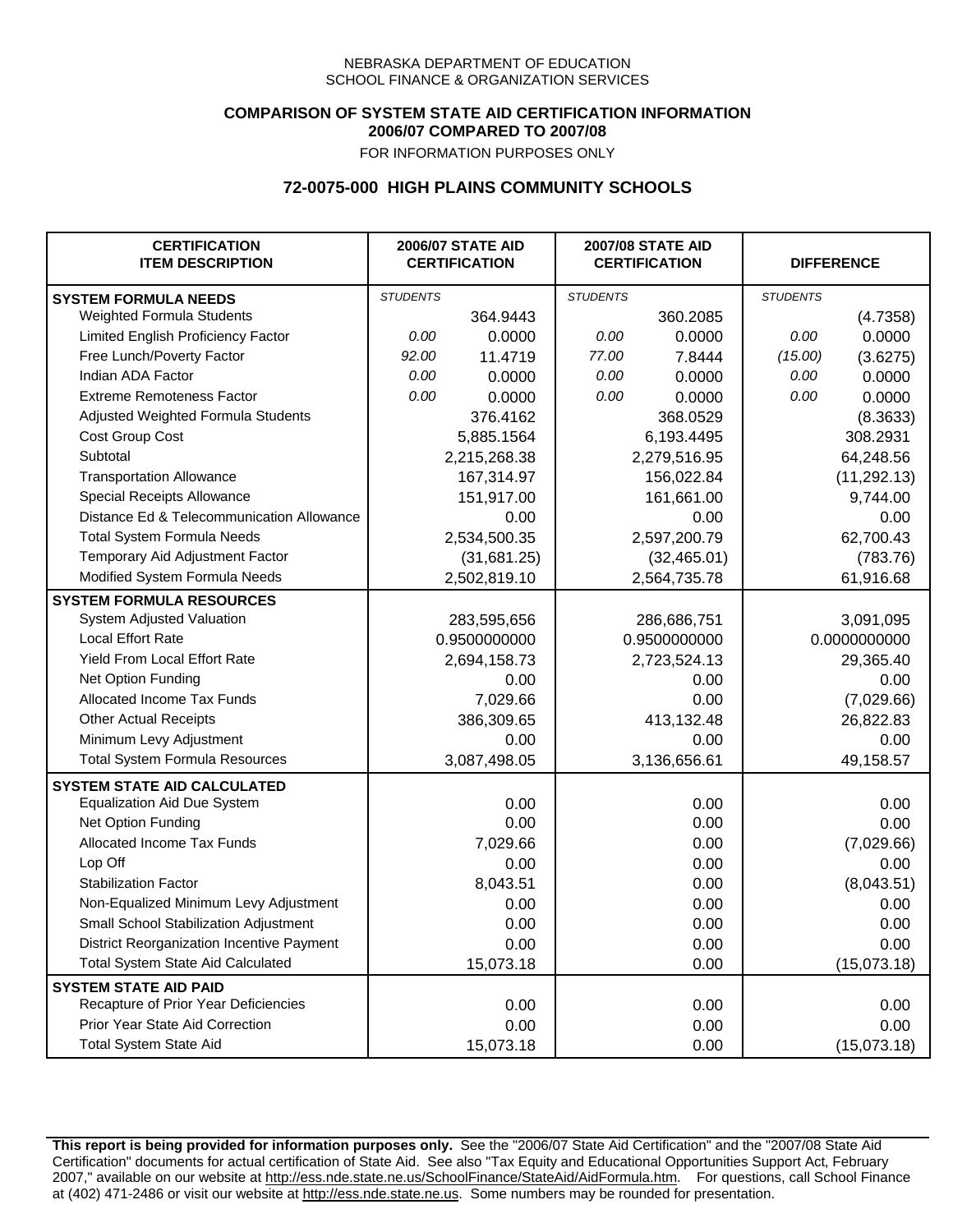## **COMPARISON OF SYSTEM STATE AID CERTIFICATION INFORMATION 2006/07 COMPARED TO 2007/08**

FOR INFORMATION PURPOSES ONLY

## **72-0075-000 HIGH PLAINS COMMUNITY SCHOOLS**

| <b>CERTIFICATION</b><br><b>ITEM DESCRIPTION</b> |                 | <b>2006/07 STATE AID</b><br><b>CERTIFICATION</b> | <b>2007/08 STATE AID</b><br><b>CERTIFICATION</b> |              |                 | <b>DIFFERENCE</b> |  |
|-------------------------------------------------|-----------------|--------------------------------------------------|--------------------------------------------------|--------------|-----------------|-------------------|--|
| <b>SYSTEM FORMULA NEEDS</b>                     | <b>STUDENTS</b> |                                                  | <b>STUDENTS</b>                                  |              | <b>STUDENTS</b> |                   |  |
| Weighted Formula Students                       |                 | 364.9443                                         |                                                  | 360.2085     |                 | (4.7358)          |  |
| Limited English Proficiency Factor              | 0.00            | 0.0000                                           | 0.00                                             | 0.0000       | 0.00            | 0.0000            |  |
| Free Lunch/Poverty Factor                       | 92.00           | 11.4719                                          | 77.00                                            | 7.8444       | (15.00)         | (3.6275)          |  |
| Indian ADA Factor                               | 0.00            | 0.0000                                           | 0.00                                             | 0.0000       | 0.00            | 0.0000            |  |
| <b>Extreme Remoteness Factor</b>                | 0.00            | 0.0000                                           | 0.00                                             | 0.0000       | 0.00            | 0.0000            |  |
| Adjusted Weighted Formula Students              |                 | 376.4162                                         |                                                  | 368.0529     |                 | (8.3633)          |  |
| Cost Group Cost                                 |                 | 5,885.1564                                       |                                                  | 6,193.4495   |                 | 308.2931          |  |
| Subtotal                                        |                 | 2,215,268.38                                     |                                                  | 2,279,516.95 |                 | 64,248.56         |  |
| <b>Transportation Allowance</b>                 |                 | 167,314.97                                       |                                                  | 156,022.84   |                 | (11, 292.13)      |  |
| Special Receipts Allowance                      |                 | 151,917.00                                       |                                                  | 161,661.00   |                 | 9,744.00          |  |
| Distance Ed & Telecommunication Allowance       |                 | 0.00                                             |                                                  | 0.00         |                 | 0.00              |  |
| <b>Total System Formula Needs</b>               |                 | 2,534,500.35                                     |                                                  | 2,597,200.79 |                 | 62,700.43         |  |
| Temporary Aid Adjustment Factor                 |                 | (31,681.25)                                      |                                                  | (32, 465.01) |                 | (783.76)          |  |
| Modified System Formula Needs                   |                 | 2,502,819.10                                     |                                                  | 2,564,735.78 |                 | 61,916.68         |  |
| <b>SYSTEM FORMULA RESOURCES</b>                 |                 |                                                  |                                                  |              |                 |                   |  |
| <b>System Adjusted Valuation</b>                |                 | 283,595,656                                      |                                                  | 286,686,751  |                 | 3,091,095         |  |
| <b>Local Effort Rate</b>                        |                 | 0.9500000000                                     |                                                  | 0.9500000000 |                 | 0.0000000000      |  |
| Yield From Local Effort Rate                    |                 | 2,694,158.73                                     |                                                  | 2,723,524.13 |                 | 29,365.40         |  |
| Net Option Funding                              |                 | 0.00                                             |                                                  | 0.00         |                 | 0.00              |  |
| Allocated Income Tax Funds                      |                 | 7,029.66                                         |                                                  | 0.00         |                 | (7,029.66)        |  |
| <b>Other Actual Receipts</b>                    |                 | 386,309.65                                       |                                                  | 413,132.48   | 26,822.83       |                   |  |
| Minimum Levy Adjustment                         |                 | 0.00                                             |                                                  | 0.00         |                 | 0.00              |  |
| <b>Total System Formula Resources</b>           |                 | 3,087,498.05                                     |                                                  | 3,136,656.61 |                 | 49,158.57         |  |
| <b>SYSTEM STATE AID CALCULATED</b>              |                 |                                                  |                                                  |              |                 |                   |  |
| <b>Equalization Aid Due System</b>              |                 | 0.00                                             |                                                  | 0.00         |                 | 0.00              |  |
| Net Option Funding                              |                 | 0.00                                             |                                                  | 0.00         |                 | 0.00              |  |
| Allocated Income Tax Funds                      |                 | 7,029.66                                         |                                                  | 0.00         |                 | (7,029.66)        |  |
| Lop Off                                         |                 | 0.00                                             |                                                  | 0.00         |                 | 0.00              |  |
| <b>Stabilization Factor</b>                     |                 | 8,043.51                                         |                                                  | 0.00         |                 | (8,043.51)        |  |
| Non-Equalized Minimum Levy Adjustment           |                 | 0.00                                             |                                                  | 0.00         |                 | 0.00              |  |
| Small School Stabilization Adjustment           |                 | 0.00                                             |                                                  | 0.00         |                 | 0.00              |  |
| District Reorganization Incentive Payment       |                 | 0.00                                             |                                                  | 0.00         |                 | 0.00              |  |
| <b>Total System State Aid Calculated</b>        |                 | 15,073.18                                        |                                                  | 0.00         |                 | (15,073.18)       |  |
| <b>SYSTEM STATE AID PAID</b>                    |                 |                                                  |                                                  |              |                 |                   |  |
| Recapture of Prior Year Deficiencies            |                 | 0.00                                             |                                                  | 0.00         |                 | 0.00              |  |
| Prior Year State Aid Correction                 |                 | 0.00                                             |                                                  | 0.00         |                 | 0.00              |  |
| <b>Total System State Aid</b>                   |                 | 15,073.18                                        |                                                  | 0.00         |                 | (15,073.18)       |  |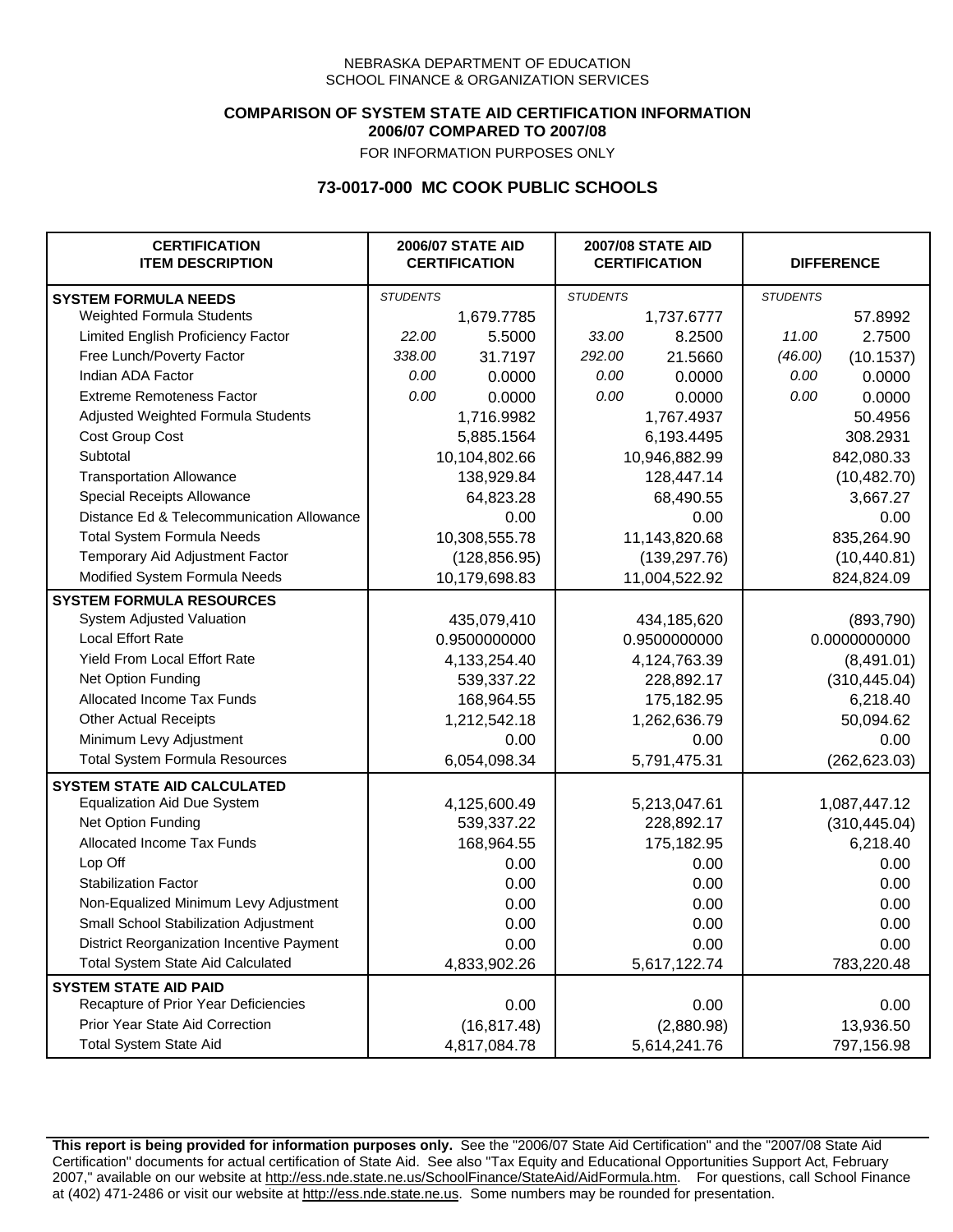### **COMPARISON OF SYSTEM STATE AID CERTIFICATION INFORMATION 2006/07 COMPARED TO 2007/08**

FOR INFORMATION PURPOSES ONLY

## **73-0017-000 MC COOK PUBLIC SCHOOLS**

| <b>CERTIFICATION</b><br><b>ITEM DESCRIPTION</b> |                 | <b>2006/07 STATE AID</b><br><b>CERTIFICATION</b> | <b>2007/08 STATE AID</b><br><b>CERTIFICATION</b> |               |                 | <b>DIFFERENCE</b> |
|-------------------------------------------------|-----------------|--------------------------------------------------|--------------------------------------------------|---------------|-----------------|-------------------|
| <b>SYSTEM FORMULA NEEDS</b>                     | <b>STUDENTS</b> |                                                  | <b>STUDENTS</b>                                  |               | <b>STUDENTS</b> |                   |
| Weighted Formula Students                       |                 | 1,679.7785                                       |                                                  | 1,737.6777    |                 | 57.8992           |
| Limited English Proficiency Factor              | 22.00           | 5.5000                                           | 33.00                                            | 8.2500        | 11.00           | 2.7500            |
| Free Lunch/Poverty Factor                       | 338.00          | 31.7197                                          | 292.00                                           | 21.5660       | (46.00)         | (10.1537)         |
| Indian ADA Factor                               | 0.00            | 0.0000                                           | 0.00                                             | 0.0000        | 0.00            | 0.0000            |
| <b>Extreme Remoteness Factor</b>                | 0.00            | 0.0000                                           | 0.00                                             | 0.0000        | 0.00            | 0.0000            |
| Adjusted Weighted Formula Students              |                 | 1,716.9982                                       |                                                  | 1,767.4937    |                 | 50.4956           |
| Cost Group Cost                                 |                 | 5,885.1564                                       |                                                  | 6,193.4495    |                 | 308.2931          |
| Subtotal                                        |                 | 10,104,802.66                                    |                                                  | 10,946,882.99 |                 | 842,080.33        |
| <b>Transportation Allowance</b>                 |                 | 138,929.84                                       |                                                  | 128,447.14    |                 | (10, 482.70)      |
| Special Receipts Allowance                      |                 | 64,823.28                                        |                                                  | 68,490.55     |                 | 3,667.27          |
| Distance Ed & Telecommunication Allowance       |                 | 0.00                                             |                                                  | 0.00          |                 | 0.00              |
| <b>Total System Formula Needs</b>               |                 | 10,308,555.78                                    |                                                  | 11,143,820.68 | 835,264.90      |                   |
| Temporary Aid Adjustment Factor                 |                 | (128, 856.95)                                    | (139, 297.76)                                    |               | (10, 440.81)    |                   |
| Modified System Formula Needs                   | 10,179,698.83   |                                                  | 11,004,522.92                                    |               | 824,824.09      |                   |
| <b>SYSTEM FORMULA RESOURCES</b>                 |                 |                                                  |                                                  |               |                 |                   |
| System Adjusted Valuation                       |                 | 435,079,410                                      |                                                  | 434,185,620   |                 | (893,790)         |
| <b>Local Effort Rate</b>                        |                 | 0.9500000000                                     |                                                  | 0.9500000000  | 0.0000000000    |                   |
| <b>Yield From Local Effort Rate</b>             |                 | 4,133,254.40                                     | 4,124,763.39                                     |               | (8,491.01)      |                   |
| Net Option Funding                              |                 | 539,337.22                                       | 228,892.17                                       |               | (310, 445.04)   |                   |
| Allocated Income Tax Funds                      |                 | 168,964.55                                       | 175,182.95                                       |               | 6,218.40        |                   |
| <b>Other Actual Receipts</b>                    |                 | 1,212,542.18                                     | 1,262,636.79                                     |               | 50,094.62       |                   |
| Minimum Levy Adjustment                         |                 | 0.00                                             |                                                  | 0.00          |                 | 0.00              |
| <b>Total System Formula Resources</b>           |                 | 6,054,098.34                                     |                                                  | 5,791,475.31  |                 | (262, 623.03)     |
| <b>SYSTEM STATE AID CALCULATED</b>              |                 |                                                  |                                                  |               |                 |                   |
| <b>Equalization Aid Due System</b>              |                 | 4,125,600.49                                     |                                                  | 5,213,047.61  |                 | 1,087,447.12      |
| Net Option Funding                              |                 | 539,337.22                                       |                                                  | 228,892.17    |                 | (310, 445.04)     |
| Allocated Income Tax Funds                      |                 | 168,964.55                                       |                                                  | 175,182.95    |                 | 6,218.40          |
| Lop Off                                         |                 | 0.00                                             |                                                  | 0.00          |                 | 0.00              |
| <b>Stabilization Factor</b>                     |                 | 0.00                                             |                                                  | 0.00          |                 | 0.00              |
| Non-Equalized Minimum Levy Adjustment           |                 | 0.00                                             |                                                  | 0.00          |                 | 0.00              |
| Small School Stabilization Adjustment           |                 | 0.00                                             |                                                  | 0.00          |                 | 0.00              |
| District Reorganization Incentive Payment       |                 | 0.00                                             |                                                  | 0.00          |                 | 0.00              |
| <b>Total System State Aid Calculated</b>        |                 | 4,833,902.26                                     |                                                  | 5,617,122.74  |                 | 783,220.48        |
| <b>SYSTEM STATE AID PAID</b>                    |                 |                                                  |                                                  |               |                 |                   |
| Recapture of Prior Year Deficiencies            |                 | 0.00                                             |                                                  | 0.00          |                 | 0.00              |
| Prior Year State Aid Correction                 |                 | (16, 817.48)                                     |                                                  | (2,880.98)    |                 | 13,936.50         |
| <b>Total System State Aid</b>                   |                 | 4,817,084.78                                     |                                                  | 5,614,241.76  |                 | 797,156.98        |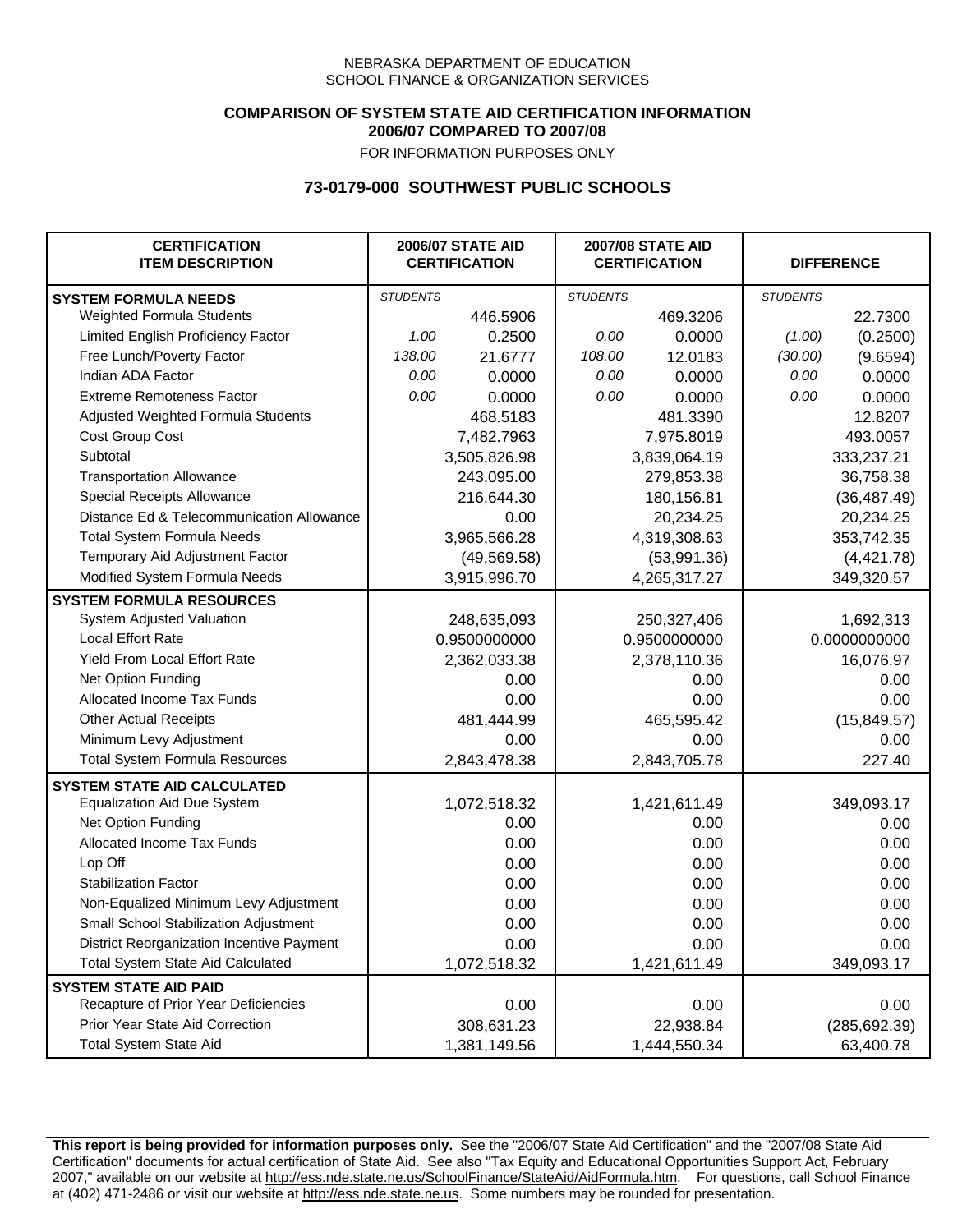### **COMPARISON OF SYSTEM STATE AID CERTIFICATION INFORMATION 2006/07 COMPARED TO 2007/08**

FOR INFORMATION PURPOSES ONLY

## **73-0179-000 SOUTHWEST PUBLIC SCHOOLS**

| <b>CERTIFICATION</b><br><b>ITEM DESCRIPTION</b> |                 | <b>2006/07 STATE AID</b><br><b>CERTIFICATION</b> | <b>2007/08 STATE AID</b><br><b>CERTIFICATION</b> |              |                 | <b>DIFFERENCE</b> |
|-------------------------------------------------|-----------------|--------------------------------------------------|--------------------------------------------------|--------------|-----------------|-------------------|
| <b>SYSTEM FORMULA NEEDS</b>                     | <b>STUDENTS</b> |                                                  | <b>STUDENTS</b>                                  |              | <b>STUDENTS</b> |                   |
| <b>Weighted Formula Students</b>                |                 | 446.5906                                         |                                                  | 469.3206     |                 | 22.7300           |
| Limited English Proficiency Factor              | 1.00            | 0.2500                                           | 0.00                                             | 0.0000       | (1.00)          | (0.2500)          |
| Free Lunch/Poverty Factor                       | 138.00          | 21.6777                                          | 108.00                                           | 12.0183      | (30.00)         | (9.6594)          |
| Indian ADA Factor                               | 0.00            | 0.0000                                           | 0.00                                             | 0.0000       | 0.00            | 0.0000            |
| <b>Extreme Remoteness Factor</b>                | 0.00            | 0.0000                                           | 0.00                                             | 0.0000       | 0.00            | 0.0000            |
| Adjusted Weighted Formula Students              |                 | 468.5183                                         |                                                  | 481.3390     |                 | 12.8207           |
| Cost Group Cost                                 |                 | 7,482.7963                                       |                                                  | 7,975.8019   |                 | 493.0057          |
| Subtotal                                        |                 | 3,505,826.98                                     |                                                  | 3,839,064.19 |                 | 333,237.21        |
| <b>Transportation Allowance</b>                 |                 | 243,095.00                                       |                                                  | 279,853.38   |                 | 36,758.38         |
| Special Receipts Allowance                      |                 | 216,644.30                                       |                                                  | 180,156.81   |                 | (36, 487.49)      |
| Distance Ed & Telecommunication Allowance       |                 | 0.00                                             |                                                  | 20,234.25    |                 | 20,234.25         |
| <b>Total System Formula Needs</b>               |                 | 3,965,566.28                                     |                                                  | 4,319,308.63 | 353,742.35      |                   |
| Temporary Aid Adjustment Factor                 |                 | (49, 569.58)                                     | (53,991.36)                                      |              | (4,421.78)      |                   |
| Modified System Formula Needs                   |                 | 3,915,996.70                                     |                                                  | 4,265,317.27 |                 | 349,320.57        |
| <b>SYSTEM FORMULA RESOURCES</b>                 |                 |                                                  |                                                  |              |                 |                   |
| System Adjusted Valuation                       |                 | 248,635,093                                      |                                                  | 250,327,406  |                 | 1,692,313         |
| <b>Local Effort Rate</b>                        |                 | 0.9500000000                                     |                                                  | 0.9500000000 |                 | 0.0000000000      |
| Yield From Local Effort Rate                    |                 | 2,362,033.38                                     | 2,378,110.36                                     |              | 16,076.97       |                   |
| Net Option Funding                              |                 | 0.00                                             | 0.00                                             |              | 0.00            |                   |
| Allocated Income Tax Funds                      |                 | 0.00                                             | 0.00                                             |              | 0.00            |                   |
| <b>Other Actual Receipts</b>                    |                 | 481,444.99                                       | 465,595.42                                       |              | (15, 849.57)    |                   |
| Minimum Levy Adjustment                         |                 | 0.00                                             | 0.00                                             |              |                 | 0.00              |
| <b>Total System Formula Resources</b>           |                 | 2,843,478.38                                     |                                                  | 2,843,705.78 |                 | 227.40            |
| <b>SYSTEM STATE AID CALCULATED</b>              |                 |                                                  |                                                  |              |                 |                   |
| <b>Equalization Aid Due System</b>              |                 | 1,072,518.32                                     |                                                  | 1,421,611.49 |                 | 349,093.17        |
| Net Option Funding                              |                 | 0.00                                             |                                                  | 0.00         |                 | 0.00              |
| Allocated Income Tax Funds                      |                 | 0.00                                             |                                                  | 0.00         |                 | 0.00              |
| Lop Off                                         |                 | 0.00                                             |                                                  | 0.00         |                 | 0.00              |
| <b>Stabilization Factor</b>                     |                 | 0.00                                             |                                                  | 0.00         |                 | 0.00              |
| Non-Equalized Minimum Levy Adjustment           |                 | 0.00                                             |                                                  | 0.00         |                 | 0.00              |
| Small School Stabilization Adjustment           |                 | 0.00                                             |                                                  | 0.00         |                 | 0.00              |
| District Reorganization Incentive Payment       |                 | 0.00                                             |                                                  | 0.00         |                 | 0.00              |
| <b>Total System State Aid Calculated</b>        |                 | 1,072,518.32                                     |                                                  | 1,421,611.49 |                 | 349,093.17        |
| <b>SYSTEM STATE AID PAID</b>                    |                 |                                                  |                                                  |              |                 |                   |
| Recapture of Prior Year Deficiencies            |                 | 0.00                                             |                                                  | 0.00         |                 | 0.00              |
| Prior Year State Aid Correction                 |                 | 308,631.23                                       |                                                  | 22,938.84    |                 | (285, 692.39)     |
| <b>Total System State Aid</b>                   |                 | 1,381,149.56                                     |                                                  | 1,444,550.34 |                 | 63,400.78         |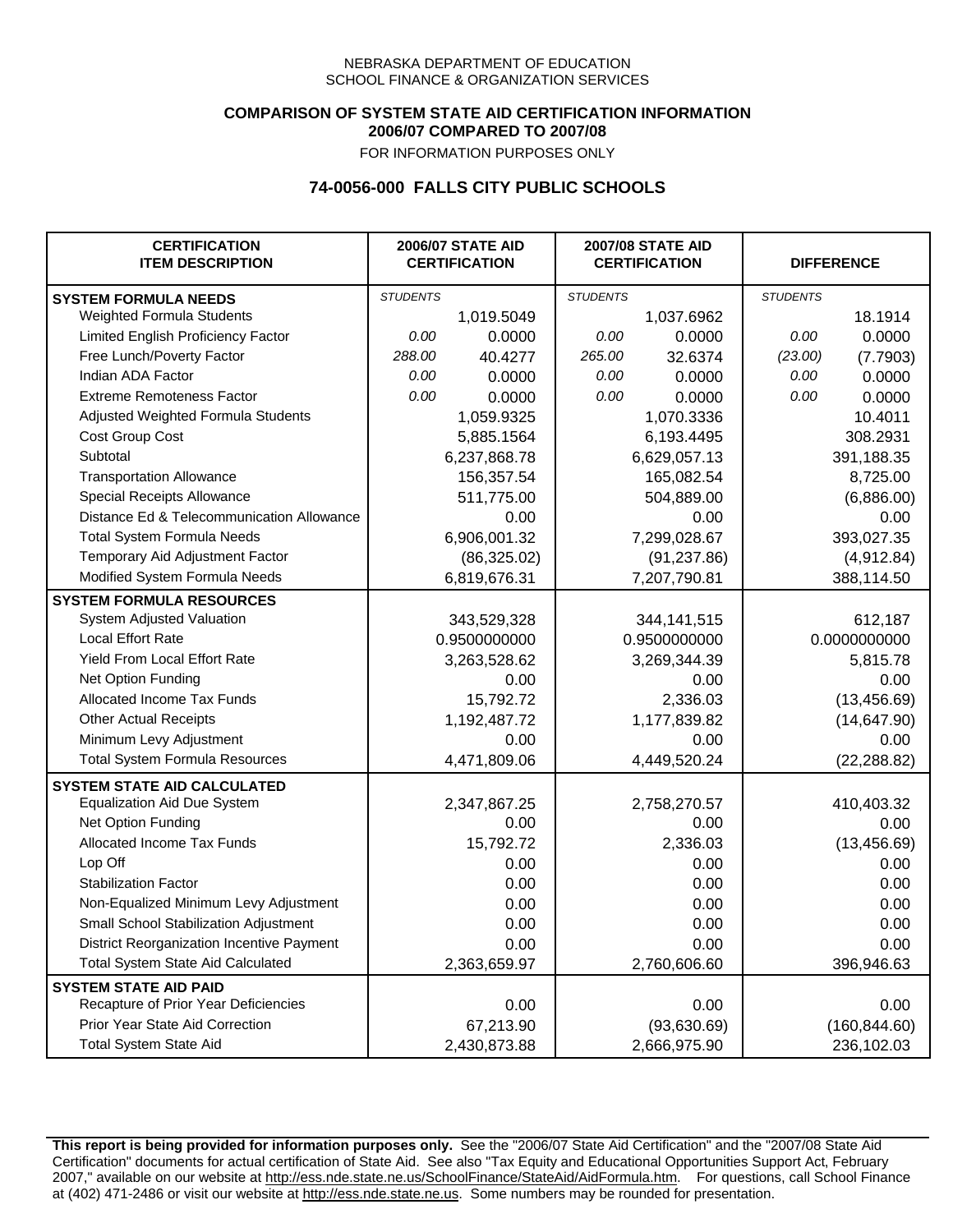### **COMPARISON OF SYSTEM STATE AID CERTIFICATION INFORMATION 2006/07 COMPARED TO 2007/08**

FOR INFORMATION PURPOSES ONLY

# **74-0056-000 FALLS CITY PUBLIC SCHOOLS**

| <b>CERTIFICATION</b><br><b>ITEM DESCRIPTION</b> |                 | <b>2006/07 STATE AID</b><br><b>CERTIFICATION</b> | <b>2007/08 STATE AID</b><br><b>CERTIFICATION</b> |               | <b>DIFFERENCE</b> |               |
|-------------------------------------------------|-----------------|--------------------------------------------------|--------------------------------------------------|---------------|-------------------|---------------|
| <b>SYSTEM FORMULA NEEDS</b>                     | <b>STUDENTS</b> |                                                  | <b>STUDENTS</b>                                  |               | <b>STUDENTS</b>   |               |
| Weighted Formula Students                       |                 | 1,019.5049                                       |                                                  | 1,037.6962    |                   | 18.1914       |
| Limited English Proficiency Factor              | 0.00            | 0.0000                                           | 0.00                                             | 0.0000        | 0.00              | 0.0000        |
| Free Lunch/Poverty Factor                       | 288.00          | 40.4277                                          | 265.00                                           | 32.6374       | (23.00)           | (7.7903)      |
| Indian ADA Factor                               | 0.00            | 0.0000                                           | 0.00                                             | 0.0000        | 0.00              | 0.0000        |
| <b>Extreme Remoteness Factor</b>                | 0.00            | 0.0000                                           | 0.00                                             | 0.0000        | 0.00              | 0.0000        |
| Adjusted Weighted Formula Students              |                 | 1,059.9325                                       |                                                  | 1,070.3336    |                   | 10.4011       |
| Cost Group Cost                                 |                 | 5,885.1564                                       |                                                  | 6,193.4495    |                   | 308.2931      |
| Subtotal                                        |                 | 6,237,868.78                                     |                                                  | 6,629,057.13  |                   | 391,188.35    |
| <b>Transportation Allowance</b>                 |                 | 156,357.54                                       |                                                  | 165,082.54    |                   | 8,725.00      |
| Special Receipts Allowance                      |                 | 511,775.00                                       |                                                  | 504,889.00    |                   | (6,886.00)    |
| Distance Ed & Telecommunication Allowance       |                 | 0.00                                             |                                                  | 0.00          |                   | 0.00          |
| <b>Total System Formula Needs</b>               |                 | 6,906,001.32                                     |                                                  | 7,299,028.67  |                   | 393,027.35    |
| Temporary Aid Adjustment Factor                 |                 | (86,325.02)                                      | (91, 237.86)                                     |               | (4,912.84)        |               |
| Modified System Formula Needs                   |                 | 6,819,676.31                                     |                                                  | 7,207,790.81  |                   | 388,114.50    |
| <b>SYSTEM FORMULA RESOURCES</b>                 |                 |                                                  |                                                  |               |                   |               |
| System Adjusted Valuation                       |                 | 343,529,328                                      |                                                  | 344, 141, 515 |                   | 612,187       |
| <b>Local Effort Rate</b>                        |                 | 0.9500000000                                     |                                                  | 0.9500000000  |                   | 0.0000000000  |
| Yield From Local Effort Rate                    |                 | 3,263,528.62                                     |                                                  | 3,269,344.39  |                   | 5,815.78      |
| Net Option Funding                              |                 | 0.00                                             | 0.00                                             |               | 0.00              |               |
| Allocated Income Tax Funds                      |                 | 15,792.72                                        | 2,336.03                                         |               | (13, 456.69)      |               |
| <b>Other Actual Receipts</b>                    |                 | 1,192,487.72                                     | 1,177,839.82                                     |               | (14, 647.90)      |               |
| Minimum Levy Adjustment                         |                 | 0.00                                             |                                                  | 0.00          |                   | 0.00          |
| <b>Total System Formula Resources</b>           |                 | 4,471,809.06                                     |                                                  | 4,449,520.24  |                   | (22, 288.82)  |
| <b>SYSTEM STATE AID CALCULATED</b>              |                 |                                                  |                                                  |               |                   |               |
| <b>Equalization Aid Due System</b>              |                 | 2,347,867.25                                     |                                                  | 2,758,270.57  |                   | 410,403.32    |
| Net Option Funding                              |                 | 0.00                                             |                                                  | 0.00          |                   | 0.00          |
| <b>Allocated Income Tax Funds</b>               |                 | 15,792.72                                        |                                                  | 2,336.03      |                   | (13, 456.69)  |
| Lop Off                                         |                 | 0.00                                             |                                                  | 0.00          |                   | 0.00          |
| <b>Stabilization Factor</b>                     |                 | 0.00                                             |                                                  | 0.00          |                   | 0.00          |
| Non-Equalized Minimum Levy Adjustment           |                 | 0.00                                             |                                                  | 0.00          |                   | 0.00          |
| Small School Stabilization Adjustment           |                 | 0.00                                             |                                                  | 0.00          |                   | 0.00          |
| District Reorganization Incentive Payment       |                 | 0.00                                             |                                                  | 0.00          |                   | 0.00          |
| <b>Total System State Aid Calculated</b>        |                 | 2,363,659.97                                     |                                                  | 2,760,606.60  |                   | 396,946.63    |
| <b>SYSTEM STATE AID PAID</b>                    |                 |                                                  |                                                  |               |                   |               |
| Recapture of Prior Year Deficiencies            |                 | 0.00                                             |                                                  | 0.00          |                   | 0.00          |
| Prior Year State Aid Correction                 |                 | 67,213.90                                        |                                                  | (93,630.69)   |                   | (160, 844.60) |
| <b>Total System State Aid</b>                   |                 | 2,430,873.88                                     |                                                  | 2,666,975.90  |                   | 236,102.03    |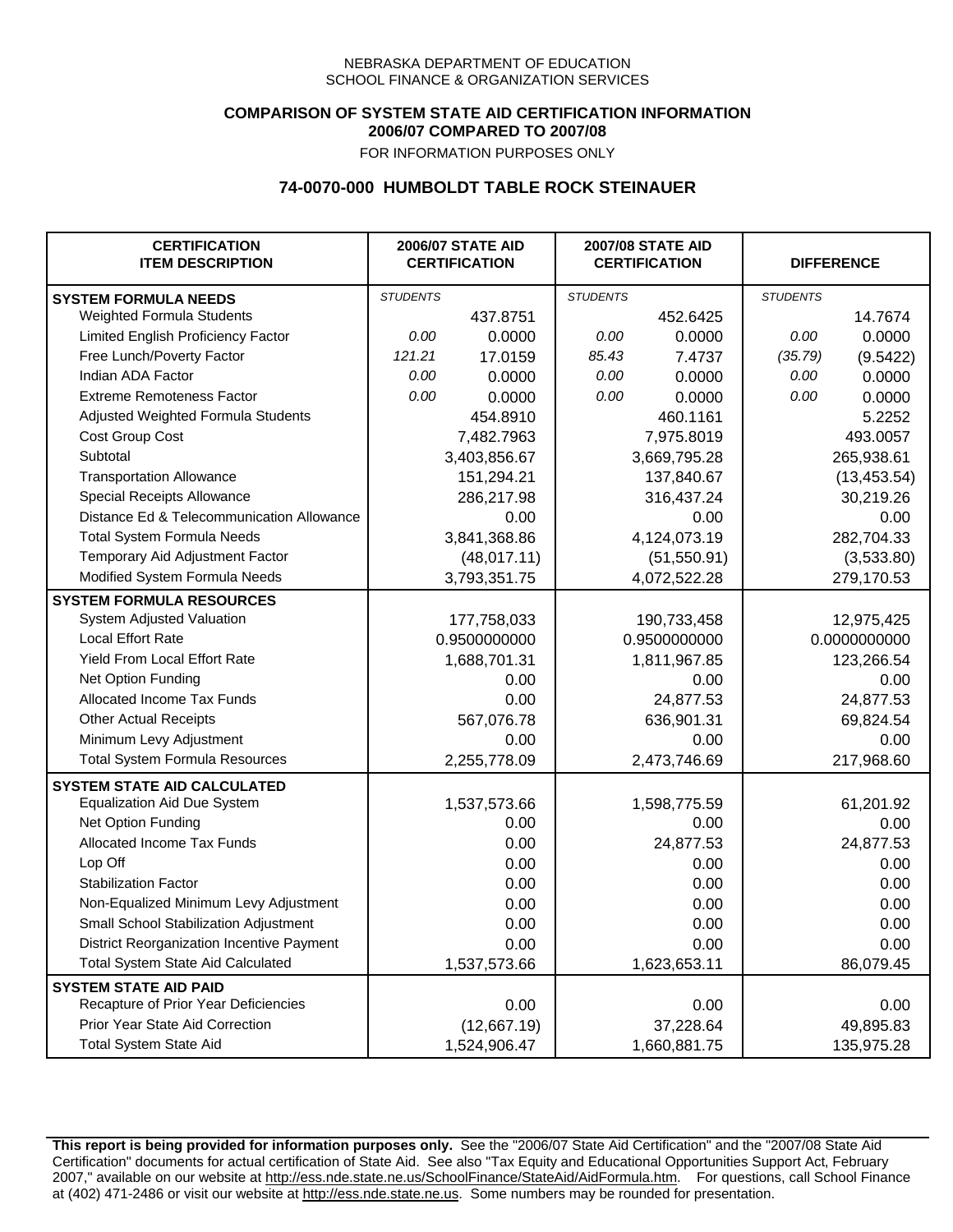## **COMPARISON OF SYSTEM STATE AID CERTIFICATION INFORMATION 2006/07 COMPARED TO 2007/08**

FOR INFORMATION PURPOSES ONLY

## **74-0070-000 HUMBOLDT TABLE ROCK STEINAUER**

| <b>CERTIFICATION</b><br><b>ITEM DESCRIPTION</b> |                 | <b>2006/07 STATE AID</b><br><b>CERTIFICATION</b> | <b>2007/08 STATE AID</b><br><b>CERTIFICATION</b> |              | <b>DIFFERENCE</b> |              |
|-------------------------------------------------|-----------------|--------------------------------------------------|--------------------------------------------------|--------------|-------------------|--------------|
| <b>SYSTEM FORMULA NEEDS</b>                     | <b>STUDENTS</b> |                                                  | <b>STUDENTS</b>                                  |              | <b>STUDENTS</b>   |              |
| <b>Weighted Formula Students</b>                |                 | 437.8751                                         |                                                  | 452.6425     |                   | 14.7674      |
| Limited English Proficiency Factor              | 0.00            | 0.0000                                           | 0.00                                             | 0.0000       | 0.00              | 0.0000       |
| Free Lunch/Poverty Factor                       | 121.21          | 17.0159                                          | 85.43                                            | 7.4737       | (35.79)           | (9.5422)     |
| Indian ADA Factor                               | 0.00            | 0.0000                                           | 0.00                                             | 0.0000       | 0.00              | 0.0000       |
| <b>Extreme Remoteness Factor</b>                | 0.00            | 0.0000                                           | 0.00                                             | 0.0000       | 0.00              | 0.0000       |
| Adjusted Weighted Formula Students              |                 | 454.8910                                         |                                                  | 460.1161     |                   | 5.2252       |
| Cost Group Cost                                 |                 | 7,482.7963                                       |                                                  | 7,975.8019   |                   | 493.0057     |
| Subtotal                                        |                 | 3,403,856.67                                     |                                                  | 3,669,795.28 |                   | 265,938.61   |
| <b>Transportation Allowance</b>                 |                 | 151,294.21                                       |                                                  | 137,840.67   |                   | (13, 453.54) |
| Special Receipts Allowance                      |                 | 286,217.98                                       |                                                  | 316,437.24   |                   | 30,219.26    |
| Distance Ed & Telecommunication Allowance       |                 | 0.00                                             |                                                  | 0.00         |                   | 0.00         |
| <b>Total System Formula Needs</b>               |                 | 3,841,368.86                                     |                                                  | 4,124,073.19 | 282,704.33        |              |
| Temporary Aid Adjustment Factor                 |                 | (48,017.11)                                      | (51, 550.91)                                     |              | (3,533.80)        |              |
| Modified System Formula Needs                   |                 | 3,793,351.75                                     |                                                  | 4,072,522.28 |                   | 279,170.53   |
| <b>SYSTEM FORMULA RESOURCES</b>                 |                 |                                                  |                                                  |              |                   |              |
| <b>System Adjusted Valuation</b>                |                 | 177,758,033                                      |                                                  | 190,733,458  |                   | 12,975,425   |
| <b>Local Effort Rate</b>                        |                 | 0.9500000000                                     |                                                  | 0.9500000000 |                   | 0.0000000000 |
| Yield From Local Effort Rate                    |                 | 1,688,701.31                                     | 1,811,967.85                                     |              |                   | 123,266.54   |
| Net Option Funding                              |                 | 0.00                                             | 0.00                                             |              | 0.00              |              |
| Allocated Income Tax Funds                      |                 | 0.00                                             | 24,877.53                                        |              | 24,877.53         |              |
| <b>Other Actual Receipts</b>                    |                 | 567,076.78                                       | 636,901.31                                       |              | 69,824.54         |              |
| Minimum Levy Adjustment                         |                 | 0.00                                             | 0.00                                             |              |                   | 0.00         |
| <b>Total System Formula Resources</b>           |                 | 2,255,778.09                                     |                                                  | 2,473,746.69 |                   | 217,968.60   |
| <b>SYSTEM STATE AID CALCULATED</b>              |                 |                                                  |                                                  |              |                   |              |
| <b>Equalization Aid Due System</b>              |                 | 1,537,573.66                                     |                                                  | 1,598,775.59 |                   | 61,201.92    |
| Net Option Funding                              |                 | 0.00                                             |                                                  | 0.00         |                   | 0.00         |
| <b>Allocated Income Tax Funds</b>               |                 | 0.00                                             |                                                  | 24,877.53    |                   | 24,877.53    |
| Lop Off                                         |                 | 0.00                                             |                                                  | 0.00         |                   | 0.00         |
| <b>Stabilization Factor</b>                     |                 | 0.00                                             |                                                  | 0.00         |                   | 0.00         |
| Non-Equalized Minimum Levy Adjustment           |                 | 0.00                                             |                                                  | 0.00         |                   | 0.00         |
| Small School Stabilization Adjustment           |                 | 0.00                                             |                                                  | 0.00         |                   | 0.00         |
| District Reorganization Incentive Payment       |                 | 0.00                                             |                                                  | 0.00         |                   | 0.00         |
| <b>Total System State Aid Calculated</b>        |                 | 1,537,573.66                                     |                                                  | 1,623,653.11 |                   | 86,079.45    |
| <b>SYSTEM STATE AID PAID</b>                    |                 |                                                  |                                                  |              |                   |              |
| Recapture of Prior Year Deficiencies            |                 | 0.00                                             |                                                  | 0.00         |                   | 0.00         |
| Prior Year State Aid Correction                 |                 | (12,667.19)                                      |                                                  | 37,228.64    |                   | 49,895.83    |
| <b>Total System State Aid</b>                   |                 | 1,524,906.47                                     |                                                  | 1,660,881.75 |                   | 135,975.28   |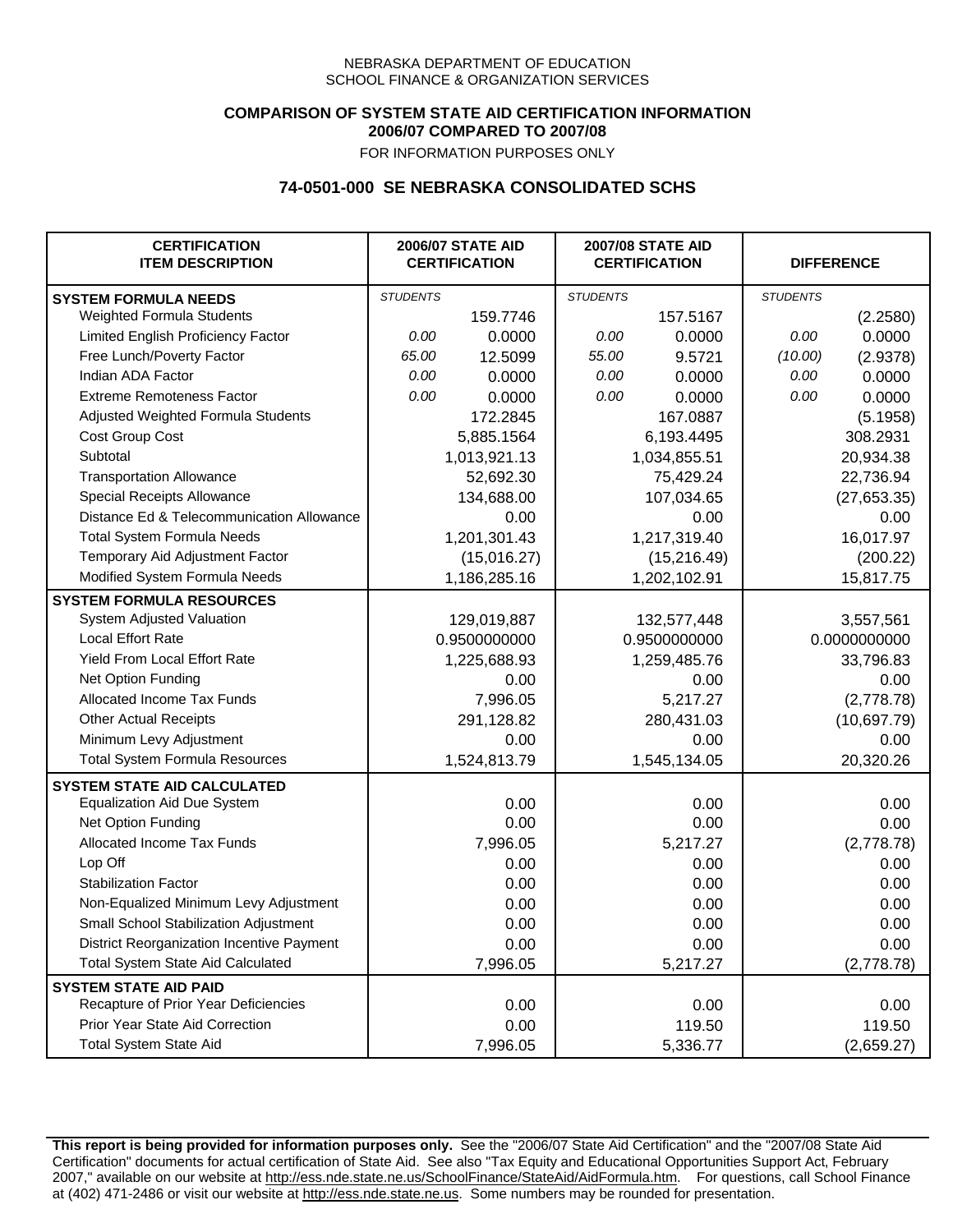## **COMPARISON OF SYSTEM STATE AID CERTIFICATION INFORMATION 2006/07 COMPARED TO 2007/08**

FOR INFORMATION PURPOSES ONLY

## **74-0501-000 SE NEBRASKA CONSOLIDATED SCHS**

| <b>CERTIFICATION</b><br><b>ITEM DESCRIPTION</b> |                 | <b>2006/07 STATE AID</b><br><b>CERTIFICATION</b> | <b>2007/08 STATE AID</b><br><b>CERTIFICATION</b> |              | <b>DIFFERENCE</b> |              |
|-------------------------------------------------|-----------------|--------------------------------------------------|--------------------------------------------------|--------------|-------------------|--------------|
| <b>SYSTEM FORMULA NEEDS</b>                     | <b>STUDENTS</b> |                                                  | <b>STUDENTS</b>                                  |              | <b>STUDENTS</b>   |              |
| Weighted Formula Students                       |                 | 159.7746                                         |                                                  | 157.5167     |                   | (2.2580)     |
| Limited English Proficiency Factor              | 0.00            | 0.0000                                           | 0.00                                             | 0.0000       | 0.00              | 0.0000       |
| Free Lunch/Poverty Factor                       | 65.00           | 12.5099                                          | 55.00                                            | 9.5721       | (10.00)           | (2.9378)     |
| Indian ADA Factor                               | 0.00            | 0.0000                                           | 0.00                                             | 0.0000       | 0.00              | 0.0000       |
| <b>Extreme Remoteness Factor</b>                | 0.00            | 0.0000                                           | 0.00                                             | 0.0000       | 0.00              | 0.0000       |
| Adjusted Weighted Formula Students              |                 | 172.2845                                         |                                                  | 167.0887     |                   | (5.1958)     |
| Cost Group Cost                                 |                 | 5,885.1564                                       |                                                  | 6,193.4495   |                   | 308.2931     |
| Subtotal                                        |                 | 1,013,921.13                                     |                                                  | 1,034,855.51 |                   | 20,934.38    |
| <b>Transportation Allowance</b>                 |                 | 52,692.30                                        |                                                  | 75,429.24    |                   | 22,736.94    |
| Special Receipts Allowance                      |                 | 134,688.00                                       |                                                  | 107,034.65   |                   | (27, 653.35) |
| Distance Ed & Telecommunication Allowance       |                 | 0.00                                             |                                                  | 0.00         |                   | 0.00         |
| <b>Total System Formula Needs</b>               |                 | 1,201,301.43                                     | 1,217,319.40                                     |              |                   | 16,017.97    |
| Temporary Aid Adjustment Factor                 |                 | (15,016.27)                                      | (15, 216.49)                                     |              | (200.22)          |              |
| Modified System Formula Needs                   |                 | 1,186,285.16                                     |                                                  | 1,202,102.91 |                   | 15,817.75    |
| <b>SYSTEM FORMULA RESOURCES</b>                 |                 |                                                  |                                                  |              |                   |              |
| System Adjusted Valuation                       |                 | 129,019,887                                      |                                                  | 132,577,448  |                   | 3,557,561    |
| <b>Local Effort Rate</b>                        |                 | 0.9500000000                                     | 0.9500000000                                     |              | 0.0000000000      |              |
| Yield From Local Effort Rate                    |                 | 1,225,688.93                                     | 1,259,485.76                                     |              | 33,796.83         |              |
| Net Option Funding                              |                 | 0.00                                             | 0.00                                             |              | 0.00              |              |
| Allocated Income Tax Funds                      |                 | 7,996.05                                         | 5,217.27                                         |              | (2,778.78)        |              |
| <b>Other Actual Receipts</b>                    |                 | 291,128.82                                       | 280,431.03                                       |              | (10,697.79)       |              |
| Minimum Levy Adjustment                         |                 | 0.00                                             |                                                  | 0.00         |                   | 0.00         |
| <b>Total System Formula Resources</b>           |                 | 1,524,813.79                                     |                                                  | 1,545,134.05 |                   | 20,320.26    |
| <b>SYSTEM STATE AID CALCULATED</b>              |                 |                                                  |                                                  |              |                   |              |
| <b>Equalization Aid Due System</b>              |                 | 0.00                                             |                                                  | 0.00         |                   | 0.00         |
| Net Option Funding                              |                 | 0.00                                             |                                                  | 0.00         |                   | 0.00         |
| Allocated Income Tax Funds                      |                 | 7,996.05                                         |                                                  | 5,217.27     |                   | (2,778.78)   |
| Lop Off                                         |                 | 0.00                                             |                                                  | 0.00         |                   | 0.00         |
| <b>Stabilization Factor</b>                     |                 | 0.00                                             |                                                  | 0.00         |                   | 0.00         |
| Non-Equalized Minimum Levy Adjustment           |                 | 0.00                                             |                                                  | 0.00         |                   | 0.00         |
| Small School Stabilization Adjustment           |                 | 0.00                                             |                                                  | 0.00         |                   | 0.00         |
| District Reorganization Incentive Payment       |                 | 0.00                                             |                                                  | 0.00         |                   | 0.00         |
| <b>Total System State Aid Calculated</b>        |                 | 7,996.05                                         |                                                  | 5,217.27     |                   | (2,778.78)   |
| <b>SYSTEM STATE AID PAID</b>                    |                 |                                                  |                                                  |              |                   |              |
| Recapture of Prior Year Deficiencies            |                 | 0.00                                             |                                                  | 0.00         |                   | 0.00         |
| Prior Year State Aid Correction                 |                 | 0.00                                             |                                                  | 119.50       |                   | 119.50       |
| <b>Total System State Aid</b>                   |                 | 7,996.05                                         |                                                  | 5,336.77     |                   | (2,659.27)   |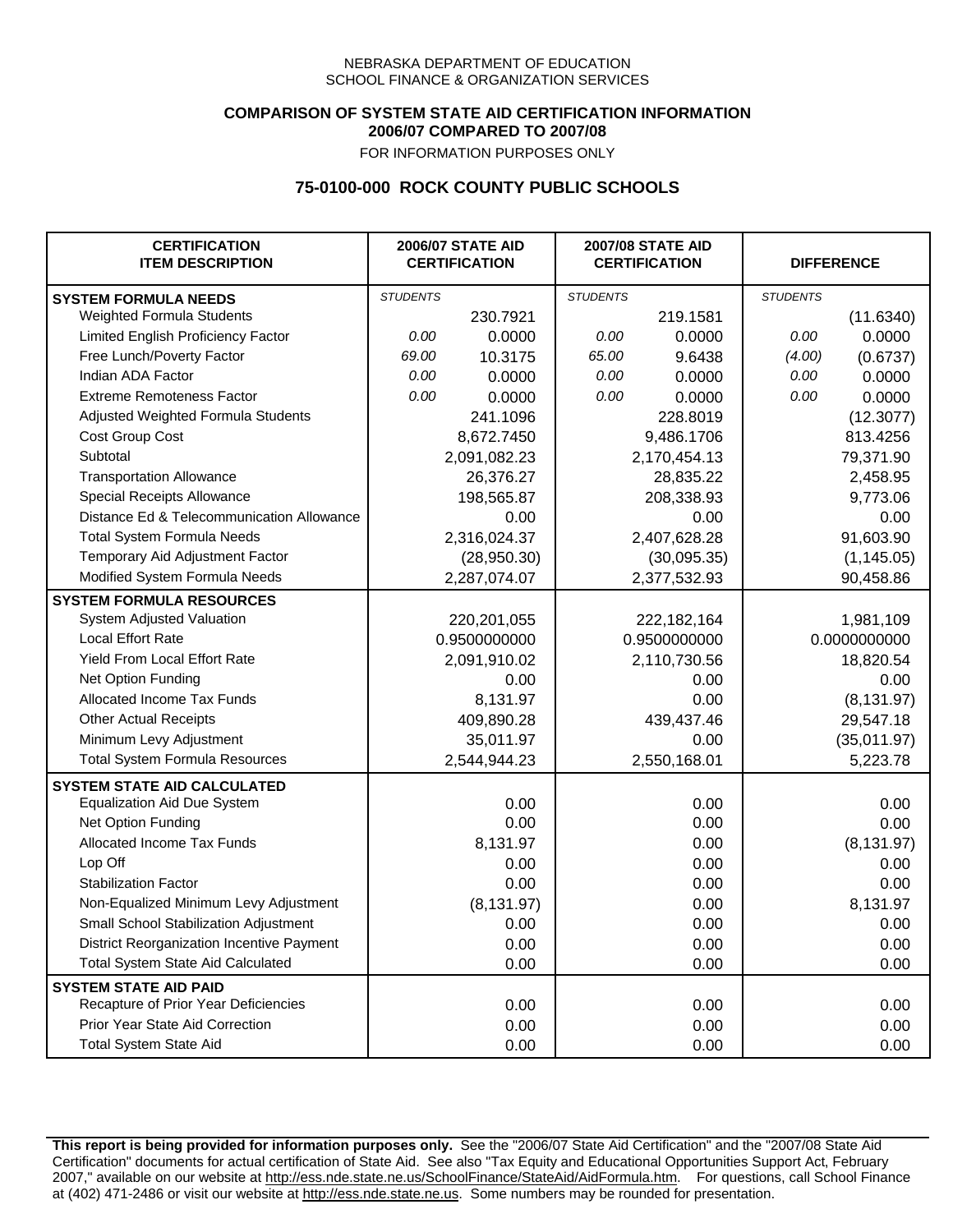## **COMPARISON OF SYSTEM STATE AID CERTIFICATION INFORMATION 2006/07 COMPARED TO 2007/08**

FOR INFORMATION PURPOSES ONLY

## **75-0100-000 ROCK COUNTY PUBLIC SCHOOLS**

| <b>CERTIFICATION</b><br><b>ITEM DESCRIPTION</b> |                 | <b>2006/07 STATE AID</b><br><b>CERTIFICATION</b> | <b>2007/08 STATE AID</b><br><b>CERTIFICATION</b> |              | <b>DIFFERENCE</b> |              |
|-------------------------------------------------|-----------------|--------------------------------------------------|--------------------------------------------------|--------------|-------------------|--------------|
| <b>SYSTEM FORMULA NEEDS</b>                     | <b>STUDENTS</b> |                                                  | <b>STUDENTS</b>                                  |              | <b>STUDENTS</b>   |              |
| Weighted Formula Students                       |                 | 230.7921                                         |                                                  | 219.1581     |                   | (11.6340)    |
| Limited English Proficiency Factor              | 0.00            | 0.0000                                           | 0.00                                             | 0.0000       | 0.00              | 0.0000       |
| Free Lunch/Poverty Factor                       | 69.00           | 10.3175                                          | 65.00                                            | 9.6438       | (4.00)            | (0.6737)     |
| Indian ADA Factor                               | 0.00            | 0.0000                                           | 0.00                                             | 0.0000       | 0.00              | 0.0000       |
| <b>Extreme Remoteness Factor</b>                | 0.00            | 0.0000                                           | 0.00                                             | 0.0000       | 0.00              | 0.0000       |
| Adjusted Weighted Formula Students              |                 | 241.1096                                         |                                                  | 228.8019     |                   | (12.3077)    |
| Cost Group Cost                                 |                 | 8,672.7450                                       |                                                  | 9,486.1706   |                   | 813.4256     |
| Subtotal                                        |                 | 2,091,082.23                                     |                                                  | 2,170,454.13 |                   | 79,371.90    |
| <b>Transportation Allowance</b>                 |                 | 26,376.27                                        |                                                  | 28,835.22    |                   | 2,458.95     |
| Special Receipts Allowance                      |                 | 198,565.87                                       |                                                  | 208,338.93   |                   | 9,773.06     |
| Distance Ed & Telecommunication Allowance       |                 | 0.00                                             |                                                  | 0.00         |                   | 0.00         |
| <b>Total System Formula Needs</b>               |                 | 2,316,024.37                                     |                                                  | 2,407,628.28 |                   | 91,603.90    |
| Temporary Aid Adjustment Factor                 |                 | (28,950.30)                                      |                                                  | (30,095.35)  | (1, 145.05)       |              |
| Modified System Formula Needs                   |                 | 2,287,074.07                                     | 2,377,532.93                                     |              | 90,458.86         |              |
| <b>SYSTEM FORMULA RESOURCES</b>                 |                 |                                                  |                                                  |              |                   |              |
| System Adjusted Valuation                       |                 | 220,201,055                                      |                                                  | 222,182,164  |                   | 1,981,109    |
| <b>Local Effort Rate</b>                        |                 | 0.9500000000                                     | 0.9500000000                                     |              |                   | 0.0000000000 |
| Yield From Local Effort Rate                    |                 | 2,091,910.02                                     | 2,110,730.56                                     |              | 18,820.54         |              |
| Net Option Funding                              |                 | 0.00                                             | 0.00                                             |              | 0.00              |              |
| Allocated Income Tax Funds                      |                 | 8,131.97                                         | 0.00                                             |              | (8, 131.97)       |              |
| <b>Other Actual Receipts</b>                    |                 | 409,890.28                                       | 439,437.46                                       |              | 29,547.18         |              |
| Minimum Levy Adjustment                         |                 | 35,011.97                                        |                                                  | 0.00         |                   | (35,011.97)  |
| <b>Total System Formula Resources</b>           |                 | 2,544,944.23                                     |                                                  | 2,550,168.01 |                   | 5,223.78     |
| <b>SYSTEM STATE AID CALCULATED</b>              |                 |                                                  |                                                  |              |                   |              |
| <b>Equalization Aid Due System</b>              |                 | 0.00                                             |                                                  | 0.00         |                   | 0.00         |
| Net Option Funding                              |                 | 0.00                                             |                                                  | 0.00         |                   | 0.00         |
| Allocated Income Tax Funds                      |                 | 8,131.97                                         |                                                  | 0.00         |                   | (8, 131.97)  |
| Lop Off                                         |                 | 0.00                                             |                                                  | 0.00         |                   | 0.00         |
| <b>Stabilization Factor</b>                     |                 | 0.00                                             |                                                  | 0.00         |                   | 0.00         |
| Non-Equalized Minimum Levy Adjustment           |                 | (8, 131.97)                                      |                                                  | 0.00         |                   | 8,131.97     |
| Small School Stabilization Adjustment           |                 | 0.00                                             |                                                  | 0.00         |                   | 0.00         |
| District Reorganization Incentive Payment       |                 | 0.00                                             |                                                  | 0.00         |                   | 0.00         |
| <b>Total System State Aid Calculated</b>        |                 | 0.00                                             |                                                  | 0.00         |                   | 0.00         |
| <b>SYSTEM STATE AID PAID</b>                    |                 |                                                  |                                                  |              |                   |              |
| Recapture of Prior Year Deficiencies            |                 | 0.00                                             |                                                  | 0.00         |                   | 0.00         |
| Prior Year State Aid Correction                 |                 | 0.00                                             |                                                  | 0.00         |                   | 0.00         |
| <b>Total System State Aid</b>                   |                 | 0.00                                             |                                                  | 0.00         |                   | 0.00         |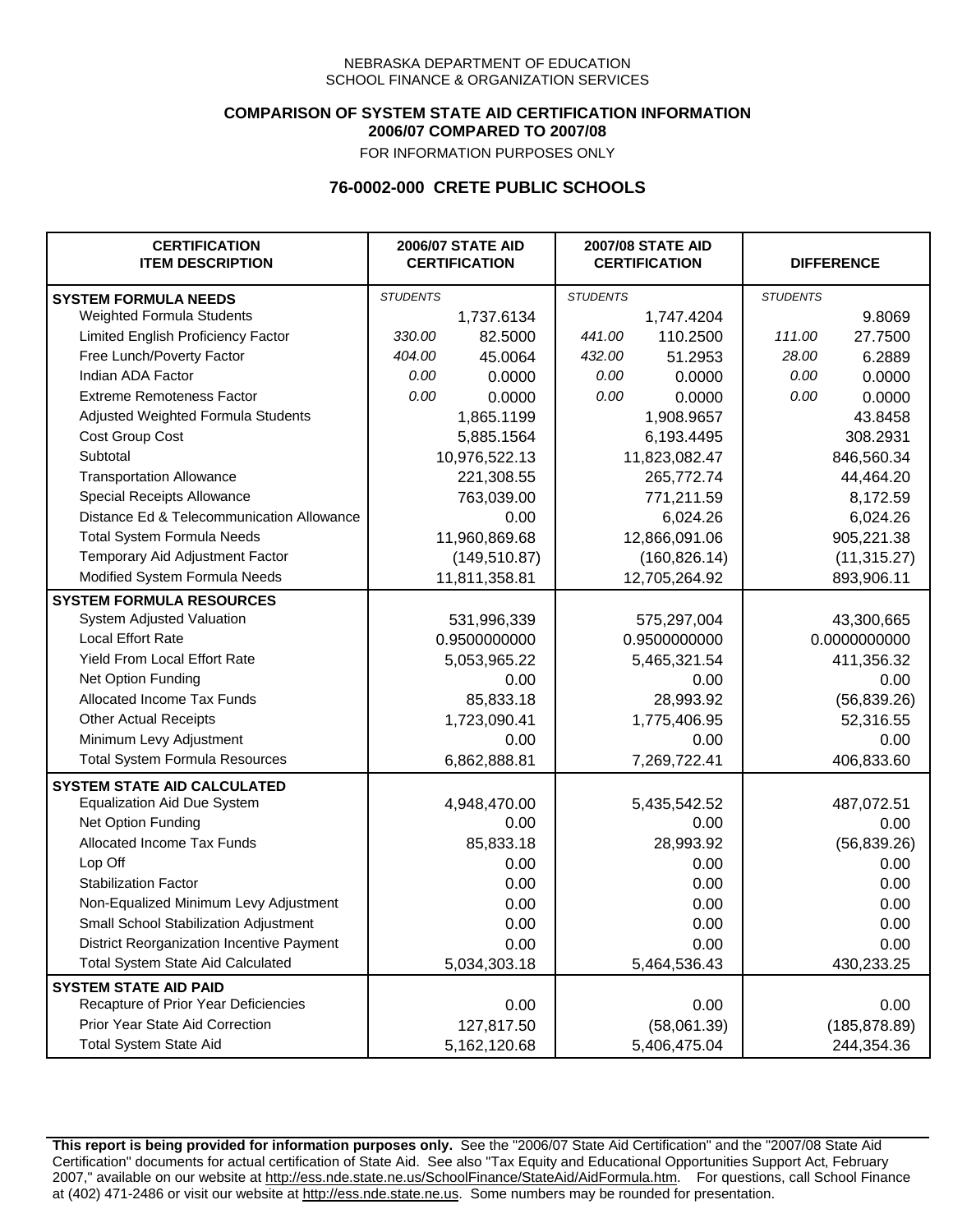### **COMPARISON OF SYSTEM STATE AID CERTIFICATION INFORMATION 2006/07 COMPARED TO 2007/08**

FOR INFORMATION PURPOSES ONLY

## **76-0002-000 CRETE PUBLIC SCHOOLS**

| <b>CERTIFICATION</b><br><b>ITEM DESCRIPTION</b> |                 | <b>2006/07 STATE AID</b><br><b>CERTIFICATION</b> |                 | <b>2007/08 STATE AID</b><br><b>CERTIFICATION</b> | <b>DIFFERENCE</b> |               |  |
|-------------------------------------------------|-----------------|--------------------------------------------------|-----------------|--------------------------------------------------|-------------------|---------------|--|
| <b>SYSTEM FORMULA NEEDS</b>                     | <b>STUDENTS</b> |                                                  | <b>STUDENTS</b> |                                                  | <b>STUDENTS</b>   |               |  |
| Weighted Formula Students                       |                 | 1,737.6134                                       |                 | 1,747.4204                                       |                   | 9.8069        |  |
| Limited English Proficiency Factor              | 330.00          | 82.5000                                          | 441.00          | 110.2500                                         | 111.00            | 27.7500       |  |
| Free Lunch/Poverty Factor                       | 404.00          | 45.0064                                          | 432.00          | 51.2953                                          | 28.00             | 6.2889        |  |
| Indian ADA Factor                               | 0.00            | 0.0000                                           | 0.00            | 0.0000                                           | 0.00              | 0.0000        |  |
| <b>Extreme Remoteness Factor</b>                | 0.00            | 0.0000                                           | 0.00            | 0.0000                                           | 0.00              | 0.0000        |  |
| Adjusted Weighted Formula Students              |                 | 1,865.1199                                       |                 | 1,908.9657                                       |                   | 43.8458       |  |
| Cost Group Cost                                 |                 | 5,885.1564                                       |                 | 6,193.4495                                       |                   | 308.2931      |  |
| Subtotal                                        |                 | 10,976,522.13                                    |                 | 11,823,082.47                                    |                   | 846,560.34    |  |
| <b>Transportation Allowance</b>                 |                 | 221,308.55                                       |                 | 265,772.74                                       |                   | 44,464.20     |  |
| Special Receipts Allowance                      |                 | 763,039.00                                       |                 | 771,211.59                                       |                   | 8,172.59      |  |
| Distance Ed & Telecommunication Allowance       |                 | 0.00                                             |                 | 6,024.26                                         |                   | 6,024.26      |  |
| <b>Total System Formula Needs</b>               |                 | 11,960,869.68                                    | 12,866,091.06   |                                                  | 905,221.38        |               |  |
| Temporary Aid Adjustment Factor                 |                 | (149, 510.87)                                    | (160, 826.14)   |                                                  | (11, 315.27)      |               |  |
| Modified System Formula Needs                   | 11,811,358.81   |                                                  |                 | 12,705,264.92                                    | 893,906.11        |               |  |
| <b>SYSTEM FORMULA RESOURCES</b>                 |                 |                                                  |                 |                                                  |                   |               |  |
| System Adjusted Valuation                       |                 | 531,996,339                                      |                 | 575,297,004                                      |                   | 43,300,665    |  |
| <b>Local Effort Rate</b>                        |                 | 0.9500000000                                     |                 | 0.9500000000                                     |                   | 0.0000000000  |  |
| Yield From Local Effort Rate                    |                 | 5,053,965.22                                     |                 | 5,465,321.54                                     |                   | 411,356.32    |  |
| Net Option Funding                              |                 | 0.00                                             | 0.00            |                                                  | 0.00              |               |  |
| Allocated Income Tax Funds                      |                 | 85,833.18                                        | 28,993.92       |                                                  | (56, 839.26)      |               |  |
| <b>Other Actual Receipts</b>                    |                 | 1,723,090.41                                     | 1,775,406.95    |                                                  | 52,316.55         |               |  |
| Minimum Levy Adjustment                         |                 | 0.00                                             | 0.00            |                                                  | 0.00              |               |  |
| <b>Total System Formula Resources</b>           |                 | 6,862,888.81                                     |                 | 7,269,722.41                                     |                   | 406,833.60    |  |
| <b>SYSTEM STATE AID CALCULATED</b>              |                 |                                                  |                 |                                                  |                   |               |  |
| <b>Equalization Aid Due System</b>              |                 | 4,948,470.00                                     |                 | 5,435,542.52                                     |                   | 487,072.51    |  |
| Net Option Funding                              |                 | 0.00                                             |                 | 0.00                                             |                   | 0.00          |  |
| Allocated Income Tax Funds                      |                 | 85,833.18                                        |                 | 28,993.92                                        |                   | (56, 839.26)  |  |
| Lop Off                                         |                 | 0.00                                             |                 | 0.00                                             |                   | 0.00          |  |
| <b>Stabilization Factor</b>                     |                 | 0.00                                             |                 | 0.00                                             |                   | 0.00          |  |
| Non-Equalized Minimum Levy Adjustment           |                 | 0.00                                             |                 | 0.00                                             |                   | 0.00          |  |
| Small School Stabilization Adjustment           |                 | 0.00                                             |                 | 0.00                                             |                   | 0.00          |  |
| District Reorganization Incentive Payment       |                 | 0.00                                             |                 | 0.00                                             |                   | 0.00          |  |
| <b>Total System State Aid Calculated</b>        |                 | 5,034,303.18                                     |                 | 5,464,536.43                                     |                   | 430,233.25    |  |
| <b>SYSTEM STATE AID PAID</b>                    |                 |                                                  |                 |                                                  |                   |               |  |
| Recapture of Prior Year Deficiencies            |                 | 0.00                                             |                 | 0.00                                             |                   | 0.00          |  |
| Prior Year State Aid Correction                 |                 | 127,817.50                                       |                 | (58,061.39)                                      |                   | (185, 878.89) |  |
| <b>Total System State Aid</b>                   |                 | 5,162,120.68                                     |                 | 5,406,475.04                                     |                   | 244,354.36    |  |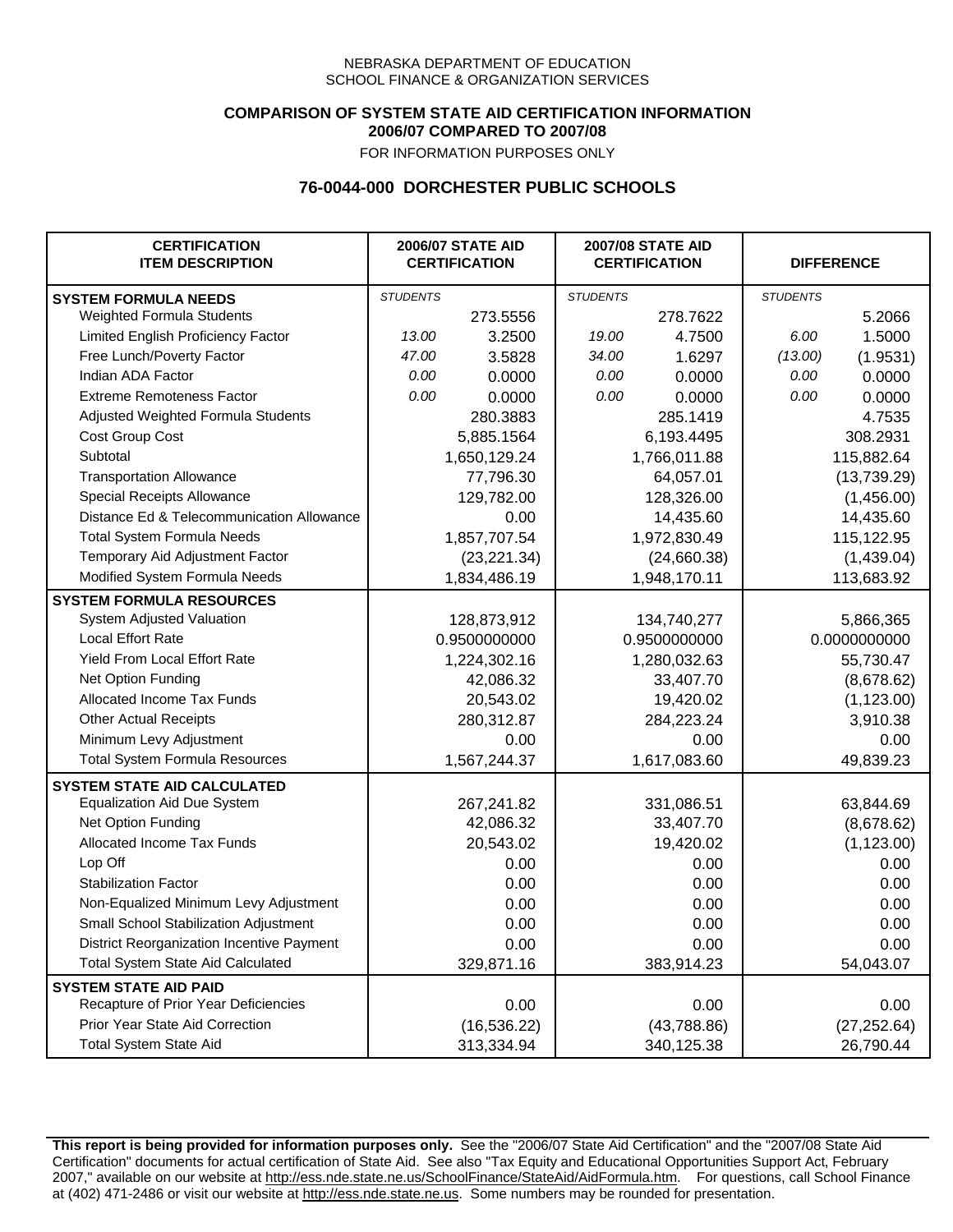## **COMPARISON OF SYSTEM STATE AID CERTIFICATION INFORMATION 2006/07 COMPARED TO 2007/08**

FOR INFORMATION PURPOSES ONLY

## **76-0044-000 DORCHESTER PUBLIC SCHOOLS**

| <b>CERTIFICATION</b><br><b>ITEM DESCRIPTION</b> |                 | <b>2006/07 STATE AID</b><br><b>CERTIFICATION</b> | <b>2007/08 STATE AID</b><br><b>CERTIFICATION</b> |              | <b>DIFFERENCE</b> |              |
|-------------------------------------------------|-----------------|--------------------------------------------------|--------------------------------------------------|--------------|-------------------|--------------|
| <b>SYSTEM FORMULA NEEDS</b>                     | <b>STUDENTS</b> |                                                  | <b>STUDENTS</b>                                  |              | <b>STUDENTS</b>   |              |
| <b>Weighted Formula Students</b>                |                 | 273.5556                                         |                                                  | 278.7622     |                   | 5.2066       |
| Limited English Proficiency Factor              | 13.00           | 3.2500                                           | 19.00                                            | 4.7500       | 6.00              | 1.5000       |
| Free Lunch/Poverty Factor                       | 47.00           | 3.5828                                           | 34.00                                            | 1.6297       | (13.00)           | (1.9531)     |
| Indian ADA Factor                               | 0.00            | 0.0000                                           | 0.00                                             | 0.0000       | 0.00              | 0.0000       |
| <b>Extreme Remoteness Factor</b>                | 0.00            | 0.0000                                           | 0.00                                             | 0.0000       | 0.00              | 0.0000       |
| Adjusted Weighted Formula Students              |                 | 280.3883                                         |                                                  | 285.1419     |                   | 4.7535       |
| Cost Group Cost                                 |                 | 5,885.1564                                       |                                                  | 6,193.4495   |                   | 308.2931     |
| Subtotal                                        |                 | 1,650,129.24                                     |                                                  | 1,766,011.88 |                   | 115,882.64   |
| <b>Transportation Allowance</b>                 |                 | 77,796.30                                        |                                                  | 64,057.01    |                   | (13,739.29)  |
| Special Receipts Allowance                      |                 | 129,782.00                                       |                                                  | 128,326.00   |                   | (1,456.00)   |
| Distance Ed & Telecommunication Allowance       |                 | 0.00                                             |                                                  | 14,435.60    |                   | 14,435.60    |
| <b>Total System Formula Needs</b>               |                 | 1,857,707.54                                     |                                                  | 1,972,830.49 | 115,122.95        |              |
| Temporary Aid Adjustment Factor                 |                 | (23, 221.34)                                     | (24,660.38)                                      |              | (1,439.04)        |              |
| Modified System Formula Needs                   |                 | 1,834,486.19                                     |                                                  | 1,948,170.11 |                   | 113,683.92   |
| <b>SYSTEM FORMULA RESOURCES</b>                 |                 |                                                  |                                                  |              |                   |              |
| System Adjusted Valuation                       |                 | 128,873,912                                      |                                                  | 134,740,277  |                   | 5,866,365    |
| <b>Local Effort Rate</b>                        |                 | 0.9500000000                                     |                                                  | 0.9500000000 |                   | 0.0000000000 |
| Yield From Local Effort Rate                    |                 | 1,224,302.16                                     | 1,280,032.63                                     |              | 55,730.47         |              |
| Net Option Funding                              |                 | 42,086.32                                        | 33,407.70                                        |              | (8,678.62)        |              |
| Allocated Income Tax Funds                      |                 | 20,543.02                                        | 19,420.02                                        |              | (1, 123.00)       |              |
| <b>Other Actual Receipts</b>                    |                 | 280,312.87                                       | 284,223.24                                       |              | 3,910.38          |              |
| Minimum Levy Adjustment                         |                 | 0.00                                             |                                                  | 0.00         |                   | 0.00         |
| <b>Total System Formula Resources</b>           |                 | 1,567,244.37                                     |                                                  | 1,617,083.60 |                   | 49,839.23    |
| <b>SYSTEM STATE AID CALCULATED</b>              |                 |                                                  |                                                  |              |                   |              |
| <b>Equalization Aid Due System</b>              |                 | 267,241.82                                       |                                                  | 331,086.51   |                   | 63,844.69    |
| Net Option Funding                              |                 | 42,086.32                                        |                                                  | 33,407.70    |                   | (8,678.62)   |
| Allocated Income Tax Funds                      |                 | 20,543.02                                        |                                                  | 19,420.02    |                   | (1, 123.00)  |
| Lop Off                                         |                 | 0.00                                             |                                                  | 0.00         |                   | 0.00         |
| <b>Stabilization Factor</b>                     |                 | 0.00                                             |                                                  | 0.00         |                   | 0.00         |
| Non-Equalized Minimum Levy Adjustment           |                 | 0.00                                             |                                                  | 0.00         |                   | 0.00         |
| Small School Stabilization Adjustment           |                 | 0.00                                             |                                                  | 0.00         |                   | 0.00         |
| District Reorganization Incentive Payment       |                 | 0.00                                             |                                                  | 0.00         |                   | 0.00         |
| <b>Total System State Aid Calculated</b>        |                 | 329,871.16                                       |                                                  | 383,914.23   |                   | 54,043.07    |
| <b>SYSTEM STATE AID PAID</b>                    |                 |                                                  |                                                  |              |                   |              |
| Recapture of Prior Year Deficiencies            |                 | 0.00                                             |                                                  | 0.00         |                   | 0.00         |
| Prior Year State Aid Correction                 |                 | (16, 536.22)                                     |                                                  | (43,788.86)  |                   | (27, 252.64) |
| <b>Total System State Aid</b>                   |                 | 313,334.94                                       |                                                  | 340,125.38   |                   | 26,790.44    |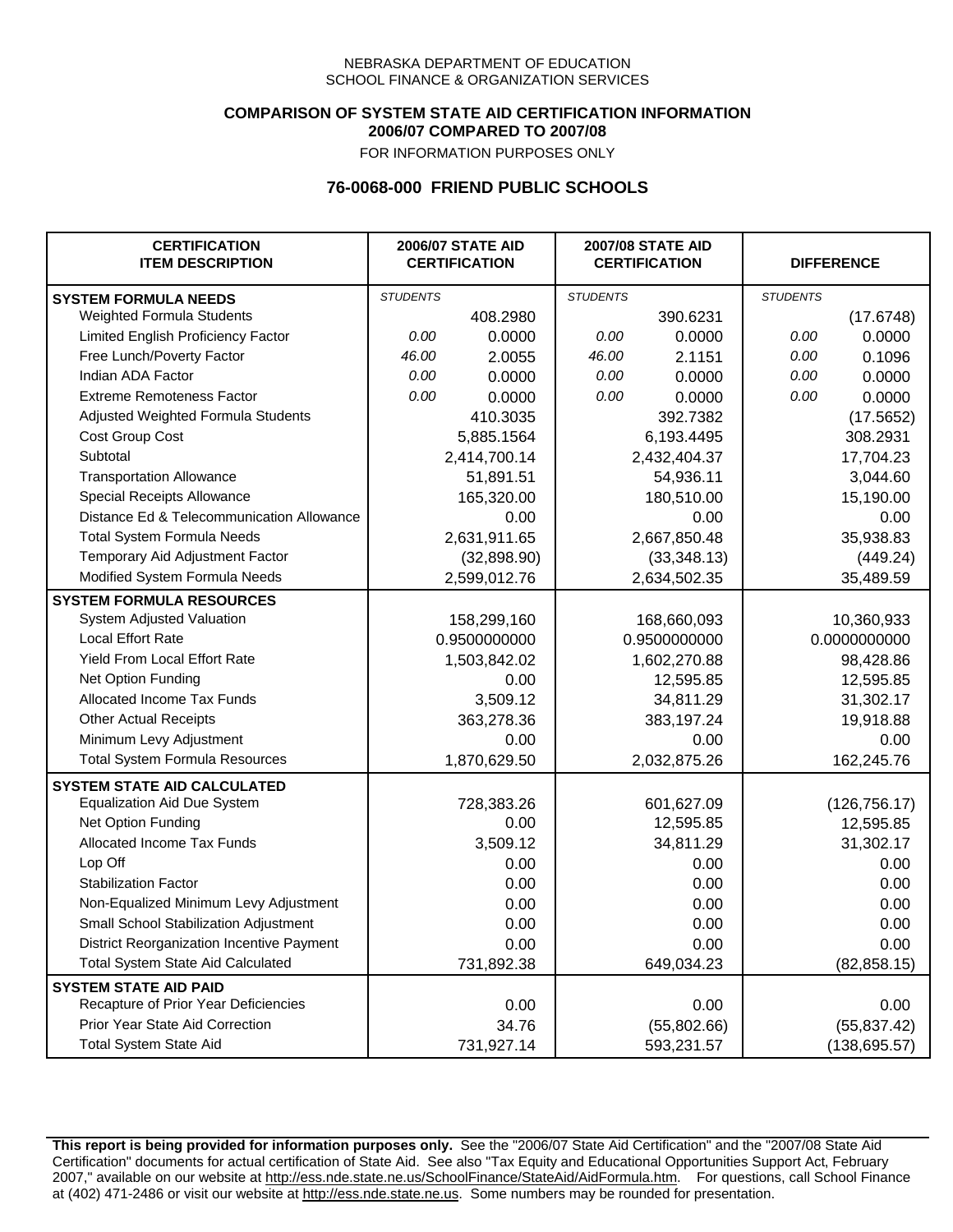### **COMPARISON OF SYSTEM STATE AID CERTIFICATION INFORMATION 2006/07 COMPARED TO 2007/08**

FOR INFORMATION PURPOSES ONLY

## **76-0068-000 FRIEND PUBLIC SCHOOLS**

| <b>CERTIFICATION</b><br><b>ITEM DESCRIPTION</b> |                 | <b>2006/07 STATE AID</b><br><b>CERTIFICATION</b> | <b>2007/08 STATE AID</b><br><b>CERTIFICATION</b> |              | <b>DIFFERENCE</b> |               |
|-------------------------------------------------|-----------------|--------------------------------------------------|--------------------------------------------------|--------------|-------------------|---------------|
| <b>SYSTEM FORMULA NEEDS</b>                     | <b>STUDENTS</b> |                                                  | <b>STUDENTS</b>                                  |              | <b>STUDENTS</b>   |               |
| Weighted Formula Students                       |                 | 408.2980                                         |                                                  | 390.6231     |                   | (17.6748)     |
| Limited English Proficiency Factor              | 0.00            | 0.0000                                           | 0.00                                             | 0.0000       | 0.00              | 0.0000        |
| Free Lunch/Poverty Factor                       | 46.00           | 2.0055                                           | 46.00                                            | 2.1151       | 0.00              | 0.1096        |
| Indian ADA Factor                               | 0.00            | 0.0000                                           | 0.00                                             | 0.0000       | 0.00              | 0.0000        |
| <b>Extreme Remoteness Factor</b>                | 0.00            | 0.0000                                           | 0.00                                             | 0.0000       | 0.00              | 0.0000        |
| Adjusted Weighted Formula Students              |                 | 410.3035                                         |                                                  | 392.7382     |                   | (17.5652)     |
| Cost Group Cost                                 |                 | 5,885.1564                                       |                                                  | 6,193.4495   |                   | 308.2931      |
| Subtotal                                        |                 | 2,414,700.14                                     |                                                  | 2,432,404.37 |                   | 17,704.23     |
| <b>Transportation Allowance</b>                 |                 | 51,891.51                                        |                                                  | 54,936.11    |                   | 3,044.60      |
| Special Receipts Allowance                      |                 | 165,320.00                                       |                                                  | 180,510.00   |                   | 15,190.00     |
| Distance Ed & Telecommunication Allowance       |                 | 0.00                                             |                                                  | 0.00         |                   | 0.00          |
| <b>Total System Formula Needs</b>               |                 | 2,631,911.65                                     |                                                  | 2,667,850.48 |                   | 35,938.83     |
| Temporary Aid Adjustment Factor                 |                 | (32,898.90)                                      | (33,348.13)                                      |              | (449.24)          |               |
| Modified System Formula Needs                   |                 | 2,599,012.76                                     |                                                  | 2,634,502.35 |                   | 35,489.59     |
| <b>SYSTEM FORMULA RESOURCES</b>                 |                 |                                                  |                                                  |              |                   |               |
| System Adjusted Valuation                       |                 | 158,299,160                                      |                                                  | 168,660,093  |                   | 10,360,933    |
| <b>Local Effort Rate</b>                        |                 | 0.9500000000                                     |                                                  | 0.9500000000 |                   | 0.0000000000  |
| <b>Yield From Local Effort Rate</b>             |                 | 1,503,842.02                                     | 1,602,270.88                                     |              |                   | 98,428.86     |
| Net Option Funding                              |                 | 0.00                                             | 12,595.85                                        |              | 12,595.85         |               |
| Allocated Income Tax Funds                      |                 | 3,509.12                                         | 34,811.29                                        |              | 31,302.17         |               |
| <b>Other Actual Receipts</b>                    |                 | 363,278.36                                       | 383,197.24                                       |              | 19,918.88         |               |
| Minimum Levy Adjustment                         |                 | 0.00                                             | 0.00                                             |              |                   | 0.00          |
| <b>Total System Formula Resources</b>           |                 | 1,870,629.50                                     |                                                  | 2,032,875.26 |                   | 162,245.76    |
| <b>SYSTEM STATE AID CALCULATED</b>              |                 |                                                  |                                                  |              |                   |               |
| <b>Equalization Aid Due System</b>              |                 | 728,383.26                                       |                                                  | 601,627.09   |                   | (126, 756.17) |
| Net Option Funding                              |                 | 0.00                                             |                                                  | 12,595.85    |                   | 12,595.85     |
| Allocated Income Tax Funds                      |                 | 3,509.12                                         |                                                  | 34,811.29    |                   | 31,302.17     |
| Lop Off                                         |                 | 0.00                                             |                                                  | 0.00         |                   | 0.00          |
| <b>Stabilization Factor</b>                     |                 | 0.00                                             |                                                  | 0.00         |                   | 0.00          |
| Non-Equalized Minimum Levy Adjustment           |                 | 0.00                                             |                                                  | 0.00         |                   | 0.00          |
| Small School Stabilization Adjustment           |                 | 0.00                                             |                                                  | 0.00         |                   | 0.00          |
| District Reorganization Incentive Payment       |                 | 0.00                                             |                                                  | 0.00         |                   | 0.00          |
| <b>Total System State Aid Calculated</b>        |                 | 731,892.38                                       |                                                  | 649,034.23   |                   | (82, 858.15)  |
| <b>SYSTEM STATE AID PAID</b>                    |                 |                                                  |                                                  |              |                   |               |
| Recapture of Prior Year Deficiencies            |                 | 0.00                                             |                                                  | 0.00         |                   | 0.00          |
| Prior Year State Aid Correction                 |                 | 34.76                                            |                                                  | (55,802.66)  |                   | (55, 837.42)  |
| <b>Total System State Aid</b>                   |                 | 731,927.14                                       |                                                  | 593,231.57   |                   | (138, 695.57) |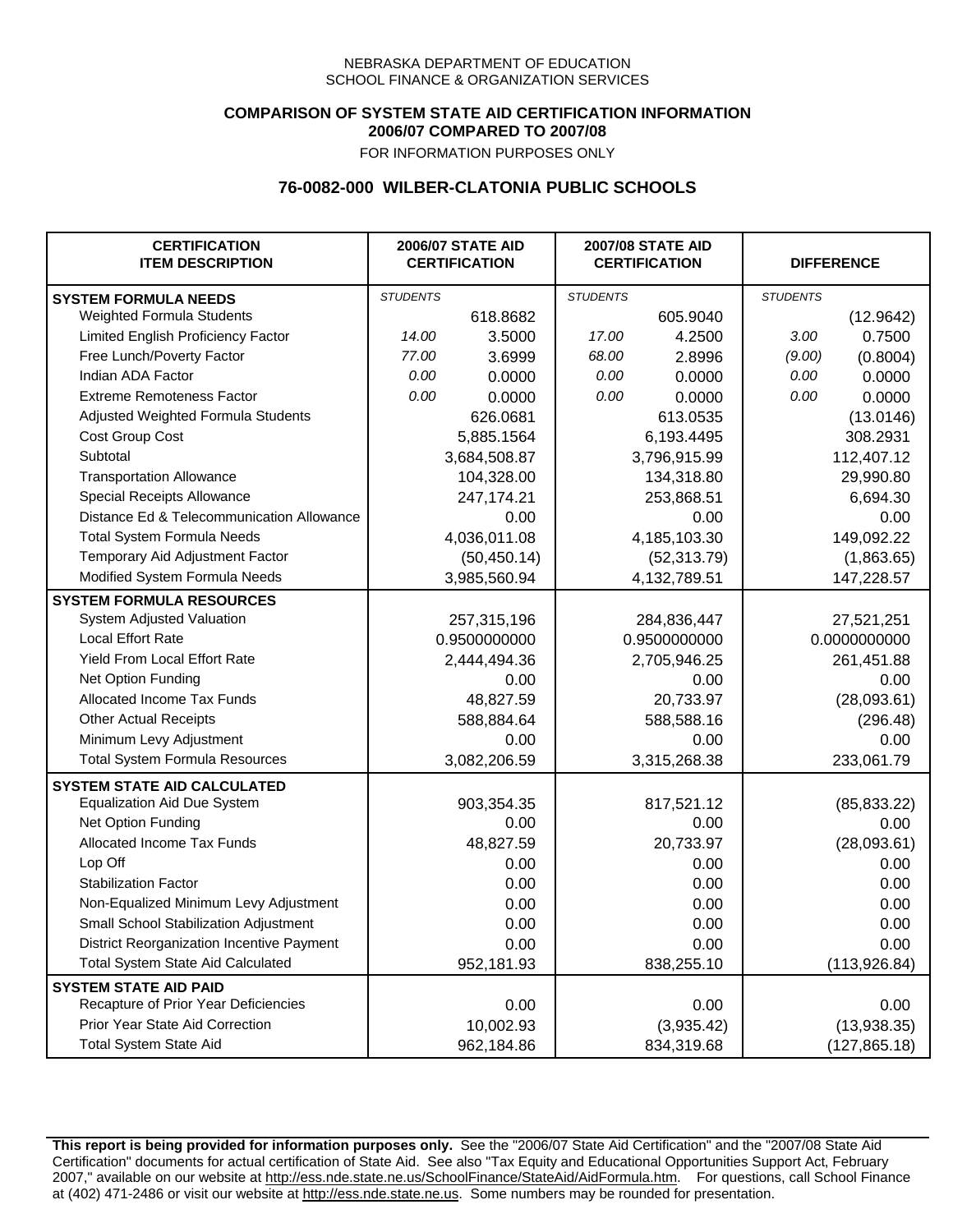## **COMPARISON OF SYSTEM STATE AID CERTIFICATION INFORMATION 2006/07 COMPARED TO 2007/08**

FOR INFORMATION PURPOSES ONLY

## **76-0082-000 WILBER-CLATONIA PUBLIC SCHOOLS**

| <b>CERTIFICATION</b><br><b>ITEM DESCRIPTION</b> |                 | <b>2006/07 STATE AID</b><br><b>CERTIFICATION</b> | <b>2007/08 STATE AID</b><br><b>CERTIFICATION</b> |              | <b>DIFFERENCE</b> |               |  |
|-------------------------------------------------|-----------------|--------------------------------------------------|--------------------------------------------------|--------------|-------------------|---------------|--|
| <b>SYSTEM FORMULA NEEDS</b>                     | <b>STUDENTS</b> |                                                  | <b>STUDENTS</b>                                  |              | <b>STUDENTS</b>   |               |  |
| Weighted Formula Students                       |                 | 618.8682                                         |                                                  | 605.9040     |                   | (12.9642)     |  |
| Limited English Proficiency Factor              | 14.00           | 3.5000                                           | 17.00                                            | 4.2500       | 3.00              | 0.7500        |  |
| Free Lunch/Poverty Factor                       | 77.00           | 3.6999                                           | 68.00                                            | 2.8996       | (9.00)            | (0.8004)      |  |
| Indian ADA Factor                               | 0.00            | 0.0000                                           | 0.00                                             | 0.0000       | 0.00              | 0.0000        |  |
| <b>Extreme Remoteness Factor</b>                | 0.00            | 0.0000                                           | 0.00                                             | 0.0000       | 0.00              | 0.0000        |  |
| Adjusted Weighted Formula Students              |                 | 626.0681                                         |                                                  | 613.0535     |                   | (13.0146)     |  |
| Cost Group Cost                                 |                 | 5,885.1564                                       |                                                  | 6,193.4495   |                   | 308.2931      |  |
| Subtotal                                        |                 | 3,684,508.87                                     |                                                  | 3,796,915.99 |                   | 112,407.12    |  |
| <b>Transportation Allowance</b>                 |                 | 104,328.00                                       |                                                  | 134,318.80   |                   | 29,990.80     |  |
| Special Receipts Allowance                      |                 | 247,174.21                                       |                                                  | 253,868.51   |                   | 6,694.30      |  |
| Distance Ed & Telecommunication Allowance       |                 | 0.00                                             |                                                  | 0.00         |                   | 0.00          |  |
| <b>Total System Formula Needs</b>               |                 | 4,036,011.08                                     |                                                  | 4,185,103.30 |                   | 149,092.22    |  |
| Temporary Aid Adjustment Factor                 |                 | (50, 450.14)                                     | (52, 313.79)                                     |              | (1,863.65)        |               |  |
| Modified System Formula Needs                   |                 | 3,985,560.94                                     |                                                  | 4,132,789.51 |                   | 147,228.57    |  |
| <b>SYSTEM FORMULA RESOURCES</b>                 |                 |                                                  |                                                  |              |                   |               |  |
| System Adjusted Valuation                       |                 | 257,315,196                                      |                                                  | 284,836,447  |                   | 27,521,251    |  |
| <b>Local Effort Rate</b>                        |                 | 0.9500000000                                     |                                                  | 0.9500000000 |                   | 0.0000000000  |  |
| Yield From Local Effort Rate                    |                 | 2,444,494.36                                     | 2,705,946.25                                     |              | 261,451.88        |               |  |
| Net Option Funding                              |                 | 0.00                                             | 0.00                                             |              | 0.00              |               |  |
| Allocated Income Tax Funds                      |                 | 48,827.59                                        | 20,733.97                                        |              | (28,093.61)       |               |  |
| <b>Other Actual Receipts</b>                    |                 | 588,884.64                                       | 588,588.16                                       |              | (296.48)          |               |  |
| Minimum Levy Adjustment                         |                 | 0.00                                             | 0.00                                             |              |                   | 0.00          |  |
| <b>Total System Formula Resources</b>           |                 | 3,082,206.59                                     |                                                  | 3,315,268.38 |                   | 233,061.79    |  |
| <b>SYSTEM STATE AID CALCULATED</b>              |                 |                                                  |                                                  |              |                   |               |  |
| <b>Equalization Aid Due System</b>              |                 | 903,354.35                                       |                                                  | 817,521.12   |                   | (85, 833.22)  |  |
| Net Option Funding                              |                 | 0.00                                             |                                                  | 0.00         |                   | 0.00          |  |
| Allocated Income Tax Funds                      |                 | 48,827.59                                        |                                                  | 20,733.97    |                   | (28,093.61)   |  |
| Lop Off                                         |                 | 0.00                                             |                                                  | 0.00         |                   | 0.00          |  |
| <b>Stabilization Factor</b>                     |                 | 0.00                                             |                                                  | 0.00         |                   | 0.00          |  |
| Non-Equalized Minimum Levy Adjustment           |                 | 0.00                                             |                                                  | 0.00         |                   | 0.00          |  |
| Small School Stabilization Adjustment           |                 | 0.00                                             |                                                  | 0.00         |                   | 0.00          |  |
| District Reorganization Incentive Payment       |                 | 0.00                                             |                                                  | 0.00         |                   | 0.00          |  |
| <b>Total System State Aid Calculated</b>        |                 | 952,181.93                                       |                                                  | 838,255.10   |                   | (113, 926.84) |  |
| <b>SYSTEM STATE AID PAID</b>                    |                 |                                                  |                                                  |              |                   |               |  |
| Recapture of Prior Year Deficiencies            |                 | 0.00                                             |                                                  | 0.00         |                   | 0.00          |  |
| Prior Year State Aid Correction                 |                 | 10,002.93                                        |                                                  | (3,935.42)   |                   | (13,938.35)   |  |
| <b>Total System State Aid</b>                   |                 | 962,184.86                                       |                                                  | 834,319.68   |                   | (127, 865.18) |  |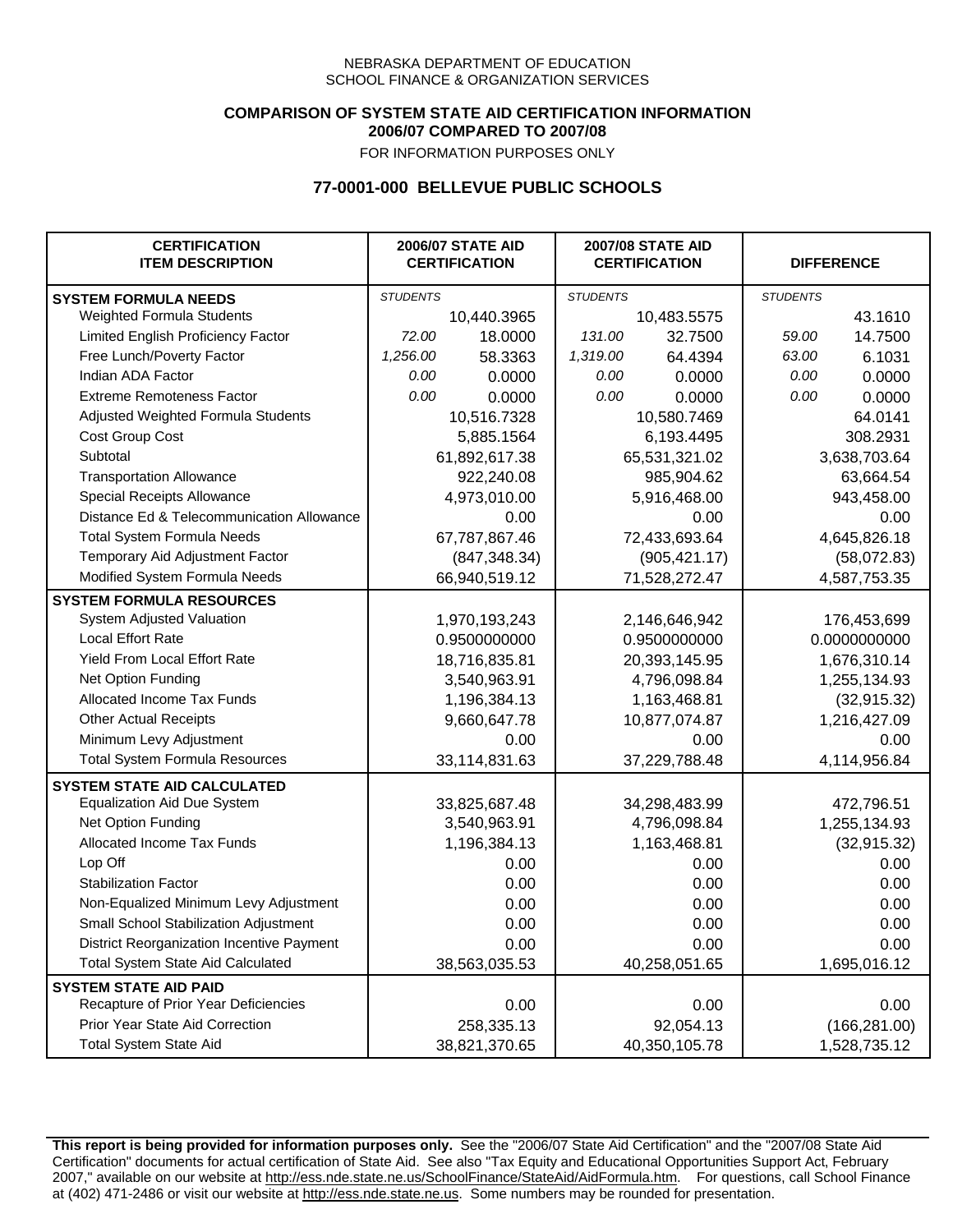### **COMPARISON OF SYSTEM STATE AID CERTIFICATION INFORMATION 2006/07 COMPARED TO 2007/08**

FOR INFORMATION PURPOSES ONLY

# **77-0001-000 BELLEVUE PUBLIC SCHOOLS**

| <b>CERTIFICATION</b><br><b>ITEM DESCRIPTION</b> |                 | <b>2006/07 STATE AID</b><br><b>CERTIFICATION</b> | <b>2007/08 STATE AID</b><br><b>CERTIFICATION</b> |               | <b>DIFFERENCE</b> |               |
|-------------------------------------------------|-----------------|--------------------------------------------------|--------------------------------------------------|---------------|-------------------|---------------|
| <b>SYSTEM FORMULA NEEDS</b>                     | <b>STUDENTS</b> |                                                  | <b>STUDENTS</b>                                  |               | <b>STUDENTS</b>   |               |
| Weighted Formula Students                       |                 | 10,440.3965                                      |                                                  | 10,483.5575   |                   | 43.1610       |
| Limited English Proficiency Factor              | 72.00           | 18.0000                                          | 131.00                                           | 32.7500       | 59.00             | 14.7500       |
| Free Lunch/Poverty Factor                       | 1,256.00        | 58.3363                                          | 1,319.00                                         | 64.4394       | 63.00             | 6.1031        |
| Indian ADA Factor                               | 0.00            | 0.0000                                           | 0.00                                             | 0.0000        | 0.00              | 0.0000        |
| <b>Extreme Remoteness Factor</b>                | 0.00            | 0.0000                                           | 0.00                                             | 0.0000        | 0.00              | 0.0000        |
| Adjusted Weighted Formula Students              |                 | 10,516.7328                                      |                                                  | 10,580.7469   |                   | 64.0141       |
| Cost Group Cost                                 |                 | 5,885.1564                                       | 6,193.4495                                       |               |                   | 308.2931      |
| Subtotal                                        |                 | 61,892,617.38                                    |                                                  | 65,531,321.02 |                   | 3,638,703.64  |
| <b>Transportation Allowance</b>                 |                 | 922,240.08                                       |                                                  | 985,904.62    |                   | 63,664.54     |
| Special Receipts Allowance                      |                 | 4,973,010.00                                     |                                                  | 5,916,468.00  |                   | 943,458.00    |
| Distance Ed & Telecommunication Allowance       |                 | 0.00                                             |                                                  | 0.00          |                   | 0.00          |
| <b>Total System Formula Needs</b>               |                 | 67,787,867.46                                    |                                                  | 72,433,693.64 |                   | 4,645,826.18  |
| Temporary Aid Adjustment Factor                 |                 | (847, 348.34)                                    | (905, 421.17)                                    |               | (58,072.83)       |               |
| Modified System Formula Needs                   | 66,940,519.12   |                                                  | 71,528,272.47                                    |               | 4,587,753.35      |               |
| <b>SYSTEM FORMULA RESOURCES</b>                 |                 |                                                  |                                                  |               |                   |               |
| System Adjusted Valuation                       |                 | 1,970,193,243                                    |                                                  | 2,146,646,942 |                   | 176,453,699   |
| <b>Local Effort Rate</b>                        |                 | 0.9500000000                                     |                                                  | 0.9500000000  |                   | 0.0000000000  |
| Yield From Local Effort Rate                    |                 | 18,716,835.81                                    |                                                  | 20,393,145.95 |                   | 1,676,310.14  |
| Net Option Funding                              |                 | 3,540,963.91                                     | 4,796,098.84                                     |               |                   | 1,255,134.93  |
| Allocated Income Tax Funds                      |                 | 1,196,384.13                                     | 1,163,468.81                                     |               | (32, 915.32)      |               |
| <b>Other Actual Receipts</b>                    |                 | 9,660,647.78                                     | 10,877,074.87                                    |               | 1,216,427.09      |               |
| Minimum Levy Adjustment                         |                 | 0.00                                             | 0.00                                             |               |                   | 0.00          |
| <b>Total System Formula Resources</b>           |                 | 33,114,831.63                                    |                                                  | 37,229,788.48 |                   | 4,114,956.84  |
| <b>SYSTEM STATE AID CALCULATED</b>              |                 |                                                  |                                                  |               |                   |               |
| <b>Equalization Aid Due System</b>              |                 | 33,825,687.48                                    |                                                  | 34,298,483.99 |                   | 472,796.51    |
| Net Option Funding                              |                 | 3,540,963.91                                     |                                                  | 4,796,098.84  |                   | 1,255,134.93  |
| Allocated Income Tax Funds                      |                 | 1,196,384.13                                     |                                                  | 1,163,468.81  |                   | (32, 915.32)  |
| Lop Off                                         |                 | 0.00                                             |                                                  | 0.00          |                   | 0.00          |
| <b>Stabilization Factor</b>                     |                 | 0.00                                             |                                                  | 0.00          |                   | 0.00          |
| Non-Equalized Minimum Levy Adjustment           |                 | 0.00                                             |                                                  | 0.00          |                   | 0.00          |
| Small School Stabilization Adjustment           |                 | 0.00                                             |                                                  | 0.00          |                   | 0.00          |
| District Reorganization Incentive Payment       |                 | 0.00                                             |                                                  | 0.00          |                   | 0.00          |
| <b>Total System State Aid Calculated</b>        |                 | 38,563,035.53                                    |                                                  | 40,258,051.65 |                   | 1,695,016.12  |
| <b>SYSTEM STATE AID PAID</b>                    |                 |                                                  |                                                  |               |                   |               |
| Recapture of Prior Year Deficiencies            |                 | 0.00                                             |                                                  | 0.00          |                   | 0.00          |
| Prior Year State Aid Correction                 |                 | 258,335.13                                       |                                                  | 92,054.13     |                   | (166, 281.00) |
| <b>Total System State Aid</b>                   |                 | 38,821,370.65                                    |                                                  | 40,350,105.78 |                   | 1,528,735.12  |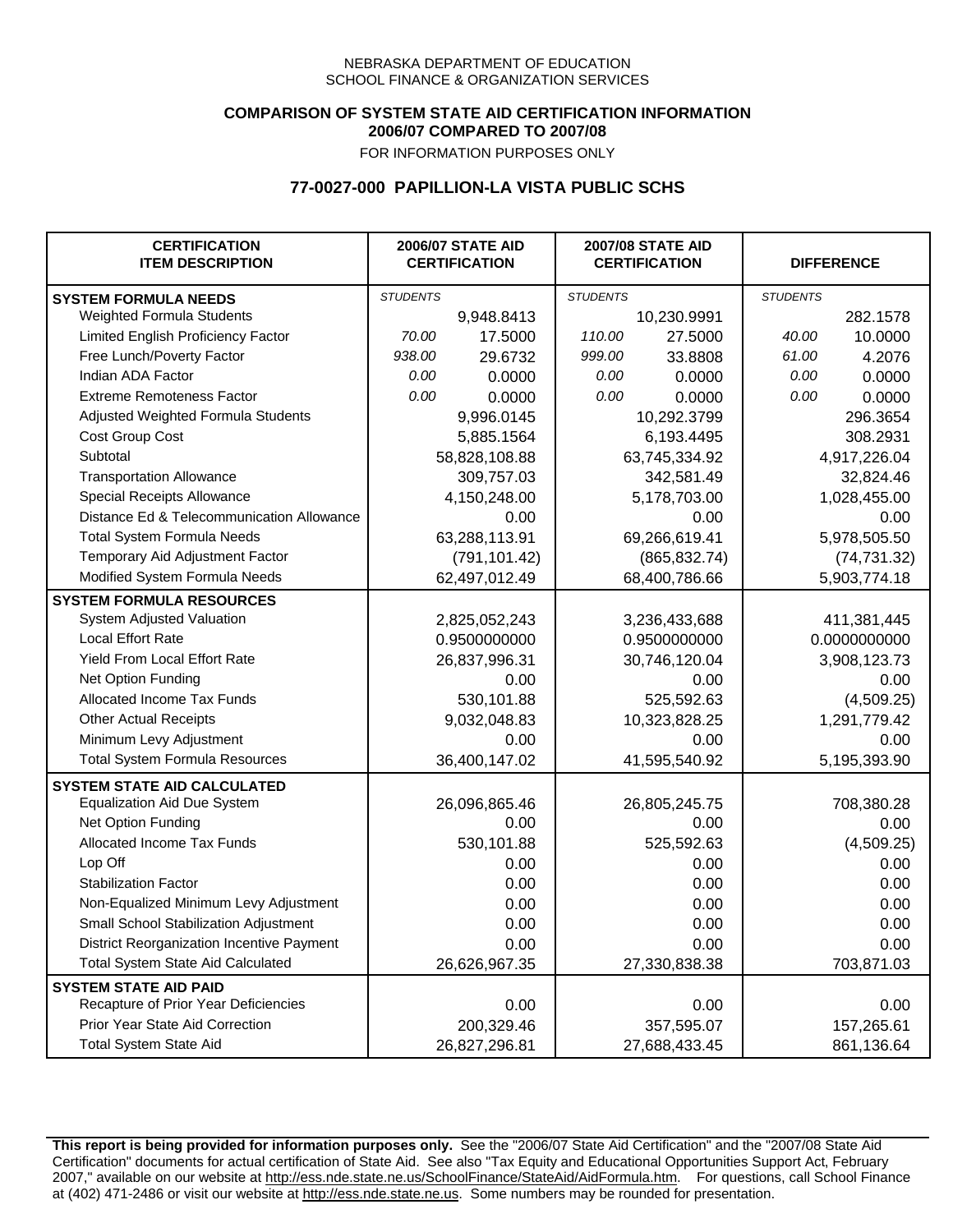## **COMPARISON OF SYSTEM STATE AID CERTIFICATION INFORMATION 2006/07 COMPARED TO 2007/08**

FOR INFORMATION PURPOSES ONLY

## **77-0027-000 PAPILLION-LA VISTA PUBLIC SCHS**

| <b>CERTIFICATION</b><br><b>ITEM DESCRIPTION</b> |                 | <b>2006/07 STATE AID</b><br><b>CERTIFICATION</b> | <b>2007/08 STATE AID</b><br><b>CERTIFICATION</b> |               |                 | <b>DIFFERENCE</b> |
|-------------------------------------------------|-----------------|--------------------------------------------------|--------------------------------------------------|---------------|-----------------|-------------------|
| <b>SYSTEM FORMULA NEEDS</b>                     | <b>STUDENTS</b> |                                                  | <b>STUDENTS</b>                                  |               | <b>STUDENTS</b> |                   |
| Weighted Formula Students                       |                 | 9,948.8413                                       |                                                  | 10,230.9991   |                 | 282.1578          |
| Limited English Proficiency Factor              | 70.00           | 17.5000                                          | 110.00                                           | 27.5000       | 40.00           | 10.0000           |
| Free Lunch/Poverty Factor                       | 938.00          | 29.6732                                          | 999.00                                           | 33.8808       | 61.00           | 4.2076            |
| Indian ADA Factor                               | 0.00            | 0.0000                                           | 0.00                                             | 0.0000        | 0.00            | 0.0000            |
| <b>Extreme Remoteness Factor</b>                | 0.00            | 0.0000                                           | 0.00                                             | 0.0000        | 0.00            | 0.0000            |
| Adjusted Weighted Formula Students              |                 | 9,996.0145                                       |                                                  | 10,292.3799   |                 | 296.3654          |
| Cost Group Cost                                 |                 | 5,885.1564                                       |                                                  | 6,193.4495    |                 | 308.2931          |
| Subtotal                                        |                 | 58,828,108.88                                    |                                                  | 63,745,334.92 |                 | 4,917,226.04      |
| <b>Transportation Allowance</b>                 |                 | 309,757.03                                       |                                                  | 342,581.49    |                 | 32,824.46         |
| Special Receipts Allowance                      |                 | 4,150,248.00                                     |                                                  | 5,178,703.00  |                 | 1,028,455.00      |
| Distance Ed & Telecommunication Allowance       |                 | 0.00                                             |                                                  | 0.00          |                 | 0.00              |
| <b>Total System Formula Needs</b>               |                 | 63,288,113.91                                    |                                                  | 69,266,619.41 |                 | 5,978,505.50      |
| Temporary Aid Adjustment Factor                 |                 | (791, 101.42)                                    | (865, 832.74)                                    |               | (74, 731.32)    |                   |
| Modified System Formula Needs                   | 62,497,012.49   |                                                  | 68,400,786.66                                    |               | 5,903,774.18    |                   |
| <b>SYSTEM FORMULA RESOURCES</b>                 |                 |                                                  |                                                  |               |                 |                   |
| System Adjusted Valuation                       |                 | 2,825,052,243                                    |                                                  | 3,236,433,688 |                 | 411,381,445       |
| <b>Local Effort Rate</b>                        |                 | 0.9500000000                                     |                                                  | 0.9500000000  |                 | 0.0000000000      |
| Yield From Local Effort Rate                    |                 | 26,837,996.31                                    |                                                  | 30,746,120.04 |                 | 3,908,123.73      |
| Net Option Funding                              |                 | 0.00                                             | 0.00                                             |               | 0.00            |                   |
| Allocated Income Tax Funds                      |                 | 530,101.88                                       | 525,592.63                                       |               | (4,509.25)      |                   |
| <b>Other Actual Receipts</b>                    |                 | 9,032,048.83                                     | 10,323,828.25                                    |               | 1,291,779.42    |                   |
| Minimum Levy Adjustment                         |                 | 0.00                                             | 0.00                                             |               |                 | 0.00              |
| <b>Total System Formula Resources</b>           |                 | 36,400,147.02                                    |                                                  | 41,595,540.92 |                 | 5,195,393.90      |
| <b>SYSTEM STATE AID CALCULATED</b>              |                 |                                                  |                                                  |               |                 |                   |
| <b>Equalization Aid Due System</b>              |                 | 26,096,865.46                                    |                                                  | 26,805,245.75 |                 | 708,380.28        |
| Net Option Funding                              |                 | 0.00                                             |                                                  | 0.00          |                 | 0.00              |
| Allocated Income Tax Funds                      |                 | 530,101.88                                       |                                                  | 525,592.63    |                 | (4,509.25)        |
| Lop Off                                         |                 | 0.00                                             |                                                  | 0.00          |                 | 0.00              |
| <b>Stabilization Factor</b>                     |                 | 0.00                                             |                                                  | 0.00          |                 | 0.00              |
| Non-Equalized Minimum Levy Adjustment           |                 | 0.00                                             |                                                  | 0.00          |                 | 0.00              |
| Small School Stabilization Adjustment           |                 | 0.00                                             |                                                  | 0.00          |                 | 0.00              |
| District Reorganization Incentive Payment       |                 | 0.00                                             |                                                  | 0.00          |                 | 0.00              |
| <b>Total System State Aid Calculated</b>        |                 | 26,626,967.35                                    |                                                  | 27,330,838.38 |                 | 703,871.03        |
| <b>SYSTEM STATE AID PAID</b>                    |                 |                                                  |                                                  |               |                 |                   |
| Recapture of Prior Year Deficiencies            |                 | 0.00                                             |                                                  | 0.00          |                 | 0.00              |
| Prior Year State Aid Correction                 |                 | 200,329.46                                       |                                                  | 357,595.07    |                 | 157,265.61        |
| <b>Total System State Aid</b>                   |                 | 26,827,296.81                                    |                                                  | 27,688,433.45 |                 | 861,136.64        |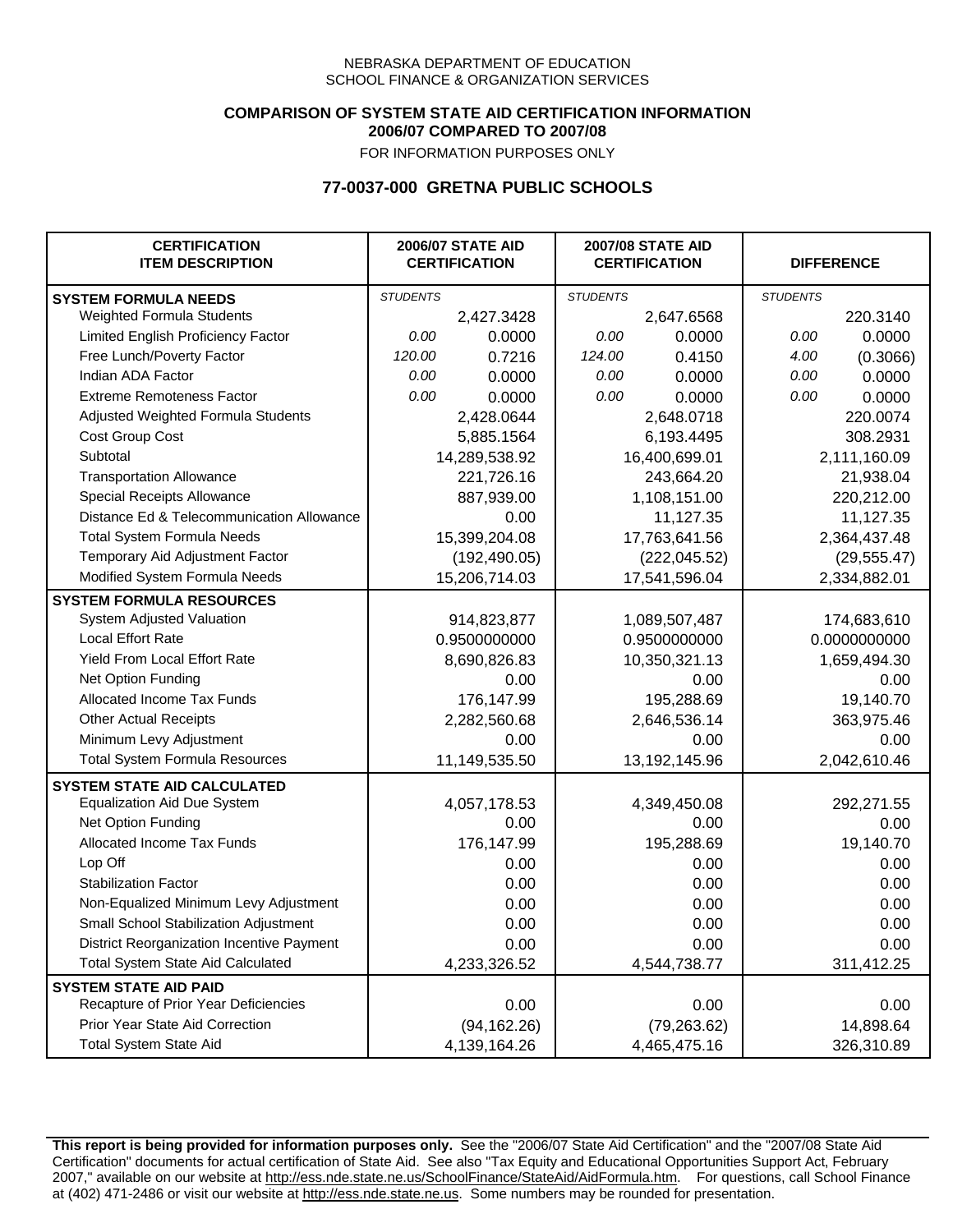### **COMPARISON OF SYSTEM STATE AID CERTIFICATION INFORMATION 2006/07 COMPARED TO 2007/08**

FOR INFORMATION PURPOSES ONLY

## **77-0037-000 GRETNA PUBLIC SCHOOLS**

| <b>CERTIFICATION</b><br><b>ITEM DESCRIPTION</b> |                 | <b>2006/07 STATE AID</b><br><b>CERTIFICATION</b> | <b>2007/08 STATE AID</b><br><b>CERTIFICATION</b> |               | <b>DIFFERENCE</b> |              |
|-------------------------------------------------|-----------------|--------------------------------------------------|--------------------------------------------------|---------------|-------------------|--------------|
| <b>SYSTEM FORMULA NEEDS</b>                     | <b>STUDENTS</b> |                                                  | <b>STUDENTS</b>                                  |               | <b>STUDENTS</b>   |              |
| Weighted Formula Students                       |                 | 2,427.3428                                       |                                                  | 2,647.6568    |                   | 220.3140     |
| Limited English Proficiency Factor              | 0.00            | 0.0000                                           | 0.00                                             | 0.0000        | 0.00              | 0.0000       |
| Free Lunch/Poverty Factor                       | 120.00          | 0.7216                                           | 124.00                                           | 0.4150        | 4.00              | (0.3066)     |
| Indian ADA Factor                               | 0.00            | 0.0000                                           | 0.00                                             | 0.0000        | 0.00              | 0.0000       |
| <b>Extreme Remoteness Factor</b>                | 0.00            | 0.0000                                           | 0.00                                             | 0.0000        | 0.00              | 0.0000       |
| Adjusted Weighted Formula Students              |                 | 2,428.0644                                       |                                                  | 2,648.0718    |                   | 220.0074     |
| Cost Group Cost                                 |                 | 5,885.1564                                       |                                                  | 6,193.4495    |                   | 308.2931     |
| Subtotal                                        |                 | 14,289,538.92                                    |                                                  | 16,400,699.01 |                   | 2,111,160.09 |
| <b>Transportation Allowance</b>                 |                 | 221,726.16                                       |                                                  | 243,664.20    |                   | 21,938.04    |
| Special Receipts Allowance                      |                 | 887,939.00                                       |                                                  | 1,108,151.00  |                   | 220,212.00   |
| Distance Ed & Telecommunication Allowance       |                 | 0.00                                             |                                                  | 11,127.35     |                   | 11,127.35    |
| <b>Total System Formula Needs</b>               |                 | 15,399,204.08                                    |                                                  | 17,763,641.56 |                   | 2,364,437.48 |
| Temporary Aid Adjustment Factor                 |                 | (192, 490.05)                                    | (222, 045.52)                                    |               | (29, 555.47)      |              |
| Modified System Formula Needs                   |                 | 15,206,714.03                                    |                                                  | 17,541,596.04 |                   | 2,334,882.01 |
| <b>SYSTEM FORMULA RESOURCES</b>                 |                 |                                                  |                                                  |               |                   |              |
| System Adjusted Valuation                       |                 | 914,823,877                                      |                                                  | 1,089,507,487 |                   | 174,683,610  |
| <b>Local Effort Rate</b>                        |                 | 0.9500000000                                     |                                                  | 0.9500000000  |                   | 0.0000000000 |
| Yield From Local Effort Rate                    |                 | 8,690,826.83                                     | 10,350,321.13                                    |               |                   | 1,659,494.30 |
| Net Option Funding                              |                 | 0.00                                             | 0.00                                             |               | 0.00              |              |
| Allocated Income Tax Funds                      |                 | 176,147.99                                       | 195,288.69                                       |               | 19,140.70         |              |
| <b>Other Actual Receipts</b>                    |                 | 2,282,560.68                                     | 2,646,536.14                                     |               | 363,975.46        |              |
| Minimum Levy Adjustment                         |                 | 0.00                                             |                                                  | 0.00          |                   | 0.00         |
| <b>Total System Formula Resources</b>           |                 | 11,149,535.50                                    |                                                  | 13,192,145.96 |                   | 2,042,610.46 |
| <b>SYSTEM STATE AID CALCULATED</b>              |                 |                                                  |                                                  |               |                   |              |
| <b>Equalization Aid Due System</b>              |                 | 4,057,178.53                                     |                                                  | 4,349,450.08  |                   | 292,271.55   |
| Net Option Funding                              |                 | 0.00                                             |                                                  | 0.00          |                   | 0.00         |
| Allocated Income Tax Funds                      |                 | 176,147.99                                       |                                                  | 195,288.69    |                   | 19,140.70    |
| Lop Off                                         |                 | 0.00                                             |                                                  | 0.00          |                   | 0.00         |
| <b>Stabilization Factor</b>                     |                 | 0.00                                             |                                                  | 0.00          |                   | 0.00         |
| Non-Equalized Minimum Levy Adjustment           |                 | 0.00                                             |                                                  | 0.00          |                   | 0.00         |
| Small School Stabilization Adjustment           |                 | 0.00                                             |                                                  | 0.00          |                   | 0.00         |
| District Reorganization Incentive Payment       |                 | 0.00                                             |                                                  | 0.00          |                   | 0.00         |
| <b>Total System State Aid Calculated</b>        |                 | 4,233,326.52                                     |                                                  | 4,544,738.77  |                   | 311,412.25   |
| <b>SYSTEM STATE AID PAID</b>                    |                 |                                                  |                                                  |               |                   |              |
| Recapture of Prior Year Deficiencies            |                 | 0.00                                             |                                                  | 0.00          |                   | 0.00         |
| Prior Year State Aid Correction                 |                 | (94, 162.26)                                     |                                                  | (79, 263.62)  |                   | 14,898.64    |
| <b>Total System State Aid</b>                   |                 | 4,139,164.26                                     |                                                  | 4,465,475.16  |                   | 326,310.89   |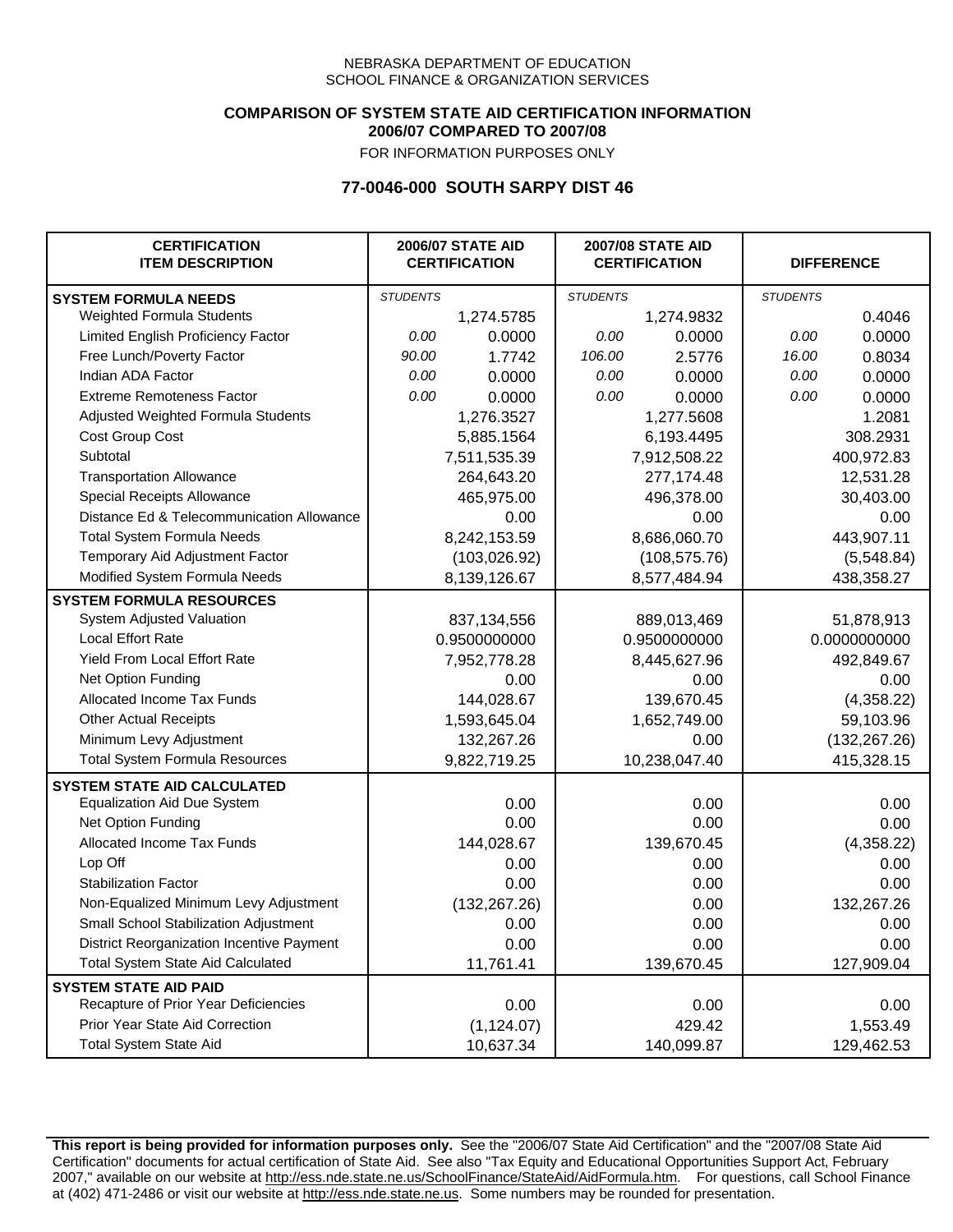### **COMPARISON OF SYSTEM STATE AID CERTIFICATION INFORMATION 2006/07 COMPARED TO 2007/08**

FOR INFORMATION PURPOSES ONLY

# **77-0046-000 SOUTH SARPY DIST 46**

| <b>CERTIFICATION</b><br><b>ITEM DESCRIPTION</b> |                 | <b>2006/07 STATE AID</b><br><b>CERTIFICATION</b> | <b>2007/08 STATE AID</b><br><b>CERTIFICATION</b> |               | <b>DIFFERENCE</b> |              |
|-------------------------------------------------|-----------------|--------------------------------------------------|--------------------------------------------------|---------------|-------------------|--------------|
| <b>SYSTEM FORMULA NEEDS</b>                     | <b>STUDENTS</b> |                                                  | <b>STUDENTS</b>                                  |               | <b>STUDENTS</b>   |              |
| Weighted Formula Students                       |                 | 1,274.5785                                       |                                                  | 1,274.9832    |                   | 0.4046       |
| Limited English Proficiency Factor              | 0.00            | 0.0000                                           | 0.00                                             | 0.0000        | 0.00              | 0.0000       |
| Free Lunch/Poverty Factor                       | 90.00           | 1.7742                                           | 106.00                                           | 2.5776        | 16.00             | 0.8034       |
| Indian ADA Factor                               | 0.00            | 0.0000                                           | 0.00                                             | 0.0000        | 0.00              | 0.0000       |
| <b>Extreme Remoteness Factor</b>                | 0.00            | 0.0000                                           | 0.00                                             | 0.0000        | 0.00              | 0.0000       |
| Adjusted Weighted Formula Students              |                 | 1,276.3527                                       |                                                  | 1,277.5608    |                   | 1.2081       |
| Cost Group Cost                                 |                 | 5,885.1564                                       |                                                  | 6,193.4495    |                   | 308.2931     |
| Subtotal                                        |                 | 7,511,535.39                                     |                                                  | 7,912,508.22  |                   | 400,972.83   |
| <b>Transportation Allowance</b>                 |                 | 264,643.20                                       |                                                  | 277,174.48    |                   | 12,531.28    |
| Special Receipts Allowance                      |                 | 465,975.00                                       |                                                  | 496,378.00    |                   | 30,403.00    |
| Distance Ed & Telecommunication Allowance       |                 | 0.00                                             |                                                  | 0.00          |                   | 0.00         |
| <b>Total System Formula Needs</b>               |                 | 8,242,153.59                                     | 8,686,060.70                                     |               | 443,907.11        |              |
| Temporary Aid Adjustment Factor                 |                 | (103, 026.92)                                    | (108, 575.76)                                    |               | (5,548.84)        |              |
| Modified System Formula Needs                   |                 | 8,139,126.67                                     |                                                  | 8,577,484.94  |                   | 438,358.27   |
| <b>SYSTEM FORMULA RESOURCES</b>                 |                 |                                                  |                                                  |               |                   |              |
| System Adjusted Valuation                       |                 | 837,134,556                                      |                                                  | 889,013,469   |                   | 51,878,913   |
| Local Effort Rate                               |                 | 0.9500000000                                     |                                                  | 0.9500000000  |                   | 0.0000000000 |
| Yield From Local Effort Rate                    |                 | 7,952,778.28                                     | 8,445,627.96                                     |               |                   | 492,849.67   |
| Net Option Funding                              |                 | 0.00                                             | 0.00                                             |               | 0.00              |              |
| Allocated Income Tax Funds                      |                 | 144,028.67                                       | 139,670.45                                       |               | (4,358.22)        |              |
| <b>Other Actual Receipts</b>                    |                 | 1,593,645.04                                     | 1,652,749.00                                     |               | 59,103.96         |              |
| Minimum Levy Adjustment                         |                 | 132,267.26                                       | 0.00                                             |               | (132, 267.26)     |              |
| <b>Total System Formula Resources</b>           |                 | 9,822,719.25                                     |                                                  | 10,238,047.40 |                   | 415,328.15   |
| <b>SYSTEM STATE AID CALCULATED</b>              |                 |                                                  |                                                  |               |                   |              |
| <b>Equalization Aid Due System</b>              |                 | 0.00                                             |                                                  | 0.00          |                   | 0.00         |
| Net Option Funding                              |                 | 0.00                                             |                                                  | 0.00          |                   | 0.00         |
| Allocated Income Tax Funds                      |                 | 144,028.67                                       |                                                  | 139,670.45    |                   | (4,358.22)   |
| Lop Off                                         |                 | 0.00                                             |                                                  | 0.00          |                   | 0.00         |
| <b>Stabilization Factor</b>                     |                 | 0.00                                             |                                                  | 0.00          |                   | 0.00         |
| Non-Equalized Minimum Levy Adjustment           |                 | (132, 267.26)                                    |                                                  | 0.00          |                   | 132,267.26   |
| <b>Small School Stabilization Adiustment</b>    |                 | 0.00                                             |                                                  | 0.00          |                   | 0.00         |
| District Reorganization Incentive Payment       |                 | 0.00                                             |                                                  | 0.00          |                   | 0.00         |
| <b>Total System State Aid Calculated</b>        |                 | 11,761.41                                        |                                                  | 139,670.45    |                   | 127,909.04   |
| <b>SYSTEM STATE AID PAID</b>                    |                 |                                                  |                                                  |               |                   |              |
| Recapture of Prior Year Deficiencies            |                 | 0.00                                             |                                                  | 0.00          |                   | 0.00         |
| Prior Year State Aid Correction                 |                 | (1, 124.07)                                      |                                                  | 429.42        |                   | 1,553.49     |
| <b>Total System State Aid</b>                   |                 | 10,637.34                                        |                                                  | 140,099.87    |                   | 129,462.53   |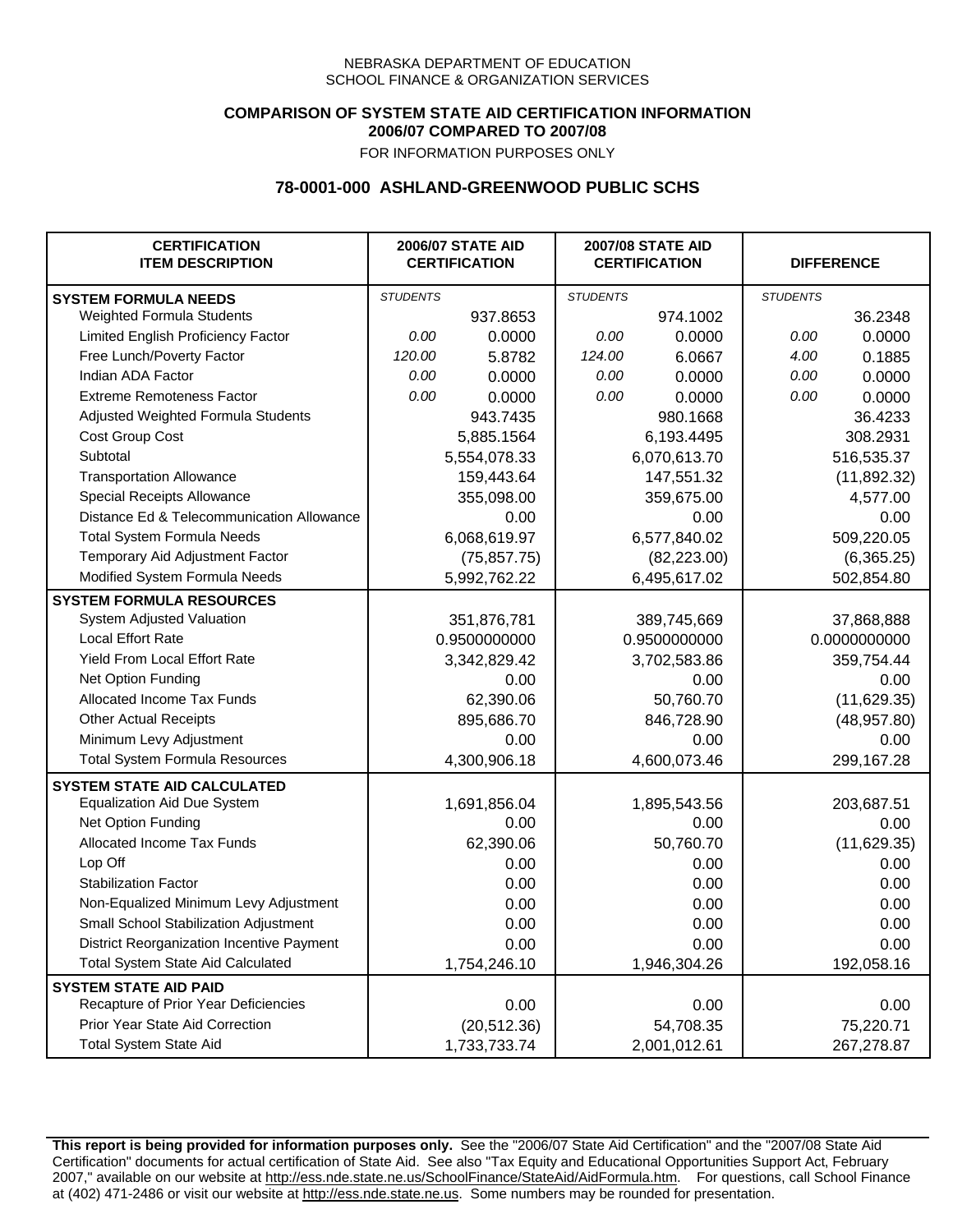## **COMPARISON OF SYSTEM STATE AID CERTIFICATION INFORMATION 2006/07 COMPARED TO 2007/08**

FOR INFORMATION PURPOSES ONLY

## **78-0001-000 ASHLAND-GREENWOOD PUBLIC SCHS**

| <b>CERTIFICATION</b><br><b>ITEM DESCRIPTION</b> |                 | <b>2006/07 STATE AID</b><br><b>CERTIFICATION</b> | <b>2007/08 STATE AID</b><br><b>CERTIFICATION</b> |              | <b>DIFFERENCE</b> |              |
|-------------------------------------------------|-----------------|--------------------------------------------------|--------------------------------------------------|--------------|-------------------|--------------|
| <b>SYSTEM FORMULA NEEDS</b>                     | <b>STUDENTS</b> |                                                  | <b>STUDENTS</b>                                  |              | <b>STUDENTS</b>   |              |
| Weighted Formula Students                       |                 | 937.8653                                         |                                                  | 974.1002     |                   | 36.2348      |
| Limited English Proficiency Factor              | 0.00            | 0.0000                                           | 0.00                                             | 0.0000       | 0.00              | 0.0000       |
| Free Lunch/Poverty Factor                       | 120.00          | 5.8782                                           | 124.00                                           | 6.0667       | 4.00              | 0.1885       |
| Indian ADA Factor                               | 0.00            | 0.0000                                           | 0.00                                             | 0.0000       | 0.00              | 0.0000       |
| <b>Extreme Remoteness Factor</b>                | 0.00            | 0.0000                                           | 0.00                                             | 0.0000       | 0.00              | 0.0000       |
| Adjusted Weighted Formula Students              |                 | 943.7435                                         |                                                  | 980.1668     |                   | 36.4233      |
| Cost Group Cost                                 |                 | 5,885.1564                                       |                                                  | 6,193.4495   |                   | 308.2931     |
| Subtotal                                        |                 | 5,554,078.33                                     |                                                  | 6,070,613.70 |                   | 516,535.37   |
| <b>Transportation Allowance</b>                 |                 | 159,443.64                                       |                                                  | 147,551.32   |                   | (11,892.32)  |
| Special Receipts Allowance                      |                 | 355,098.00                                       |                                                  | 359,675.00   |                   | 4,577.00     |
| Distance Ed & Telecommunication Allowance       |                 | 0.00                                             |                                                  | 0.00         |                   | 0.00         |
| <b>Total System Formula Needs</b>               |                 | 6,068,619.97                                     |                                                  | 6,577,840.02 | 509,220.05        |              |
| Temporary Aid Adjustment Factor                 |                 | (75, 857.75)                                     | (82, 223.00)                                     |              | (6,365.25)        |              |
| Modified System Formula Needs                   |                 | 5,992,762.22                                     |                                                  | 6,495,617.02 |                   | 502,854.80   |
| <b>SYSTEM FORMULA RESOURCES</b>                 |                 |                                                  |                                                  |              |                   |              |
| System Adjusted Valuation                       |                 | 351,876,781                                      |                                                  | 389,745,669  |                   | 37,868,888   |
| <b>Local Effort Rate</b>                        |                 | 0.9500000000                                     |                                                  | 0.9500000000 |                   | 0.0000000000 |
| Yield From Local Effort Rate                    |                 | 3,342,829.42                                     | 3,702,583.86                                     |              | 359,754.44        |              |
| Net Option Funding                              |                 | 0.00                                             |                                                  | 0.00         |                   | 0.00         |
| Allocated Income Tax Funds                      |                 | 62,390.06                                        | 50,760.70                                        |              | (11,629.35)       |              |
| <b>Other Actual Receipts</b>                    |                 | 895,686.70                                       |                                                  | 846,728.90   | (48, 957.80)      |              |
| Minimum Levy Adjustment                         |                 | 0.00                                             |                                                  | 0.00         |                   | 0.00         |
| <b>Total System Formula Resources</b>           |                 | 4,300,906.18                                     |                                                  | 4,600,073.46 |                   | 299,167.28   |
| <b>SYSTEM STATE AID CALCULATED</b>              |                 |                                                  |                                                  |              |                   |              |
| <b>Equalization Aid Due System</b>              |                 | 1,691,856.04                                     |                                                  | 1,895,543.56 |                   | 203,687.51   |
| Net Option Funding                              |                 | 0.00                                             |                                                  | 0.00         |                   | 0.00         |
| Allocated Income Tax Funds                      |                 | 62,390.06                                        |                                                  | 50,760.70    |                   | (11,629.35)  |
| Lop Off                                         |                 | 0.00                                             |                                                  | 0.00         |                   | 0.00         |
| <b>Stabilization Factor</b>                     |                 | 0.00                                             |                                                  | 0.00         |                   | 0.00         |
| Non-Equalized Minimum Levy Adjustment           |                 | 0.00                                             |                                                  | 0.00         |                   | 0.00         |
| Small School Stabilization Adjustment           |                 | 0.00                                             |                                                  | 0.00         |                   | 0.00         |
| District Reorganization Incentive Payment       |                 | 0.00                                             |                                                  | 0.00         |                   | 0.00         |
| <b>Total System State Aid Calculated</b>        |                 | 1,754,246.10                                     |                                                  | 1,946,304.26 |                   | 192,058.16   |
| <b>SYSTEM STATE AID PAID</b>                    |                 |                                                  |                                                  |              |                   |              |
| Recapture of Prior Year Deficiencies            |                 | 0.00                                             |                                                  | 0.00         |                   | 0.00         |
| Prior Year State Aid Correction                 |                 | (20, 512.36)                                     |                                                  | 54,708.35    |                   | 75,220.71    |
| <b>Total System State Aid</b>                   |                 | 1,733,733.74                                     |                                                  | 2,001,012.61 |                   | 267,278.87   |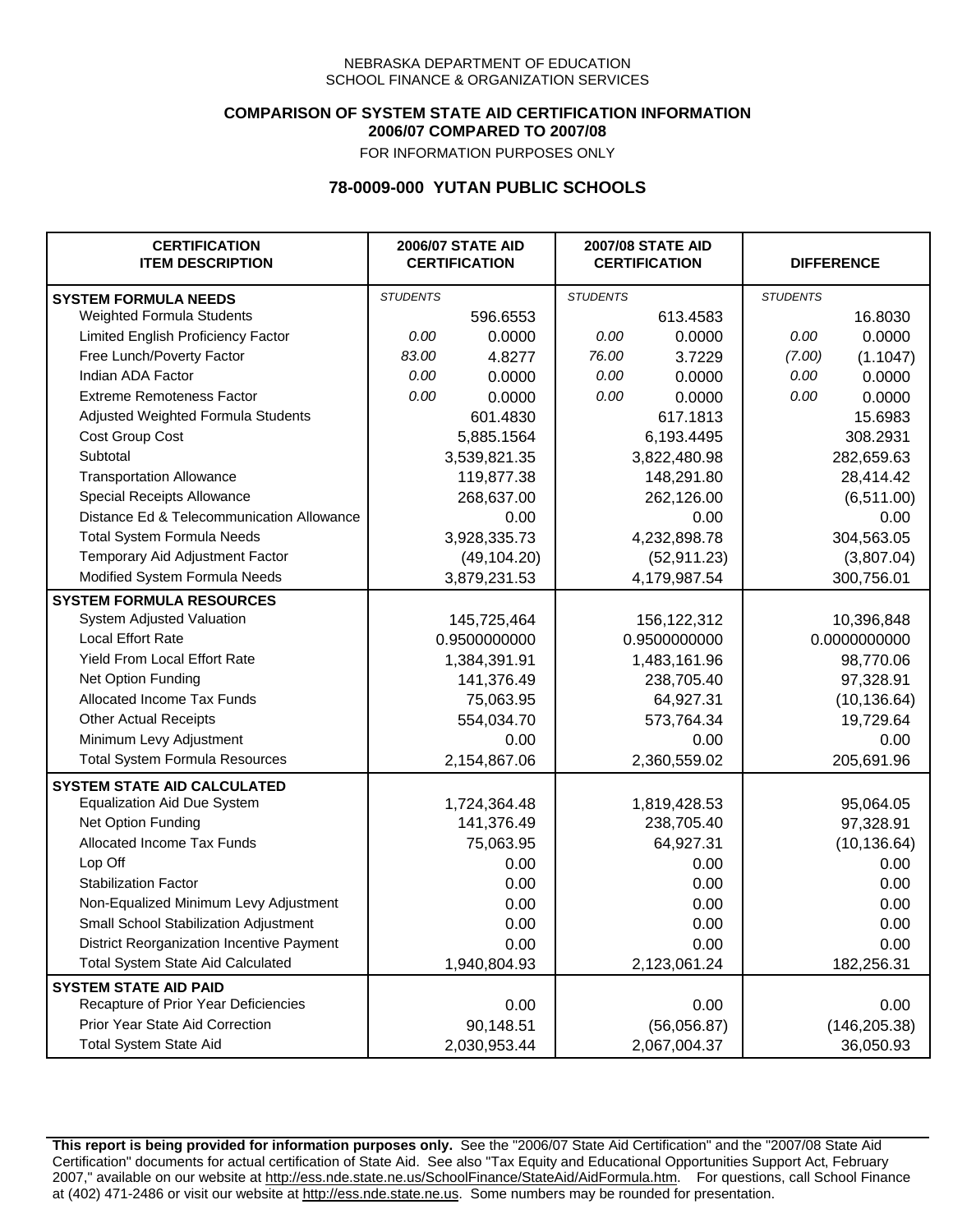### **COMPARISON OF SYSTEM STATE AID CERTIFICATION INFORMATION 2006/07 COMPARED TO 2007/08**

FOR INFORMATION PURPOSES ONLY

## **78-0009-000 YUTAN PUBLIC SCHOOLS**

| <b>CERTIFICATION</b><br><b>ITEM DESCRIPTION</b> |                 | <b>2006/07 STATE AID</b><br><b>CERTIFICATION</b> | <b>2007/08 STATE AID</b><br><b>CERTIFICATION</b> |               | <b>DIFFERENCE</b> |               |
|-------------------------------------------------|-----------------|--------------------------------------------------|--------------------------------------------------|---------------|-------------------|---------------|
| <b>SYSTEM FORMULA NEEDS</b>                     | <b>STUDENTS</b> |                                                  | <b>STUDENTS</b>                                  |               | <b>STUDENTS</b>   |               |
| Weighted Formula Students                       |                 | 596.6553                                         |                                                  | 613.4583      |                   | 16.8030       |
| Limited English Proficiency Factor              | 0.00            | 0.0000                                           | 0.00                                             | 0.0000        | 0.00              | 0.0000        |
| Free Lunch/Poverty Factor                       | 83.00           | 4.8277                                           | 76.00                                            | 3.7229        | (7.00)            | (1.1047)      |
| Indian ADA Factor                               | 0.00            | 0.0000                                           | 0.00                                             | 0.0000        | 0.00              | 0.0000        |
| <b>Extreme Remoteness Factor</b>                | 0.00            | 0.0000                                           | 0.00                                             | 0.0000        | 0.00              | 0.0000        |
| Adjusted Weighted Formula Students              |                 | 601.4830                                         |                                                  | 617.1813      |                   | 15.6983       |
| Cost Group Cost                                 |                 | 5,885.1564                                       |                                                  | 6,193.4495    |                   | 308.2931      |
| Subtotal                                        |                 | 3,539,821.35                                     |                                                  | 3,822,480.98  |                   | 282,659.63    |
| <b>Transportation Allowance</b>                 |                 | 119,877.38                                       |                                                  | 148,291.80    |                   | 28,414.42     |
| Special Receipts Allowance                      |                 | 268,637.00                                       |                                                  | 262,126.00    |                   | (6, 511.00)   |
| Distance Ed & Telecommunication Allowance       |                 | 0.00                                             |                                                  | 0.00          |                   | 0.00          |
| <b>Total System Formula Needs</b>               |                 | 3,928,335.73                                     |                                                  | 4,232,898.78  | 304,563.05        |               |
| Temporary Aid Adjustment Factor                 |                 | (49, 104.20)                                     | (52, 911.23)                                     |               | (3,807.04)        |               |
| Modified System Formula Needs                   |                 | 3,879,231.53                                     |                                                  | 4,179,987.54  |                   | 300,756.01    |
| <b>SYSTEM FORMULA RESOURCES</b>                 |                 |                                                  |                                                  |               |                   |               |
| System Adjusted Valuation                       |                 | 145,725,464                                      |                                                  | 156, 122, 312 |                   | 10,396,848    |
| <b>Local Effort Rate</b>                        |                 | 0.9500000000                                     |                                                  | 0.9500000000  |                   | 0.0000000000  |
| Yield From Local Effort Rate                    |                 | 1,384,391.91                                     |                                                  | 1,483,161.96  |                   | 98,770.06     |
| Net Option Funding                              |                 | 141,376.49                                       |                                                  | 238,705.40    |                   | 97,328.91     |
| Allocated Income Tax Funds                      |                 | 75,063.95                                        |                                                  | 64,927.31     |                   | (10, 136.64)  |
| <b>Other Actual Receipts</b>                    |                 | 554,034.70                                       |                                                  | 573,764.34    | 19,729.64         |               |
| Minimum Levy Adjustment                         |                 | 0.00                                             |                                                  | 0.00          |                   | 0.00          |
| <b>Total System Formula Resources</b>           |                 | 2,154,867.06                                     |                                                  | 2,360,559.02  |                   | 205,691.96    |
| <b>SYSTEM STATE AID CALCULATED</b>              |                 |                                                  |                                                  |               |                   |               |
| <b>Equalization Aid Due System</b>              |                 | 1,724,364.48                                     |                                                  | 1,819,428.53  |                   | 95,064.05     |
| Net Option Funding                              |                 | 141,376.49                                       |                                                  | 238,705.40    |                   | 97,328.91     |
| Allocated Income Tax Funds                      |                 | 75,063.95                                        |                                                  | 64,927.31     |                   | (10, 136.64)  |
| Lop Off                                         |                 | 0.00                                             |                                                  | 0.00          |                   | 0.00          |
| <b>Stabilization Factor</b>                     |                 | 0.00                                             |                                                  | 0.00          |                   | 0.00          |
| Non-Equalized Minimum Levy Adjustment           |                 | 0.00                                             |                                                  | 0.00          |                   | 0.00          |
| Small School Stabilization Adjustment           |                 | 0.00                                             |                                                  | 0.00          |                   | 0.00          |
| District Reorganization Incentive Payment       |                 | 0.00                                             |                                                  | 0.00          |                   | 0.00          |
| <b>Total System State Aid Calculated</b>        |                 | 1,940,804.93                                     |                                                  | 2,123,061.24  |                   | 182,256.31    |
| <b>SYSTEM STATE AID PAID</b>                    |                 |                                                  |                                                  |               |                   |               |
| Recapture of Prior Year Deficiencies            |                 | 0.00                                             |                                                  | 0.00          |                   | 0.00          |
| Prior Year State Aid Correction                 |                 | 90,148.51                                        |                                                  | (56,056.87)   |                   | (146, 205.38) |
| <b>Total System State Aid</b>                   |                 | 2,030,953.44                                     |                                                  | 2,067,004.37  |                   | 36,050.93     |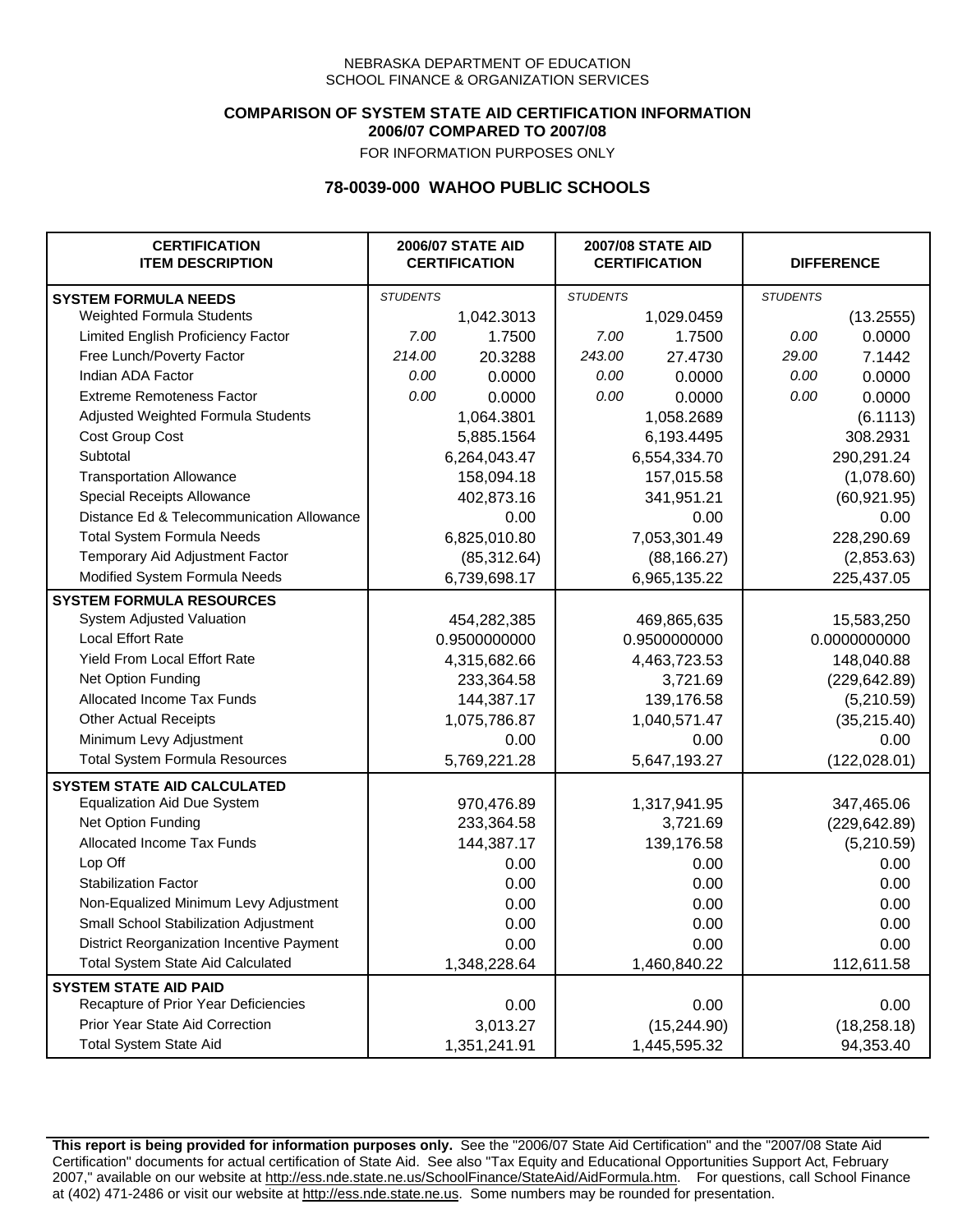### **COMPARISON OF SYSTEM STATE AID CERTIFICATION INFORMATION 2006/07 COMPARED TO 2007/08**

FOR INFORMATION PURPOSES ONLY

## **78-0039-000 WAHOO PUBLIC SCHOOLS**

| <b>CERTIFICATION</b><br><b>ITEM DESCRIPTION</b> |                 | <b>2006/07 STATE AID</b><br><b>CERTIFICATION</b> | <b>2007/08 STATE AID</b><br><b>CERTIFICATION</b> |              | <b>DIFFERENCE</b> |               |
|-------------------------------------------------|-----------------|--------------------------------------------------|--------------------------------------------------|--------------|-------------------|---------------|
| <b>SYSTEM FORMULA NEEDS</b>                     | <b>STUDENTS</b> |                                                  | <b>STUDENTS</b>                                  |              | <b>STUDENTS</b>   |               |
| Weighted Formula Students                       |                 | 1,042.3013                                       |                                                  | 1,029.0459   |                   | (13.2555)     |
| Limited English Proficiency Factor              | 7.00            | 1.7500                                           | 7.00                                             | 1.7500       | 0.00              | 0.0000        |
| Free Lunch/Poverty Factor                       | 214.00          | 20.3288                                          | 243.00                                           | 27.4730      | 29.00             | 7.1442        |
| Indian ADA Factor                               | 0.00            | 0.0000                                           | 0.00                                             | 0.0000       | 0.00              | 0.0000        |
| <b>Extreme Remoteness Factor</b>                | 0.00            | 0.0000                                           | 0.00                                             | 0.0000       | 0.00              | 0.0000        |
| Adjusted Weighted Formula Students              |                 | 1,064.3801                                       |                                                  | 1,058.2689   |                   | (6.1113)      |
| Cost Group Cost                                 |                 | 5,885.1564                                       |                                                  | 6,193.4495   |                   | 308.2931      |
| Subtotal                                        |                 | 6,264,043.47                                     |                                                  | 6,554,334.70 |                   | 290,291.24    |
| <b>Transportation Allowance</b>                 |                 | 158,094.18                                       |                                                  | 157,015.58   |                   | (1,078.60)    |
| Special Receipts Allowance                      |                 | 402,873.16                                       |                                                  | 341,951.21   |                   | (60, 921.95)  |
| Distance Ed & Telecommunication Allowance       |                 | 0.00                                             |                                                  | 0.00         |                   | 0.00          |
| <b>Total System Formula Needs</b>               |                 | 6,825,010.80                                     |                                                  | 7,053,301.49 | 228,290.69        |               |
| Temporary Aid Adjustment Factor                 |                 | (85, 312.64)                                     | (88, 166.27)                                     |              | (2,853.63)        |               |
| Modified System Formula Needs                   |                 | 6,739,698.17                                     |                                                  | 6,965,135.22 |                   | 225,437.05    |
| <b>SYSTEM FORMULA RESOURCES</b>                 |                 |                                                  |                                                  |              |                   |               |
| System Adjusted Valuation                       |                 | 454,282,385                                      |                                                  | 469,865,635  |                   | 15,583,250    |
| <b>Local Effort Rate</b>                        |                 | 0.9500000000                                     |                                                  | 0.9500000000 |                   | 0.0000000000  |
| Yield From Local Effort Rate                    |                 | 4,315,682.66                                     | 4,463,723.53                                     |              |                   | 148,040.88    |
| Net Option Funding                              |                 | 233,364.58                                       | 3,721.69                                         |              | (229, 642.89)     |               |
| Allocated Income Tax Funds                      |                 | 144,387.17                                       | 139,176.58                                       |              | (5,210.59)        |               |
| <b>Other Actual Receipts</b>                    |                 | 1,075,786.87                                     | 1,040,571.47                                     |              | (35, 215.40)      |               |
| Minimum Levy Adjustment                         |                 | 0.00                                             | 0.00                                             |              | 0.00              |               |
| <b>Total System Formula Resources</b>           |                 | 5,769,221.28                                     |                                                  | 5,647,193.27 |                   | (122, 028.01) |
| <b>SYSTEM STATE AID CALCULATED</b>              |                 |                                                  |                                                  |              |                   |               |
| <b>Equalization Aid Due System</b>              |                 | 970,476.89                                       |                                                  | 1,317,941.95 |                   | 347,465.06    |
| Net Option Funding                              |                 | 233,364.58                                       |                                                  | 3,721.69     |                   | (229, 642.89) |
| Allocated Income Tax Funds                      |                 | 144,387.17                                       |                                                  | 139,176.58   |                   | (5,210.59)    |
| Lop Off                                         |                 | 0.00                                             |                                                  | 0.00         |                   | 0.00          |
| <b>Stabilization Factor</b>                     |                 | 0.00                                             |                                                  | 0.00         |                   | 0.00          |
| Non-Equalized Minimum Levy Adjustment           |                 | 0.00                                             |                                                  | 0.00         |                   | 0.00          |
| Small School Stabilization Adjustment           |                 | 0.00                                             |                                                  | 0.00         |                   | 0.00          |
| District Reorganization Incentive Payment       |                 | 0.00                                             |                                                  | 0.00         |                   | 0.00          |
| <b>Total System State Aid Calculated</b>        |                 | 1,348,228.64                                     |                                                  | 1,460,840.22 |                   | 112,611.58    |
| <b>SYSTEM STATE AID PAID</b>                    |                 |                                                  |                                                  |              |                   |               |
| Recapture of Prior Year Deficiencies            |                 | 0.00                                             |                                                  | 0.00         |                   | 0.00          |
| Prior Year State Aid Correction                 |                 | 3,013.27                                         |                                                  | (15, 244.90) |                   | (18, 258.18)  |
| <b>Total System State Aid</b>                   |                 | 1,351,241.91                                     |                                                  | 1,445,595.32 |                   | 94,353.40     |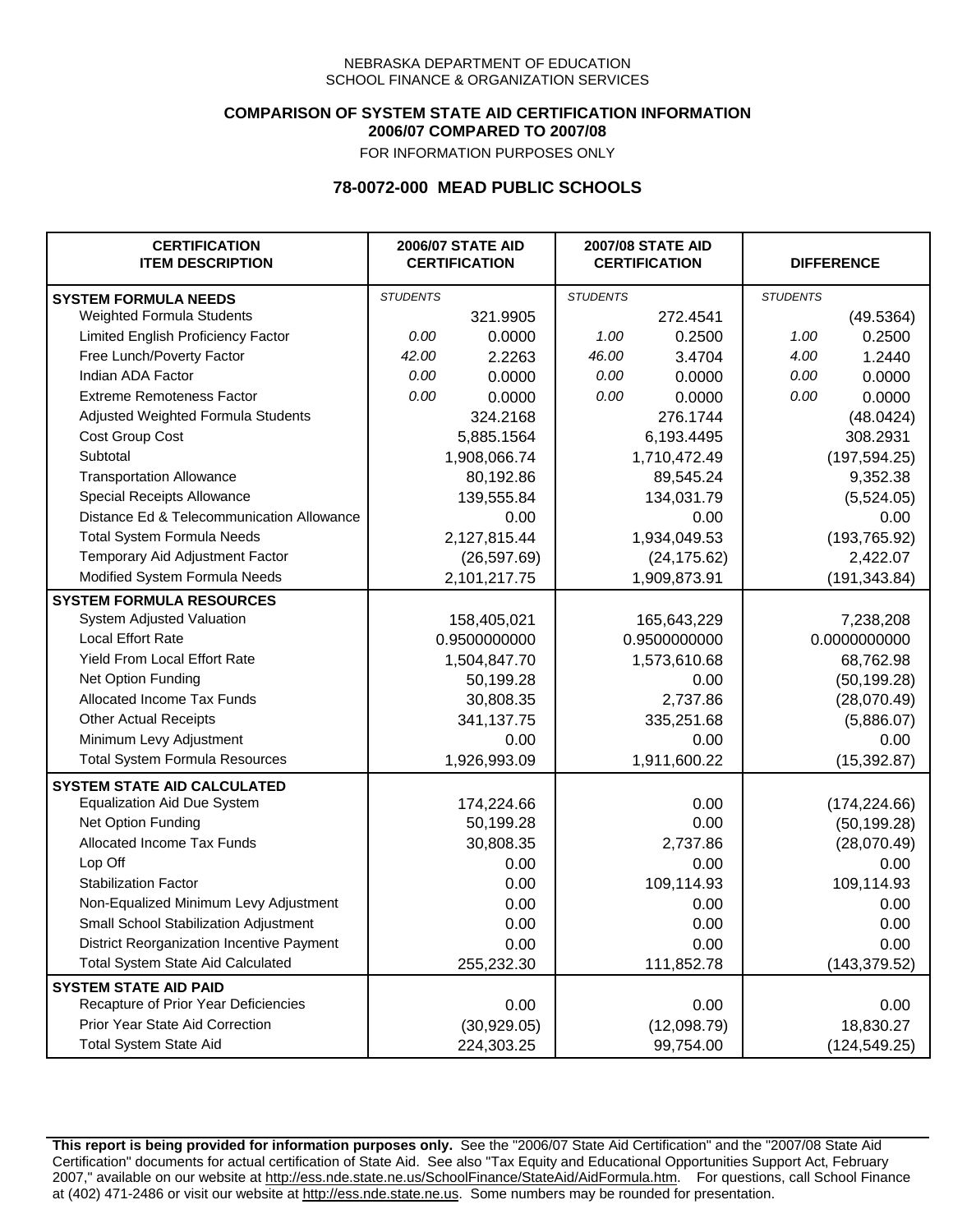### **COMPARISON OF SYSTEM STATE AID CERTIFICATION INFORMATION 2006/07 COMPARED TO 2007/08**

FOR INFORMATION PURPOSES ONLY

## **78-0072-000 MEAD PUBLIC SCHOOLS**

| <b>CERTIFICATION</b><br><b>ITEM DESCRIPTION</b> |                 | <b>2006/07 STATE AID</b><br><b>CERTIFICATION</b> | <b>2007/08 STATE AID</b><br><b>CERTIFICATION</b> |              | <b>DIFFERENCE</b> |               |
|-------------------------------------------------|-----------------|--------------------------------------------------|--------------------------------------------------|--------------|-------------------|---------------|
| <b>SYSTEM FORMULA NEEDS</b>                     | <b>STUDENTS</b> |                                                  | <b>STUDENTS</b>                                  |              | <b>STUDENTS</b>   |               |
| Weighted Formula Students                       |                 | 321.9905                                         |                                                  | 272.4541     |                   | (49.5364)     |
| Limited English Proficiency Factor              | 0.00            | 0.0000                                           | 1.00                                             | 0.2500       | 1.00              | 0.2500        |
| Free Lunch/Poverty Factor                       | 42.00           | 2.2263                                           | 46.00                                            | 3.4704       | 4.00              | 1.2440        |
| Indian ADA Factor                               | 0.00            | 0.0000                                           | 0.00                                             | 0.0000       | 0.00              | 0.0000        |
| <b>Extreme Remoteness Factor</b>                | 0.00            | 0.0000                                           | 0.00                                             | 0.0000       | 0.00              | 0.0000        |
| Adjusted Weighted Formula Students              |                 | 324.2168                                         |                                                  | 276.1744     |                   | (48.0424)     |
| Cost Group Cost                                 |                 | 5,885.1564                                       |                                                  | 6,193.4495   |                   | 308.2931      |
| Subtotal                                        |                 | 1,908,066.74                                     |                                                  | 1,710,472.49 |                   | (197, 594.25) |
| <b>Transportation Allowance</b>                 |                 | 80,192.86                                        |                                                  | 89,545.24    |                   | 9,352.38      |
| Special Receipts Allowance                      |                 | 139,555.84                                       |                                                  | 134,031.79   |                   | (5,524.05)    |
| Distance Ed & Telecommunication Allowance       |                 | 0.00                                             |                                                  | 0.00         |                   | 0.00          |
| <b>Total System Formula Needs</b>               |                 | 2,127,815.44                                     |                                                  | 1,934,049.53 |                   | (193, 765.92) |
| Temporary Aid Adjustment Factor                 |                 | (26, 597.69)                                     |                                                  | (24, 175.62) |                   | 2,422.07      |
| Modified System Formula Needs                   |                 | 2,101,217.75                                     |                                                  | 1,909,873.91 |                   | (191, 343.84) |
| <b>SYSTEM FORMULA RESOURCES</b>                 |                 |                                                  |                                                  |              |                   |               |
| System Adjusted Valuation                       |                 | 158,405,021                                      |                                                  | 165,643,229  |                   | 7,238,208     |
| <b>Local Effort Rate</b>                        |                 | 0.9500000000                                     |                                                  | 0.9500000000 |                   | 0.0000000000  |
| Yield From Local Effort Rate                    |                 | 1,504,847.70                                     | 1,573,610.68                                     |              | 68,762.98         |               |
| Net Option Funding                              |                 | 50,199.28                                        | 0.00                                             |              | (50, 199.28)      |               |
| Allocated Income Tax Funds                      |                 | 30,808.35                                        | 2,737.86                                         |              | (28,070.49)       |               |
| <b>Other Actual Receipts</b>                    |                 | 341,137.75                                       | 335,251.68                                       |              | (5,886.07)        |               |
| Minimum Levy Adjustment                         |                 | 0.00                                             |                                                  | 0.00         |                   | 0.00          |
| <b>Total System Formula Resources</b>           |                 | 1,926,993.09                                     |                                                  | 1,911,600.22 |                   | (15, 392.87)  |
| <b>SYSTEM STATE AID CALCULATED</b>              |                 |                                                  |                                                  |              |                   |               |
| <b>Equalization Aid Due System</b>              |                 | 174,224.66                                       |                                                  | 0.00         |                   | (174, 224.66) |
| Net Option Funding                              |                 | 50,199.28                                        |                                                  | 0.00         |                   | (50, 199.28)  |
| Allocated Income Tax Funds                      |                 | 30,808.35                                        |                                                  | 2,737.86     |                   | (28,070.49)   |
| Lop Off                                         |                 | 0.00                                             |                                                  | 0.00         |                   | 0.00          |
| <b>Stabilization Factor</b>                     |                 | 0.00                                             |                                                  | 109,114.93   |                   | 109,114.93    |
| Non-Equalized Minimum Levy Adjustment           |                 | 0.00                                             |                                                  | 0.00         |                   | 0.00          |
| Small School Stabilization Adjustment           |                 | 0.00                                             |                                                  | 0.00         |                   | 0.00          |
| District Reorganization Incentive Payment       |                 | 0.00                                             |                                                  | 0.00         |                   | 0.00          |
| Total System State Aid Calculated               |                 | 255,232.30                                       |                                                  | 111,852.78   |                   | (143, 379.52) |
| <b>SYSTEM STATE AID PAID</b>                    |                 |                                                  |                                                  |              |                   |               |
| Recapture of Prior Year Deficiencies            |                 | 0.00                                             |                                                  | 0.00         |                   | 0.00          |
| Prior Year State Aid Correction                 |                 | (30,929.05)                                      |                                                  | (12,098.79)  |                   | 18,830.27     |
| <b>Total System State Aid</b>                   |                 | 224,303.25                                       |                                                  | 99,754.00    |                   | (124, 549.25) |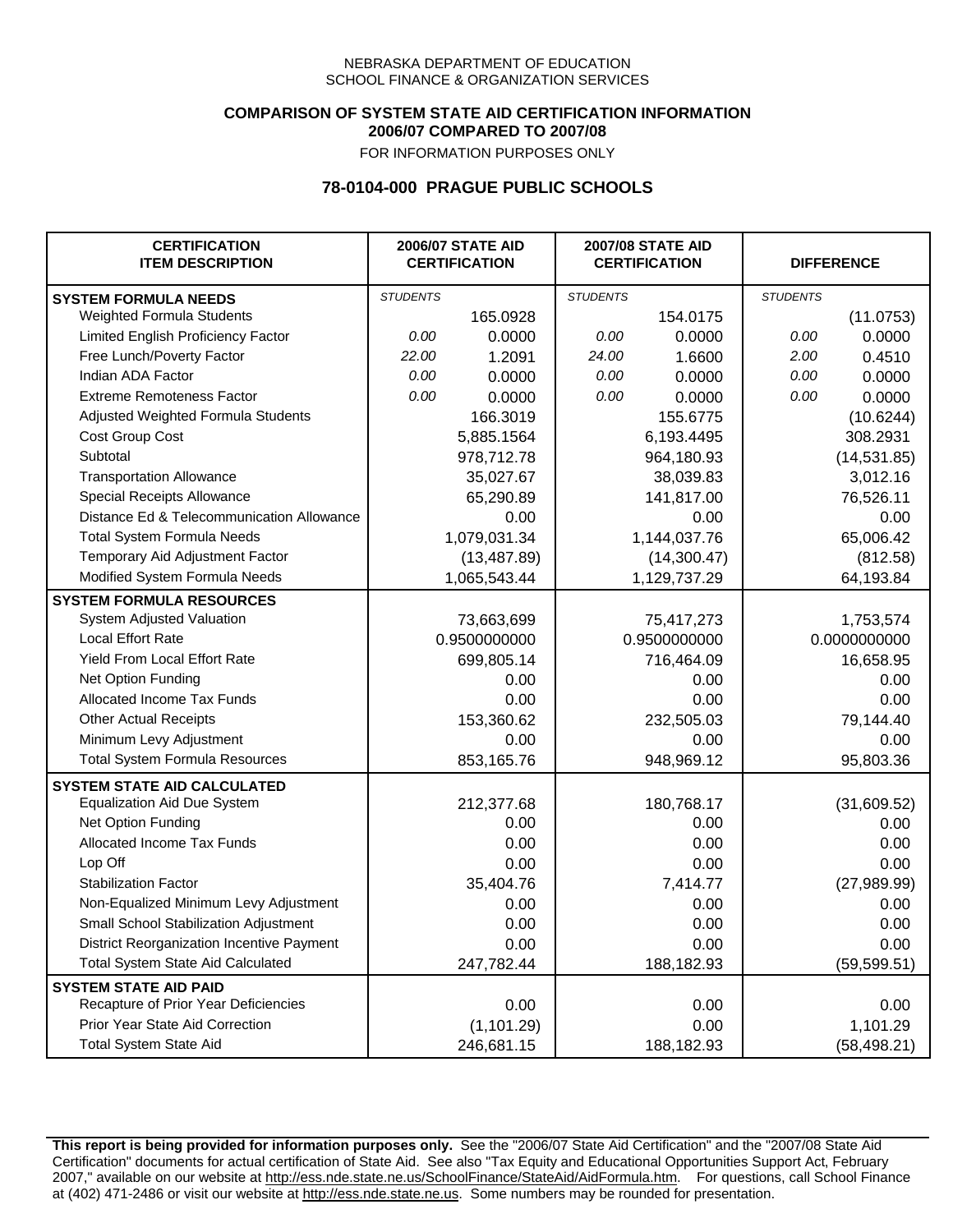### **COMPARISON OF SYSTEM STATE AID CERTIFICATION INFORMATION 2006/07 COMPARED TO 2007/08**

FOR INFORMATION PURPOSES ONLY

## **78-0104-000 PRAGUE PUBLIC SCHOOLS**

| <b>CERTIFICATION</b><br><b>ITEM DESCRIPTION</b> |                 | <b>2006/07 STATE AID</b><br><b>CERTIFICATION</b> | <b>2007/08 STATE AID</b><br><b>CERTIFICATION</b> |              | <b>DIFFERENCE</b> |              |
|-------------------------------------------------|-----------------|--------------------------------------------------|--------------------------------------------------|--------------|-------------------|--------------|
| <b>SYSTEM FORMULA NEEDS</b>                     | <b>STUDENTS</b> |                                                  | <b>STUDENTS</b>                                  |              | <b>STUDENTS</b>   |              |
| Weighted Formula Students                       |                 | 165.0928                                         |                                                  | 154.0175     |                   | (11.0753)    |
| Limited English Proficiency Factor              | 0.00            | 0.0000                                           | 0.00                                             | 0.0000       | 0.00              | 0.0000       |
| Free Lunch/Poverty Factor                       | 22.00           | 1.2091                                           | 24.00                                            | 1.6600       | 2.00              | 0.4510       |
| Indian ADA Factor                               | 0.00            | 0.0000                                           | 0.00                                             | 0.0000       | 0.00              | 0.0000       |
| <b>Extreme Remoteness Factor</b>                | 0.00            | 0.0000                                           | 0.00                                             | 0.0000       | 0.00              | 0.0000       |
| Adjusted Weighted Formula Students              |                 | 166.3019                                         |                                                  | 155.6775     |                   | (10.6244)    |
| Cost Group Cost                                 |                 | 5,885.1564                                       |                                                  | 6,193.4495   |                   | 308.2931     |
| Subtotal                                        |                 | 978,712.78                                       |                                                  | 964,180.93   |                   | (14, 531.85) |
| <b>Transportation Allowance</b>                 |                 | 35,027.67                                        |                                                  | 38,039.83    |                   | 3,012.16     |
| Special Receipts Allowance                      |                 | 65,290.89                                        |                                                  | 141,817.00   |                   | 76,526.11    |
| Distance Ed & Telecommunication Allowance       |                 | 0.00                                             |                                                  | 0.00         |                   | 0.00         |
| <b>Total System Formula Needs</b>               |                 | 1,079,031.34                                     |                                                  | 1,144,037.76 |                   | 65,006.42    |
| Temporary Aid Adjustment Factor                 |                 | (13, 487.89)                                     |                                                  | (14,300.47)  |                   | (812.58)     |
| Modified System Formula Needs                   |                 | 1,065,543.44                                     |                                                  | 1,129,737.29 |                   | 64,193.84    |
| <b>SYSTEM FORMULA RESOURCES</b>                 |                 |                                                  |                                                  |              |                   |              |
| System Adjusted Valuation                       |                 | 73,663,699                                       |                                                  | 75,417,273   |                   | 1,753,574    |
| <b>Local Effort Rate</b>                        |                 | 0.9500000000                                     |                                                  | 0.9500000000 |                   | 0.0000000000 |
| Yield From Local Effort Rate                    |                 | 699,805.14                                       |                                                  | 716,464.09   |                   | 16,658.95    |
| Net Option Funding                              |                 | 0.00                                             |                                                  | 0.00         |                   | 0.00         |
| Allocated Income Tax Funds                      |                 | 0.00                                             |                                                  | 0.00         |                   | 0.00         |
| <b>Other Actual Receipts</b>                    |                 | 153,360.62                                       |                                                  | 232,505.03   |                   | 79,144.40    |
| Minimum Levy Adjustment                         |                 | 0.00                                             |                                                  | 0.00         |                   | 0.00         |
| <b>Total System Formula Resources</b>           |                 | 853,165.76                                       |                                                  | 948,969.12   |                   | 95,803.36    |
| <b>SYSTEM STATE AID CALCULATED</b>              |                 |                                                  |                                                  |              |                   |              |
| <b>Equalization Aid Due System</b>              |                 | 212,377.68                                       |                                                  | 180,768.17   |                   | (31,609.52)  |
| Net Option Funding                              |                 | 0.00                                             |                                                  | 0.00         |                   | 0.00         |
| Allocated Income Tax Funds                      |                 | 0.00                                             |                                                  | 0.00         |                   | 0.00         |
| Lop Off                                         |                 | 0.00                                             |                                                  | 0.00         |                   | 0.00         |
| <b>Stabilization Factor</b>                     |                 | 35,404.76                                        |                                                  | 7,414.77     |                   | (27, 989.99) |
| Non-Equalized Minimum Levy Adjustment           |                 | 0.00                                             |                                                  | 0.00         |                   | 0.00         |
| Small School Stabilization Adjustment           |                 | 0.00                                             |                                                  | 0.00         |                   | 0.00         |
| District Reorganization Incentive Payment       |                 | 0.00                                             |                                                  | 0.00         |                   | 0.00         |
| <b>Total System State Aid Calculated</b>        |                 | 247,782.44                                       |                                                  | 188,182.93   |                   | (59, 599.51) |
| <b>SYSTEM STATE AID PAID</b>                    |                 |                                                  |                                                  |              |                   |              |
| Recapture of Prior Year Deficiencies            |                 | 0.00                                             |                                                  | 0.00         |                   | 0.00         |
| Prior Year State Aid Correction                 |                 | (1, 101.29)                                      |                                                  | 0.00         |                   | 1,101.29     |
| <b>Total System State Aid</b>                   |                 | 246,681.15                                       |                                                  | 188,182.93   |                   | (58, 498.21) |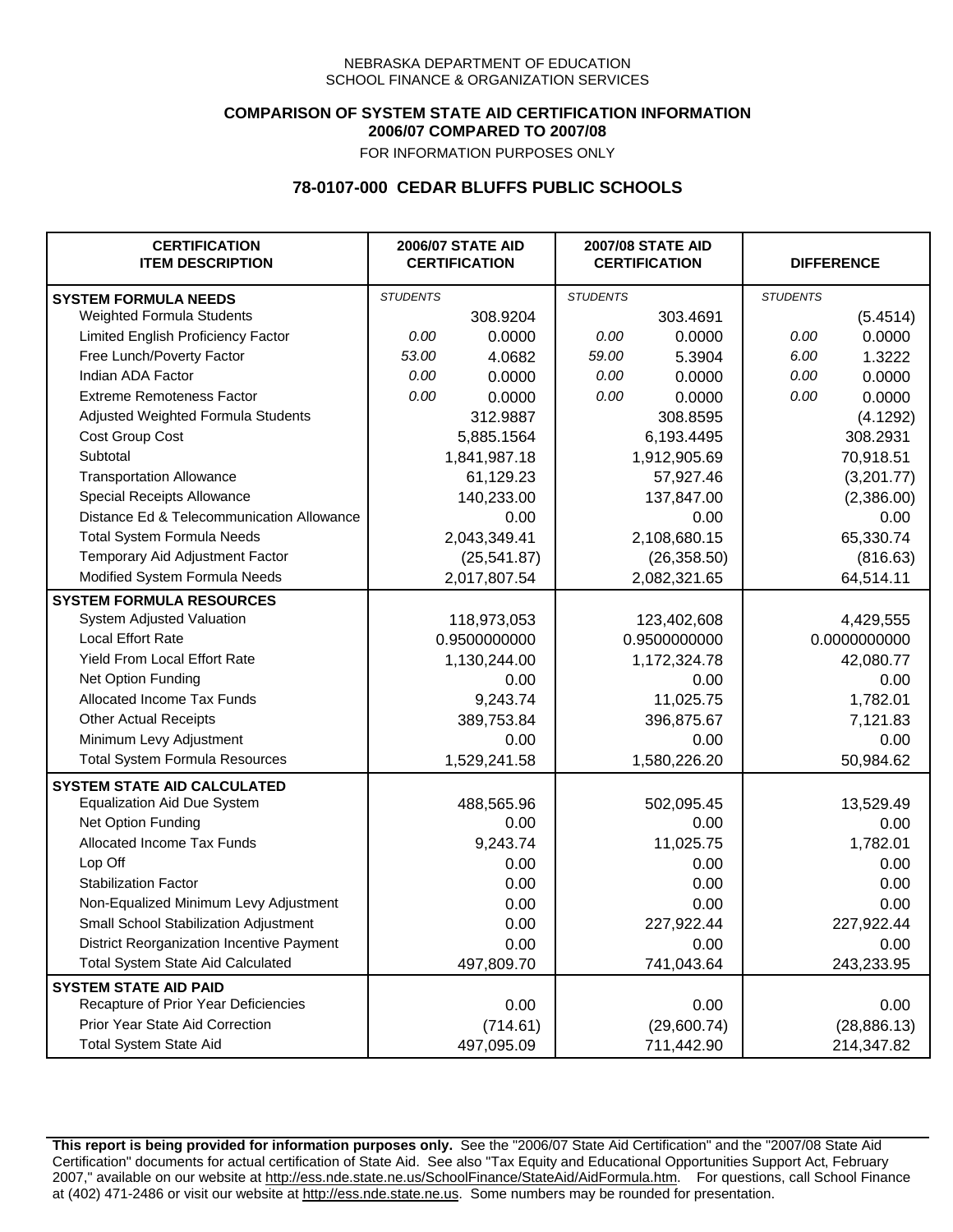## **COMPARISON OF SYSTEM STATE AID CERTIFICATION INFORMATION 2006/07 COMPARED TO 2007/08**

FOR INFORMATION PURPOSES ONLY

# **78-0107-000 CEDAR BLUFFS PUBLIC SCHOOLS**

| <b>CERTIFICATION</b><br><b>ITEM DESCRIPTION</b> |                 | <b>2006/07 STATE AID</b><br><b>CERTIFICATION</b> | <b>2007/08 STATE AID</b><br><b>CERTIFICATION</b> |              | <b>DIFFERENCE</b> |              |
|-------------------------------------------------|-----------------|--------------------------------------------------|--------------------------------------------------|--------------|-------------------|--------------|
| <b>SYSTEM FORMULA NEEDS</b>                     | <b>STUDENTS</b> |                                                  | <b>STUDENTS</b>                                  |              | <b>STUDENTS</b>   |              |
| Weighted Formula Students                       |                 | 308.9204                                         |                                                  | 303.4691     |                   | (5.4514)     |
| Limited English Proficiency Factor              | 0.00            | 0.0000                                           | 0.00                                             | 0.0000       | 0.00              | 0.0000       |
| Free Lunch/Poverty Factor                       | 53.00           | 4.0682                                           | 59.00                                            | 5.3904       | 6.00              | 1.3222       |
| Indian ADA Factor                               | 0.00            | 0.0000                                           | 0.00                                             | 0.0000       | 0.00              | 0.0000       |
| <b>Extreme Remoteness Factor</b>                | 0.00            | 0.0000                                           | 0.00                                             | 0.0000       | 0.00              | 0.0000       |
| Adjusted Weighted Formula Students              |                 | 312.9887                                         |                                                  | 308.8595     |                   | (4.1292)     |
| Cost Group Cost                                 |                 | 5,885.1564                                       |                                                  | 6,193.4495   |                   | 308.2931     |
| Subtotal                                        |                 | 1,841,987.18                                     |                                                  | 1,912,905.69 |                   | 70,918.51    |
| <b>Transportation Allowance</b>                 |                 | 61,129.23                                        |                                                  | 57,927.46    |                   | (3,201.77)   |
| Special Receipts Allowance                      |                 | 140,233.00                                       |                                                  | 137,847.00   |                   | (2,386.00)   |
| Distance Ed & Telecommunication Allowance       |                 | 0.00                                             |                                                  | 0.00         |                   | 0.00         |
| <b>Total System Formula Needs</b>               |                 | 2,043,349.41                                     |                                                  | 2,108,680.15 |                   | 65,330.74    |
| Temporary Aid Adjustment Factor                 |                 | (25, 541.87)                                     | (26, 358.50)                                     |              | (816.63)          |              |
| Modified System Formula Needs                   |                 | 2,017,807.54                                     |                                                  | 2,082,321.65 |                   | 64,514.11    |
| <b>SYSTEM FORMULA RESOURCES</b>                 |                 |                                                  |                                                  |              |                   |              |
| System Adjusted Valuation                       |                 | 118,973,053                                      |                                                  | 123,402,608  |                   | 4,429,555    |
| <b>Local Effort Rate</b>                        |                 | 0.9500000000                                     |                                                  | 0.9500000000 |                   | 0.0000000000 |
| Yield From Local Effort Rate                    |                 | 1,130,244.00                                     | 1,172,324.78                                     |              | 42,080.77         |              |
| Net Option Funding                              |                 | 0.00                                             | 0.00                                             |              |                   | 0.00         |
| Allocated Income Tax Funds                      |                 | 9,243.74                                         | 11,025.75                                        |              | 1,782.01          |              |
| <b>Other Actual Receipts</b>                    |                 | 389,753.84                                       | 396,875.67                                       |              | 7,121.83          |              |
| Minimum Levy Adjustment                         |                 | 0.00                                             |                                                  | 0.00         |                   | 0.00         |
| <b>Total System Formula Resources</b>           |                 | 1,529,241.58                                     |                                                  | 1,580,226.20 |                   | 50,984.62    |
| <b>SYSTEM STATE AID CALCULATED</b>              |                 |                                                  |                                                  |              |                   |              |
| <b>Equalization Aid Due System</b>              |                 | 488,565.96                                       |                                                  | 502,095.45   |                   | 13,529.49    |
| Net Option Funding                              |                 | 0.00                                             |                                                  | 0.00         |                   | 0.00         |
| Allocated Income Tax Funds                      |                 | 9,243.74                                         |                                                  | 11,025.75    |                   | 1,782.01     |
| Lop Off                                         |                 | 0.00                                             |                                                  | 0.00         |                   | 0.00         |
| <b>Stabilization Factor</b>                     |                 | 0.00                                             |                                                  | 0.00         |                   | 0.00         |
| Non-Equalized Minimum Levy Adjustment           |                 | 0.00                                             |                                                  | 0.00         |                   | 0.00         |
| <b>Small School Stabilization Adjustment</b>    |                 | 0.00                                             |                                                  | 227,922.44   |                   | 227,922.44   |
| District Reorganization Incentive Payment       |                 | 0.00                                             |                                                  | 0.00         |                   | 0.00         |
| Total System State Aid Calculated               |                 | 497,809.70                                       |                                                  | 741,043.64   |                   | 243,233.95   |
| <b>SYSTEM STATE AID PAID</b>                    |                 |                                                  |                                                  |              |                   |              |
| Recapture of Prior Year Deficiencies            |                 | 0.00                                             |                                                  | 0.00         |                   | 0.00         |
| Prior Year State Aid Correction                 |                 | (714.61)                                         |                                                  | (29,600.74)  |                   | (28, 886.13) |
| <b>Total System State Aid</b>                   |                 | 497,095.09                                       |                                                  | 711,442.90   |                   | 214,347.82   |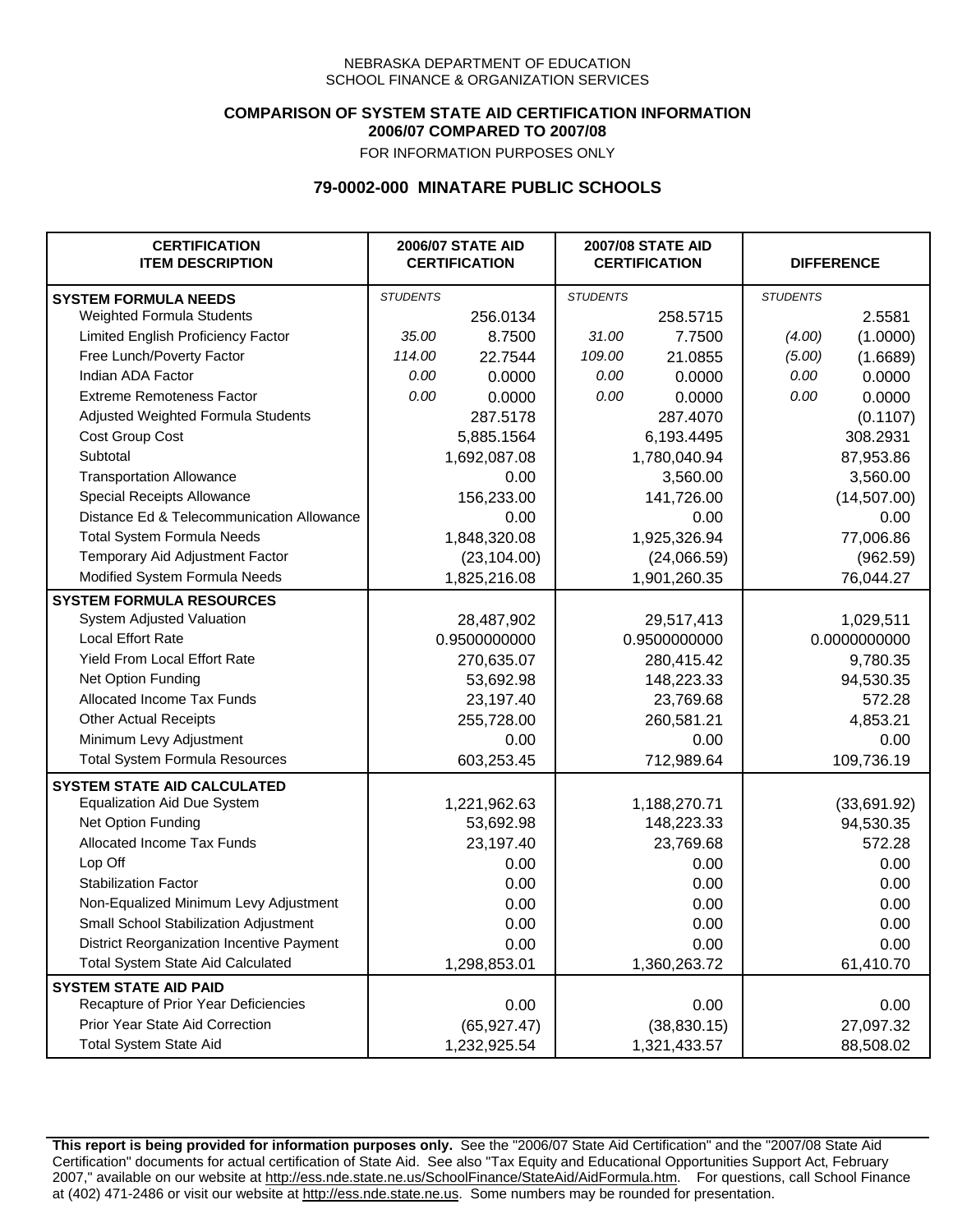### **COMPARISON OF SYSTEM STATE AID CERTIFICATION INFORMATION 2006/07 COMPARED TO 2007/08**

FOR INFORMATION PURPOSES ONLY

## **79-0002-000 MINATARE PUBLIC SCHOOLS**

| <b>CERTIFICATION</b><br><b>ITEM DESCRIPTION</b> |                 | <b>2006/07 STATE AID</b><br><b>CERTIFICATION</b> | <b>2007/08 STATE AID</b><br><b>CERTIFICATION</b> |              |                 | <b>DIFFERENCE</b> |  |
|-------------------------------------------------|-----------------|--------------------------------------------------|--------------------------------------------------|--------------|-----------------|-------------------|--|
| <b>SYSTEM FORMULA NEEDS</b>                     | <b>STUDENTS</b> |                                                  | <b>STUDENTS</b>                                  |              | <b>STUDENTS</b> |                   |  |
| <b>Weighted Formula Students</b>                |                 | 256.0134                                         |                                                  | 258.5715     |                 | 2.5581            |  |
| Limited English Proficiency Factor              | 35.00           | 8.7500                                           | 31.00                                            | 7.7500       | (4.00)          | (1.0000)          |  |
| Free Lunch/Poverty Factor                       | 114.00          | 22.7544                                          | 109.00                                           | 21.0855      | (5.00)          | (1.6689)          |  |
| Indian ADA Factor                               | 0.00            | 0.0000                                           | 0.00                                             | 0.0000       | 0.00            | 0.0000            |  |
| <b>Extreme Remoteness Factor</b>                | 0.00            | 0.0000                                           | 0.00                                             | 0.0000       | 0.00            | 0.0000            |  |
| Adjusted Weighted Formula Students              |                 | 287.5178                                         |                                                  | 287.4070     |                 | (0.1107)          |  |
| Cost Group Cost                                 |                 | 5,885.1564                                       |                                                  | 6,193.4495   |                 | 308.2931          |  |
| Subtotal                                        |                 | 1,692,087.08                                     |                                                  | 1,780,040.94 |                 | 87,953.86         |  |
| <b>Transportation Allowance</b>                 |                 | 0.00                                             |                                                  | 3,560.00     |                 | 3,560.00          |  |
| Special Receipts Allowance                      |                 | 156,233.00                                       |                                                  | 141,726.00   |                 | (14,507.00)       |  |
| Distance Ed & Telecommunication Allowance       |                 | 0.00                                             |                                                  | 0.00         |                 | 0.00              |  |
| <b>Total System Formula Needs</b>               |                 | 1,848,320.08                                     |                                                  | 1,925,326.94 |                 | 77,006.86         |  |
| Temporary Aid Adjustment Factor                 |                 | (23, 104.00)                                     | (24,066.59)                                      |              | (962.59)        |                   |  |
| Modified System Formula Needs                   |                 | 1,825,216.08                                     |                                                  | 1,901,260.35 |                 | 76,044.27         |  |
| <b>SYSTEM FORMULA RESOURCES</b>                 |                 |                                                  |                                                  |              |                 |                   |  |
| System Adjusted Valuation                       |                 | 28,487,902                                       |                                                  | 29,517,413   |                 | 1,029,511         |  |
| <b>Local Effort Rate</b>                        |                 | 0.9500000000                                     | 0.9500000000                                     |              | 0.0000000000    |                   |  |
| Yield From Local Effort Rate                    |                 | 270,635.07                                       | 280,415.42                                       |              | 9,780.35        |                   |  |
| Net Option Funding                              |                 | 53,692.98                                        | 148,223.33                                       |              | 94,530.35       |                   |  |
| Allocated Income Tax Funds                      |                 | 23,197.40                                        | 23,769.68                                        |              | 572.28          |                   |  |
| <b>Other Actual Receipts</b>                    |                 | 255,728.00                                       | 260,581.21                                       |              | 4,853.21        |                   |  |
| Minimum Levy Adjustment                         |                 | 0.00                                             |                                                  | 0.00         |                 | 0.00              |  |
| <b>Total System Formula Resources</b>           |                 | 603,253.45                                       |                                                  | 712,989.64   |                 | 109,736.19        |  |
| <b>SYSTEM STATE AID CALCULATED</b>              |                 |                                                  |                                                  |              |                 |                   |  |
| <b>Equalization Aid Due System</b>              |                 | 1,221,962.63                                     |                                                  | 1,188,270.71 |                 | (33,691.92)       |  |
| Net Option Funding                              |                 | 53,692.98                                        |                                                  | 148,223.33   |                 | 94,530.35         |  |
| Allocated Income Tax Funds                      |                 | 23,197.40                                        |                                                  | 23,769.68    |                 | 572.28            |  |
| Lop Off                                         |                 | 0.00                                             |                                                  | 0.00         |                 | 0.00              |  |
| <b>Stabilization Factor</b>                     |                 | 0.00                                             |                                                  | 0.00         |                 | 0.00              |  |
| Non-Equalized Minimum Levy Adjustment           |                 | 0.00                                             |                                                  | 0.00         |                 | 0.00              |  |
| Small School Stabilization Adjustment           |                 | 0.00                                             |                                                  | 0.00         |                 | 0.00              |  |
| District Reorganization Incentive Payment       |                 | 0.00                                             |                                                  | 0.00         |                 | 0.00              |  |
| <b>Total System State Aid Calculated</b>        |                 | 1,298,853.01                                     |                                                  | 1,360,263.72 |                 | 61,410.70         |  |
| <b>SYSTEM STATE AID PAID</b>                    |                 |                                                  |                                                  |              |                 |                   |  |
| Recapture of Prior Year Deficiencies            |                 | 0.00                                             |                                                  | 0.00         |                 | 0.00              |  |
| Prior Year State Aid Correction                 |                 | (65, 927.47)                                     |                                                  | (38, 830.15) |                 | 27,097.32         |  |
| <b>Total System State Aid</b>                   |                 | 1,232,925.54                                     |                                                  | 1,321,433.57 | 88,508.02       |                   |  |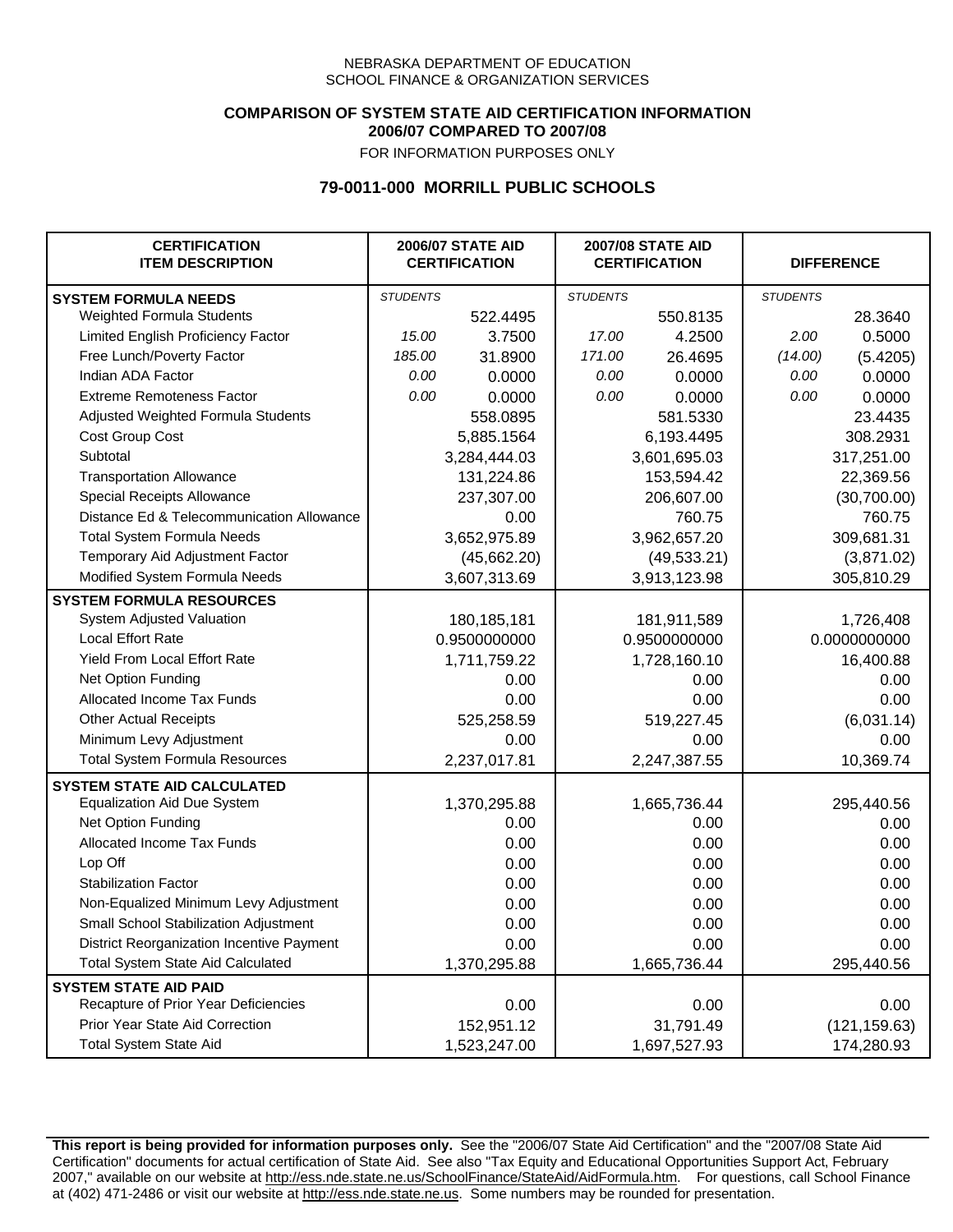### **COMPARISON OF SYSTEM STATE AID CERTIFICATION INFORMATION 2006/07 COMPARED TO 2007/08**

FOR INFORMATION PURPOSES ONLY

## **79-0011-000 MORRILL PUBLIC SCHOOLS**

| <b>CERTIFICATION</b><br><b>ITEM DESCRIPTION</b> |                 | <b>2006/07 STATE AID</b><br><b>CERTIFICATION</b> | <b>2007/08 STATE AID</b><br><b>CERTIFICATION</b> |              |                 | <b>DIFFERENCE</b> |
|-------------------------------------------------|-----------------|--------------------------------------------------|--------------------------------------------------|--------------|-----------------|-------------------|
| <b>SYSTEM FORMULA NEEDS</b>                     | <b>STUDENTS</b> |                                                  | <b>STUDENTS</b>                                  |              | <b>STUDENTS</b> |                   |
| <b>Weighted Formula Students</b>                |                 | 522.4495                                         |                                                  | 550.8135     |                 | 28.3640           |
| Limited English Proficiency Factor              | 15.00           | 3.7500                                           | 17.00                                            | 4.2500       | 2.00            | 0.5000            |
| Free Lunch/Poverty Factor                       | 185.00          | 31.8900                                          | 171.00                                           | 26.4695      | (14.00)         | (5.4205)          |
| Indian ADA Factor                               | 0.00            | 0.0000                                           | 0.00                                             | 0.0000       | 0.00            | 0.0000            |
| <b>Extreme Remoteness Factor</b>                | 0.00            | 0.0000                                           | 0.00                                             | 0.0000       | 0.00            | 0.0000            |
| Adjusted Weighted Formula Students              |                 | 558.0895                                         |                                                  | 581.5330     |                 | 23.4435           |
| Cost Group Cost                                 |                 | 5,885.1564                                       | 6,193.4495                                       |              | 308.2931        |                   |
| Subtotal                                        |                 | 3,284,444.03                                     |                                                  | 3,601,695.03 |                 | 317,251.00        |
| <b>Transportation Allowance</b>                 |                 | 131,224.86                                       |                                                  | 153,594.42   |                 | 22,369.56         |
| Special Receipts Allowance                      |                 | 237,307.00                                       |                                                  | 206,607.00   |                 | (30,700.00)       |
| Distance Ed & Telecommunication Allowance       |                 | 0.00                                             |                                                  | 760.75       |                 | 760.75            |
| <b>Total System Formula Needs</b>               |                 | 3,652,975.89                                     |                                                  | 3,962,657.20 | 309,681.31      |                   |
| Temporary Aid Adjustment Factor                 |                 | (45,662.20)                                      | (49, 533.21)                                     |              | (3,871.02)      |                   |
| Modified System Formula Needs                   |                 | 3,607,313.69                                     |                                                  | 3,913,123.98 |                 | 305,810.29        |
| <b>SYSTEM FORMULA RESOURCES</b>                 |                 |                                                  |                                                  |              |                 |                   |
| System Adjusted Valuation                       |                 | 180, 185, 181                                    |                                                  | 181,911,589  |                 | 1,726,408         |
| <b>Local Effort Rate</b>                        |                 | 0.9500000000                                     |                                                  | 0.9500000000 | 0.0000000000    |                   |
| <b>Yield From Local Effort Rate</b>             |                 | 1,711,759.22                                     | 1,728,160.10                                     |              | 16,400.88       |                   |
| Net Option Funding                              |                 | 0.00                                             | 0.00                                             |              | 0.00            |                   |
| Allocated Income Tax Funds                      |                 | 0.00                                             | 0.00                                             |              | 0.00            |                   |
| <b>Other Actual Receipts</b>                    |                 | 525,258.59                                       | 519,227.45                                       |              | (6,031.14)      |                   |
| Minimum Levy Adjustment                         |                 | 0.00                                             |                                                  | 0.00         |                 | 0.00              |
| <b>Total System Formula Resources</b>           |                 | 2,237,017.81                                     |                                                  | 2,247,387.55 |                 | 10,369.74         |
| <b>SYSTEM STATE AID CALCULATED</b>              |                 |                                                  |                                                  |              |                 |                   |
| <b>Equalization Aid Due System</b>              |                 | 1,370,295.88                                     |                                                  | 1,665,736.44 |                 | 295,440.56        |
| Net Option Funding                              |                 | 0.00                                             |                                                  | 0.00         |                 | 0.00              |
| Allocated Income Tax Funds                      |                 | 0.00                                             |                                                  | 0.00         |                 | 0.00              |
| Lop Off                                         |                 | 0.00                                             |                                                  | 0.00         |                 | 0.00              |
| <b>Stabilization Factor</b>                     |                 | 0.00                                             |                                                  | 0.00         |                 | 0.00              |
| Non-Equalized Minimum Levy Adjustment           |                 | 0.00                                             |                                                  | 0.00         |                 | 0.00              |
| Small School Stabilization Adjustment           |                 | 0.00                                             |                                                  | 0.00         |                 | 0.00              |
| District Reorganization Incentive Payment       |                 | 0.00                                             |                                                  | 0.00         |                 | 0.00              |
| <b>Total System State Aid Calculated</b>        |                 | 1,370,295.88                                     |                                                  | 1,665,736.44 |                 | 295,440.56        |
| <b>SYSTEM STATE AID PAID</b>                    |                 |                                                  |                                                  |              |                 |                   |
| Recapture of Prior Year Deficiencies            |                 | 0.00                                             |                                                  | 0.00         |                 | 0.00              |
| Prior Year State Aid Correction                 |                 | 152,951.12                                       |                                                  | 31,791.49    |                 | (121, 159.63)     |
| <b>Total System State Aid</b>                   |                 | 1,523,247.00                                     |                                                  | 1,697,527.93 | 174,280.93      |                   |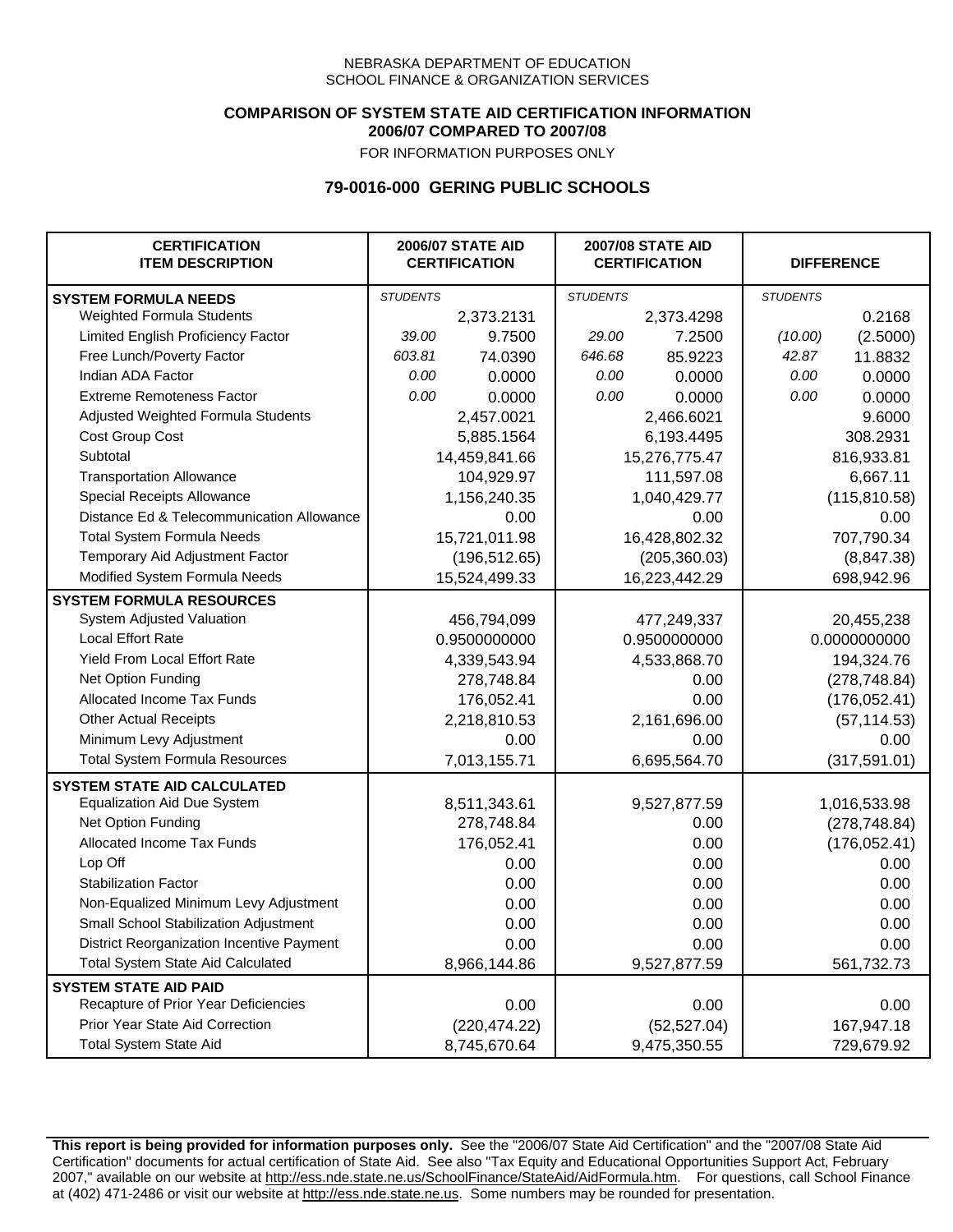### **COMPARISON OF SYSTEM STATE AID CERTIFICATION INFORMATION 2006/07 COMPARED TO 2007/08**

FOR INFORMATION PURPOSES ONLY

## **79-0016-000 GERING PUBLIC SCHOOLS**

| <b>CERTIFICATION</b><br><b>ITEM DESCRIPTION</b> | <b>2006/07 STATE AID</b><br><b>CERTIFICATION</b> |               | <b>2007/08 STATE AID</b><br><b>CERTIFICATION</b> |               | <b>DIFFERENCE</b> |               |  |
|-------------------------------------------------|--------------------------------------------------|---------------|--------------------------------------------------|---------------|-------------------|---------------|--|
| <b>SYSTEM FORMULA NEEDS</b>                     | <b>STUDENTS</b>                                  |               | <b>STUDENTS</b>                                  |               | <b>STUDENTS</b>   |               |  |
| Weighted Formula Students                       |                                                  | 2,373.2131    |                                                  | 2,373.4298    |                   | 0.2168        |  |
| Limited English Proficiency Factor              | 39.00                                            | 9.7500        | 29.00                                            | 7.2500        | (10.00)           | (2.5000)      |  |
| Free Lunch/Poverty Factor                       | 603.81                                           | 74.0390       | 646.68                                           | 85.9223       | 42.87             | 11.8832       |  |
| Indian ADA Factor                               | 0.00                                             | 0.0000        | 0.00                                             | 0.0000        | 0.00              | 0.0000        |  |
| <b>Extreme Remoteness Factor</b>                | 0.00                                             | 0.0000        | 0.00                                             | 0.0000        | 0.00              | 0.0000        |  |
| Adjusted Weighted Formula Students              |                                                  | 2,457.0021    |                                                  | 2,466.6021    |                   | 9.6000        |  |
| Cost Group Cost                                 |                                                  | 5,885.1564    |                                                  | 6,193.4495    |                   | 308.2931      |  |
| Subtotal                                        |                                                  | 14,459,841.66 |                                                  | 15,276,775.47 |                   | 816,933.81    |  |
| <b>Transportation Allowance</b>                 |                                                  | 104,929.97    |                                                  | 111,597.08    |                   | 6,667.11      |  |
| Special Receipts Allowance                      |                                                  | 1,156,240.35  |                                                  | 1,040,429.77  |                   | (115, 810.58) |  |
| Distance Ed & Telecommunication Allowance       |                                                  | 0.00          |                                                  | 0.00          |                   | 0.00          |  |
| <b>Total System Formula Needs</b>               |                                                  | 15,721,011.98 |                                                  | 16,428,802.32 |                   | 707,790.34    |  |
| Temporary Aid Adjustment Factor                 |                                                  | (196, 512.65) | (205, 360.03)                                    |               | (8,847.38)        |               |  |
| Modified System Formula Needs                   | 15,524,499.33                                    |               |                                                  | 16,223,442.29 |                   | 698,942.96    |  |
| <b>SYSTEM FORMULA RESOURCES</b>                 |                                                  |               |                                                  |               |                   |               |  |
| System Adjusted Valuation                       |                                                  | 456,794,099   |                                                  | 477,249,337   |                   | 20,455,238    |  |
| <b>Local Effort Rate</b>                        |                                                  | 0.9500000000  |                                                  | 0.9500000000  | 0.0000000000      |               |  |
| <b>Yield From Local Effort Rate</b>             |                                                  | 4,339,543.94  | 4,533,868.70                                     |               | 194,324.76        |               |  |
| Net Option Funding                              |                                                  | 278,748.84    | 0.00                                             |               | (278, 748.84)     |               |  |
| Allocated Income Tax Funds                      |                                                  | 176,052.41    | 0.00                                             |               | (176, 052.41)     |               |  |
| <b>Other Actual Receipts</b>                    |                                                  | 2,218,810.53  | 2,161,696.00                                     |               | (57, 114.53)      |               |  |
| Minimum Levy Adjustment                         |                                                  | 0.00          |                                                  | 0.00          |                   | 0.00          |  |
| <b>Total System Formula Resources</b>           |                                                  | 7,013,155.71  |                                                  | 6,695,564.70  |                   | (317, 591.01) |  |
| <b>SYSTEM STATE AID CALCULATED</b>              |                                                  |               |                                                  |               |                   |               |  |
| <b>Equalization Aid Due System</b>              |                                                  | 8,511,343.61  |                                                  | 9,527,877.59  |                   | 1,016,533.98  |  |
| Net Option Funding                              |                                                  | 278,748.84    |                                                  | 0.00          |                   | (278, 748.84) |  |
| Allocated Income Tax Funds                      |                                                  | 176,052.41    |                                                  | 0.00          |                   | (176, 052.41) |  |
| Lop Off                                         |                                                  | 0.00          |                                                  | 0.00          |                   | 0.00          |  |
| <b>Stabilization Factor</b>                     |                                                  | 0.00          |                                                  | 0.00          |                   | 0.00          |  |
| Non-Equalized Minimum Levy Adjustment           |                                                  | 0.00          |                                                  | 0.00          |                   | 0.00          |  |
| Small School Stabilization Adjustment           |                                                  | 0.00          |                                                  | 0.00          |                   | 0.00          |  |
| District Reorganization Incentive Payment       |                                                  | 0.00          |                                                  | 0.00          |                   | 0.00          |  |
| <b>Total System State Aid Calculated</b>        |                                                  | 8,966,144.86  |                                                  | 9,527,877.59  |                   | 561,732.73    |  |
| <b>SYSTEM STATE AID PAID</b>                    |                                                  |               |                                                  |               |                   |               |  |
| Recapture of Prior Year Deficiencies            |                                                  | 0.00          |                                                  | 0.00          |                   | 0.00          |  |
| Prior Year State Aid Correction                 |                                                  | (220, 474.22) |                                                  | (52, 527.04)  |                   | 167,947.18    |  |
| <b>Total System State Aid</b>                   |                                                  | 8,745,670.64  |                                                  | 9,475,350.55  |                   | 729,679.92    |  |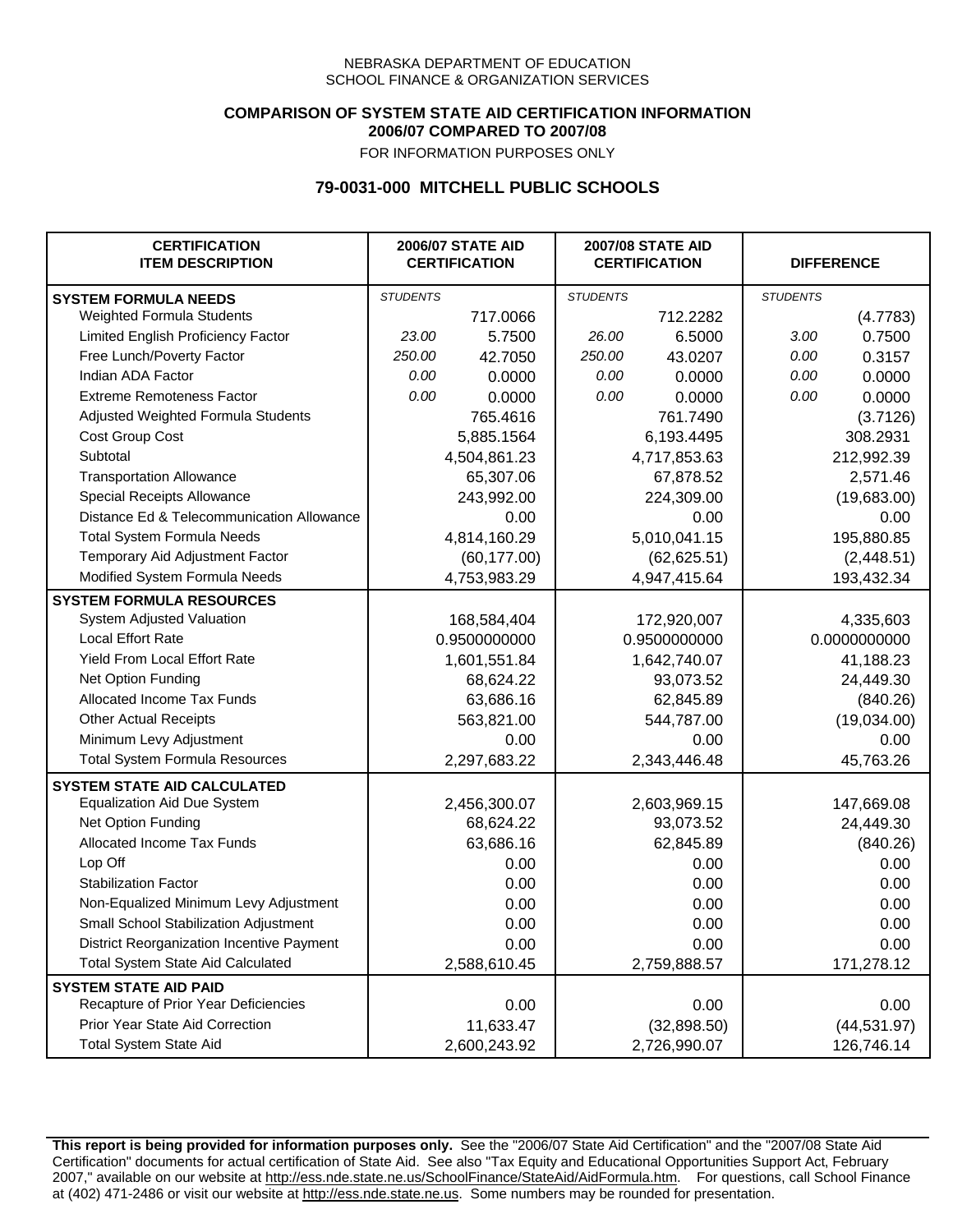### **COMPARISON OF SYSTEM STATE AID CERTIFICATION INFORMATION 2006/07 COMPARED TO 2007/08**

FOR INFORMATION PURPOSES ONLY

## **79-0031-000 MITCHELL PUBLIC SCHOOLS**

| <b>CERTIFICATION</b><br><b>ITEM DESCRIPTION</b> |                 | <b>2006/07 STATE AID</b><br><b>CERTIFICATION</b> | <b>2007/08 STATE AID</b><br><b>CERTIFICATION</b> |              |                 | <b>DIFFERENCE</b> |  |
|-------------------------------------------------|-----------------|--------------------------------------------------|--------------------------------------------------|--------------|-----------------|-------------------|--|
| <b>SYSTEM FORMULA NEEDS</b>                     | <b>STUDENTS</b> |                                                  | <b>STUDENTS</b>                                  |              | <b>STUDENTS</b> |                   |  |
| Weighted Formula Students                       |                 | 717.0066                                         |                                                  | 712.2282     |                 | (4.7783)          |  |
| Limited English Proficiency Factor              | 23.00           | 5.7500                                           | 26.00                                            | 6.5000       | 3.00            | 0.7500            |  |
| Free Lunch/Poverty Factor                       | 250.00          | 42.7050                                          | 250.00                                           | 43.0207      | 0.00            | 0.3157            |  |
| Indian ADA Factor                               | 0.00            | 0.0000                                           | 0.00                                             | 0.0000       | 0.00            | 0.0000            |  |
| <b>Extreme Remoteness Factor</b>                | 0.00            | 0.0000                                           | 0.00                                             | 0.0000       | 0.00            | 0.0000            |  |
| Adjusted Weighted Formula Students              |                 | 765.4616                                         |                                                  | 761.7490     |                 | (3.7126)          |  |
| Cost Group Cost                                 |                 | 5,885.1564                                       |                                                  | 6,193.4495   |                 | 308.2931          |  |
| Subtotal                                        |                 | 4,504,861.23                                     |                                                  | 4,717,853.63 |                 | 212,992.39        |  |
| <b>Transportation Allowance</b>                 |                 | 65,307.06                                        |                                                  | 67,878.52    |                 | 2,571.46          |  |
| Special Receipts Allowance                      |                 | 243,992.00                                       |                                                  | 224,309.00   |                 | (19,683.00)       |  |
| Distance Ed & Telecommunication Allowance       |                 | 0.00                                             |                                                  | 0.00         |                 | 0.00              |  |
| <b>Total System Formula Needs</b>               |                 | 4,814,160.29                                     | 5,010,041.15                                     |              | 195,880.85      |                   |  |
| Temporary Aid Adjustment Factor                 |                 | (60, 177.00)                                     | (62, 625.51)                                     |              | (2,448.51)      |                   |  |
| Modified System Formula Needs                   |                 | 4,753,983.29                                     |                                                  | 4,947,415.64 |                 | 193,432.34        |  |
| <b>SYSTEM FORMULA RESOURCES</b>                 |                 |                                                  |                                                  |              |                 |                   |  |
| System Adjusted Valuation                       |                 | 168,584,404                                      |                                                  | 172,920,007  |                 | 4,335,603         |  |
| <b>Local Effort Rate</b>                        |                 | 0.9500000000                                     |                                                  | 0.9500000000 | 0.0000000000    |                   |  |
| Yield From Local Effort Rate                    |                 | 1,601,551.84                                     | 1,642,740.07                                     |              | 41,188.23       |                   |  |
| Net Option Funding                              |                 | 68,624.22                                        | 93,073.52                                        |              | 24,449.30       |                   |  |
| Allocated Income Tax Funds                      |                 | 63,686.16                                        | 62,845.89                                        |              | (840.26)        |                   |  |
| <b>Other Actual Receipts</b>                    |                 | 563,821.00                                       |                                                  | 544,787.00   | (19,034.00)     |                   |  |
| Minimum Levy Adjustment                         |                 | 0.00                                             |                                                  | 0.00         |                 | 0.00              |  |
| <b>Total System Formula Resources</b>           |                 | 2,297,683.22                                     |                                                  | 2,343,446.48 |                 | 45,763.26         |  |
| <b>SYSTEM STATE AID CALCULATED</b>              |                 |                                                  |                                                  |              |                 |                   |  |
| <b>Equalization Aid Due System</b>              |                 | 2,456,300.07                                     |                                                  | 2,603,969.15 |                 | 147,669.08        |  |
| Net Option Funding                              |                 | 68,624.22                                        |                                                  | 93,073.52    |                 | 24,449.30         |  |
| Allocated Income Tax Funds                      |                 | 63,686.16                                        |                                                  | 62,845.89    |                 | (840.26)          |  |
| Lop Off                                         |                 | 0.00                                             |                                                  | 0.00         |                 | 0.00              |  |
| <b>Stabilization Factor</b>                     |                 | 0.00                                             |                                                  | 0.00         |                 | 0.00              |  |
| Non-Equalized Minimum Levy Adjustment           |                 | 0.00                                             |                                                  | 0.00         |                 | 0.00              |  |
| Small School Stabilization Adjustment           |                 | 0.00                                             |                                                  | 0.00         |                 | 0.00              |  |
| District Reorganization Incentive Payment       |                 | 0.00                                             |                                                  | 0.00         |                 | 0.00              |  |
| <b>Total System State Aid Calculated</b>        |                 | 2,588,610.45                                     |                                                  | 2,759,888.57 |                 | 171,278.12        |  |
| <b>SYSTEM STATE AID PAID</b>                    |                 |                                                  |                                                  |              |                 |                   |  |
| Recapture of Prior Year Deficiencies            |                 | 0.00                                             |                                                  | 0.00         |                 | 0.00              |  |
| Prior Year State Aid Correction                 |                 | 11,633.47                                        |                                                  | (32,898.50)  |                 | (44, 531.97)      |  |
| <b>Total System State Aid</b>                   |                 | 2,600,243.92                                     |                                                  | 2,726,990.07 |                 | 126,746.14        |  |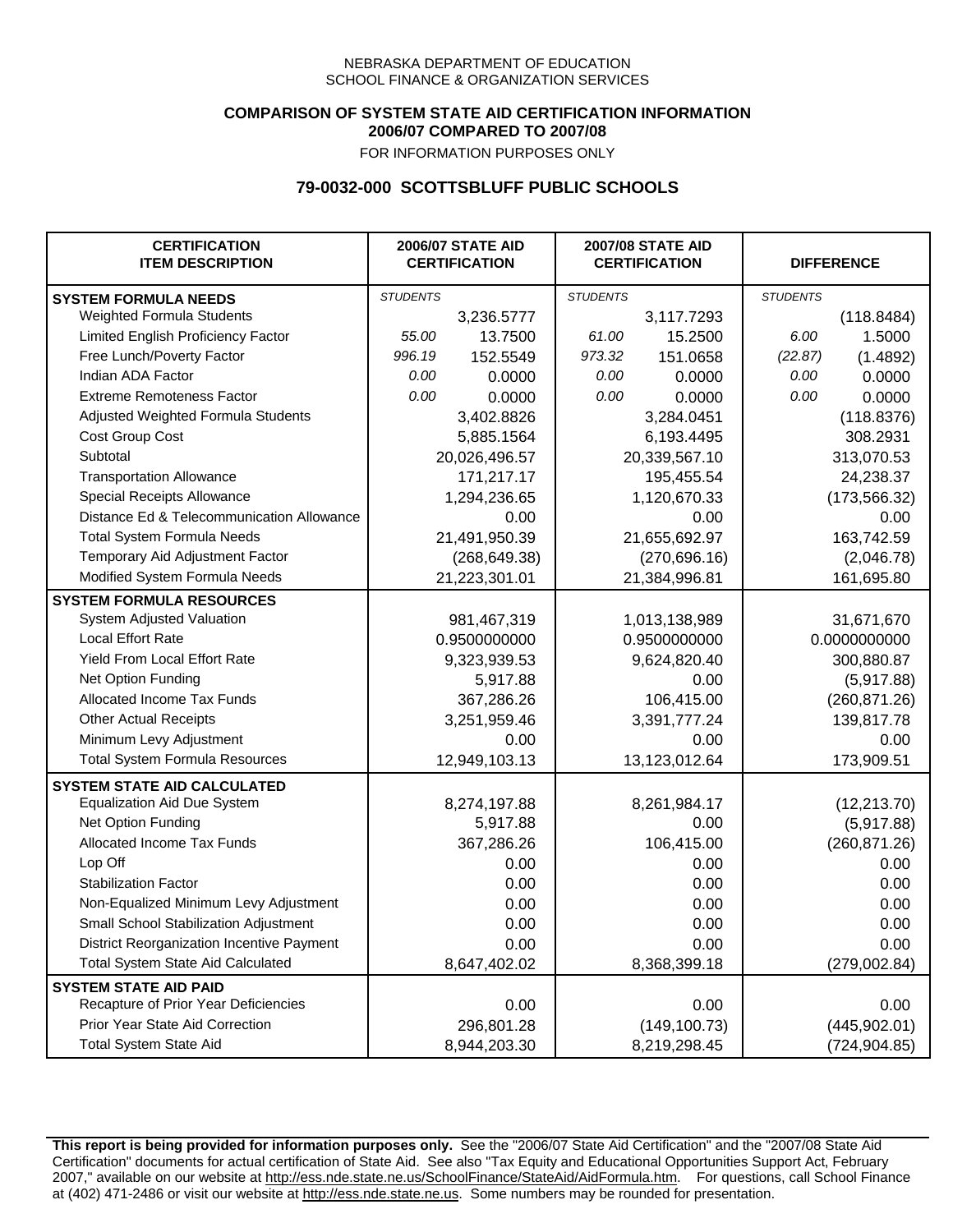## **COMPARISON OF SYSTEM STATE AID CERTIFICATION INFORMATION 2006/07 COMPARED TO 2007/08**

FOR INFORMATION PURPOSES ONLY

## **79-0032-000 SCOTTSBLUFF PUBLIC SCHOOLS**

| <b>CERTIFICATION</b><br><b>ITEM DESCRIPTION</b> |                 | <b>2006/07 STATE AID</b><br><b>CERTIFICATION</b> | <b>2007/08 STATE AID</b><br><b>CERTIFICATION</b> |               | <b>DIFFERENCE</b> |               |
|-------------------------------------------------|-----------------|--------------------------------------------------|--------------------------------------------------|---------------|-------------------|---------------|
| <b>SYSTEM FORMULA NEEDS</b>                     | <b>STUDENTS</b> |                                                  | <b>STUDENTS</b>                                  |               | <b>STUDENTS</b>   |               |
| Weighted Formula Students                       |                 | 3,236.5777                                       |                                                  | 3,117.7293    |                   | (118.8484)    |
| Limited English Proficiency Factor              | 55.00           | 13.7500                                          | 61.00                                            | 15.2500       | 6.00              | 1.5000        |
| Free Lunch/Poverty Factor                       | 996.19          | 152.5549                                         | 973.32                                           | 151.0658      | (22.87)           | (1.4892)      |
| Indian ADA Factor                               | 0.00            | 0.0000                                           | 0.00                                             | 0.0000        | 0.00              | 0.0000        |
| <b>Extreme Remoteness Factor</b>                | 0.00            | 0.0000                                           | 0.00                                             | 0.0000        | 0.00              | 0.0000        |
| Adjusted Weighted Formula Students              |                 | 3,402.8826                                       |                                                  | 3,284.0451    |                   | (118.8376)    |
| Cost Group Cost                                 |                 | 5,885.1564                                       |                                                  | 6,193.4495    |                   | 308.2931      |
| Subtotal                                        |                 | 20,026,496.57                                    |                                                  | 20,339,567.10 |                   | 313,070.53    |
| <b>Transportation Allowance</b>                 |                 | 171,217.17                                       |                                                  | 195,455.54    |                   | 24,238.37     |
| Special Receipts Allowance                      |                 | 1,294,236.65                                     |                                                  | 1,120,670.33  |                   | (173, 566.32) |
| Distance Ed & Telecommunication Allowance       |                 | 0.00                                             |                                                  | 0.00          |                   | 0.00          |
| <b>Total System Formula Needs</b>               |                 | 21,491,950.39                                    |                                                  | 21,655,692.97 |                   | 163,742.59    |
| Temporary Aid Adjustment Factor                 |                 | (268, 649.38)                                    | (270, 696.16)                                    |               | (2,046.78)        |               |
| Modified System Formula Needs                   | 21,223,301.01   |                                                  | 21,384,996.81                                    |               | 161,695.80        |               |
| <b>SYSTEM FORMULA RESOURCES</b>                 |                 |                                                  |                                                  |               |                   |               |
| System Adjusted Valuation                       |                 | 981,467,319                                      |                                                  | 1,013,138,989 |                   | 31,671,670    |
| <b>Local Effort Rate</b>                        |                 | 0.9500000000                                     |                                                  | 0.9500000000  | 0.0000000000      |               |
| <b>Yield From Local Effort Rate</b>             |                 | 9,323,939.53                                     | 9,624,820.40                                     |               | 300,880.87        |               |
| Net Option Funding                              |                 | 5,917.88                                         | 0.00                                             |               | (5,917.88)        |               |
| Allocated Income Tax Funds                      |                 | 367,286.26                                       | 106,415.00                                       |               | (260, 871.26)     |               |
| <b>Other Actual Receipts</b>                    |                 | 3,251,959.46                                     | 3,391,777.24                                     |               | 139,817.78        |               |
| Minimum Levy Adjustment                         |                 | 0.00                                             |                                                  | 0.00          |                   | 0.00          |
| <b>Total System Formula Resources</b>           |                 | 12,949,103.13                                    |                                                  | 13,123,012.64 |                   | 173,909.51    |
| <b>SYSTEM STATE AID CALCULATED</b>              |                 |                                                  |                                                  |               |                   |               |
| <b>Equalization Aid Due System</b>              |                 | 8,274,197.88                                     |                                                  | 8,261,984.17  |                   | (12, 213.70)  |
| Net Option Funding                              |                 | 5,917.88                                         |                                                  | 0.00          |                   | (5,917.88)    |
| Allocated Income Tax Funds                      |                 | 367,286.26                                       |                                                  | 106,415.00    |                   | (260, 871.26) |
| Lop Off                                         |                 | 0.00                                             |                                                  | 0.00          |                   | 0.00          |
| <b>Stabilization Factor</b>                     |                 | 0.00                                             |                                                  | 0.00          |                   | 0.00          |
| Non-Equalized Minimum Levy Adjustment           |                 | 0.00                                             |                                                  | 0.00          |                   | 0.00          |
| Small School Stabilization Adjustment           |                 | 0.00                                             |                                                  | 0.00          |                   | 0.00          |
| District Reorganization Incentive Payment       |                 | 0.00                                             |                                                  | 0.00          |                   | 0.00          |
| Total System State Aid Calculated               |                 | 8,647,402.02                                     |                                                  | 8,368,399.18  |                   | (279,002.84)  |
| <b>SYSTEM STATE AID PAID</b>                    |                 |                                                  |                                                  |               |                   |               |
| Recapture of Prior Year Deficiencies            |                 | 0.00                                             |                                                  | 0.00          |                   | 0.00          |
| Prior Year State Aid Correction                 |                 | 296,801.28                                       |                                                  | (149, 100.73) |                   | (445, 902.01) |
| <b>Total System State Aid</b>                   |                 | 8,944,203.30                                     |                                                  | 8,219,298.45  | (724, 904.85)     |               |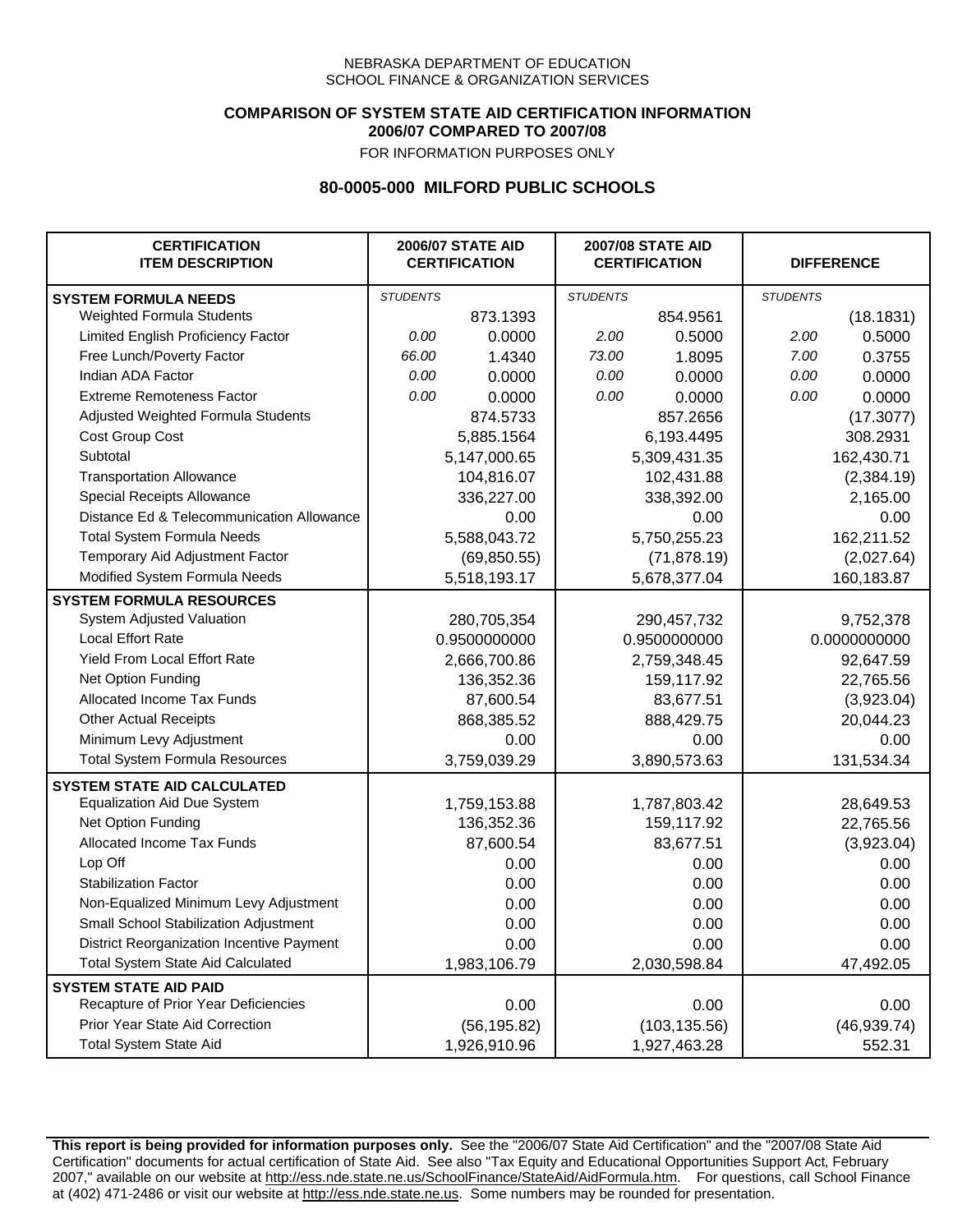### **COMPARISON OF SYSTEM STATE AID CERTIFICATION INFORMATION 2006/07 COMPARED TO 2007/08**

FOR INFORMATION PURPOSES ONLY

## **80-0005-000 MILFORD PUBLIC SCHOOLS**

| <b>CERTIFICATION</b><br><b>ITEM DESCRIPTION</b> |                 | <b>2006/07 STATE AID</b><br><b>CERTIFICATION</b> | <b>2007/08 STATE AID</b><br><b>CERTIFICATION</b> |               | <b>DIFFERENCE</b> |              |
|-------------------------------------------------|-----------------|--------------------------------------------------|--------------------------------------------------|---------------|-------------------|--------------|
| <b>SYSTEM FORMULA NEEDS</b>                     | <b>STUDENTS</b> |                                                  | <b>STUDENTS</b>                                  |               | <b>STUDENTS</b>   |              |
| Weighted Formula Students                       |                 | 873.1393                                         |                                                  | 854.9561      |                   | (18.1831)    |
| Limited English Proficiency Factor              | 0.00            | 0.0000                                           | 2.00                                             | 0.5000        | 2.00              | 0.5000       |
| Free Lunch/Poverty Factor                       | 66.00           | 1.4340                                           | 73.00                                            | 1.8095        | 7.00              | 0.3755       |
| Indian ADA Factor                               | 0.00            | 0.0000                                           | 0.00                                             | 0.0000        | 0.00              | 0.0000       |
| <b>Extreme Remoteness Factor</b>                | 0.00            | 0.0000                                           | 0.00                                             | 0.0000        | 0.00              | 0.0000       |
| Adjusted Weighted Formula Students              |                 | 874.5733                                         |                                                  | 857.2656      |                   | (17.3077)    |
| Cost Group Cost                                 |                 | 5,885.1564                                       |                                                  | 6,193.4495    |                   | 308.2931     |
| Subtotal                                        |                 | 5,147,000.65                                     |                                                  | 5,309,431.35  |                   | 162,430.71   |
| <b>Transportation Allowance</b>                 |                 | 104,816.07                                       |                                                  | 102,431.88    |                   | (2,384.19)   |
| Special Receipts Allowance                      |                 | 336,227.00                                       |                                                  | 338,392.00    |                   | 2,165.00     |
| Distance Ed & Telecommunication Allowance       |                 | 0.00                                             |                                                  | 0.00          |                   | 0.00         |
| <b>Total System Formula Needs</b>               |                 | 5,588,043.72                                     |                                                  | 5,750,255.23  | 162,211.52        |              |
| Temporary Aid Adjustment Factor                 |                 | (69, 850.55)                                     | (71, 878.19)                                     |               | (2,027.64)        |              |
| Modified System Formula Needs                   |                 | 5,518,193.17                                     |                                                  | 5,678,377.04  |                   | 160,183.87   |
| <b>SYSTEM FORMULA RESOURCES</b>                 |                 |                                                  |                                                  |               |                   |              |
| System Adjusted Valuation                       |                 | 280,705,354                                      |                                                  | 290,457,732   |                   | 9,752,378    |
| <b>Local Effort Rate</b>                        |                 | 0.9500000000                                     |                                                  | 0.9500000000  |                   | 0.0000000000 |
| <b>Yield From Local Effort Rate</b>             |                 | 2,666,700.86                                     |                                                  | 2,759,348.45  |                   | 92,647.59    |
| Net Option Funding                              |                 | 136,352.36                                       |                                                  | 159,117.92    |                   | 22,765.56    |
| Allocated Income Tax Funds                      |                 | 87,600.54                                        | 83,677.51                                        |               | (3,923.04)        |              |
| <b>Other Actual Receipts</b>                    |                 | 868,385.52                                       | 888,429.75                                       |               | 20,044.23         |              |
| Minimum Levy Adjustment                         |                 | 0.00                                             |                                                  | 0.00          |                   | 0.00         |
| <b>Total System Formula Resources</b>           |                 | 3,759,039.29                                     |                                                  | 3,890,573.63  |                   | 131,534.34   |
| <b>SYSTEM STATE AID CALCULATED</b>              |                 |                                                  |                                                  |               |                   |              |
| <b>Equalization Aid Due System</b>              |                 | 1,759,153.88                                     |                                                  | 1,787,803.42  |                   | 28,649.53    |
| Net Option Funding                              |                 | 136,352.36                                       |                                                  | 159,117.92    |                   | 22,765.56    |
| Allocated Income Tax Funds                      |                 | 87,600.54                                        |                                                  | 83,677.51     |                   | (3,923.04)   |
| Lop Off                                         |                 | 0.00                                             |                                                  | 0.00          |                   | 0.00         |
| <b>Stabilization Factor</b>                     |                 | 0.00                                             |                                                  | 0.00          |                   | 0.00         |
| Non-Equalized Minimum Levy Adjustment           |                 | 0.00                                             |                                                  | 0.00          |                   | 0.00         |
| Small School Stabilization Adjustment           |                 | 0.00                                             |                                                  | 0.00          |                   | 0.00         |
| District Reorganization Incentive Payment       |                 | 0.00                                             |                                                  | 0.00          |                   | 0.00         |
| Total System State Aid Calculated               |                 | 1,983,106.79                                     |                                                  | 2,030,598.84  |                   | 47,492.05    |
| <b>SYSTEM STATE AID PAID</b>                    |                 |                                                  |                                                  |               |                   |              |
| Recapture of Prior Year Deficiencies            |                 | 0.00                                             |                                                  | 0.00          |                   | 0.00         |
| Prior Year State Aid Correction                 |                 | (56, 195.82)                                     |                                                  | (103, 135.56) |                   | (46, 939.74) |
| <b>Total System State Aid</b>                   |                 | 1,926,910.96                                     |                                                  | 1,927,463.28  |                   | 552.31       |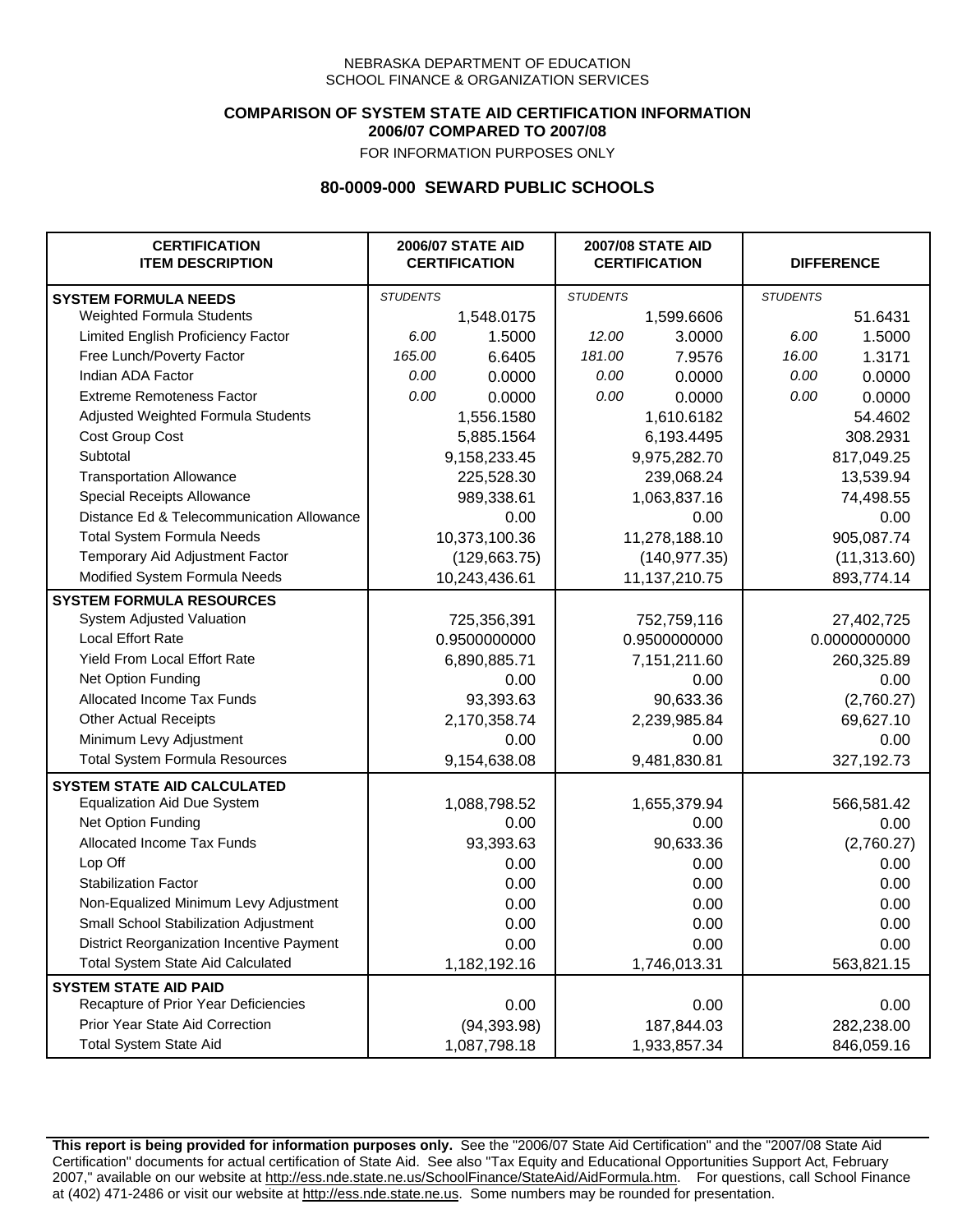### **COMPARISON OF SYSTEM STATE AID CERTIFICATION INFORMATION 2006/07 COMPARED TO 2007/08**

FOR INFORMATION PURPOSES ONLY

## **80-0009-000 SEWARD PUBLIC SCHOOLS**

| <b>CERTIFICATION</b><br><b>ITEM DESCRIPTION</b> |                 | <b>2006/07 STATE AID</b><br><b>CERTIFICATION</b> | <b>2007/08 STATE AID</b><br><b>CERTIFICATION</b> |               | <b>DIFFERENCE</b> |            |
|-------------------------------------------------|-----------------|--------------------------------------------------|--------------------------------------------------|---------------|-------------------|------------|
| <b>SYSTEM FORMULA NEEDS</b>                     | <b>STUDENTS</b> |                                                  | <b>STUDENTS</b>                                  |               | <b>STUDENTS</b>   |            |
| Weighted Formula Students                       |                 | 1,548.0175                                       |                                                  | 1,599.6606    |                   | 51.6431    |
| Limited English Proficiency Factor              | 6.00            | 1.5000                                           | 12.00                                            | 3.0000        | 6.00              | 1.5000     |
| Free Lunch/Poverty Factor                       | 165.00          | 6.6405                                           | 181.00                                           | 7.9576        | 16.00             | 1.3171     |
| Indian ADA Factor                               | 0.00            | 0.0000                                           | 0.00                                             | 0.0000        | 0.00              | 0.0000     |
| <b>Extreme Remoteness Factor</b>                | 0.00            | 0.0000                                           | 0.00                                             | 0.0000        | 0.00              | 0.0000     |
| Adjusted Weighted Formula Students              |                 | 1,556.1580                                       |                                                  | 1,610.6182    |                   | 54.4602    |
| <b>Cost Group Cost</b>                          |                 | 5,885.1564                                       |                                                  | 6,193.4495    |                   | 308.2931   |
| Subtotal                                        |                 | 9,158,233.45                                     |                                                  | 9,975,282.70  |                   | 817,049.25 |
| <b>Transportation Allowance</b>                 |                 | 225,528.30                                       |                                                  | 239,068.24    |                   | 13,539.94  |
| Special Receipts Allowance                      |                 | 989,338.61                                       |                                                  | 1,063,837.16  |                   | 74,498.55  |
| Distance Ed & Telecommunication Allowance       |                 | 0.00                                             |                                                  | 0.00          |                   | 0.00       |
| <b>Total System Formula Needs</b>               |                 | 10,373,100.36                                    | 11,278,188.10                                    |               | 905,087.74        |            |
| Temporary Aid Adjustment Factor                 |                 | (129, 663.75)                                    | (140, 977.35)                                    |               | (11, 313.60)      |            |
| Modified System Formula Needs                   |                 | 10,243,436.61                                    |                                                  | 11,137,210.75 |                   | 893,774.14 |
| <b>SYSTEM FORMULA RESOURCES</b>                 |                 |                                                  |                                                  |               |                   |            |
| System Adjusted Valuation                       |                 | 725,356,391                                      |                                                  | 752,759,116   |                   | 27,402,725 |
| <b>Local Effort Rate</b>                        |                 | 0.9500000000                                     |                                                  | 0.9500000000  | 0.0000000000      |            |
| Yield From Local Effort Rate                    |                 | 6,890,885.71                                     |                                                  | 7,151,211.60  | 260,325.89        |            |
| Net Option Funding                              |                 | 0.00                                             | 0.00                                             |               | 0.00              |            |
| Allocated Income Tax Funds                      |                 | 93,393.63                                        | 90,633.36                                        |               | (2,760.27)        |            |
| <b>Other Actual Receipts</b>                    |                 | 2,170,358.74                                     | 2,239,985.84                                     |               | 69,627.10         |            |
| Minimum Levy Adjustment                         |                 | 0.00                                             |                                                  | 0.00          |                   | 0.00       |
| <b>Total System Formula Resources</b>           |                 | 9,154,638.08                                     |                                                  | 9,481,830.81  |                   | 327,192.73 |
| <b>SYSTEM STATE AID CALCULATED</b>              |                 |                                                  |                                                  |               |                   |            |
| <b>Equalization Aid Due System</b>              |                 | 1,088,798.52                                     |                                                  | 1,655,379.94  |                   | 566,581.42 |
| Net Option Funding                              |                 | 0.00                                             |                                                  | 0.00          |                   | 0.00       |
| Allocated Income Tax Funds                      |                 | 93,393.63                                        |                                                  | 90,633.36     |                   | (2,760.27) |
| Lop Off                                         |                 | 0.00                                             |                                                  | 0.00          |                   | 0.00       |
| <b>Stabilization Factor</b>                     |                 | 0.00                                             |                                                  | 0.00          |                   | 0.00       |
| Non-Equalized Minimum Levy Adjustment           |                 | 0.00                                             |                                                  | 0.00          |                   | 0.00       |
| Small School Stabilization Adjustment           |                 | 0.00                                             |                                                  | 0.00          |                   | 0.00       |
| District Reorganization Incentive Payment       |                 | 0.00                                             |                                                  | 0.00          |                   | 0.00       |
| <b>Total System State Aid Calculated</b>        |                 | 1,182,192.16                                     |                                                  | 1,746,013.31  |                   | 563,821.15 |
| <b>SYSTEM STATE AID PAID</b>                    |                 |                                                  |                                                  |               |                   |            |
| Recapture of Prior Year Deficiencies            |                 | 0.00                                             |                                                  | 0.00          |                   | 0.00       |
| Prior Year State Aid Correction                 |                 | (94, 393.98)                                     |                                                  | 187,844.03    |                   | 282,238.00 |
| <b>Total System State Aid</b>                   |                 | 1,087,798.18                                     |                                                  | 1,933,857.34  |                   | 846,059.16 |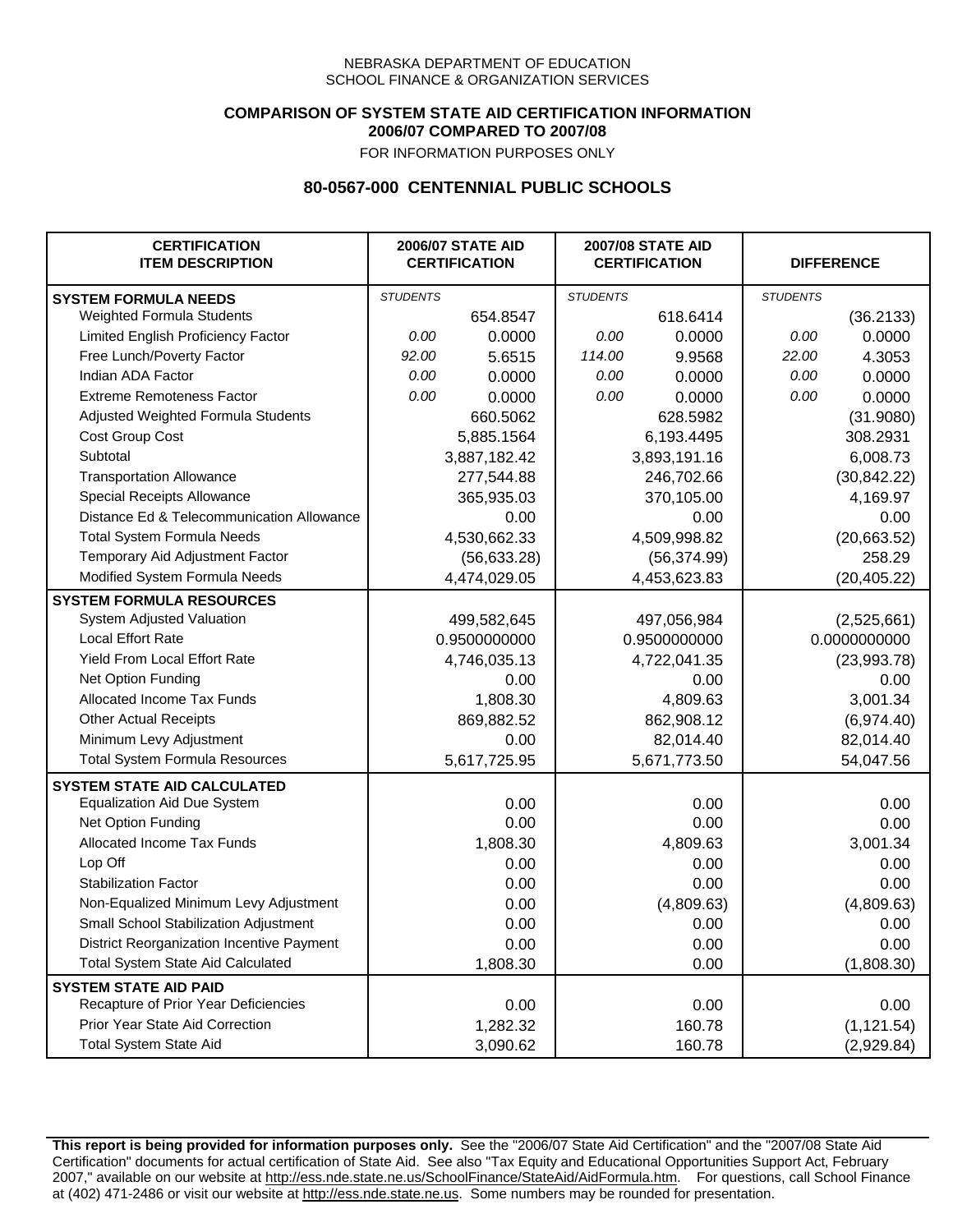### **COMPARISON OF SYSTEM STATE AID CERTIFICATION INFORMATION 2006/07 COMPARED TO 2007/08**

FOR INFORMATION PURPOSES ONLY

## **80-0567-000 CENTENNIAL PUBLIC SCHOOLS**

| <b>CERTIFICATION</b><br><b>ITEM DESCRIPTION</b> |                 | <b>2006/07 STATE AID</b><br><b>CERTIFICATION</b> | <b>2007/08 STATE AID</b><br><b>CERTIFICATION</b> |              | <b>DIFFERENCE</b> |              |
|-------------------------------------------------|-----------------|--------------------------------------------------|--------------------------------------------------|--------------|-------------------|--------------|
| <b>SYSTEM FORMULA NEEDS</b>                     | <b>STUDENTS</b> |                                                  | <b>STUDENTS</b>                                  |              | <b>STUDENTS</b>   |              |
| Weighted Formula Students                       |                 | 654.8547                                         |                                                  | 618.6414     |                   | (36.2133)    |
| Limited English Proficiency Factor              | 0.00            | 0.0000                                           | 0.00                                             | 0.0000       | 0.00              | 0.0000       |
| Free Lunch/Poverty Factor                       | 92.00           | 5.6515                                           | 114.00                                           | 9.9568       | 22.00             | 4.3053       |
| Indian ADA Factor                               | 0.00            | 0.0000                                           | 0.00                                             | 0.0000       | 0.00              | 0.0000       |
| <b>Extreme Remoteness Factor</b>                | 0.00            | 0.0000                                           | 0.00                                             | 0.0000       | 0.00              | 0.0000       |
| Adjusted Weighted Formula Students              |                 | 660.5062                                         |                                                  | 628.5982     |                   | (31.9080)    |
| Cost Group Cost                                 |                 | 5,885.1564                                       |                                                  | 6,193.4495   |                   | 308.2931     |
| Subtotal                                        |                 | 3,887,182.42                                     |                                                  | 3,893,191.16 |                   | 6,008.73     |
| <b>Transportation Allowance</b>                 |                 | 277,544.88                                       |                                                  | 246,702.66   |                   | (30, 842.22) |
| Special Receipts Allowance                      |                 | 365,935.03                                       |                                                  | 370,105.00   |                   | 4,169.97     |
| Distance Ed & Telecommunication Allowance       |                 | 0.00                                             |                                                  | 0.00         |                   | 0.00         |
| <b>Total System Formula Needs</b>               |                 | 4,530,662.33                                     |                                                  | 4,509,998.82 |                   | (20,663.52)  |
| Temporary Aid Adjustment Factor                 |                 | (56, 633.28)                                     |                                                  | (56, 374.99) |                   | 258.29       |
| Modified System Formula Needs                   |                 | 4,474,029.05                                     |                                                  | 4,453,623.83 |                   | (20, 405.22) |
| <b>SYSTEM FORMULA RESOURCES</b>                 |                 |                                                  |                                                  |              |                   |              |
| System Adjusted Valuation                       |                 | 499,582,645                                      |                                                  | 497,056,984  |                   | (2,525,661)  |
| <b>Local Effort Rate</b>                        |                 | 0.9500000000                                     |                                                  | 0.9500000000 |                   | 0.0000000000 |
| Yield From Local Effort Rate                    |                 | 4,746,035.13                                     |                                                  | 4,722,041.35 |                   | (23,993.78)  |
| Net Option Funding                              |                 | 0.00                                             |                                                  | 0.00         |                   | 0.00         |
| Allocated Income Tax Funds                      |                 | 1,808.30                                         |                                                  | 4,809.63     |                   | 3,001.34     |
| <b>Other Actual Receipts</b>                    |                 | 869,882.52                                       | 862,908.12                                       |              | (6,974.40)        |              |
| Minimum Levy Adjustment                         |                 | 0.00                                             |                                                  | 82,014.40    |                   | 82,014.40    |
| <b>Total System Formula Resources</b>           |                 | 5,617,725.95                                     |                                                  | 5,671,773.50 |                   | 54,047.56    |
| <b>SYSTEM STATE AID CALCULATED</b>              |                 |                                                  |                                                  |              |                   |              |
| <b>Equalization Aid Due System</b>              |                 | 0.00                                             |                                                  | 0.00         |                   | 0.00         |
| Net Option Funding                              |                 | 0.00                                             |                                                  | 0.00         |                   | 0.00         |
| Allocated Income Tax Funds                      |                 | 1,808.30                                         |                                                  | 4,809.63     |                   | 3,001.34     |
| Lop Off                                         |                 | 0.00                                             |                                                  | 0.00         |                   | 0.00         |
| <b>Stabilization Factor</b>                     |                 | 0.00                                             |                                                  | 0.00         |                   | 0.00         |
| Non-Equalized Minimum Levy Adjustment           |                 | 0.00                                             |                                                  | (4,809.63)   |                   | (4,809.63)   |
| Small School Stabilization Adjustment           |                 | 0.00                                             |                                                  | 0.00         |                   | 0.00         |
| District Reorganization Incentive Payment       |                 | 0.00                                             |                                                  | 0.00         |                   | 0.00         |
| <b>Total System State Aid Calculated</b>        |                 | 1,808.30                                         |                                                  | 0.00         |                   | (1,808.30)   |
| <b>SYSTEM STATE AID PAID</b>                    |                 |                                                  |                                                  |              |                   |              |
| Recapture of Prior Year Deficiencies            |                 | 0.00                                             |                                                  | 0.00         |                   | 0.00         |
| Prior Year State Aid Correction                 |                 | 1,282.32                                         |                                                  | 160.78       |                   | (1, 121.54)  |
| <b>Total System State Aid</b>                   |                 | 3,090.62                                         |                                                  | 160.78       |                   | (2,929.84)   |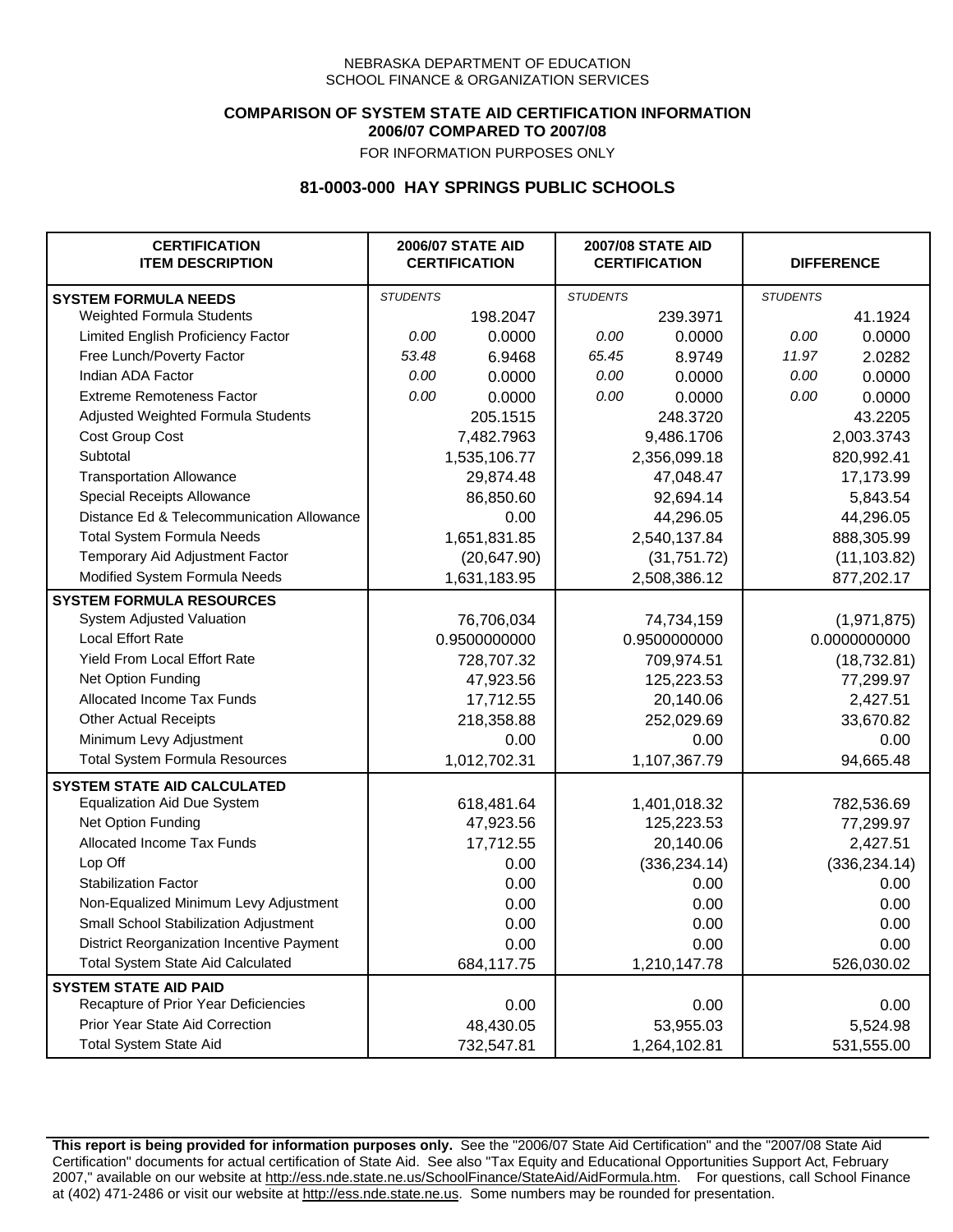### **COMPARISON OF SYSTEM STATE AID CERTIFICATION INFORMATION 2006/07 COMPARED TO 2007/08**

FOR INFORMATION PURPOSES ONLY

## **81-0003-000 HAY SPRINGS PUBLIC SCHOOLS**

| <b>CERTIFICATION</b><br><b>ITEM DESCRIPTION</b> |                 | <b>2006/07 STATE AID</b><br><b>CERTIFICATION</b> | <b>2007/08 STATE AID</b><br><b>CERTIFICATION</b> |               |                 | <b>DIFFERENCE</b> |
|-------------------------------------------------|-----------------|--------------------------------------------------|--------------------------------------------------|---------------|-----------------|-------------------|
| <b>SYSTEM FORMULA NEEDS</b>                     | <b>STUDENTS</b> |                                                  | <b>STUDENTS</b>                                  |               | <b>STUDENTS</b> |                   |
| <b>Weighted Formula Students</b>                |                 | 198.2047                                         |                                                  | 239.3971      |                 | 41.1924           |
| Limited English Proficiency Factor              | 0.00            | 0.0000                                           | 0.00                                             | 0.0000        | 0.00            | 0.0000            |
| Free Lunch/Poverty Factor                       | 53.48           | 6.9468                                           | 65.45                                            | 8.9749        | 11.97           | 2.0282            |
| Indian ADA Factor                               | 0.00            | 0.0000                                           | 0.00                                             | 0.0000        | 0.00            | 0.0000            |
| <b>Extreme Remoteness Factor</b>                | 0.00            | 0.0000                                           | 0.00                                             | 0.0000        | 0.00            | 0.0000            |
| Adjusted Weighted Formula Students              |                 | 205.1515                                         |                                                  | 248.3720      |                 | 43.2205           |
| Cost Group Cost                                 |                 | 7,482.7963                                       |                                                  | 9,486.1706    |                 | 2,003.3743        |
| Subtotal                                        |                 | 1,535,106.77                                     |                                                  | 2,356,099.18  |                 | 820,992.41        |
| <b>Transportation Allowance</b>                 |                 | 29,874.48                                        |                                                  | 47,048.47     |                 | 17,173.99         |
| Special Receipts Allowance                      |                 | 86,850.60                                        |                                                  | 92,694.14     |                 | 5,843.54          |
| Distance Ed & Telecommunication Allowance       |                 | 0.00                                             |                                                  | 44,296.05     |                 | 44,296.05         |
| <b>Total System Formula Needs</b>               |                 | 1,651,831.85                                     |                                                  | 2,540,137.84  | 888,305.99      |                   |
| Temporary Aid Adjustment Factor                 |                 | (20, 647.90)                                     | (31,751.72)                                      |               | (11, 103.82)    |                   |
| Modified System Formula Needs                   |                 | 1,631,183.95                                     |                                                  | 2,508,386.12  |                 | 877,202.17        |
| <b>SYSTEM FORMULA RESOURCES</b>                 |                 |                                                  |                                                  |               |                 |                   |
| System Adjusted Valuation                       |                 | 76,706,034                                       |                                                  | 74,734,159    |                 | (1,971,875)       |
| <b>Local Effort Rate</b>                        |                 | 0.9500000000                                     |                                                  | 0.9500000000  | 0.0000000000    |                   |
| Yield From Local Effort Rate                    |                 | 728,707.32                                       | 709,974.51                                       |               | (18, 732.81)    |                   |
| Net Option Funding                              |                 | 47,923.56                                        | 125,223.53                                       |               | 77,299.97       |                   |
| Allocated Income Tax Funds                      |                 | 17,712.55                                        | 20,140.06                                        |               | 2,427.51        |                   |
| <b>Other Actual Receipts</b>                    |                 | 218,358.88                                       |                                                  | 252,029.69    | 33,670.82       |                   |
| Minimum Levy Adjustment                         |                 | 0.00                                             |                                                  | 0.00          |                 | 0.00              |
| <b>Total System Formula Resources</b>           |                 | 1,012,702.31                                     |                                                  | 1,107,367.79  |                 | 94,665.48         |
| <b>SYSTEM STATE AID CALCULATED</b>              |                 |                                                  |                                                  |               |                 |                   |
| <b>Equalization Aid Due System</b>              |                 | 618,481.64                                       |                                                  | 1,401,018.32  |                 | 782,536.69        |
| Net Option Funding                              |                 | 47,923.56                                        |                                                  | 125,223.53    |                 | 77,299.97         |
| Allocated Income Tax Funds                      |                 | 17,712.55                                        |                                                  | 20,140.06     |                 | 2,427.51          |
| Lop Off                                         |                 | 0.00                                             |                                                  | (336, 234.14) |                 | (336, 234.14)     |
| <b>Stabilization Factor</b>                     |                 | 0.00                                             |                                                  | 0.00          |                 | 0.00              |
| Non-Equalized Minimum Levy Adjustment           |                 | 0.00                                             |                                                  | 0.00          |                 | 0.00              |
| Small School Stabilization Adjustment           |                 | 0.00                                             |                                                  | 0.00          |                 | 0.00              |
| District Reorganization Incentive Payment       |                 | 0.00                                             |                                                  | 0.00          |                 | 0.00              |
| <b>Total System State Aid Calculated</b>        |                 | 684,117.75                                       |                                                  | 1,210,147.78  |                 | 526,030.02        |
| <b>SYSTEM STATE AID PAID</b>                    |                 |                                                  |                                                  |               |                 |                   |
| Recapture of Prior Year Deficiencies            |                 | 0.00                                             |                                                  | 0.00          |                 | 0.00              |
| Prior Year State Aid Correction                 |                 | 48,430.05                                        |                                                  | 53,955.03     |                 | 5,524.98          |
| <b>Total System State Aid</b>                   |                 | 732,547.81                                       |                                                  | 1,264,102.81  | 531,555.00      |                   |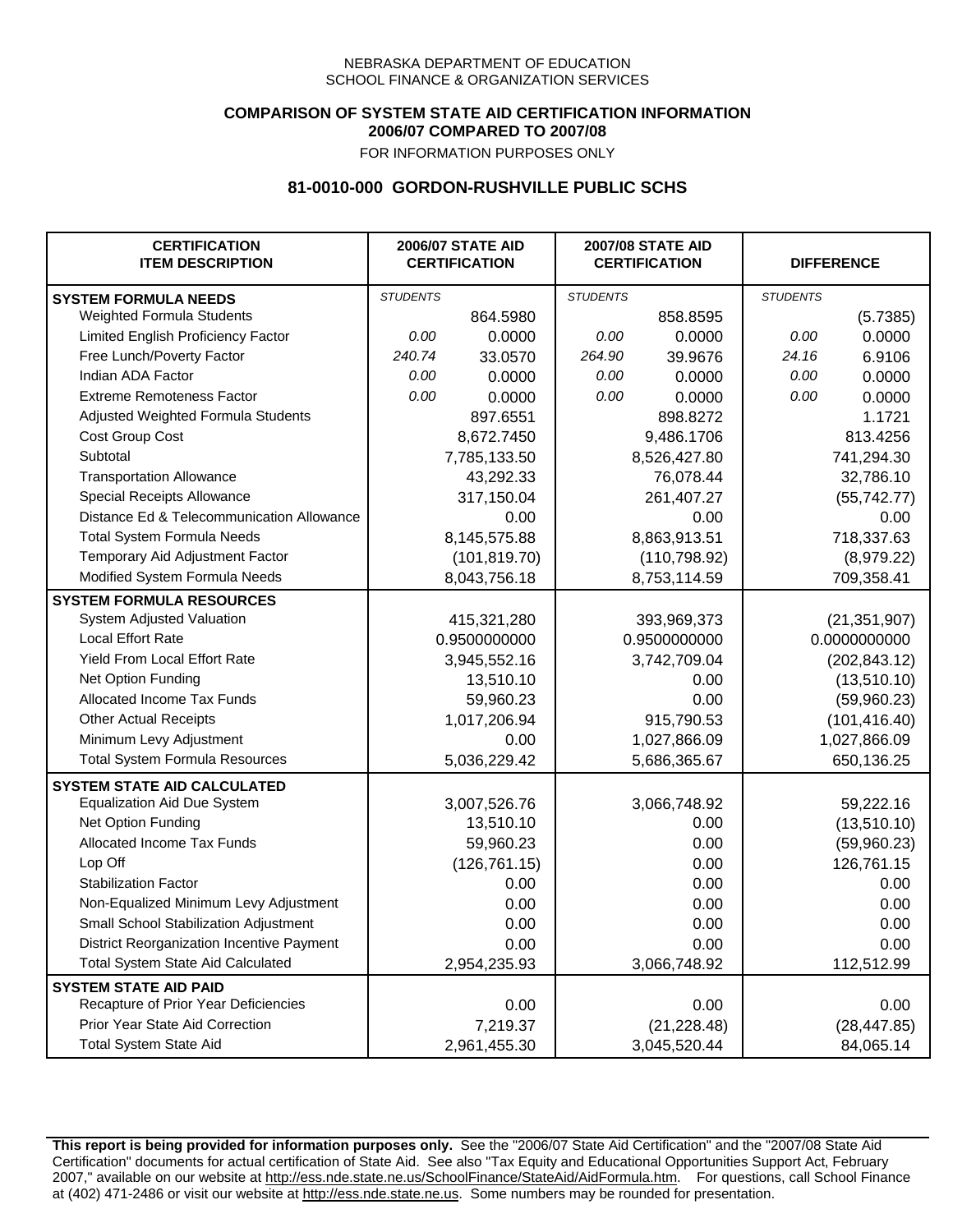## **COMPARISON OF SYSTEM STATE AID CERTIFICATION INFORMATION 2006/07 COMPARED TO 2007/08**

FOR INFORMATION PURPOSES ONLY

## **81-0010-000 GORDON-RUSHVILLE PUBLIC SCHS**

| <b>CERTIFICATION</b><br><b>ITEM DESCRIPTION</b> |                 | <b>2006/07 STATE AID</b><br><b>CERTIFICATION</b> | <b>2007/08 STATE AID</b><br><b>CERTIFICATION</b> |              | <b>DIFFERENCE</b> |                |
|-------------------------------------------------|-----------------|--------------------------------------------------|--------------------------------------------------|--------------|-------------------|----------------|
| <b>SYSTEM FORMULA NEEDS</b>                     | <b>STUDENTS</b> |                                                  | <b>STUDENTS</b>                                  |              | <b>STUDENTS</b>   |                |
| Weighted Formula Students                       |                 | 864.5980                                         |                                                  | 858.8595     |                   | (5.7385)       |
| Limited English Proficiency Factor              | 0.00            | 0.0000                                           | 0.00                                             | 0.0000       | 0.00              | 0.0000         |
| Free Lunch/Poverty Factor                       | 240.74          | 33.0570                                          | 264.90                                           | 39.9676      | 24.16             | 6.9106         |
| Indian ADA Factor                               | 0.00            | 0.0000                                           | 0.00                                             | 0.0000       | 0.00              | 0.0000         |
| <b>Extreme Remoteness Factor</b>                | 0.00            | 0.0000                                           | 0.00                                             | 0.0000       | 0.00              | 0.0000         |
| Adjusted Weighted Formula Students              |                 | 897.6551                                         |                                                  | 898.8272     |                   | 1.1721         |
| Cost Group Cost                                 |                 | 8,672.7450                                       |                                                  | 9,486.1706   |                   | 813.4256       |
| Subtotal                                        |                 | 7,785,133.50                                     |                                                  | 8,526,427.80 |                   | 741,294.30     |
| <b>Transportation Allowance</b>                 |                 | 43,292.33                                        |                                                  | 76,078.44    |                   | 32,786.10      |
| Special Receipts Allowance                      |                 | 317,150.04                                       |                                                  | 261,407.27   |                   | (55, 742.77)   |
| Distance Ed & Telecommunication Allowance       |                 | 0.00                                             |                                                  | 0.00         |                   | 0.00           |
| <b>Total System Formula Needs</b>               |                 | 8,145,575.88                                     |                                                  | 8,863,913.51 | 718,337.63        |                |
| Temporary Aid Adjustment Factor                 |                 | (101, 819.70)                                    | (110, 798.92)                                    |              | (8,979.22)        |                |
| Modified System Formula Needs                   |                 | 8,043,756.18                                     |                                                  | 8,753,114.59 |                   | 709,358.41     |
| <b>SYSTEM FORMULA RESOURCES</b>                 |                 |                                                  |                                                  |              |                   |                |
| System Adjusted Valuation                       |                 | 415,321,280                                      |                                                  | 393,969,373  |                   | (21, 351, 907) |
| <b>Local Effort Rate</b>                        |                 | 0.9500000000                                     |                                                  | 0.9500000000 |                   | 0.0000000000   |
| Yield From Local Effort Rate                    |                 | 3,945,552.16                                     | 3,742,709.04                                     |              | (202, 843.12)     |                |
| Net Option Funding                              |                 | 13,510.10                                        | 0.00                                             |              | (13,510.10)       |                |
| Allocated Income Tax Funds                      |                 | 59,960.23                                        | 0.00                                             |              | (59,960.23)       |                |
| <b>Other Actual Receipts</b>                    |                 | 1,017,206.94                                     | 915,790.53                                       |              | (101, 416.40)     |                |
| Minimum Levy Adjustment                         |                 | 0.00                                             |                                                  | 1,027,866.09 |                   | 1,027,866.09   |
| <b>Total System Formula Resources</b>           |                 | 5,036,229.42                                     |                                                  | 5,686,365.67 |                   | 650,136.25     |
| <b>SYSTEM STATE AID CALCULATED</b>              |                 |                                                  |                                                  |              |                   |                |
| <b>Equalization Aid Due System</b>              |                 | 3,007,526.76                                     |                                                  | 3,066,748.92 |                   | 59,222.16      |
| Net Option Funding                              |                 | 13,510.10                                        |                                                  | 0.00         |                   | (13,510.10)    |
| <b>Allocated Income Tax Funds</b>               |                 | 59,960.23                                        |                                                  | 0.00         |                   | (59,960.23)    |
| Lop Off                                         |                 | (126, 761.15)                                    |                                                  | 0.00         |                   | 126,761.15     |
| <b>Stabilization Factor</b>                     |                 | 0.00                                             |                                                  | 0.00         |                   | 0.00           |
| Non-Equalized Minimum Levy Adjustment           |                 | 0.00                                             |                                                  | 0.00         |                   | 0.00           |
| Small School Stabilization Adjustment           |                 | 0.00                                             |                                                  | 0.00         |                   | 0.00           |
| District Reorganization Incentive Payment       |                 | 0.00                                             |                                                  | 0.00         |                   | 0.00           |
| <b>Total System State Aid Calculated</b>        |                 | 2,954,235.93                                     |                                                  | 3,066,748.92 |                   | 112,512.99     |
| <b>SYSTEM STATE AID PAID</b>                    |                 |                                                  |                                                  |              |                   |                |
| Recapture of Prior Year Deficiencies            |                 | 0.00                                             |                                                  | 0.00         |                   | 0.00           |
| Prior Year State Aid Correction                 |                 | 7,219.37                                         |                                                  | (21, 228.48) |                   | (28, 447.85)   |
| <b>Total System State Aid</b>                   |                 | 2,961,455.30                                     |                                                  | 3,045,520.44 |                   | 84,065.14      |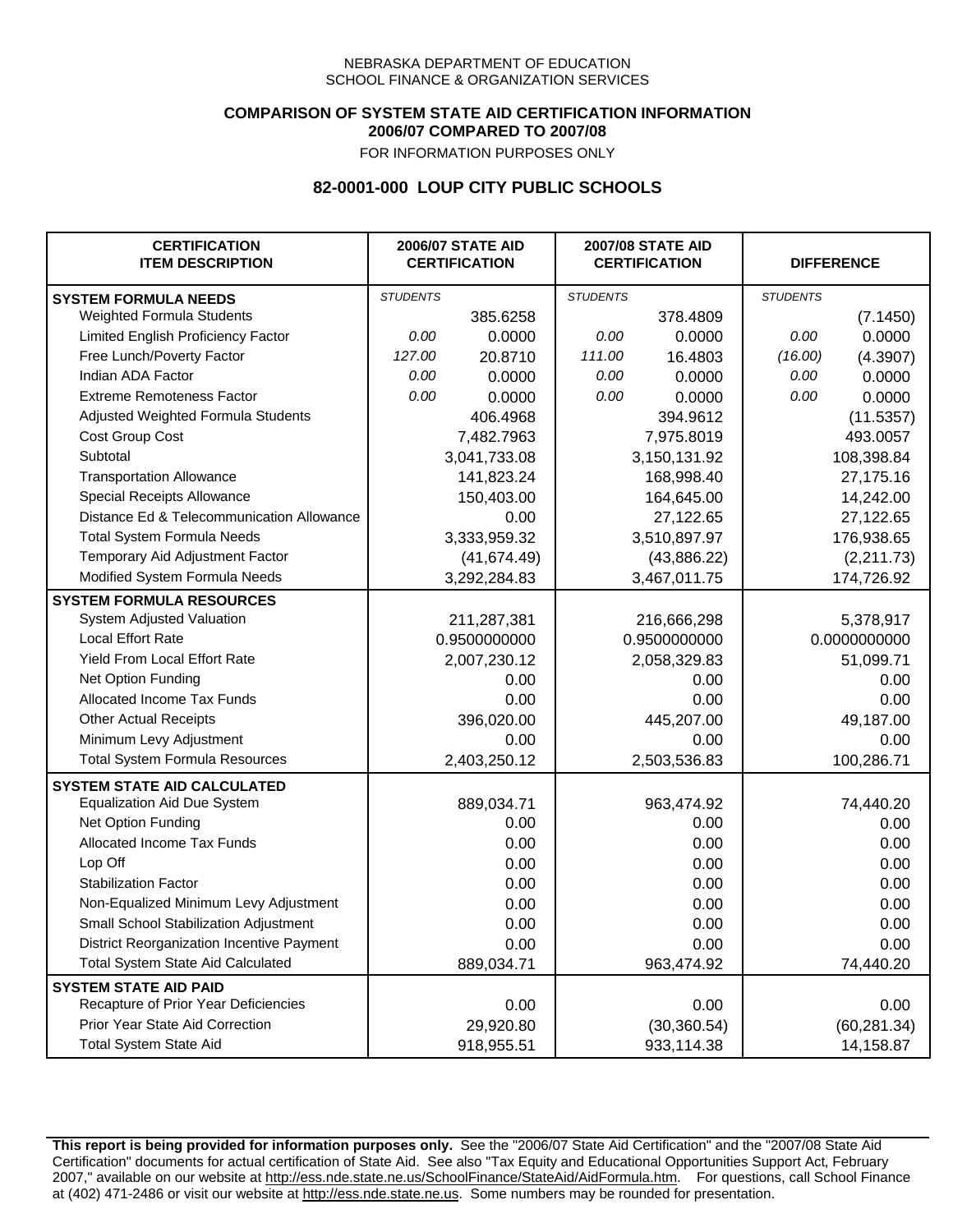## **COMPARISON OF SYSTEM STATE AID CERTIFICATION INFORMATION 2006/07 COMPARED TO 2007/08**

FOR INFORMATION PURPOSES ONLY

## **82-0001-000 LOUP CITY PUBLIC SCHOOLS**

| <b>CERTIFICATION</b><br><b>ITEM DESCRIPTION</b> |                 | <b>2006/07 STATE AID</b><br><b>CERTIFICATION</b> | <b>2007/08 STATE AID</b><br><b>CERTIFICATION</b> |              | <b>DIFFERENCE</b> |              |
|-------------------------------------------------|-----------------|--------------------------------------------------|--------------------------------------------------|--------------|-------------------|--------------|
| <b>SYSTEM FORMULA NEEDS</b>                     | <b>STUDENTS</b> |                                                  | <b>STUDENTS</b>                                  |              | <b>STUDENTS</b>   |              |
| <b>Weighted Formula Students</b>                |                 | 385.6258                                         |                                                  | 378.4809     |                   | (7.1450)     |
| Limited English Proficiency Factor              | 0.00            | 0.0000                                           | 0.00                                             | 0.0000       | 0.00              | 0.0000       |
| Free Lunch/Poverty Factor                       | 127.00          | 20.8710                                          | 111.00                                           | 16.4803      | (16.00)           | (4.3907)     |
| Indian ADA Factor                               | 0.00            | 0.0000                                           | 0.00                                             | 0.0000       | 0.00              | 0.0000       |
| <b>Extreme Remoteness Factor</b>                | 0.00            | 0.0000                                           | 0.00                                             | 0.0000       | 0.00              | 0.0000       |
| Adjusted Weighted Formula Students              |                 | 406.4968                                         |                                                  | 394.9612     |                   | (11.5357)    |
| Cost Group Cost                                 |                 | 7,482.7963                                       |                                                  | 7,975.8019   |                   | 493.0057     |
| Subtotal                                        |                 | 3,041,733.08                                     |                                                  | 3,150,131.92 |                   | 108,398.84   |
| <b>Transportation Allowance</b>                 |                 | 141,823.24                                       |                                                  | 168,998.40   |                   | 27,175.16    |
| Special Receipts Allowance                      |                 | 150,403.00                                       |                                                  | 164,645.00   |                   | 14,242.00    |
| Distance Ed & Telecommunication Allowance       |                 | 0.00                                             |                                                  | 27,122.65    |                   | 27,122.65    |
| <b>Total System Formula Needs</b>               |                 | 3,333,959.32                                     | 3,510,897.97                                     |              | 176,938.65        |              |
| Temporary Aid Adjustment Factor                 |                 | (41, 674.49)                                     | (43,886.22)                                      |              | (2,211.73)        |              |
| Modified System Formula Needs                   |                 | 3,292,284.83                                     |                                                  | 3,467,011.75 |                   | 174,726.92   |
| <b>SYSTEM FORMULA RESOURCES</b>                 |                 |                                                  |                                                  |              |                   |              |
| System Adjusted Valuation                       |                 | 211,287,381                                      |                                                  | 216,666,298  |                   | 5,378,917    |
| <b>Local Effort Rate</b>                        |                 | 0.9500000000                                     |                                                  | 0.9500000000 | 0.0000000000      |              |
| Yield From Local Effort Rate                    |                 | 2,007,230.12                                     | 2,058,329.83                                     |              | 51,099.71         |              |
| Net Option Funding                              |                 | 0.00                                             | 0.00                                             |              | 0.00              |              |
| Allocated Income Tax Funds                      |                 | 0.00                                             | 0.00                                             |              | 0.00              |              |
| <b>Other Actual Receipts</b>                    |                 | 396,020.00                                       | 445,207.00                                       |              | 49,187.00         |              |
| Minimum Levy Adjustment                         |                 | 0.00                                             |                                                  | 0.00         |                   | 0.00         |
| <b>Total System Formula Resources</b>           |                 | 2,403,250.12                                     |                                                  | 2,503,536.83 |                   | 100,286.71   |
| <b>SYSTEM STATE AID CALCULATED</b>              |                 |                                                  |                                                  |              |                   |              |
| <b>Equalization Aid Due System</b>              |                 | 889,034.71                                       |                                                  | 963,474.92   |                   | 74,440.20    |
| Net Option Funding                              |                 | 0.00                                             |                                                  | 0.00         |                   | 0.00         |
| Allocated Income Tax Funds                      |                 | 0.00                                             |                                                  | 0.00         |                   | 0.00         |
| Lop Off                                         |                 | 0.00                                             |                                                  | 0.00         |                   | 0.00         |
| <b>Stabilization Factor</b>                     |                 | 0.00                                             |                                                  | 0.00         |                   | 0.00         |
| Non-Equalized Minimum Levy Adjustment           |                 | 0.00                                             |                                                  | 0.00         |                   | 0.00         |
| Small School Stabilization Adjustment           |                 | 0.00                                             |                                                  | 0.00         |                   | 0.00         |
| District Reorganization Incentive Payment       |                 | 0.00                                             |                                                  | 0.00         |                   | 0.00         |
| <b>Total System State Aid Calculated</b>        |                 | 889,034.71                                       |                                                  | 963,474.92   |                   | 74,440.20    |
| <b>SYSTEM STATE AID PAID</b>                    |                 |                                                  |                                                  |              |                   |              |
| Recapture of Prior Year Deficiencies            |                 | 0.00                                             |                                                  | 0.00         |                   | 0.00         |
| Prior Year State Aid Correction                 |                 | 29,920.80                                        |                                                  | (30, 360.54) |                   | (60, 281.34) |
| <b>Total System State Aid</b>                   |                 | 918,955.51                                       |                                                  | 933,114.38   |                   | 14,158.87    |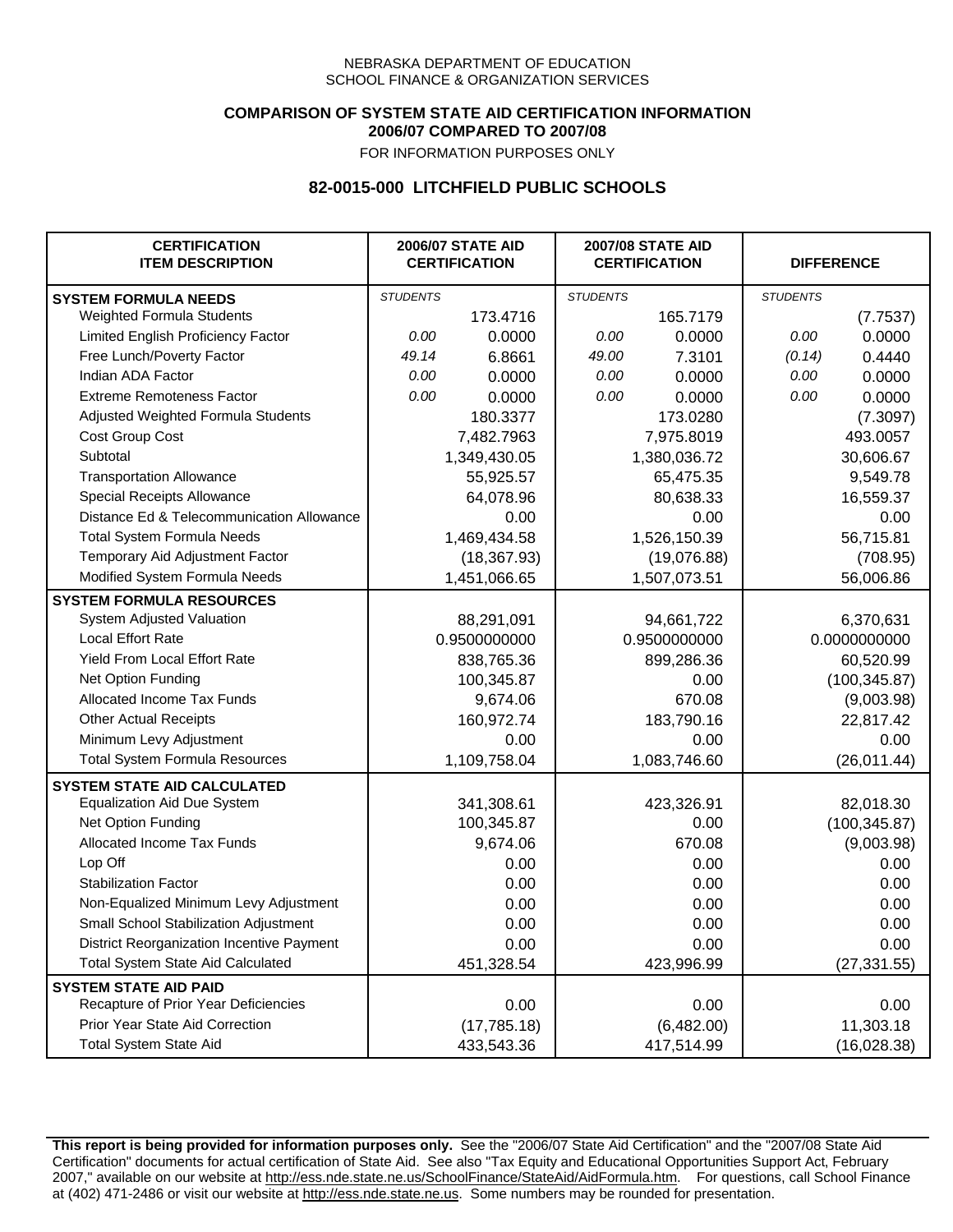### **COMPARISON OF SYSTEM STATE AID CERTIFICATION INFORMATION 2006/07 COMPARED TO 2007/08**

FOR INFORMATION PURPOSES ONLY

## **82-0015-000 LITCHFIELD PUBLIC SCHOOLS**

| <b>CERTIFICATION</b><br><b>ITEM DESCRIPTION</b> |                 | <b>2006/07 STATE AID</b><br><b>CERTIFICATION</b> | <b>2007/08 STATE AID</b><br><b>CERTIFICATION</b> |              | <b>DIFFERENCE</b> |               |
|-------------------------------------------------|-----------------|--------------------------------------------------|--------------------------------------------------|--------------|-------------------|---------------|
| <b>SYSTEM FORMULA NEEDS</b>                     | <b>STUDENTS</b> |                                                  | <b>STUDENTS</b>                                  |              | <b>STUDENTS</b>   |               |
| Weighted Formula Students                       |                 | 173.4716                                         |                                                  | 165.7179     |                   | (7.7537)      |
| Limited English Proficiency Factor              | 0.00            | 0.0000                                           | 0.00                                             | 0.0000       | 0.00              | 0.0000        |
| Free Lunch/Poverty Factor                       | 49.14           | 6.8661                                           | 49.00                                            | 7.3101       | (0.14)            | 0.4440        |
| Indian ADA Factor                               | 0.00            | 0.0000                                           | 0.00                                             | 0.0000       | 0.00              | 0.0000        |
| <b>Extreme Remoteness Factor</b>                | 0.00            | 0.0000                                           | 0.00                                             | 0.0000       | 0.00              | 0.0000        |
| Adjusted Weighted Formula Students              |                 | 180.3377                                         |                                                  | 173.0280     |                   | (7.3097)      |
| Cost Group Cost                                 |                 | 7,482.7963                                       |                                                  | 7,975.8019   |                   | 493.0057      |
| Subtotal                                        |                 | 1,349,430.05                                     |                                                  | 1,380,036.72 |                   | 30,606.67     |
| <b>Transportation Allowance</b>                 |                 | 55,925.57                                        |                                                  | 65,475.35    |                   | 9,549.78      |
| Special Receipts Allowance                      |                 | 64,078.96                                        |                                                  | 80,638.33    |                   | 16,559.37     |
| Distance Ed & Telecommunication Allowance       |                 | 0.00                                             |                                                  | 0.00         |                   | 0.00          |
| <b>Total System Formula Needs</b>               |                 | 1,469,434.58                                     |                                                  | 1,526,150.39 |                   | 56,715.81     |
| Temporary Aid Adjustment Factor                 |                 | (18, 367.93)                                     | (19,076.88)                                      |              | (708.95)          |               |
| Modified System Formula Needs                   |                 | 1,451,066.65                                     |                                                  | 1,507,073.51 |                   | 56,006.86     |
| <b>SYSTEM FORMULA RESOURCES</b>                 |                 |                                                  |                                                  |              |                   |               |
| System Adjusted Valuation                       |                 | 88,291,091                                       |                                                  | 94,661,722   |                   | 6,370,631     |
| <b>Local Effort Rate</b>                        |                 | 0.9500000000                                     |                                                  | 0.9500000000 |                   | 0.0000000000  |
| Yield From Local Effort Rate                    |                 | 838,765.36                                       | 899,286.36                                       |              | 60,520.99         |               |
| Net Option Funding                              |                 | 100,345.87                                       | 0.00                                             |              | (100, 345.87)     |               |
| Allocated Income Tax Funds                      |                 | 9,674.06                                         | 670.08                                           |              | (9,003.98)        |               |
| <b>Other Actual Receipts</b>                    |                 | 160,972.74                                       |                                                  | 183,790.16   | 22,817.42         |               |
| Minimum Levy Adjustment                         |                 | 0.00                                             |                                                  | 0.00         |                   | 0.00          |
| <b>Total System Formula Resources</b>           |                 | 1,109,758.04                                     |                                                  | 1,083,746.60 |                   | (26, 011.44)  |
| <b>SYSTEM STATE AID CALCULATED</b>              |                 |                                                  |                                                  |              |                   |               |
| <b>Equalization Aid Due System</b>              |                 | 341,308.61                                       |                                                  | 423,326.91   |                   | 82,018.30     |
| Net Option Funding                              |                 | 100,345.87                                       |                                                  | 0.00         |                   | (100, 345.87) |
| Allocated Income Tax Funds                      |                 | 9,674.06                                         |                                                  | 670.08       |                   | (9,003.98)    |
| Lop Off                                         |                 | 0.00                                             |                                                  | 0.00         |                   | 0.00          |
| <b>Stabilization Factor</b>                     |                 | 0.00                                             |                                                  | 0.00         |                   | 0.00          |
| Non-Equalized Minimum Levy Adjustment           |                 | 0.00                                             |                                                  | 0.00         |                   | 0.00          |
| Small School Stabilization Adjustment           |                 | 0.00                                             |                                                  | 0.00         |                   | 0.00          |
| District Reorganization Incentive Payment       |                 | 0.00                                             |                                                  | 0.00         |                   | 0.00          |
| <b>Total System State Aid Calculated</b>        |                 | 451,328.54                                       |                                                  | 423,996.99   |                   | (27, 331.55)  |
| <b>SYSTEM STATE AID PAID</b>                    |                 |                                                  |                                                  |              |                   |               |
| Recapture of Prior Year Deficiencies            |                 | 0.00                                             |                                                  | 0.00         |                   | 0.00          |
| Prior Year State Aid Correction                 |                 | (17, 785.18)                                     |                                                  | (6,482.00)   |                   | 11,303.18     |
| <b>Total System State Aid</b>                   |                 | 433,543.36                                       |                                                  | 417,514.99   |                   | (16,028.38)   |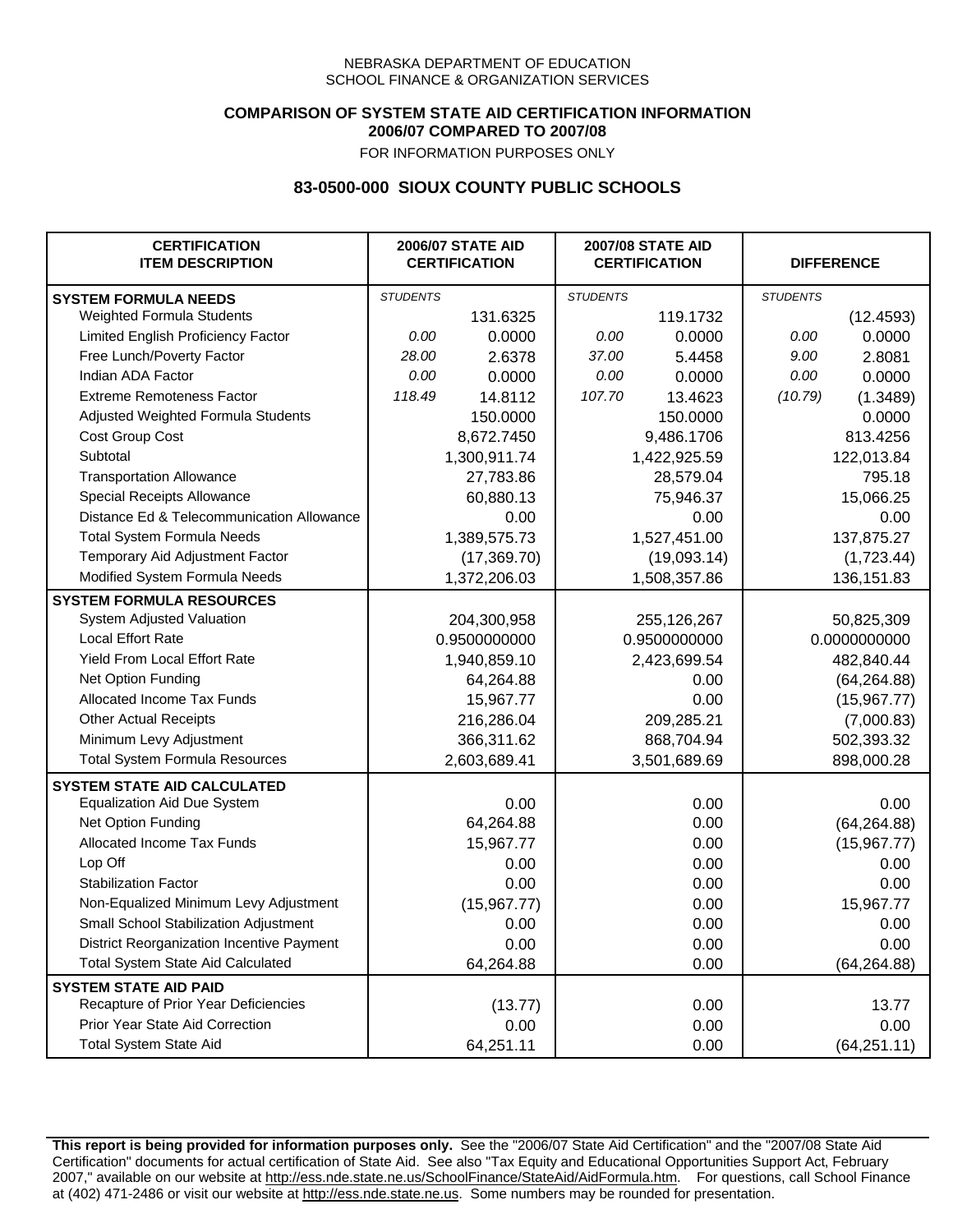## **COMPARISON OF SYSTEM STATE AID CERTIFICATION INFORMATION 2006/07 COMPARED TO 2007/08**

FOR INFORMATION PURPOSES ONLY

## **83-0500-000 SIOUX COUNTY PUBLIC SCHOOLS**

| <b>CERTIFICATION</b><br><b>ITEM DESCRIPTION</b> |                 | <b>2006/07 STATE AID</b><br><b>CERTIFICATION</b> |                 | <b>2007/08 STATE AID</b><br><b>CERTIFICATION</b> |                 | <b>DIFFERENCE</b> |
|-------------------------------------------------|-----------------|--------------------------------------------------|-----------------|--------------------------------------------------|-----------------|-------------------|
| <b>SYSTEM FORMULA NEEDS</b>                     | <b>STUDENTS</b> |                                                  | <b>STUDENTS</b> |                                                  | <b>STUDENTS</b> |                   |
| Weighted Formula Students                       |                 | 131.6325                                         |                 | 119.1732                                         |                 | (12.4593)         |
| Limited English Proficiency Factor              | 0.00            | 0.0000                                           | 0.00            | 0.0000                                           | 0.00            | 0.0000            |
| Free Lunch/Poverty Factor                       | 28.00           | 2.6378                                           | 37.00           | 5.4458                                           | 9.00            | 2.8081            |
| Indian ADA Factor                               | 0.00            | 0.0000                                           | 0.00            | 0.0000                                           | 0.00            | 0.0000            |
| <b>Extreme Remoteness Factor</b>                | 118.49          | 14.8112                                          | 107.70          | 13.4623                                          | (10.79)         | (1.3489)          |
| Adjusted Weighted Formula Students              |                 | 150.0000                                         |                 | 150.0000                                         |                 | 0.0000            |
| Cost Group Cost                                 |                 | 8,672.7450                                       |                 | 9,486.1706                                       |                 | 813.4256          |
| Subtotal                                        |                 | 1,300,911.74                                     |                 | 1,422,925.59                                     |                 | 122,013.84        |
| <b>Transportation Allowance</b>                 |                 | 27,783.86                                        |                 | 28,579.04                                        |                 | 795.18            |
| Special Receipts Allowance                      |                 | 60,880.13                                        |                 | 75,946.37                                        |                 | 15,066.25         |
| Distance Ed & Telecommunication Allowance       |                 | 0.00                                             |                 | 0.00                                             |                 | 0.00              |
| <b>Total System Formula Needs</b>               |                 | 1,389,575.73                                     |                 | 1,527,451.00                                     | 137,875.27      |                   |
| Temporary Aid Adjustment Factor                 |                 | (17,369.70)                                      | (19,093.14)     |                                                  | (1,723.44)      |                   |
| Modified System Formula Needs                   |                 | 1,372,206.03                                     |                 | 1,508,357.86                                     |                 | 136, 151.83       |
| <b>SYSTEM FORMULA RESOURCES</b>                 |                 |                                                  |                 |                                                  |                 |                   |
| System Adjusted Valuation                       |                 | 204,300,958                                      |                 | 255,126,267                                      |                 | 50,825,309        |
| <b>Local Effort Rate</b>                        |                 | 0.9500000000                                     |                 | 0.9500000000                                     |                 | 0.0000000000      |
| Yield From Local Effort Rate                    |                 | 1,940,859.10                                     | 2,423,699.54    |                                                  | 482,840.44      |                   |
| Net Option Funding                              |                 | 64,264.88                                        | 0.00            |                                                  | (64, 264.88)    |                   |
| Allocated Income Tax Funds                      |                 | 15,967.77                                        | 0.00            |                                                  | (15,967.77)     |                   |
| <b>Other Actual Receipts</b>                    |                 | 216,286.04                                       | 209,285.21      |                                                  | (7,000.83)      |                   |
| Minimum Levy Adjustment                         |                 | 366,311.62                                       | 868,704.94      |                                                  |                 | 502,393.32        |
| <b>Total System Formula Resources</b>           |                 | 2,603,689.41                                     |                 | 3,501,689.69                                     |                 | 898,000.28        |
| <b>SYSTEM STATE AID CALCULATED</b>              |                 |                                                  |                 |                                                  |                 |                   |
| <b>Equalization Aid Due System</b>              |                 | 0.00                                             |                 | 0.00                                             |                 | 0.00              |
| Net Option Funding                              |                 | 64,264.88                                        |                 | 0.00                                             |                 | (64, 264.88)      |
| Allocated Income Tax Funds                      |                 | 15,967.77                                        |                 | 0.00                                             |                 | (15,967.77)       |
| Lop Off                                         |                 | 0.00                                             |                 | 0.00                                             |                 | 0.00              |
| <b>Stabilization Factor</b>                     |                 | 0.00                                             |                 | 0.00                                             |                 | 0.00              |
| Non-Equalized Minimum Levy Adjustment           |                 | (15, 967.77)                                     |                 | 0.00                                             |                 | 15,967.77         |
| Small School Stabilization Adjustment           |                 | 0.00                                             |                 | 0.00                                             |                 | 0.00              |
| District Reorganization Incentive Payment       |                 | 0.00                                             |                 | 0.00                                             |                 | 0.00              |
| <b>Total System State Aid Calculated</b>        |                 | 64,264.88                                        |                 | 0.00                                             |                 | (64, 264.88)      |
| <b>SYSTEM STATE AID PAID</b>                    |                 |                                                  |                 |                                                  |                 |                   |
| Recapture of Prior Year Deficiencies            |                 | (13.77)                                          |                 | 0.00                                             |                 | 13.77             |
| Prior Year State Aid Correction                 |                 | 0.00                                             |                 | 0.00                                             |                 | 0.00              |
| <b>Total System State Aid</b>                   |                 | 64,251.11                                        |                 | 0.00                                             |                 | (64, 251.11)      |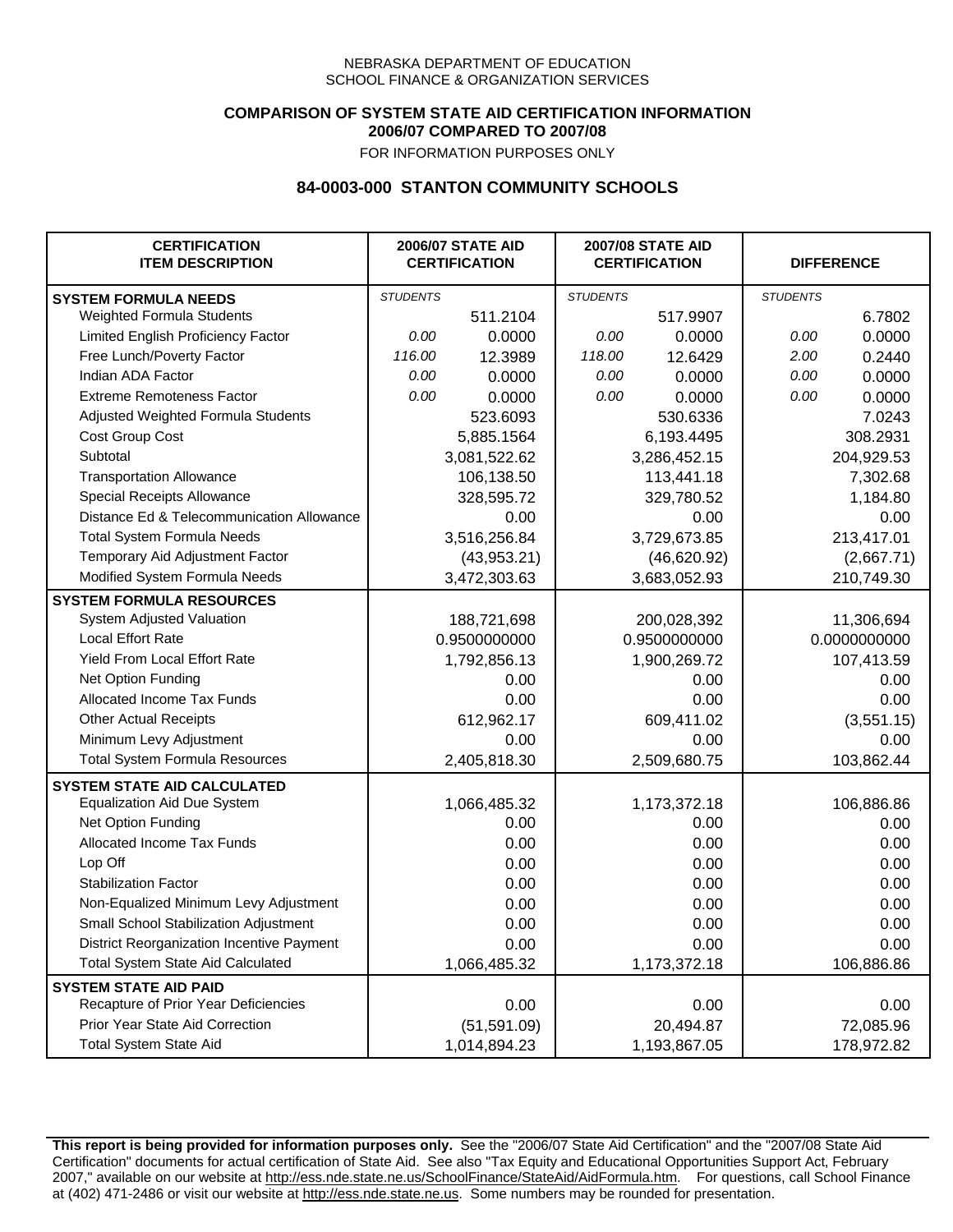## **COMPARISON OF SYSTEM STATE AID CERTIFICATION INFORMATION 2006/07 COMPARED TO 2007/08**

FOR INFORMATION PURPOSES ONLY

## **84-0003-000 STANTON COMMUNITY SCHOOLS**

| <b>CERTIFICATION</b><br><b>ITEM DESCRIPTION</b> |                 | <b>2006/07 STATE AID</b><br><b>CERTIFICATION</b> | <b>2007/08 STATE AID</b><br><b>CERTIFICATION</b> |              | <b>DIFFERENCE</b> |              |
|-------------------------------------------------|-----------------|--------------------------------------------------|--------------------------------------------------|--------------|-------------------|--------------|
| <b>SYSTEM FORMULA NEEDS</b>                     | <b>STUDENTS</b> |                                                  | <b>STUDENTS</b>                                  |              | <b>STUDENTS</b>   |              |
| Weighted Formula Students                       |                 | 511.2104                                         |                                                  | 517.9907     |                   | 6.7802       |
| Limited English Proficiency Factor              | 0.00            | 0.0000                                           | 0.00                                             | 0.0000       | 0.00              | 0.0000       |
| Free Lunch/Poverty Factor                       | 116.00          | 12.3989                                          | 118.00                                           | 12.6429      | 2.00              | 0.2440       |
| Indian ADA Factor                               | 0.00            | 0.0000                                           | 0.00                                             | 0.0000       | 0.00              | 0.0000       |
| <b>Extreme Remoteness Factor</b>                | 0.00            | 0.0000                                           | 0.00                                             | 0.0000       | 0.00              | 0.0000       |
| Adjusted Weighted Formula Students              |                 | 523.6093                                         |                                                  | 530.6336     |                   | 7.0243       |
| <b>Cost Group Cost</b>                          |                 | 5,885.1564                                       |                                                  | 6,193.4495   |                   | 308.2931     |
| Subtotal                                        |                 | 3,081,522.62                                     |                                                  | 3,286,452.15 |                   | 204,929.53   |
| <b>Transportation Allowance</b>                 |                 | 106,138.50                                       |                                                  | 113,441.18   |                   | 7,302.68     |
| Special Receipts Allowance                      |                 | 328,595.72                                       |                                                  | 329,780.52   |                   | 1,184.80     |
| Distance Ed & Telecommunication Allowance       |                 | 0.00                                             |                                                  | 0.00         |                   | 0.00         |
| <b>Total System Formula Needs</b>               |                 | 3,516,256.84                                     | 3,729,673.85                                     |              | 213,417.01        |              |
| Temporary Aid Adjustment Factor                 |                 | (43,953.21)                                      | (46,620.92)                                      |              | (2,667.71)        |              |
| Modified System Formula Needs                   |                 | 3,472,303.63                                     |                                                  | 3,683,052.93 |                   | 210,749.30   |
| <b>SYSTEM FORMULA RESOURCES</b>                 |                 |                                                  |                                                  |              |                   |              |
| System Adjusted Valuation                       |                 | 188,721,698                                      |                                                  | 200,028,392  |                   | 11,306,694   |
| <b>Local Effort Rate</b>                        |                 | 0.9500000000                                     |                                                  | 0.9500000000 |                   | 0.0000000000 |
| Yield From Local Effort Rate                    |                 | 1,792,856.13                                     |                                                  | 1,900,269.72 |                   | 107,413.59   |
| Net Option Funding                              |                 | 0.00                                             | 0.00                                             |              | 0.00              |              |
| Allocated Income Tax Funds                      |                 | 0.00                                             | 0.00                                             |              | 0.00              |              |
| <b>Other Actual Receipts</b>                    |                 | 612,962.17                                       | 609,411.02                                       |              | (3,551.15)        |              |
| Minimum Levy Adjustment                         |                 | 0.00                                             |                                                  | 0.00         |                   | 0.00         |
| <b>Total System Formula Resources</b>           |                 | 2,405,818.30                                     |                                                  | 2,509,680.75 |                   | 103,862.44   |
| <b>SYSTEM STATE AID CALCULATED</b>              |                 |                                                  |                                                  |              |                   |              |
| <b>Equalization Aid Due System</b>              |                 | 1,066,485.32                                     |                                                  | 1,173,372.18 |                   | 106,886.86   |
| Net Option Funding                              |                 | 0.00                                             |                                                  | 0.00         |                   | 0.00         |
| Allocated Income Tax Funds                      |                 | 0.00                                             |                                                  | 0.00         |                   | 0.00         |
| Lop Off                                         |                 | 0.00                                             |                                                  | 0.00         |                   | 0.00         |
| <b>Stabilization Factor</b>                     |                 | 0.00                                             |                                                  | 0.00         |                   | 0.00         |
| Non-Equalized Minimum Levy Adjustment           |                 | 0.00                                             |                                                  | 0.00         |                   | 0.00         |
| Small School Stabilization Adjustment           |                 | 0.00                                             |                                                  | 0.00         |                   | 0.00         |
| District Reorganization Incentive Payment       |                 | 0.00                                             |                                                  | 0.00         |                   | 0.00         |
| Total System State Aid Calculated               |                 | 1,066,485.32                                     |                                                  | 1,173,372.18 |                   | 106,886.86   |
| <b>SYSTEM STATE AID PAID</b>                    |                 |                                                  |                                                  |              |                   |              |
| Recapture of Prior Year Deficiencies            |                 | 0.00                                             |                                                  | 0.00         |                   | 0.00         |
| Prior Year State Aid Correction                 |                 | (51, 591.09)                                     |                                                  | 20,494.87    |                   | 72,085.96    |
| <b>Total System State Aid</b>                   |                 | 1,014,894.23                                     |                                                  | 1,193,867.05 |                   | 178,972.82   |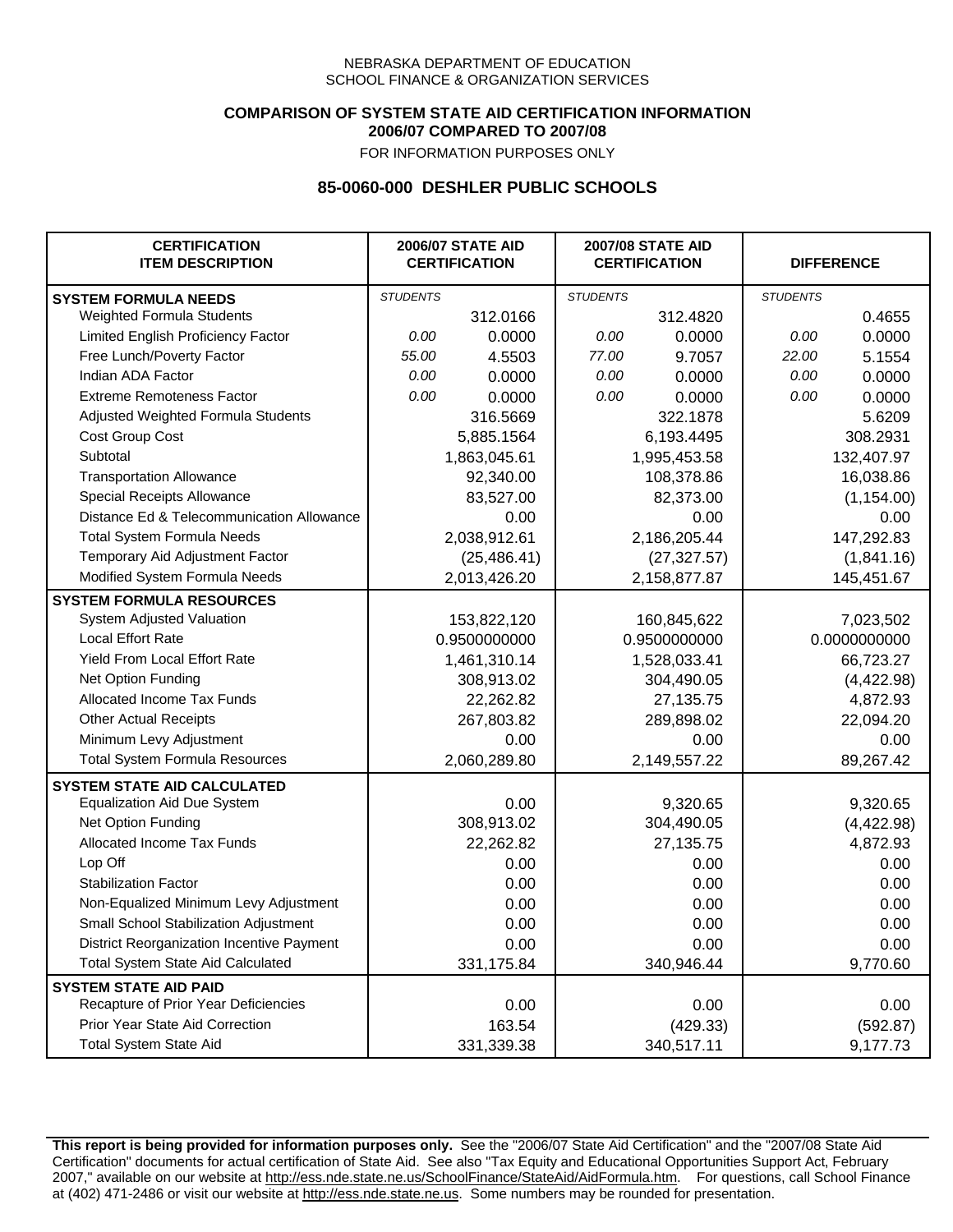### **COMPARISON OF SYSTEM STATE AID CERTIFICATION INFORMATION 2006/07 COMPARED TO 2007/08**

FOR INFORMATION PURPOSES ONLY

## **85-0060-000 DESHLER PUBLIC SCHOOLS**

| <b>CERTIFICATION</b><br><b>ITEM DESCRIPTION</b> |                 | <b>2006/07 STATE AID</b><br><b>CERTIFICATION</b> | <b>2007/08 STATE AID</b><br><b>CERTIFICATION</b> |              | <b>DIFFERENCE</b> |              |
|-------------------------------------------------|-----------------|--------------------------------------------------|--------------------------------------------------|--------------|-------------------|--------------|
| <b>SYSTEM FORMULA NEEDS</b>                     | <b>STUDENTS</b> |                                                  | <b>STUDENTS</b>                                  |              | <b>STUDENTS</b>   |              |
| <b>Weighted Formula Students</b>                |                 | 312.0166                                         |                                                  | 312.4820     |                   | 0.4655       |
| Limited English Proficiency Factor              | 0.00            | 0.0000                                           | 0.00                                             | 0.0000       | 0.00              | 0.0000       |
| Free Lunch/Poverty Factor                       | 55.00           | 4.5503                                           | 77.00                                            | 9.7057       | 22.00             | 5.1554       |
| Indian ADA Factor                               | 0.00            | 0.0000                                           | 0.00                                             | 0.0000       | 0.00              | 0.0000       |
| <b>Extreme Remoteness Factor</b>                | 0.00            | 0.0000                                           | 0.00                                             | 0.0000       | 0.00              | 0.0000       |
| Adjusted Weighted Formula Students              |                 | 316.5669                                         |                                                  | 322.1878     |                   | 5.6209       |
| Cost Group Cost                                 |                 | 5,885.1564                                       |                                                  | 6,193.4495   |                   | 308.2931     |
| Subtotal                                        |                 | 1,863,045.61                                     |                                                  | 1,995,453.58 |                   | 132,407.97   |
| <b>Transportation Allowance</b>                 |                 | 92,340.00                                        |                                                  | 108,378.86   |                   | 16,038.86    |
| Special Receipts Allowance                      |                 | 83,527.00                                        |                                                  | 82,373.00    |                   | (1, 154.00)  |
| Distance Ed & Telecommunication Allowance       |                 | 0.00                                             |                                                  | 0.00         |                   | 0.00         |
| <b>Total System Formula Needs</b>               |                 | 2,038,912.61                                     | 2,186,205.44                                     |              | 147,292.83        |              |
| Temporary Aid Adjustment Factor                 |                 | (25, 486.41)                                     | (27, 327.57)                                     |              | (1,841.16)        |              |
| Modified System Formula Needs                   |                 | 2,013,426.20                                     |                                                  | 2,158,877.87 |                   | 145,451.67   |
| <b>SYSTEM FORMULA RESOURCES</b>                 |                 |                                                  |                                                  |              |                   |              |
| System Adjusted Valuation                       |                 | 153,822,120                                      |                                                  | 160,845,622  |                   | 7,023,502    |
| <b>Local Effort Rate</b>                        |                 | 0.9500000000                                     |                                                  | 0.9500000000 |                   | 0.0000000000 |
| <b>Yield From Local Effort Rate</b>             |                 | 1,461,310.14                                     | 1,528,033.41                                     |              | 66,723.27         |              |
| Net Option Funding                              |                 | 308,913.02                                       | 304,490.05                                       |              | (4,422.98)        |              |
| Allocated Income Tax Funds                      |                 | 22,262.82                                        | 27,135.75                                        |              | 4,872.93          |              |
| <b>Other Actual Receipts</b>                    |                 | 267,803.82                                       | 289,898.02                                       |              | 22,094.20         |              |
| Minimum Levy Adjustment                         |                 | 0.00                                             |                                                  | 0.00         |                   | 0.00         |
| <b>Total System Formula Resources</b>           |                 | 2,060,289.80                                     |                                                  | 2,149,557.22 |                   | 89,267.42    |
| <b>SYSTEM STATE AID CALCULATED</b>              |                 |                                                  |                                                  |              |                   |              |
| <b>Equalization Aid Due System</b>              |                 | 0.00                                             |                                                  | 9,320.65     |                   | 9,320.65     |
| Net Option Funding                              |                 | 308,913.02                                       |                                                  | 304,490.05   |                   | (4,422.98)   |
| Allocated Income Tax Funds                      |                 | 22,262.82                                        |                                                  | 27,135.75    |                   | 4,872.93     |
| Lop Off                                         |                 | 0.00                                             |                                                  | 0.00         |                   | 0.00         |
| <b>Stabilization Factor</b>                     |                 | 0.00                                             |                                                  | 0.00         |                   | 0.00         |
| Non-Equalized Minimum Levy Adjustment           |                 | 0.00                                             |                                                  | 0.00         |                   | 0.00         |
| Small School Stabilization Adjustment           |                 | 0.00                                             |                                                  | 0.00         |                   | 0.00         |
| District Reorganization Incentive Payment       |                 | 0.00                                             |                                                  | 0.00         |                   | 0.00         |
| <b>Total System State Aid Calculated</b>        |                 | 331,175.84                                       |                                                  | 340,946.44   |                   | 9,770.60     |
| <b>SYSTEM STATE AID PAID</b>                    |                 |                                                  |                                                  |              |                   |              |
| Recapture of Prior Year Deficiencies            |                 | 0.00                                             |                                                  | 0.00         |                   | 0.00         |
| Prior Year State Aid Correction                 |                 | 163.54                                           |                                                  | (429.33)     |                   | (592.87)     |
| <b>Total System State Aid</b>                   |                 | 331,339.38                                       |                                                  | 340,517.11   |                   | 9,177.73     |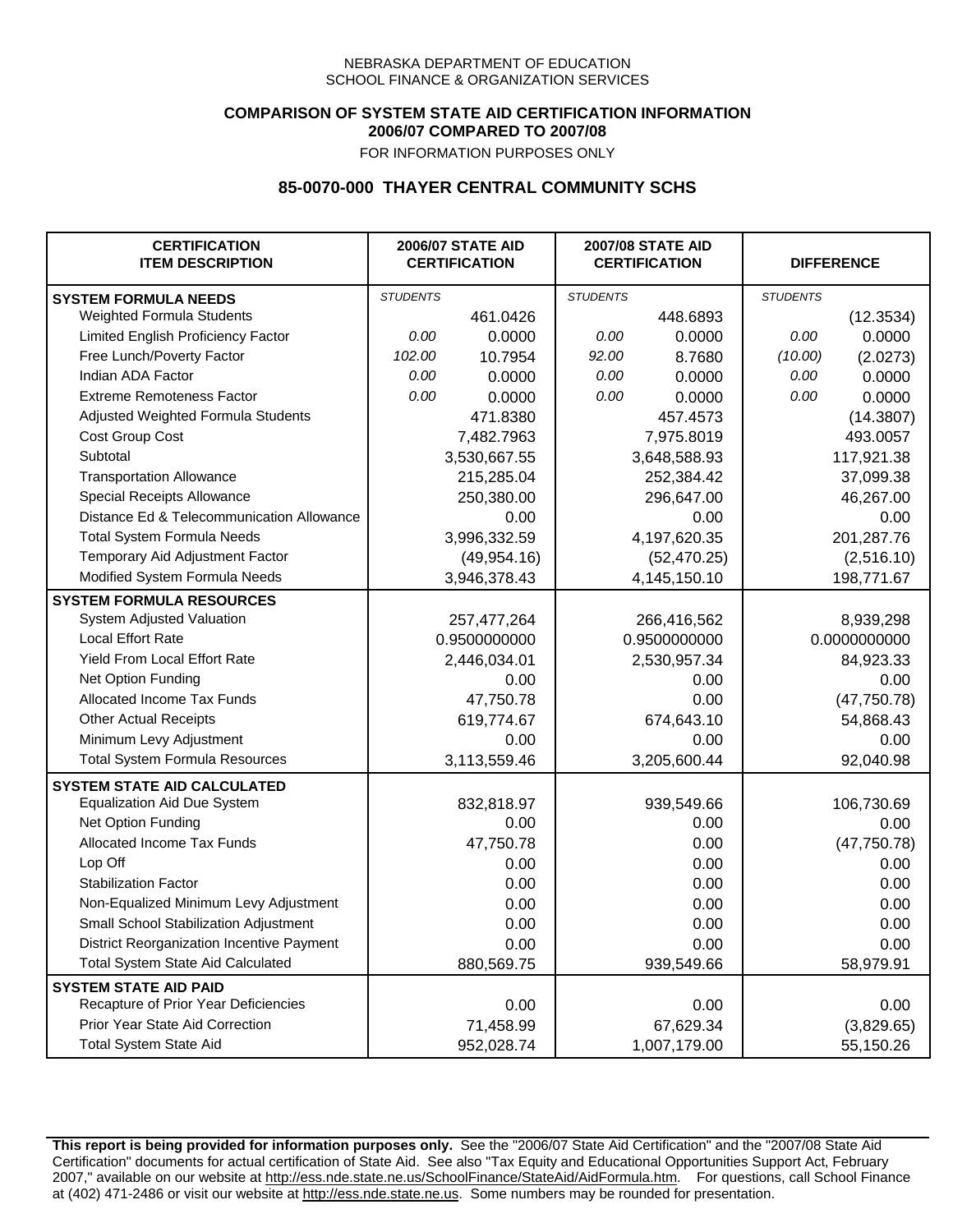## **COMPARISON OF SYSTEM STATE AID CERTIFICATION INFORMATION 2006/07 COMPARED TO 2007/08**

FOR INFORMATION PURPOSES ONLY

## **85-0070-000 THAYER CENTRAL COMMUNITY SCHS**

| <b>CERTIFICATION</b><br><b>ITEM DESCRIPTION</b> |                 | <b>2006/07 STATE AID</b><br><b>CERTIFICATION</b> | <b>2007/08 STATE AID</b><br><b>CERTIFICATION</b> |              | <b>DIFFERENCE</b> |              |  |
|-------------------------------------------------|-----------------|--------------------------------------------------|--------------------------------------------------|--------------|-------------------|--------------|--|
| <b>SYSTEM FORMULA NEEDS</b>                     | <b>STUDENTS</b> |                                                  | <b>STUDENTS</b>                                  |              | <b>STUDENTS</b>   |              |  |
| Weighted Formula Students                       |                 | 461.0426                                         |                                                  | 448.6893     |                   | (12.3534)    |  |
| Limited English Proficiency Factor              | 0.00            | 0.0000                                           | 0.00                                             | 0.0000       | 0.00              | 0.0000       |  |
| Free Lunch/Poverty Factor                       | 102.00          | 10.7954                                          | 92.00                                            | 8.7680       | (10.00)           | (2.0273)     |  |
| Indian ADA Factor                               | 0.00            | 0.0000                                           | 0.00                                             | 0.0000       | 0.00              | 0.0000       |  |
| <b>Extreme Remoteness Factor</b>                | 0.00            | 0.0000                                           | 0.00                                             | 0.0000       | 0.00              | 0.0000       |  |
| Adjusted Weighted Formula Students              |                 | 471.8380                                         |                                                  | 457.4573     |                   | (14.3807)    |  |
| Cost Group Cost                                 |                 | 7,482.7963                                       |                                                  | 7,975.8019   |                   | 493.0057     |  |
| Subtotal                                        |                 | 3,530,667.55                                     |                                                  | 3,648,588.93 |                   | 117,921.38   |  |
| <b>Transportation Allowance</b>                 |                 | 215,285.04                                       |                                                  | 252,384.42   |                   | 37,099.38    |  |
| Special Receipts Allowance                      |                 | 250,380.00                                       |                                                  | 296,647.00   |                   | 46,267.00    |  |
| Distance Ed & Telecommunication Allowance       |                 | 0.00                                             |                                                  | 0.00         |                   | 0.00         |  |
| <b>Total System Formula Needs</b>               |                 | 3,996,332.59                                     |                                                  | 4,197,620.35 | 201,287.76        |              |  |
| Temporary Aid Adjustment Factor                 |                 | (49, 954.16)                                     |                                                  | (52, 470.25) |                   | (2,516.10)   |  |
| Modified System Formula Needs                   |                 | 3,946,378.43                                     |                                                  | 4,145,150.10 |                   | 198,771.67   |  |
| <b>SYSTEM FORMULA RESOURCES</b>                 |                 |                                                  |                                                  |              |                   |              |  |
| System Adjusted Valuation                       |                 | 257,477,264                                      |                                                  | 266,416,562  |                   | 8,939,298    |  |
| <b>Local Effort Rate</b>                        |                 | 0.9500000000                                     |                                                  | 0.9500000000 |                   | 0.0000000000 |  |
| Yield From Local Effort Rate                    |                 | 2,446,034.01                                     |                                                  | 2,530,957.34 |                   | 84,923.33    |  |
| Net Option Funding                              |                 | 0.00                                             |                                                  | 0.00         |                   | 0.00         |  |
| Allocated Income Tax Funds                      |                 | 47,750.78                                        |                                                  | 0.00         |                   | (47, 750.78) |  |
| <b>Other Actual Receipts</b>                    |                 | 619,774.67                                       | 674,643.10                                       |              | 54,868.43         |              |  |
| Minimum Levy Adjustment                         |                 | 0.00                                             |                                                  | 0.00         |                   | 0.00         |  |
| <b>Total System Formula Resources</b>           |                 | 3,113,559.46                                     |                                                  | 3,205,600.44 |                   | 92,040.98    |  |
| <b>SYSTEM STATE AID CALCULATED</b>              |                 |                                                  |                                                  |              |                   |              |  |
| <b>Equalization Aid Due System</b>              |                 | 832,818.97                                       |                                                  | 939,549.66   |                   | 106,730.69   |  |
| Net Option Funding                              |                 | 0.00                                             |                                                  | 0.00         |                   | 0.00         |  |
| Allocated Income Tax Funds                      |                 | 47,750.78                                        |                                                  | 0.00         |                   | (47, 750.78) |  |
| Lop Off                                         |                 | 0.00                                             |                                                  | 0.00         |                   | 0.00         |  |
| <b>Stabilization Factor</b>                     |                 | 0.00                                             |                                                  | 0.00         |                   | 0.00         |  |
| Non-Equalized Minimum Levy Adjustment           |                 | 0.00                                             |                                                  | 0.00         |                   | 0.00         |  |
| Small School Stabilization Adjustment           |                 | 0.00                                             |                                                  | 0.00         |                   | 0.00         |  |
| District Reorganization Incentive Payment       |                 | 0.00                                             |                                                  | 0.00         |                   | 0.00         |  |
| <b>Total System State Aid Calculated</b>        |                 | 880,569.75                                       |                                                  | 939,549.66   |                   | 58,979.91    |  |
| <b>SYSTEM STATE AID PAID</b>                    |                 |                                                  |                                                  |              |                   |              |  |
| Recapture of Prior Year Deficiencies            |                 | 0.00                                             |                                                  | 0.00         |                   | 0.00         |  |
| Prior Year State Aid Correction                 |                 | 71,458.99                                        |                                                  | 67,629.34    |                   | (3,829.65)   |  |
| <b>Total System State Aid</b>                   |                 | 952,028.74                                       |                                                  | 1,007,179.00 |                   | 55,150.26    |  |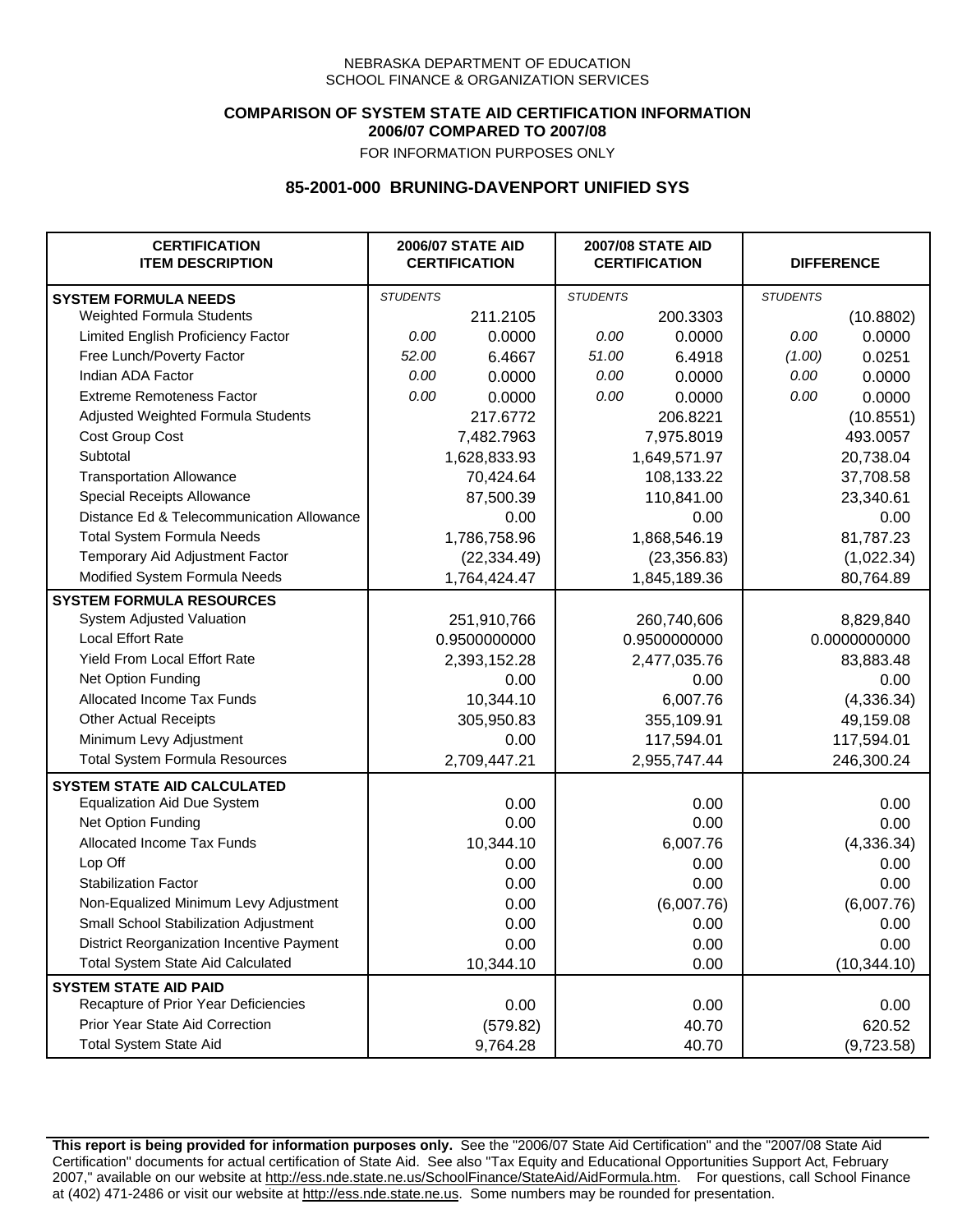## **COMPARISON OF SYSTEM STATE AID CERTIFICATION INFORMATION 2006/07 COMPARED TO 2007/08**

FOR INFORMATION PURPOSES ONLY

## **85-2001-000 BRUNING-DAVENPORT UNIFIED SYS**

| <b>CERTIFICATION</b><br><b>ITEM DESCRIPTION</b> |                 | <b>2006/07 STATE AID</b><br><b>CERTIFICATION</b> | <b>2007/08 STATE AID</b><br><b>CERTIFICATION</b> |              | <b>DIFFERENCE</b> |              |
|-------------------------------------------------|-----------------|--------------------------------------------------|--------------------------------------------------|--------------|-------------------|--------------|
| <b>SYSTEM FORMULA NEEDS</b>                     | <b>STUDENTS</b> |                                                  | <b>STUDENTS</b>                                  |              | <b>STUDENTS</b>   |              |
| Weighted Formula Students                       |                 | 211.2105                                         |                                                  | 200.3303     |                   | (10.8802)    |
| Limited English Proficiency Factor              | 0.00            | 0.0000                                           | 0.00                                             | 0.0000       | 0.00              | 0.0000       |
| Free Lunch/Poverty Factor                       | 52.00           | 6.4667                                           | 51.00                                            | 6.4918       | (1.00)            | 0.0251       |
| Indian ADA Factor                               | 0.00            | 0.0000                                           | 0.00                                             | 0.0000       | 0.00              | 0.0000       |
| <b>Extreme Remoteness Factor</b>                | 0.00            | 0.0000                                           | 0.00                                             | 0.0000       | 0.00              | 0.0000       |
| Adjusted Weighted Formula Students              |                 | 217.6772                                         |                                                  | 206.8221     |                   | (10.8551)    |
| Cost Group Cost                                 |                 | 7,482.7963                                       |                                                  | 7,975.8019   |                   | 493.0057     |
| Subtotal                                        |                 | 1,628,833.93                                     |                                                  | 1,649,571.97 |                   | 20,738.04    |
| <b>Transportation Allowance</b>                 |                 | 70,424.64                                        |                                                  | 108,133.22   |                   | 37,708.58    |
| Special Receipts Allowance                      |                 | 87,500.39                                        |                                                  | 110,841.00   |                   | 23,340.61    |
| Distance Ed & Telecommunication Allowance       |                 | 0.00                                             |                                                  | 0.00         |                   | 0.00         |
| <b>Total System Formula Needs</b>               |                 | 1,786,758.96                                     |                                                  | 1,868,546.19 |                   | 81,787.23    |
| Temporary Aid Adjustment Factor                 |                 | (22, 334.49)                                     | (23, 356.83)                                     |              | (1,022.34)        |              |
| Modified System Formula Needs                   |                 | 1,764,424.47                                     |                                                  | 1,845,189.36 |                   | 80,764.89    |
| <b>SYSTEM FORMULA RESOURCES</b>                 |                 |                                                  |                                                  |              |                   |              |
| System Adjusted Valuation                       |                 | 251,910,766                                      |                                                  | 260,740,606  |                   | 8,829,840    |
| <b>Local Effort Rate</b>                        |                 | 0.9500000000                                     |                                                  | 0.9500000000 |                   | 0.0000000000 |
| Yield From Local Effort Rate                    |                 | 2,393,152.28                                     |                                                  | 2,477,035.76 |                   | 83,883.48    |
| Net Option Funding                              |                 | 0.00                                             |                                                  | 0.00         |                   | 0.00         |
| Allocated Income Tax Funds                      |                 | 10,344.10                                        |                                                  | 6,007.76     |                   | (4,336.34)   |
| <b>Other Actual Receipts</b>                    |                 | 305,950.83                                       |                                                  | 355,109.91   | 49,159.08         |              |
| Minimum Levy Adjustment                         |                 | 0.00                                             |                                                  | 117,594.01   |                   | 117,594.01   |
| <b>Total System Formula Resources</b>           |                 | 2,709,447.21                                     |                                                  | 2,955,747.44 |                   | 246,300.24   |
| <b>SYSTEM STATE AID CALCULATED</b>              |                 |                                                  |                                                  |              |                   |              |
| <b>Equalization Aid Due System</b>              |                 | 0.00                                             |                                                  | 0.00         |                   | 0.00         |
| Net Option Funding                              |                 | 0.00                                             |                                                  | 0.00         |                   | 0.00         |
| Allocated Income Tax Funds                      |                 | 10,344.10                                        |                                                  | 6,007.76     |                   | (4,336.34)   |
| Lop Off                                         |                 | 0.00                                             |                                                  | 0.00         |                   | 0.00         |
| <b>Stabilization Factor</b>                     |                 | 0.00                                             |                                                  | 0.00         |                   | 0.00         |
| Non-Equalized Minimum Levy Adjustment           |                 | 0.00                                             |                                                  | (6,007.76)   |                   | (6,007.76)   |
| <b>Small School Stabilization Adjustment</b>    |                 | 0.00                                             |                                                  | 0.00         |                   | 0.00         |
| District Reorganization Incentive Payment       |                 | 0.00                                             |                                                  | 0.00         |                   | 0.00         |
| <b>Total System State Aid Calculated</b>        |                 | 10,344.10                                        |                                                  | 0.00         |                   | (10, 344.10) |
| <b>SYSTEM STATE AID PAID</b>                    |                 |                                                  |                                                  |              |                   |              |
| Recapture of Prior Year Deficiencies            |                 | 0.00                                             |                                                  | 0.00         |                   | 0.00         |
| Prior Year State Aid Correction                 |                 | (579.82)                                         |                                                  | 40.70        |                   | 620.52       |
| <b>Total System State Aid</b>                   |                 | 9,764.28                                         |                                                  | 40.70        |                   | (9,723.58)   |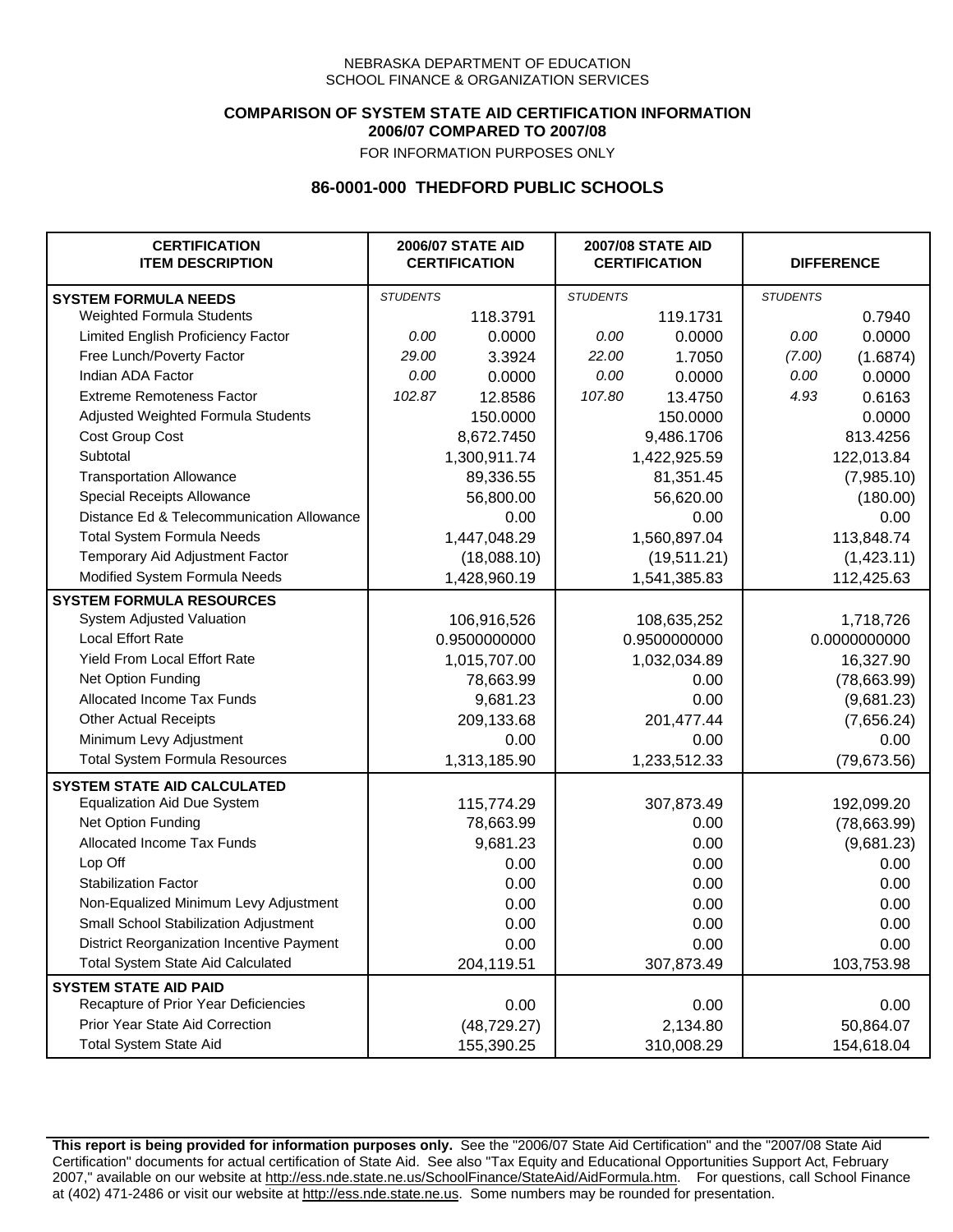### **COMPARISON OF SYSTEM STATE AID CERTIFICATION INFORMATION 2006/07 COMPARED TO 2007/08**

FOR INFORMATION PURPOSES ONLY

## **86-0001-000 THEDFORD PUBLIC SCHOOLS**

| <b>CERTIFICATION</b><br><b>ITEM DESCRIPTION</b> |                 | <b>2006/07 STATE AID</b><br><b>CERTIFICATION</b> | <b>2007/08 STATE AID</b><br><b>CERTIFICATION</b> |              | <b>DIFFERENCE</b> |              |
|-------------------------------------------------|-----------------|--------------------------------------------------|--------------------------------------------------|--------------|-------------------|--------------|
| <b>SYSTEM FORMULA NEEDS</b>                     | <b>STUDENTS</b> |                                                  | <b>STUDENTS</b>                                  |              | <b>STUDENTS</b>   |              |
| Weighted Formula Students                       |                 | 118.3791                                         |                                                  | 119.1731     |                   | 0.7940       |
| Limited English Proficiency Factor              | 0.00            | 0.0000                                           | 0.00                                             | 0.0000       | 0.00              | 0.0000       |
| Free Lunch/Poverty Factor                       | 29.00           | 3.3924                                           | 22.00                                            | 1.7050       | (7.00)            | (1.6874)     |
| Indian ADA Factor                               | 0.00            | 0.0000                                           | 0.00                                             | 0.0000       | 0.00              | 0.0000       |
| <b>Extreme Remoteness Factor</b>                | 102.87          | 12.8586                                          | 107.80                                           | 13.4750      | 4.93              | 0.6163       |
| Adjusted Weighted Formula Students              |                 | 150.0000                                         |                                                  | 150.0000     |                   | 0.0000       |
| Cost Group Cost                                 |                 | 8,672.7450                                       |                                                  | 9,486.1706   |                   | 813.4256     |
| Subtotal                                        |                 | 1,300,911.74                                     |                                                  | 1,422,925.59 |                   | 122,013.84   |
| <b>Transportation Allowance</b>                 |                 | 89,336.55                                        |                                                  | 81,351.45    |                   | (7,985.10)   |
| Special Receipts Allowance                      |                 | 56,800.00                                        |                                                  | 56,620.00    |                   | (180.00)     |
| Distance Ed & Telecommunication Allowance       |                 | 0.00                                             |                                                  | 0.00         |                   | 0.00         |
| <b>Total System Formula Needs</b>               |                 | 1,447,048.29                                     |                                                  | 1,560,897.04 |                   | 113,848.74   |
| Temporary Aid Adjustment Factor                 |                 | (18,088.10)                                      | (19,511.21)                                      |              | (1,423.11)        |              |
| Modified System Formula Needs                   |                 | 1,428,960.19                                     |                                                  | 1,541,385.83 |                   | 112,425.63   |
| <b>SYSTEM FORMULA RESOURCES</b>                 |                 |                                                  |                                                  |              |                   |              |
| <b>System Adjusted Valuation</b>                |                 | 106,916,526                                      |                                                  | 108,635,252  |                   | 1,718,726    |
| <b>Local Effort Rate</b>                        |                 | 0.9500000000                                     |                                                  | 0.9500000000 |                   | 0.0000000000 |
| Yield From Local Effort Rate                    |                 | 1,015,707.00                                     |                                                  | 1,032,034.89 |                   | 16,327.90    |
| Net Option Funding                              |                 | 78,663.99                                        |                                                  | 0.00         |                   | (78,663.99)  |
| Allocated Income Tax Funds                      |                 | 9,681.23                                         |                                                  | 0.00         |                   | (9,681.23)   |
| <b>Other Actual Receipts</b>                    |                 | 209,133.68                                       |                                                  | 201,477.44   | (7,656.24)        |              |
| Minimum Levy Adjustment                         |                 | 0.00                                             |                                                  | 0.00         |                   | 0.00         |
| <b>Total System Formula Resources</b>           |                 | 1,313,185.90                                     |                                                  | 1,233,512.33 |                   | (79, 673.56) |
| <b>SYSTEM STATE AID CALCULATED</b>              |                 |                                                  |                                                  |              |                   |              |
| <b>Equalization Aid Due System</b>              |                 | 115,774.29                                       |                                                  | 307,873.49   |                   | 192,099.20   |
| Net Option Funding                              |                 | 78,663.99                                        |                                                  | 0.00         |                   | (78,663.99)  |
| <b>Allocated Income Tax Funds</b>               |                 | 9,681.23                                         |                                                  | 0.00         |                   | (9,681.23)   |
| Lop Off                                         |                 | 0.00                                             |                                                  | 0.00         |                   | 0.00         |
| <b>Stabilization Factor</b>                     |                 | 0.00                                             |                                                  | 0.00         |                   | 0.00         |
| Non-Equalized Minimum Levy Adjustment           |                 | 0.00                                             |                                                  | 0.00         |                   | 0.00         |
| Small School Stabilization Adjustment           |                 | 0.00                                             |                                                  | 0.00         |                   | 0.00         |
| District Reorganization Incentive Payment       |                 | 0.00                                             |                                                  | 0.00         |                   | 0.00         |
| <b>Total System State Aid Calculated</b>        |                 | 204,119.51                                       |                                                  | 307,873.49   |                   | 103,753.98   |
| <b>SYSTEM STATE AID PAID</b>                    |                 |                                                  |                                                  |              |                   |              |
| Recapture of Prior Year Deficiencies            |                 | 0.00                                             |                                                  | 0.00         |                   | 0.00         |
| Prior Year State Aid Correction                 |                 | (48, 729.27)                                     |                                                  | 2,134.80     |                   | 50,864.07    |
| <b>Total System State Aid</b>                   |                 | 155,390.25                                       |                                                  | 310,008.29   |                   | 154,618.04   |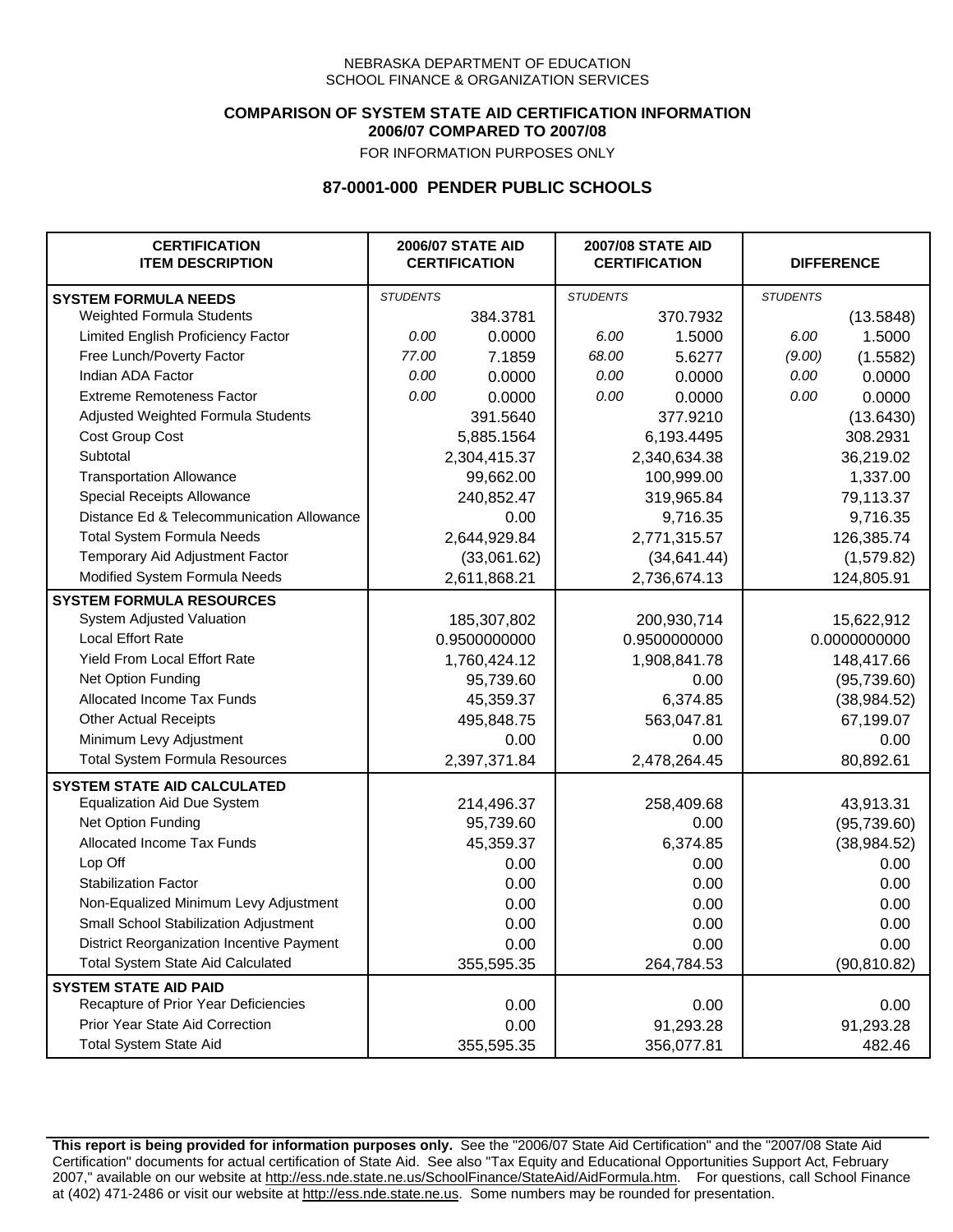### **COMPARISON OF SYSTEM STATE AID CERTIFICATION INFORMATION 2006/07 COMPARED TO 2007/08**

FOR INFORMATION PURPOSES ONLY

## **87-0001-000 PENDER PUBLIC SCHOOLS**

| <b>CERTIFICATION</b><br><b>ITEM DESCRIPTION</b> |                 | <b>2006/07 STATE AID</b><br><b>CERTIFICATION</b> |                 | <b>2007/08 STATE AID</b><br><b>CERTIFICATION</b> |                 | <b>DIFFERENCE</b> |
|-------------------------------------------------|-----------------|--------------------------------------------------|-----------------|--------------------------------------------------|-----------------|-------------------|
| <b>SYSTEM FORMULA NEEDS</b>                     | <b>STUDENTS</b> |                                                  | <b>STUDENTS</b> |                                                  | <b>STUDENTS</b> |                   |
| Weighted Formula Students                       |                 | 384.3781                                         |                 | 370.7932                                         |                 | (13.5848)         |
| Limited English Proficiency Factor              | 0.00            | 0.0000                                           | 6.00            | 1.5000                                           | 6.00            | 1.5000            |
| Free Lunch/Poverty Factor                       | 77.00           | 7.1859                                           | 68.00           | 5.6277                                           | (9.00)          | (1.5582)          |
| Indian ADA Factor                               | 0.00            | 0.0000                                           | 0.00            | 0.0000                                           | 0.00            | 0.0000            |
| <b>Extreme Remoteness Factor</b>                | 0.00            | 0.0000                                           | 0.00            | 0.0000                                           | 0.00            | 0.0000            |
| Adjusted Weighted Formula Students              |                 | 391.5640                                         |                 | 377.9210                                         |                 | (13.6430)         |
| Cost Group Cost                                 |                 | 5,885.1564                                       |                 | 6,193.4495                                       |                 | 308.2931          |
| Subtotal                                        |                 | 2,304,415.37                                     |                 | 2,340,634.38                                     |                 | 36,219.02         |
| <b>Transportation Allowance</b>                 |                 | 99,662.00                                        |                 | 100,999.00                                       |                 | 1,337.00          |
| Special Receipts Allowance                      |                 | 240,852.47                                       |                 | 319,965.84                                       |                 | 79,113.37         |
| Distance Ed & Telecommunication Allowance       |                 | 0.00                                             |                 | 9,716.35                                         |                 | 9,716.35          |
| <b>Total System Formula Needs</b>               |                 | 2,644,929.84                                     |                 | 2,771,315.57                                     |                 | 126,385.74        |
| Temporary Aid Adjustment Factor                 |                 | (33,061.62)                                      | (34, 641.44)    |                                                  | (1,579.82)      |                   |
| Modified System Formula Needs                   |                 | 2,611,868.21                                     |                 | 2,736,674.13                                     |                 | 124,805.91        |
| <b>SYSTEM FORMULA RESOURCES</b>                 |                 |                                                  |                 |                                                  |                 |                   |
| System Adjusted Valuation                       |                 | 185,307,802                                      |                 | 200,930,714                                      |                 | 15,622,912        |
| <b>Local Effort Rate</b>                        |                 | 0.9500000000                                     |                 | 0.9500000000                                     |                 | 0.0000000000      |
| <b>Yield From Local Effort Rate</b>             |                 | 1,760,424.12                                     | 1,908,841.78    |                                                  | 148,417.66      |                   |
| Net Option Funding                              |                 | 95,739.60                                        | 0.00            |                                                  | (95, 739.60)    |                   |
| Allocated Income Tax Funds                      |                 | 45,359.37                                        | 6,374.85        |                                                  | (38, 984.52)    |                   |
| <b>Other Actual Receipts</b>                    |                 | 495,848.75                                       | 563,047.81      |                                                  | 67,199.07       |                   |
| Minimum Levy Adjustment                         |                 | 0.00                                             |                 | 0.00                                             |                 | 0.00              |
| <b>Total System Formula Resources</b>           |                 | 2,397,371.84                                     |                 | 2,478,264.45                                     |                 | 80,892.61         |
| <b>SYSTEM STATE AID CALCULATED</b>              |                 |                                                  |                 |                                                  |                 |                   |
| <b>Equalization Aid Due System</b>              |                 | 214,496.37                                       |                 | 258,409.68                                       |                 | 43,913.31         |
| Net Option Funding                              |                 | 95,739.60                                        |                 | 0.00                                             |                 | (95, 739.60)      |
| Allocated Income Tax Funds                      |                 | 45,359.37                                        |                 | 6,374.85                                         |                 | (38, 984.52)      |
| Lop Off                                         |                 | 0.00                                             |                 | 0.00                                             |                 | 0.00              |
| <b>Stabilization Factor</b>                     |                 | 0.00                                             |                 | 0.00                                             |                 | 0.00              |
| Non-Equalized Minimum Levy Adjustment           |                 | 0.00                                             |                 | 0.00                                             |                 | 0.00              |
| Small School Stabilization Adjustment           |                 | 0.00                                             |                 | 0.00                                             |                 | 0.00              |
| District Reorganization Incentive Payment       |                 | 0.00                                             |                 | 0.00                                             |                 | 0.00              |
| Total System State Aid Calculated               |                 | 355,595.35                                       |                 | 264,784.53                                       |                 | (90, 810.82)      |
| <b>SYSTEM STATE AID PAID</b>                    |                 |                                                  |                 |                                                  |                 |                   |
| Recapture of Prior Year Deficiencies            |                 | 0.00                                             |                 | 0.00                                             |                 | 0.00              |
| Prior Year State Aid Correction                 |                 | 0.00                                             |                 | 91,293.28                                        |                 | 91,293.28         |
| <b>Total System State Aid</b>                   |                 | 355,595.35                                       |                 | 356,077.81                                       |                 | 482.46            |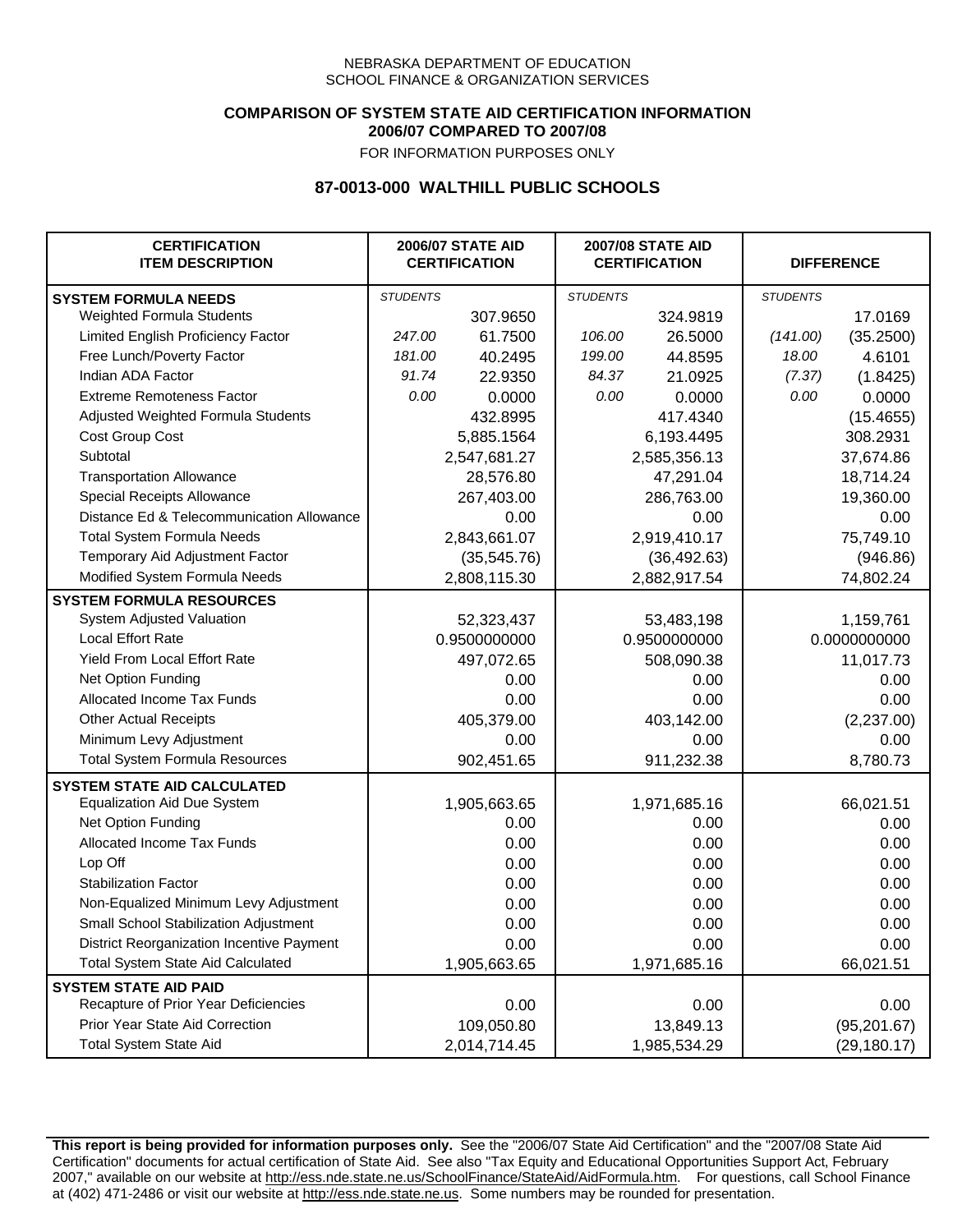### **COMPARISON OF SYSTEM STATE AID CERTIFICATION INFORMATION 2006/07 COMPARED TO 2007/08**

FOR INFORMATION PURPOSES ONLY

## **87-0013-000 WALTHILL PUBLIC SCHOOLS**

| <b>CERTIFICATION</b><br><b>ITEM DESCRIPTION</b> |                 | <b>2006/07 STATE AID</b><br><b>CERTIFICATION</b> | <b>2007/08 STATE AID</b><br><b>CERTIFICATION</b> |              |                 | <b>DIFFERENCE</b> |
|-------------------------------------------------|-----------------|--------------------------------------------------|--------------------------------------------------|--------------|-----------------|-------------------|
| <b>SYSTEM FORMULA NEEDS</b>                     | <b>STUDENTS</b> |                                                  | <b>STUDENTS</b>                                  |              | <b>STUDENTS</b> |                   |
| Weighted Formula Students                       |                 | 307.9650                                         |                                                  | 324.9819     |                 | 17.0169           |
| Limited English Proficiency Factor              | 247.00          | 61.7500                                          | 106.00                                           | 26.5000      | (141.00)        | (35.2500)         |
| Free Lunch/Poverty Factor                       | 181.00          | 40.2495                                          | 199.00                                           | 44.8595      | 18.00           | 4.6101            |
| Indian ADA Factor                               | 91.74           | 22.9350                                          | 84.37                                            | 21.0925      | (7.37)          | (1.8425)          |
| <b>Extreme Remoteness Factor</b>                | 0.00            | 0.0000                                           | 0.00                                             | 0.0000       | 0.00            | 0.0000            |
| Adjusted Weighted Formula Students              |                 | 432.8995                                         |                                                  | 417.4340     |                 | (15.4655)         |
| Cost Group Cost                                 |                 | 5,885.1564                                       |                                                  | 6,193.4495   |                 | 308.2931          |
| Subtotal                                        |                 | 2,547,681.27                                     |                                                  | 2,585,356.13 |                 | 37,674.86         |
| <b>Transportation Allowance</b>                 |                 | 28,576.80                                        |                                                  | 47,291.04    |                 | 18,714.24         |
| Special Receipts Allowance                      |                 | 267,403.00                                       |                                                  | 286,763.00   |                 | 19,360.00         |
| Distance Ed & Telecommunication Allowance       |                 | 0.00                                             |                                                  | 0.00         |                 | 0.00              |
| <b>Total System Formula Needs</b>               |                 | 2,843,661.07                                     |                                                  | 2,919,410.17 | 75,749.10       |                   |
| Temporary Aid Adjustment Factor                 |                 | (35, 545.76)                                     | (36, 492.63)                                     |              | (946.86)        |                   |
| Modified System Formula Needs                   |                 | 2,808,115.30                                     |                                                  | 2,882,917.54 |                 | 74,802.24         |
| <b>SYSTEM FORMULA RESOURCES</b>                 |                 |                                                  |                                                  |              |                 |                   |
| System Adjusted Valuation                       |                 | 52,323,437                                       |                                                  | 53,483,198   |                 | 1,159,761         |
| <b>Local Effort Rate</b>                        |                 | 0.9500000000                                     | 0.9500000000                                     |              | 0.0000000000    |                   |
| Yield From Local Effort Rate                    |                 | 497,072.65                                       | 508,090.38                                       |              | 11,017.73       |                   |
| Net Option Funding                              |                 | 0.00                                             | 0.00                                             |              | 0.00            |                   |
| Allocated Income Tax Funds                      |                 | 0.00                                             | 0.00                                             |              | 0.00            |                   |
| <b>Other Actual Receipts</b>                    |                 | 405,379.00                                       | 403,142.00                                       |              | (2,237.00)      |                   |
| Minimum Levy Adjustment                         |                 | 0.00                                             |                                                  | 0.00         |                 | 0.00              |
| <b>Total System Formula Resources</b>           |                 | 902,451.65                                       |                                                  | 911,232.38   |                 | 8,780.73          |
| <b>SYSTEM STATE AID CALCULATED</b>              |                 |                                                  |                                                  |              |                 |                   |
| <b>Equalization Aid Due System</b>              |                 | 1,905,663.65                                     |                                                  | 1,971,685.16 |                 | 66,021.51         |
| Net Option Funding                              |                 | 0.00                                             |                                                  | 0.00         |                 | 0.00              |
| Allocated Income Tax Funds                      |                 | 0.00                                             |                                                  | 0.00         |                 | 0.00              |
| Lop Off                                         |                 | 0.00                                             |                                                  | 0.00         |                 | 0.00              |
| <b>Stabilization Factor</b>                     |                 | 0.00                                             |                                                  | 0.00         |                 | 0.00              |
| Non-Equalized Minimum Levy Adjustment           |                 | 0.00                                             |                                                  | 0.00         |                 | 0.00              |
| Small School Stabilization Adjustment           |                 | 0.00                                             |                                                  | 0.00         |                 | 0.00              |
| District Reorganization Incentive Payment       |                 | 0.00                                             |                                                  | 0.00         |                 | 0.00              |
| <b>Total System State Aid Calculated</b>        |                 | 1,905,663.65                                     |                                                  | 1,971,685.16 |                 | 66,021.51         |
| <b>SYSTEM STATE AID PAID</b>                    |                 |                                                  |                                                  |              |                 |                   |
| Recapture of Prior Year Deficiencies            |                 | 0.00                                             |                                                  | 0.00         |                 | 0.00              |
| Prior Year State Aid Correction                 |                 | 109,050.80                                       |                                                  | 13,849.13    |                 | (95, 201.67)      |
| <b>Total System State Aid</b>                   |                 | 2,014,714.45                                     |                                                  | 1,985,534.29 |                 | (29, 180.17)      |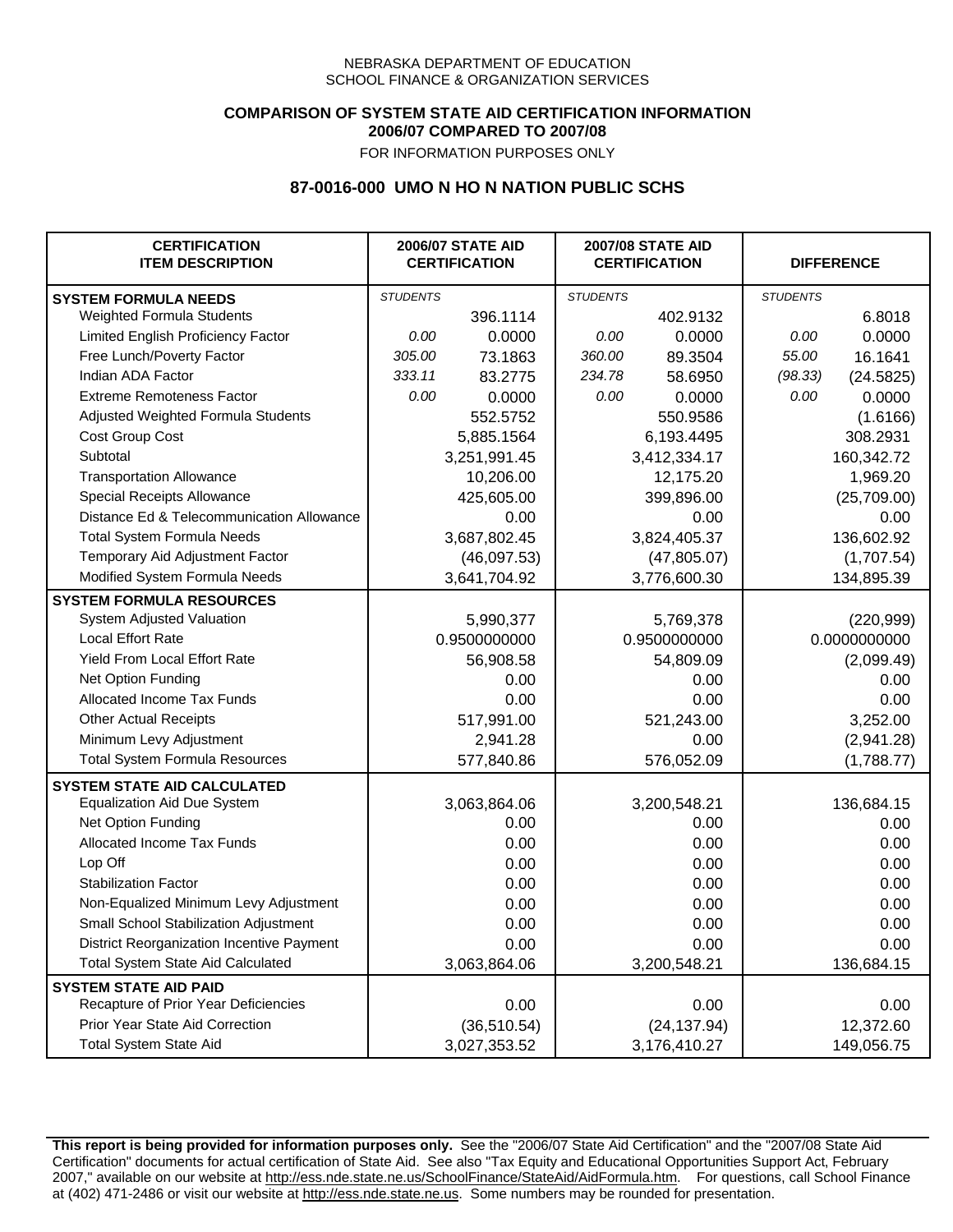## **COMPARISON OF SYSTEM STATE AID CERTIFICATION INFORMATION 2006/07 COMPARED TO 2007/08**

FOR INFORMATION PURPOSES ONLY

## **87-0016-000 UMO N HO N NATION PUBLIC SCHS**

| <b>CERTIFICATION</b><br><b>ITEM DESCRIPTION</b> |                 | <b>2006/07 STATE AID</b><br><b>CERTIFICATION</b> | <b>2007/08 STATE AID</b><br><b>CERTIFICATION</b> |              | <b>DIFFERENCE</b> |             |
|-------------------------------------------------|-----------------|--------------------------------------------------|--------------------------------------------------|--------------|-------------------|-------------|
| <b>SYSTEM FORMULA NEEDS</b>                     | <b>STUDENTS</b> |                                                  | <b>STUDENTS</b>                                  |              | <b>STUDENTS</b>   |             |
| Weighted Formula Students                       |                 | 396.1114                                         |                                                  | 402.9132     |                   | 6.8018      |
| Limited English Proficiency Factor              | 0.00            | 0.0000                                           | 0.00                                             | 0.0000       | 0.00              | 0.0000      |
| Free Lunch/Poverty Factor                       | 305.00          | 73.1863                                          | 360.00                                           | 89.3504      | 55.00             | 16.1641     |
| Indian ADA Factor                               | 333.11          | 83.2775                                          | 234.78                                           | 58.6950      | (98.33)           | (24.5825)   |
| <b>Extreme Remoteness Factor</b>                | 0.00            | 0.0000                                           | 0.00                                             | 0.0000       | 0.00              | 0.0000      |
| Adjusted Weighted Formula Students              |                 | 552.5752                                         |                                                  | 550.9586     |                   | (1.6166)    |
| Cost Group Cost                                 |                 | 5,885.1564                                       |                                                  | 6,193.4495   |                   | 308.2931    |
| Subtotal                                        |                 | 3,251,991.45                                     |                                                  | 3,412,334.17 |                   | 160,342.72  |
| <b>Transportation Allowance</b>                 |                 | 10,206.00                                        |                                                  | 12,175.20    |                   | 1,969.20    |
| Special Receipts Allowance                      |                 | 425,605.00                                       |                                                  | 399,896.00   |                   | (25,709.00) |
| Distance Ed & Telecommunication Allowance       |                 | 0.00                                             |                                                  | 0.00         |                   | 0.00        |
| <b>Total System Formula Needs</b>               |                 | 3,687,802.45                                     | 3,824,405.37                                     |              | 136,602.92        |             |
| Temporary Aid Adjustment Factor                 |                 | (46,097.53)                                      | (47,805.07)                                      |              | (1,707.54)        |             |
| Modified System Formula Needs                   |                 | 3,641,704.92                                     |                                                  | 3,776,600.30 |                   | 134,895.39  |
| <b>SYSTEM FORMULA RESOURCES</b>                 |                 |                                                  |                                                  |              |                   |             |
| System Adjusted Valuation                       |                 | 5,990,377                                        |                                                  | 5,769,378    |                   | (220, 999)  |
| <b>Local Effort Rate</b>                        |                 | 0.9500000000                                     |                                                  | 0.9500000000 | 0.0000000000      |             |
| Yield From Local Effort Rate                    |                 | 56,908.58                                        | 54,809.09                                        |              | (2,099.49)        |             |
| Net Option Funding                              |                 | 0.00                                             | 0.00                                             |              | 0.00              |             |
| Allocated Income Tax Funds                      |                 | 0.00                                             | 0.00                                             |              | 0.00              |             |
| <b>Other Actual Receipts</b>                    |                 | 517,991.00                                       | 521,243.00                                       |              | 3,252.00          |             |
| Minimum Levy Adjustment                         |                 | 2,941.28                                         | 0.00                                             |              |                   | (2,941.28)  |
| <b>Total System Formula Resources</b>           |                 | 577,840.86                                       |                                                  | 576,052.09   |                   | (1,788.77)  |
| <b>SYSTEM STATE AID CALCULATED</b>              |                 |                                                  |                                                  |              |                   |             |
| <b>Equalization Aid Due System</b>              |                 | 3,063,864.06                                     |                                                  | 3,200,548.21 |                   | 136,684.15  |
| Net Option Funding                              |                 | 0.00                                             |                                                  | 0.00         |                   | 0.00        |
| Allocated Income Tax Funds                      |                 | 0.00                                             |                                                  | 0.00         |                   | 0.00        |
| Lop Off                                         |                 | 0.00                                             |                                                  | 0.00         |                   | 0.00        |
| <b>Stabilization Factor</b>                     |                 | 0.00                                             |                                                  | 0.00         |                   | 0.00        |
| Non-Equalized Minimum Levy Adjustment           |                 | 0.00                                             |                                                  | 0.00         |                   | 0.00        |
| Small School Stabilization Adjustment           |                 | 0.00                                             |                                                  | 0.00         |                   | 0.00        |
| District Reorganization Incentive Payment       |                 | 0.00                                             |                                                  | 0.00         |                   | 0.00        |
| <b>Total System State Aid Calculated</b>        |                 | 3,063,864.06                                     |                                                  | 3,200,548.21 |                   | 136,684.15  |
| <b>SYSTEM STATE AID PAID</b>                    |                 |                                                  |                                                  |              |                   |             |
| Recapture of Prior Year Deficiencies            |                 | 0.00                                             |                                                  | 0.00         |                   | 0.00        |
| Prior Year State Aid Correction                 |                 | (36, 510.54)                                     |                                                  | (24, 137.94) |                   | 12,372.60   |
| <b>Total System State Aid</b>                   |                 | 3,027,353.52                                     |                                                  | 3,176,410.27 |                   | 149,056.75  |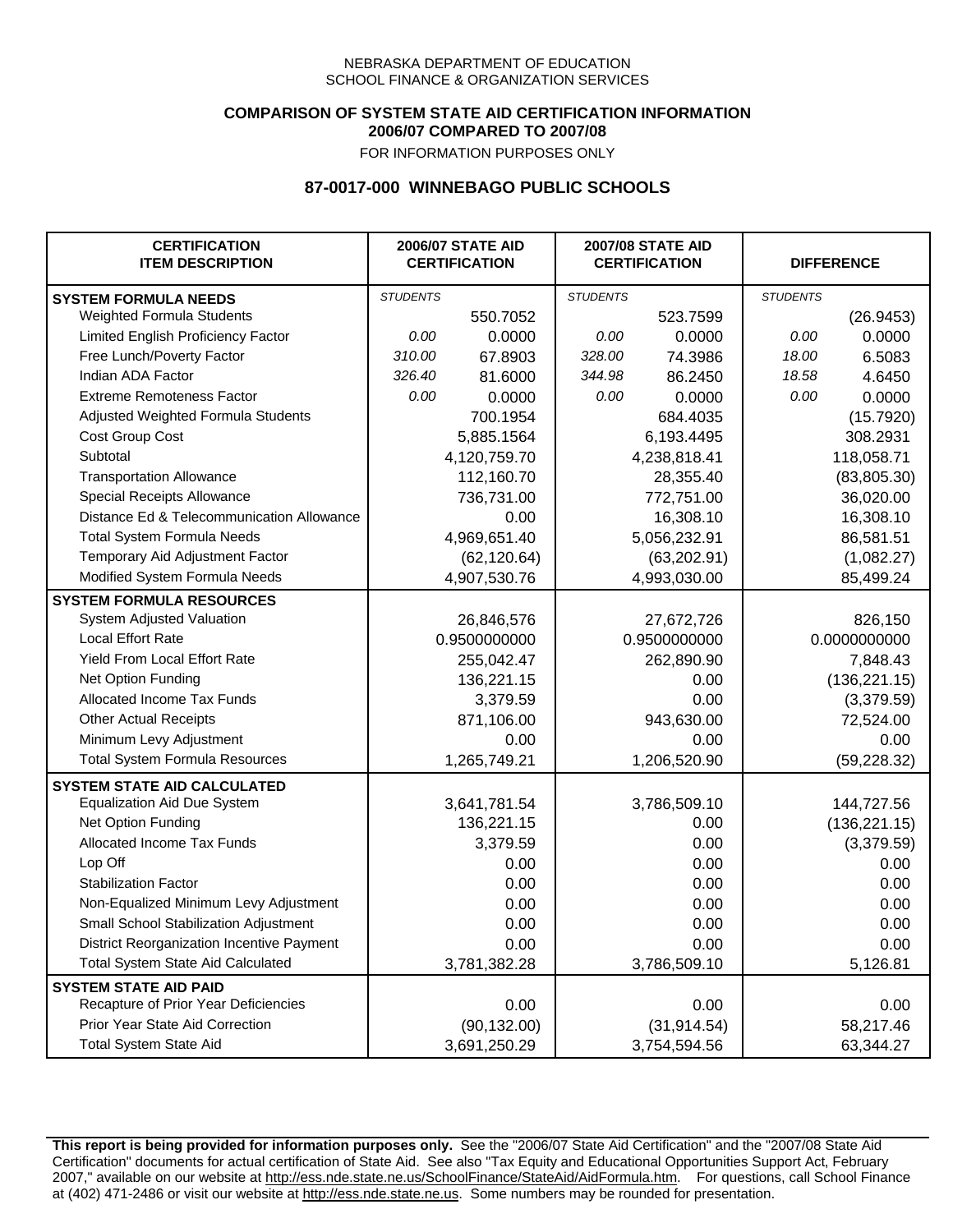### **COMPARISON OF SYSTEM STATE AID CERTIFICATION INFORMATION 2006/07 COMPARED TO 2007/08**

FOR INFORMATION PURPOSES ONLY

## **87-0017-000 WINNEBAGO PUBLIC SCHOOLS**

| <b>CERTIFICATION</b><br><b>ITEM DESCRIPTION</b> |                 | <b>2006/07 STATE AID</b><br><b>CERTIFICATION</b> | <b>2007/08 STATE AID</b><br><b>CERTIFICATION</b> |              | <b>DIFFERENCE</b> |               |
|-------------------------------------------------|-----------------|--------------------------------------------------|--------------------------------------------------|--------------|-------------------|---------------|
| <b>SYSTEM FORMULA NEEDS</b>                     | <b>STUDENTS</b> |                                                  | <b>STUDENTS</b>                                  |              | <b>STUDENTS</b>   |               |
| Weighted Formula Students                       |                 | 550.7052                                         |                                                  | 523.7599     |                   | (26.9453)     |
| Limited English Proficiency Factor              | 0.00            | 0.0000                                           | 0.00                                             | 0.0000       | 0.00              | 0.0000        |
| Free Lunch/Poverty Factor                       | 310.00          | 67.8903                                          | 328.00                                           | 74.3986      | 18.00             | 6.5083        |
| Indian ADA Factor                               | 326.40          | 81.6000                                          | 344.98                                           | 86.2450      | 18.58             | 4.6450        |
| <b>Extreme Remoteness Factor</b>                | 0.00            | 0.0000                                           | 0.00                                             | 0.0000       | 0.00              | 0.0000        |
| Adjusted Weighted Formula Students              |                 | 700.1954                                         |                                                  | 684.4035     |                   | (15.7920)     |
| Cost Group Cost                                 |                 | 5,885.1564                                       |                                                  | 6,193.4495   |                   | 308.2931      |
| Subtotal                                        |                 | 4,120,759.70                                     |                                                  | 4,238,818.41 |                   | 118,058.71    |
| <b>Transportation Allowance</b>                 |                 | 112,160.70                                       |                                                  | 28,355.40    |                   | (83, 805.30)  |
| Special Receipts Allowance                      |                 | 736,731.00                                       |                                                  | 772,751.00   |                   | 36,020.00     |
| Distance Ed & Telecommunication Allowance       |                 | 0.00                                             |                                                  | 16,308.10    |                   | 16,308.10     |
| <b>Total System Formula Needs</b>               |                 | 4,969,651.40                                     |                                                  | 5,056,232.91 | 86,581.51         |               |
| Temporary Aid Adjustment Factor                 |                 | (62, 120.64)                                     | (63, 202.91)                                     |              | (1,082.27)        |               |
| Modified System Formula Needs                   |                 | 4,907,530.76                                     |                                                  | 4,993,030.00 |                   | 85,499.24     |
| <b>SYSTEM FORMULA RESOURCES</b>                 |                 |                                                  |                                                  |              |                   |               |
| System Adjusted Valuation                       |                 | 26,846,576                                       |                                                  | 27,672,726   |                   | 826,150       |
| <b>Local Effort Rate</b>                        |                 | 0.9500000000                                     |                                                  | 0.9500000000 |                   | 0.0000000000  |
| Yield From Local Effort Rate                    |                 | 255,042.47                                       |                                                  | 262,890.90   |                   | 7,848.43      |
| Net Option Funding                              |                 | 136,221.15                                       |                                                  | 0.00         |                   | (136, 221.15) |
| Allocated Income Tax Funds                      |                 | 3,379.59                                         |                                                  | 0.00         |                   | (3,379.59)    |
| <b>Other Actual Receipts</b>                    |                 | 871,106.00                                       | 943,630.00                                       |              | 72,524.00         |               |
| Minimum Levy Adjustment                         |                 | 0.00                                             |                                                  | 0.00         |                   | 0.00          |
| <b>Total System Formula Resources</b>           |                 | 1,265,749.21                                     |                                                  | 1,206,520.90 |                   | (59, 228.32)  |
| <b>SYSTEM STATE AID CALCULATED</b>              |                 |                                                  |                                                  |              |                   |               |
| <b>Equalization Aid Due System</b>              |                 | 3,641,781.54                                     |                                                  | 3,786,509.10 |                   | 144,727.56    |
| Net Option Funding                              |                 | 136,221.15                                       |                                                  | 0.00         |                   | (136, 221.15) |
| Allocated Income Tax Funds                      |                 | 3,379.59                                         |                                                  | 0.00         |                   | (3,379.59)    |
| Lop Off                                         |                 | 0.00                                             |                                                  | 0.00         |                   | 0.00          |
| <b>Stabilization Factor</b>                     |                 | 0.00                                             |                                                  | 0.00         |                   | 0.00          |
| Non-Equalized Minimum Levy Adjustment           |                 | 0.00                                             |                                                  | 0.00         |                   | 0.00          |
| Small School Stabilization Adjustment           |                 | 0.00                                             |                                                  | 0.00         |                   | 0.00          |
| District Reorganization Incentive Payment       |                 | 0.00                                             |                                                  | 0.00         |                   | 0.00          |
| <b>Total System State Aid Calculated</b>        |                 | 3,781,382.28                                     |                                                  | 3,786,509.10 |                   | 5,126.81      |
| <b>SYSTEM STATE AID PAID</b>                    |                 |                                                  |                                                  |              |                   |               |
| Recapture of Prior Year Deficiencies            |                 | 0.00                                             |                                                  | 0.00         |                   | 0.00          |
| Prior Year State Aid Correction                 |                 | (90, 132.00)                                     |                                                  | (31, 914.54) |                   | 58,217.46     |
| <b>Total System State Aid</b>                   |                 | 3,691,250.29                                     |                                                  | 3,754,594.56 |                   | 63,344.27     |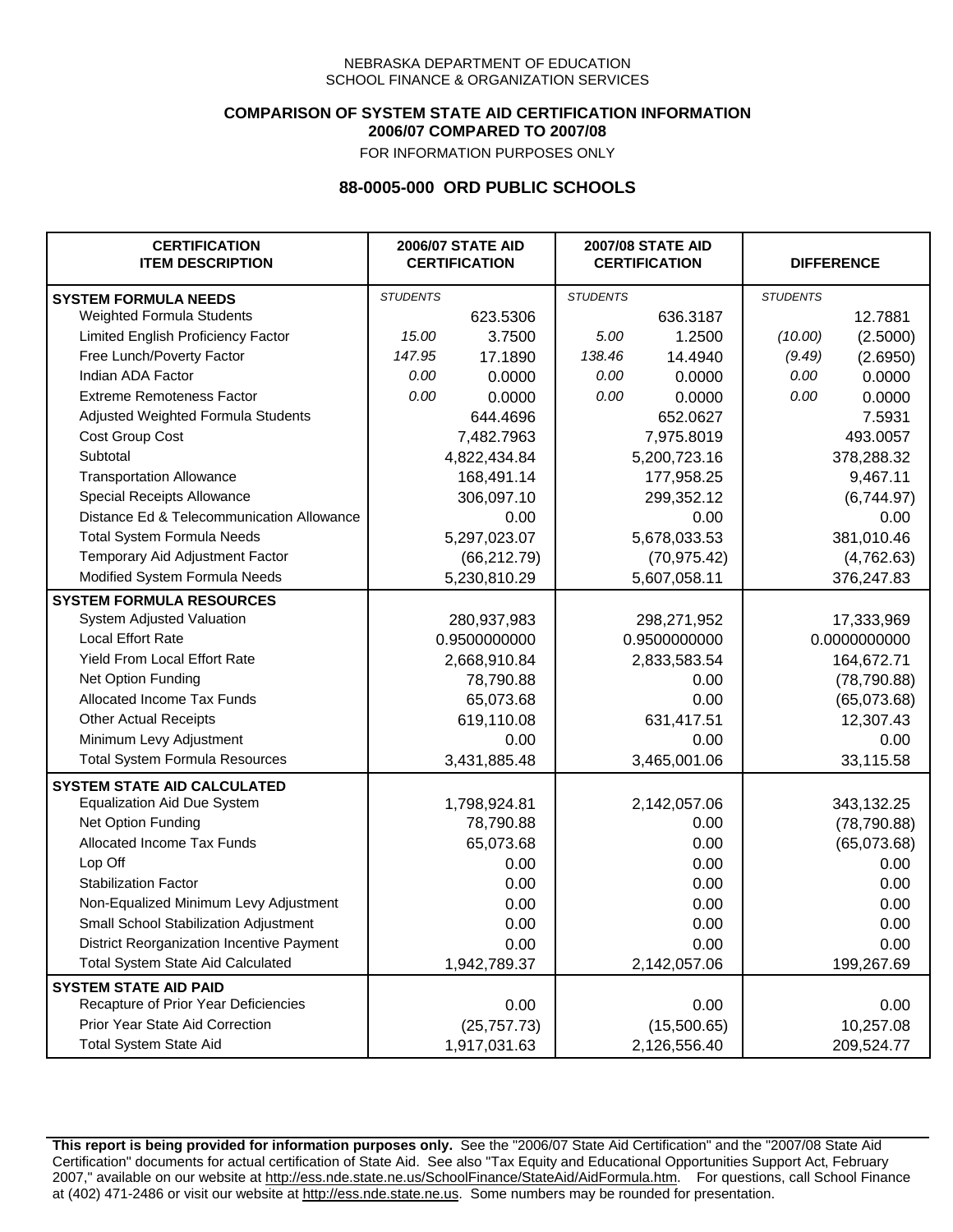## **COMPARISON OF SYSTEM STATE AID CERTIFICATION INFORMATION 2006/07 COMPARED TO 2007/08**

FOR INFORMATION PURPOSES ONLY

## **88-0005-000 ORD PUBLIC SCHOOLS**

| <b>CERTIFICATION</b><br><b>ITEM DESCRIPTION</b> |                 | <b>2006/07 STATE AID</b><br><b>CERTIFICATION</b> |                 | <b>2007/08 STATE AID</b><br><b>CERTIFICATION</b> |                 | <b>DIFFERENCE</b> |
|-------------------------------------------------|-----------------|--------------------------------------------------|-----------------|--------------------------------------------------|-----------------|-------------------|
| <b>SYSTEM FORMULA NEEDS</b>                     | <b>STUDENTS</b> |                                                  | <b>STUDENTS</b> |                                                  | <b>STUDENTS</b> |                   |
| Weighted Formula Students                       |                 | 623.5306                                         |                 | 636.3187                                         |                 | 12.7881           |
| Limited English Proficiency Factor              | 15.00           | 3.7500                                           | 5.00            | 1.2500                                           | (10.00)         | (2.5000)          |
| Free Lunch/Poverty Factor                       | 147.95          | 17.1890                                          | 138.46          | 14.4940                                          | (9.49)          | (2.6950)          |
| Indian ADA Factor                               | 0.00            | 0.0000                                           | 0.00            | 0.0000                                           | 0.00            | 0.0000            |
| <b>Extreme Remoteness Factor</b>                | 0.00            | 0.0000                                           | 0.00            | 0.0000                                           | 0.00            | 0.0000            |
| Adjusted Weighted Formula Students              |                 | 644.4696                                         |                 | 652.0627                                         |                 | 7.5931            |
| Cost Group Cost                                 |                 | 7,482.7963                                       |                 | 7,975.8019                                       |                 | 493.0057          |
| Subtotal                                        |                 | 4,822,434.84                                     |                 | 5,200,723.16                                     |                 | 378,288.32        |
| <b>Transportation Allowance</b>                 |                 | 168,491.14                                       |                 | 177,958.25                                       |                 | 9,467.11          |
| Special Receipts Allowance                      |                 | 306,097.10                                       |                 | 299,352.12                                       |                 | (6,744.97)        |
| Distance Ed & Telecommunication Allowance       |                 | 0.00                                             |                 | 0.00                                             |                 | 0.00              |
| <b>Total System Formula Needs</b>               |                 | 5,297,023.07                                     | 5,678,033.53    |                                                  | 381,010.46      |                   |
| Temporary Aid Adjustment Factor                 |                 | (66, 212.79)                                     | (70, 975.42)    |                                                  | (4,762.63)      |                   |
| Modified System Formula Needs                   |                 | 5,230,810.29                                     |                 | 5,607,058.11                                     |                 | 376,247.83        |
| <b>SYSTEM FORMULA RESOURCES</b>                 |                 |                                                  |                 |                                                  |                 |                   |
| System Adjusted Valuation                       |                 | 280,937,983                                      |                 | 298,271,952                                      |                 | 17,333,969        |
| <b>Local Effort Rate</b>                        |                 | 0.9500000000                                     |                 | 0.9500000000                                     | 0.0000000000    |                   |
| Yield From Local Effort Rate                    |                 | 2,668,910.84                                     | 2,833,583.54    |                                                  | 164,672.71      |                   |
| Net Option Funding                              |                 | 78,790.88                                        | 0.00            |                                                  | (78, 790.88)    |                   |
| Allocated Income Tax Funds                      |                 | 65,073.68                                        | 0.00            |                                                  | (65,073.68)     |                   |
| <b>Other Actual Receipts</b>                    |                 | 619,110.08                                       |                 | 631,417.51                                       | 12,307.43       |                   |
| Minimum Levy Adjustment                         |                 | 0.00                                             |                 | 0.00                                             |                 | 0.00              |
| <b>Total System Formula Resources</b>           |                 | 3,431,885.48                                     |                 | 3,465,001.06                                     |                 | 33,115.58         |
| <b>SYSTEM STATE AID CALCULATED</b>              |                 |                                                  |                 |                                                  |                 |                   |
| <b>Equalization Aid Due System</b>              |                 | 1,798,924.81                                     |                 | 2,142,057.06                                     |                 | 343,132.25        |
| Net Option Funding                              |                 | 78,790.88                                        |                 | 0.00                                             |                 | (78, 790.88)      |
| Allocated Income Tax Funds                      |                 | 65,073.68                                        |                 | 0.00                                             |                 | (65,073.68)       |
| Lop Off                                         |                 | 0.00                                             |                 | 0.00                                             |                 | 0.00              |
| <b>Stabilization Factor</b>                     |                 | 0.00                                             |                 | 0.00                                             |                 | 0.00              |
| Non-Equalized Minimum Levy Adjustment           |                 | 0.00                                             |                 | 0.00                                             |                 | 0.00              |
| Small School Stabilization Adjustment           |                 | 0.00                                             |                 | 0.00                                             |                 | 0.00              |
| District Reorganization Incentive Payment       |                 | 0.00                                             |                 | 0.00                                             |                 | 0.00              |
| <b>Total System State Aid Calculated</b>        |                 | 1,942,789.37                                     |                 | 2,142,057.06                                     |                 | 199,267.69        |
| <b>SYSTEM STATE AID PAID</b>                    |                 |                                                  |                 |                                                  |                 |                   |
| Recapture of Prior Year Deficiencies            |                 | 0.00                                             |                 | 0.00                                             |                 | 0.00              |
| Prior Year State Aid Correction                 |                 | (25, 757.73)                                     |                 | (15,500.65)                                      |                 | 10,257.08         |
| <b>Total System State Aid</b>                   |                 | 1,917,031.63                                     |                 | 2,126,556.40                                     |                 | 209,524.77        |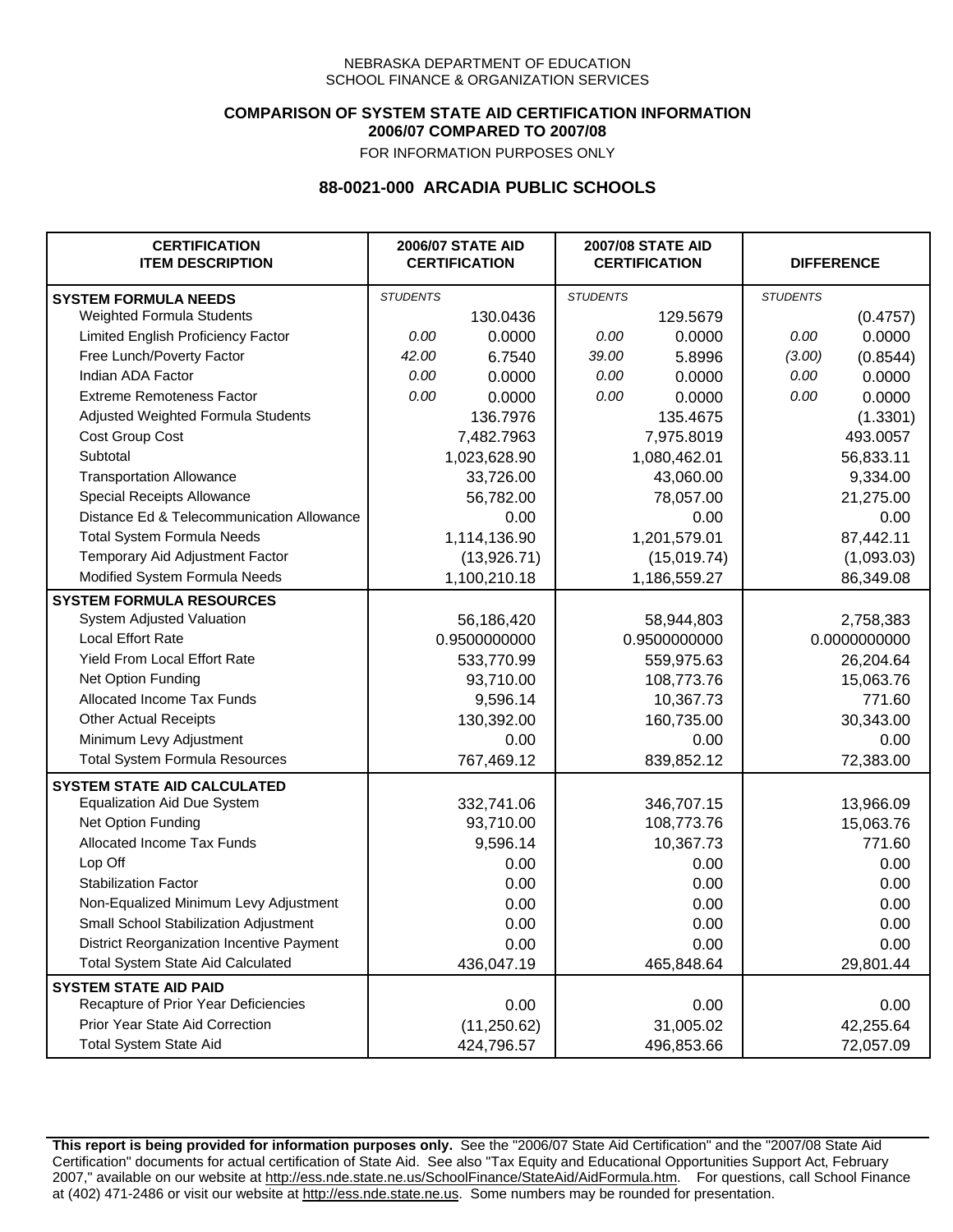### **COMPARISON OF SYSTEM STATE AID CERTIFICATION INFORMATION 2006/07 COMPARED TO 2007/08**

FOR INFORMATION PURPOSES ONLY

## **88-0021-000 ARCADIA PUBLIC SCHOOLS**

| <b>CERTIFICATION</b><br><b>ITEM DESCRIPTION</b> | <b>2006/07 STATE AID</b><br><b>CERTIFICATION</b> |              | <b>2007/08 STATE AID</b><br><b>CERTIFICATION</b> |              | <b>DIFFERENCE</b> |              |
|-------------------------------------------------|--------------------------------------------------|--------------|--------------------------------------------------|--------------|-------------------|--------------|
| <b>SYSTEM FORMULA NEEDS</b>                     | <b>STUDENTS</b>                                  |              | <b>STUDENTS</b>                                  |              | <b>STUDENTS</b>   |              |
| Weighted Formula Students                       |                                                  | 130.0436     |                                                  | 129.5679     |                   | (0.4757)     |
| Limited English Proficiency Factor              | 0.00                                             | 0.0000       | 0.00                                             | 0.0000       | 0.00              | 0.0000       |
| Free Lunch/Poverty Factor                       | 42.00                                            | 6.7540       | 39.00                                            | 5.8996       | (3.00)            | (0.8544)     |
| Indian ADA Factor                               | 0.00                                             | 0.0000       | 0.00                                             | 0.0000       | 0.00              | 0.0000       |
| <b>Extreme Remoteness Factor</b>                | 0.00                                             | 0.0000       | 0.00                                             | 0.0000       | 0.00              | 0.0000       |
| Adjusted Weighted Formula Students              |                                                  | 136.7976     |                                                  | 135.4675     |                   | (1.3301)     |
| Cost Group Cost                                 |                                                  | 7,482.7963   |                                                  | 7,975.8019   |                   | 493.0057     |
| Subtotal                                        |                                                  | 1,023,628.90 |                                                  | 1,080,462.01 |                   | 56,833.11    |
| <b>Transportation Allowance</b>                 |                                                  | 33,726.00    |                                                  | 43,060.00    |                   | 9,334.00     |
| Special Receipts Allowance                      |                                                  | 56,782.00    |                                                  | 78,057.00    |                   | 21,275.00    |
| Distance Ed & Telecommunication Allowance       |                                                  | 0.00         |                                                  | 0.00         |                   | 0.00         |
| <b>Total System Formula Needs</b>               |                                                  | 1,114,136.90 |                                                  | 1,201,579.01 |                   | 87,442.11    |
| Temporary Aid Adjustment Factor                 |                                                  | (13,926.71)  | (15,019.74)                                      |              | (1,093.03)        |              |
| Modified System Formula Needs                   |                                                  | 1,100,210.18 |                                                  | 1,186,559.27 |                   | 86,349.08    |
| <b>SYSTEM FORMULA RESOURCES</b>                 |                                                  |              |                                                  |              |                   |              |
| System Adjusted Valuation                       |                                                  | 56,186,420   |                                                  | 58,944,803   |                   | 2,758,383    |
| <b>Local Effort Rate</b>                        |                                                  | 0.9500000000 |                                                  | 0.9500000000 |                   | 0.0000000000 |
| Yield From Local Effort Rate                    |                                                  | 533,770.99   |                                                  | 559,975.63   |                   | 26,204.64    |
| Net Option Funding                              |                                                  | 93,710.00    |                                                  | 108,773.76   |                   | 15,063.76    |
| Allocated Income Tax Funds                      |                                                  | 9,596.14     |                                                  | 10,367.73    |                   | 771.60       |
| <b>Other Actual Receipts</b>                    |                                                  | 130,392.00   | 160,735.00                                       |              | 30,343.00         |              |
| Minimum Levy Adjustment                         |                                                  | 0.00         |                                                  | 0.00         |                   | 0.00         |
| <b>Total System Formula Resources</b>           |                                                  | 767,469.12   |                                                  | 839,852.12   |                   | 72,383.00    |
| <b>SYSTEM STATE AID CALCULATED</b>              |                                                  |              |                                                  |              |                   |              |
| <b>Equalization Aid Due System</b>              |                                                  | 332,741.06   |                                                  | 346,707.15   |                   | 13,966.09    |
| Net Option Funding                              |                                                  | 93,710.00    |                                                  | 108,773.76   |                   | 15,063.76    |
| Allocated Income Tax Funds                      |                                                  | 9,596.14     |                                                  | 10,367.73    |                   | 771.60       |
| Lop Off                                         |                                                  | 0.00         |                                                  | 0.00         |                   | 0.00         |
| <b>Stabilization Factor</b>                     |                                                  | 0.00         |                                                  | 0.00         |                   | 0.00         |
| Non-Equalized Minimum Levy Adjustment           |                                                  | 0.00         |                                                  | 0.00         |                   | 0.00         |
| Small School Stabilization Adjustment           |                                                  | 0.00         |                                                  | 0.00         |                   | 0.00         |
| District Reorganization Incentive Payment       |                                                  | 0.00         |                                                  | 0.00         |                   | 0.00         |
| <b>Total System State Aid Calculated</b>        |                                                  | 436,047.19   |                                                  | 465,848.64   |                   | 29,801.44    |
| <b>SYSTEM STATE AID PAID</b>                    |                                                  |              |                                                  |              |                   |              |
| Recapture of Prior Year Deficiencies            |                                                  | 0.00         |                                                  | 0.00         |                   | 0.00         |
| Prior Year State Aid Correction                 |                                                  | (11, 250.62) |                                                  | 31,005.02    |                   | 42,255.64    |
| <b>Total System State Aid</b>                   |                                                  | 424,796.57   |                                                  | 496,853.66   |                   | 72,057.09    |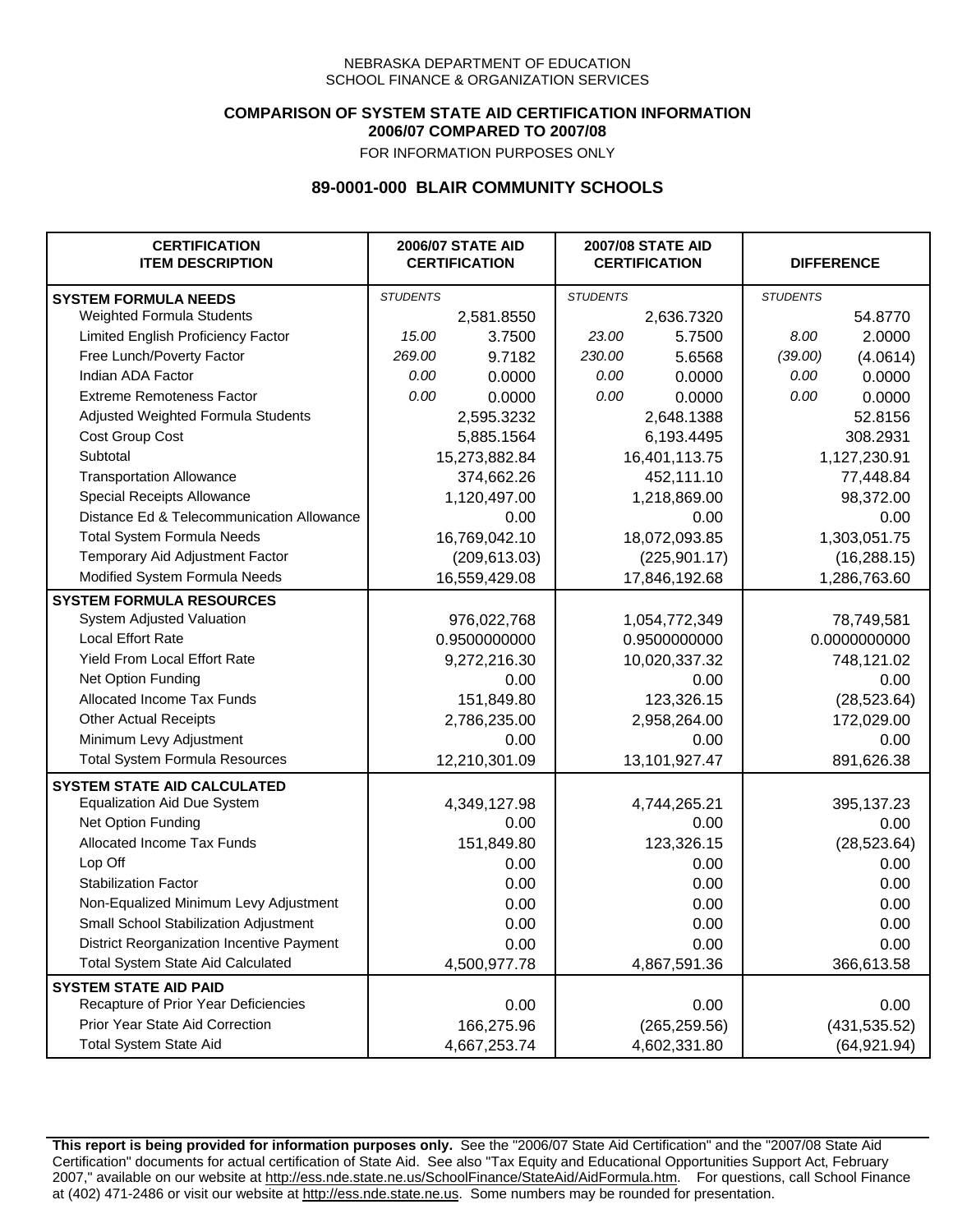### **COMPARISON OF SYSTEM STATE AID CERTIFICATION INFORMATION 2006/07 COMPARED TO 2007/08**

FOR INFORMATION PURPOSES ONLY

## **89-0001-000 BLAIR COMMUNITY SCHOOLS**

| <b>CERTIFICATION</b><br><b>ITEM DESCRIPTION</b> |                 | <b>2006/07 STATE AID</b><br><b>CERTIFICATION</b> | <b>2007/08 STATE AID</b><br><b>CERTIFICATION</b> |               |                 | <b>DIFFERENCE</b> |
|-------------------------------------------------|-----------------|--------------------------------------------------|--------------------------------------------------|---------------|-----------------|-------------------|
| <b>SYSTEM FORMULA NEEDS</b>                     | <b>STUDENTS</b> |                                                  | <b>STUDENTS</b>                                  |               | <b>STUDENTS</b> |                   |
| Weighted Formula Students                       |                 | 2,581.8550                                       |                                                  | 2,636.7320    |                 | 54.8770           |
| Limited English Proficiency Factor              | 15.00           | 3.7500                                           | 23.00                                            | 5.7500        | 8.00            | 2.0000            |
| Free Lunch/Poverty Factor                       | 269.00          | 9.7182                                           | 230.00                                           | 5.6568        | (39.00)         | (4.0614)          |
| Indian ADA Factor                               | 0.00            | 0.0000                                           | 0.00                                             | 0.0000        | 0.00            | 0.0000            |
| <b>Extreme Remoteness Factor</b>                | 0.00            | 0.0000                                           | 0.00                                             | 0.0000        | 0.00            | 0.0000            |
| Adjusted Weighted Formula Students              |                 | 2,595.3232                                       |                                                  | 2,648.1388    |                 | 52.8156           |
| Cost Group Cost                                 |                 | 5,885.1564                                       |                                                  | 6,193.4495    |                 | 308.2931          |
| Subtotal                                        |                 | 15,273,882.84                                    |                                                  | 16,401,113.75 |                 | 1,127,230.91      |
| <b>Transportation Allowance</b>                 |                 | 374,662.26                                       |                                                  | 452,111.10    |                 | 77,448.84         |
| Special Receipts Allowance                      |                 | 1,120,497.00                                     |                                                  | 1,218,869.00  |                 | 98,372.00         |
| Distance Ed & Telecommunication Allowance       |                 | 0.00                                             |                                                  | 0.00          |                 | 0.00              |
| <b>Total System Formula Needs</b>               |                 | 16,769,042.10                                    |                                                  | 18,072,093.85 |                 | 1,303,051.75      |
| Temporary Aid Adjustment Factor                 |                 | (209, 613.03)                                    | (225, 901.17)                                    |               | (16, 288.15)    |                   |
| Modified System Formula Needs                   | 16,559,429.08   |                                                  | 17,846,192.68                                    |               | 1,286,763.60    |                   |
| <b>SYSTEM FORMULA RESOURCES</b>                 |                 |                                                  |                                                  |               |                 |                   |
| System Adjusted Valuation                       |                 | 976,022,768                                      |                                                  | 1,054,772,349 |                 | 78,749,581        |
| <b>Local Effort Rate</b>                        |                 | 0.9500000000                                     |                                                  | 0.9500000000  | 0.0000000000    |                   |
| <b>Yield From Local Effort Rate</b>             |                 | 9,272,216.30                                     |                                                  | 10,020,337.32 |                 | 748,121.02        |
| Net Option Funding                              |                 | 0.00                                             | 0.00                                             |               | 0.00            |                   |
| Allocated Income Tax Funds                      |                 | 151,849.80                                       | 123,326.15                                       |               | (28, 523.64)    |                   |
| <b>Other Actual Receipts</b>                    |                 | 2,786,235.00                                     | 2,958,264.00                                     |               | 172,029.00      |                   |
| Minimum Levy Adjustment                         |                 | 0.00                                             | 0.00                                             |               |                 | 0.00              |
| <b>Total System Formula Resources</b>           |                 | 12,210,301.09                                    |                                                  | 13,101,927.47 |                 | 891,626.38        |
| <b>SYSTEM STATE AID CALCULATED</b>              |                 |                                                  |                                                  |               |                 |                   |
| <b>Equalization Aid Due System</b>              |                 | 4,349,127.98                                     |                                                  | 4,744,265.21  |                 | 395,137.23        |
| Net Option Funding                              |                 | 0.00                                             |                                                  | 0.00          |                 | 0.00              |
| Allocated Income Tax Funds                      |                 | 151,849.80                                       |                                                  | 123,326.15    |                 | (28, 523.64)      |
| Lop Off                                         |                 | 0.00                                             |                                                  | 0.00          |                 | 0.00              |
| <b>Stabilization Factor</b>                     |                 | 0.00                                             |                                                  | 0.00          |                 | 0.00              |
| Non-Equalized Minimum Levy Adjustment           |                 | 0.00                                             |                                                  | 0.00          |                 | 0.00              |
| Small School Stabilization Adjustment           |                 | 0.00                                             |                                                  | 0.00          |                 | 0.00              |
| District Reorganization Incentive Payment       |                 | 0.00                                             |                                                  | 0.00          |                 | 0.00              |
| Total System State Aid Calculated               |                 | 4,500,977.78                                     |                                                  | 4,867,591.36  |                 | 366,613.58        |
| <b>SYSTEM STATE AID PAID</b>                    |                 |                                                  |                                                  |               |                 |                   |
| Recapture of Prior Year Deficiencies            |                 | 0.00                                             |                                                  | 0.00          | 0.00            |                   |
| Prior Year State Aid Correction                 |                 | 166,275.96                                       |                                                  | (265, 259.56) |                 | (431, 535.52)     |
| <b>Total System State Aid</b>                   |                 | 4,667,253.74                                     |                                                  | 4,602,331.80  | (64, 921.94)    |                   |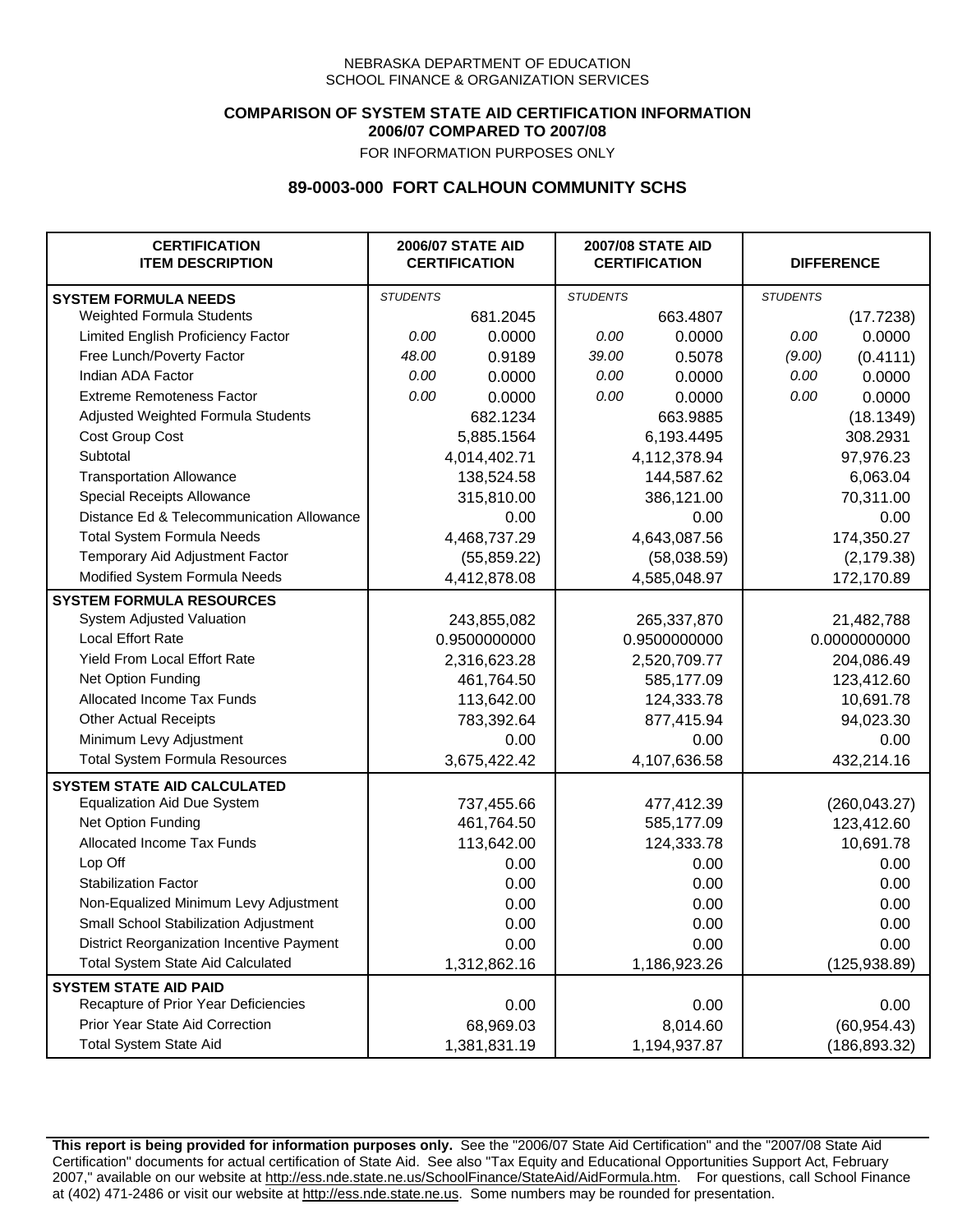## **COMPARISON OF SYSTEM STATE AID CERTIFICATION INFORMATION 2006/07 COMPARED TO 2007/08**

FOR INFORMATION PURPOSES ONLY

## **89-0003-000 FORT CALHOUN COMMUNITY SCHS**

| <b>CERTIFICATION</b><br><b>ITEM DESCRIPTION</b> |                 | <b>2006/07 STATE AID</b><br><b>CERTIFICATION</b> | <b>2007/08 STATE AID</b><br><b>CERTIFICATION</b> |              | <b>DIFFERENCE</b> |               |
|-------------------------------------------------|-----------------|--------------------------------------------------|--------------------------------------------------|--------------|-------------------|---------------|
| <b>SYSTEM FORMULA NEEDS</b>                     | <b>STUDENTS</b> |                                                  | <b>STUDENTS</b>                                  |              | <b>STUDENTS</b>   |               |
| <b>Weighted Formula Students</b>                |                 | 681.2045                                         |                                                  | 663.4807     |                   | (17.7238)     |
| Limited English Proficiency Factor              | 0.00            | 0.0000                                           | 0.00                                             | 0.0000       | 0.00              | 0.0000        |
| Free Lunch/Poverty Factor                       | 48.00           | 0.9189                                           | 39.00                                            | 0.5078       | (9.00)            | (0.4111)      |
| Indian ADA Factor                               | 0.00            | 0.0000                                           | 0.00                                             | 0.0000       | 0.00              | 0.0000        |
| <b>Extreme Remoteness Factor</b>                | 0.00            | 0.0000                                           | 0.00                                             | 0.0000       | 0.00              | 0.0000        |
| Adjusted Weighted Formula Students              |                 | 682.1234                                         |                                                  | 663.9885     |                   | (18.1349)     |
| Cost Group Cost                                 |                 | 5,885.1564                                       |                                                  | 6,193.4495   |                   | 308.2931      |
| Subtotal                                        |                 | 4,014,402.71                                     |                                                  | 4,112,378.94 |                   | 97,976.23     |
| <b>Transportation Allowance</b>                 |                 | 138,524.58                                       |                                                  | 144,587.62   |                   | 6,063.04      |
| Special Receipts Allowance                      |                 | 315,810.00                                       |                                                  | 386,121.00   |                   | 70,311.00     |
| Distance Ed & Telecommunication Allowance       |                 | 0.00                                             |                                                  | 0.00         |                   | 0.00          |
| <b>Total System Formula Needs</b>               |                 | 4,468,737.29                                     | 4,643,087.56                                     |              | 174,350.27        |               |
| Temporary Aid Adjustment Factor                 |                 | (55, 859.22)                                     | (58,038.59)                                      |              | (2, 179.38)       |               |
| Modified System Formula Needs                   |                 | 4,412,878.08                                     |                                                  | 4,585,048.97 |                   | 172,170.89    |
| <b>SYSTEM FORMULA RESOURCES</b>                 |                 |                                                  |                                                  |              |                   |               |
| System Adjusted Valuation                       |                 | 243,855,082                                      |                                                  | 265,337,870  |                   | 21,482,788    |
| <b>Local Effort Rate</b>                        |                 | 0.9500000000                                     |                                                  | 0.9500000000 | 0.0000000000      |               |
| Yield From Local Effort Rate                    |                 | 2,316,623.28                                     | 2,520,709.77                                     |              | 204,086.49        |               |
| Net Option Funding                              |                 | 461,764.50                                       | 585,177.09                                       |              | 123,412.60        |               |
| Allocated Income Tax Funds                      |                 | 113,642.00                                       | 124,333.78                                       |              | 10,691.78         |               |
| <b>Other Actual Receipts</b>                    |                 | 783,392.64                                       |                                                  | 877,415.94   |                   | 94,023.30     |
| Minimum Levy Adjustment                         |                 | 0.00                                             |                                                  | 0.00         |                   | 0.00          |
| <b>Total System Formula Resources</b>           |                 | 3,675,422.42                                     |                                                  | 4,107,636.58 |                   | 432,214.16    |
| <b>SYSTEM STATE AID CALCULATED</b>              |                 |                                                  |                                                  |              |                   |               |
| <b>Equalization Aid Due System</b>              |                 | 737,455.66                                       |                                                  | 477,412.39   |                   | (260, 043.27) |
| Net Option Funding                              |                 | 461,764.50                                       |                                                  | 585,177.09   |                   | 123,412.60    |
| Allocated Income Tax Funds                      |                 | 113,642.00                                       |                                                  | 124,333.78   |                   | 10,691.78     |
| Lop Off                                         |                 | 0.00                                             |                                                  | 0.00         |                   | 0.00          |
| <b>Stabilization Factor</b>                     |                 | 0.00                                             |                                                  | 0.00         |                   | 0.00          |
| Non-Equalized Minimum Levy Adjustment           |                 | 0.00                                             |                                                  | 0.00         |                   | 0.00          |
| Small School Stabilization Adjustment           |                 | 0.00                                             |                                                  | 0.00         |                   | 0.00          |
| District Reorganization Incentive Payment       |                 | 0.00                                             |                                                  | 0.00         |                   | 0.00          |
| <b>Total System State Aid Calculated</b>        |                 | 1,312,862.16                                     |                                                  | 1,186,923.26 |                   | (125, 938.89) |
| <b>SYSTEM STATE AID PAID</b>                    |                 |                                                  |                                                  |              |                   |               |
| Recapture of Prior Year Deficiencies            |                 | 0.00                                             |                                                  | 0.00         |                   | 0.00          |
| Prior Year State Aid Correction                 |                 | 68,969.03                                        |                                                  | 8,014.60     |                   | (60, 954.43)  |
| <b>Total System State Aid</b>                   |                 | 1,381,831.19                                     |                                                  | 1,194,937.87 |                   | (186, 893.32) |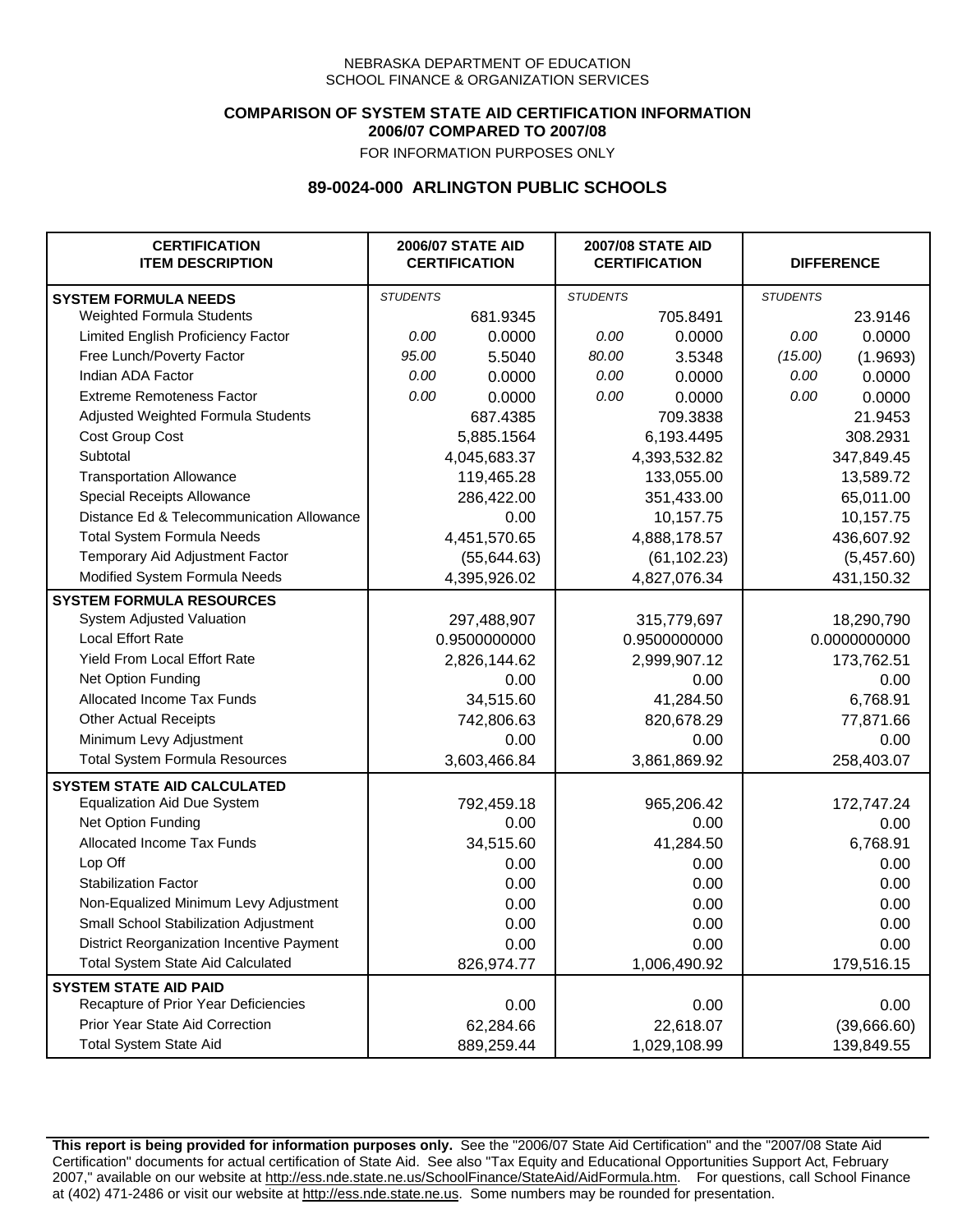### **COMPARISON OF SYSTEM STATE AID CERTIFICATION INFORMATION 2006/07 COMPARED TO 2007/08**

FOR INFORMATION PURPOSES ONLY

## **89-0024-000 ARLINGTON PUBLIC SCHOOLS**

| <b>CERTIFICATION</b><br><b>ITEM DESCRIPTION</b> |                 | <b>2006/07 STATE AID</b><br><b>CERTIFICATION</b> | <b>2007/08 STATE AID</b><br><b>CERTIFICATION</b> |              | <b>DIFFERENCE</b> |              |
|-------------------------------------------------|-----------------|--------------------------------------------------|--------------------------------------------------|--------------|-------------------|--------------|
| <b>SYSTEM FORMULA NEEDS</b>                     | <b>STUDENTS</b> |                                                  | <b>STUDENTS</b>                                  |              | <b>STUDENTS</b>   |              |
| Weighted Formula Students                       |                 | 681.9345                                         |                                                  | 705.8491     |                   | 23.9146      |
| Limited English Proficiency Factor              | 0.00            | 0.0000                                           | 0.00                                             | 0.0000       | 0.00              | 0.0000       |
| Free Lunch/Poverty Factor                       | 95.00           | 5.5040                                           | 80.00                                            | 3.5348       | (15.00)           | (1.9693)     |
| Indian ADA Factor                               | 0.00            | 0.0000                                           | 0.00                                             | 0.0000       | 0.00              | 0.0000       |
| <b>Extreme Remoteness Factor</b>                | 0.00            | 0.0000                                           | 0.00                                             | 0.0000       | 0.00              | 0.0000       |
| Adjusted Weighted Formula Students              |                 | 687.4385                                         |                                                  | 709.3838     |                   | 21.9453      |
| Cost Group Cost                                 |                 | 5,885.1564                                       |                                                  | 6,193.4495   |                   | 308.2931     |
| Subtotal                                        |                 | 4,045,683.37                                     |                                                  | 4,393,532.82 |                   | 347,849.45   |
| <b>Transportation Allowance</b>                 |                 | 119,465.28                                       |                                                  | 133,055.00   |                   | 13,589.72    |
| Special Receipts Allowance                      |                 | 286,422.00                                       |                                                  | 351,433.00   |                   | 65,011.00    |
| Distance Ed & Telecommunication Allowance       |                 | 0.00                                             |                                                  | 10,157.75    |                   | 10,157.75    |
| <b>Total System Formula Needs</b>               |                 | 4,451,570.65                                     |                                                  | 4,888,178.57 | 436,607.92        |              |
| Temporary Aid Adjustment Factor                 |                 | (55, 644.63)                                     | (61, 102.23)                                     |              | (5,457.60)        |              |
| Modified System Formula Needs                   |                 | 4,395,926.02                                     |                                                  | 4,827,076.34 |                   | 431,150.32   |
| <b>SYSTEM FORMULA RESOURCES</b>                 |                 |                                                  |                                                  |              |                   |              |
| System Adjusted Valuation                       |                 | 297,488,907                                      |                                                  | 315,779,697  |                   | 18,290,790   |
| <b>Local Effort Rate</b>                        |                 | 0.9500000000                                     |                                                  | 0.9500000000 |                   | 0.0000000000 |
| <b>Yield From Local Effort Rate</b>             |                 | 2,826,144.62                                     |                                                  | 2,999,907.12 |                   | 173,762.51   |
| Net Option Funding                              |                 | 0.00                                             |                                                  | 0.00         |                   | 0.00         |
| Allocated Income Tax Funds                      |                 | 34,515.60                                        |                                                  | 41,284.50    |                   | 6,768.91     |
| <b>Other Actual Receipts</b>                    |                 | 742,806.63                                       | 820,678.29                                       |              | 77,871.66         |              |
| Minimum Levy Adjustment                         |                 | 0.00                                             |                                                  | 0.00         |                   | 0.00         |
| <b>Total System Formula Resources</b>           |                 | 3,603,466.84                                     |                                                  | 3,861,869.92 |                   | 258,403.07   |
| <b>SYSTEM STATE AID CALCULATED</b>              |                 |                                                  |                                                  |              |                   |              |
| <b>Equalization Aid Due System</b>              |                 | 792,459.18                                       |                                                  | 965,206.42   |                   | 172,747.24   |
| Net Option Funding                              |                 | 0.00                                             |                                                  | 0.00         |                   | 0.00         |
| Allocated Income Tax Funds                      |                 | 34,515.60                                        |                                                  | 41,284.50    |                   | 6,768.91     |
| Lop Off                                         |                 | 0.00                                             |                                                  | 0.00         |                   | 0.00         |
| <b>Stabilization Factor</b>                     |                 | 0.00                                             |                                                  | 0.00         |                   | 0.00         |
| Non-Equalized Minimum Levy Adjustment           |                 | 0.00                                             |                                                  | 0.00         |                   | 0.00         |
| Small School Stabilization Adjustment           |                 | 0.00                                             |                                                  | 0.00         |                   | 0.00         |
| District Reorganization Incentive Payment       |                 | 0.00                                             |                                                  | 0.00         |                   | 0.00         |
| <b>Total System State Aid Calculated</b>        |                 | 826,974.77                                       |                                                  | 1,006,490.92 |                   | 179,516.15   |
| <b>SYSTEM STATE AID PAID</b>                    |                 |                                                  |                                                  |              |                   |              |
| Recapture of Prior Year Deficiencies            |                 | 0.00                                             |                                                  | 0.00         |                   | 0.00         |
| Prior Year State Aid Correction                 |                 | 62,284.66                                        |                                                  | 22,618.07    |                   | (39,666.60)  |
| <b>Total System State Aid</b>                   |                 | 889,259.44                                       |                                                  | 1,029,108.99 |                   | 139,849.55   |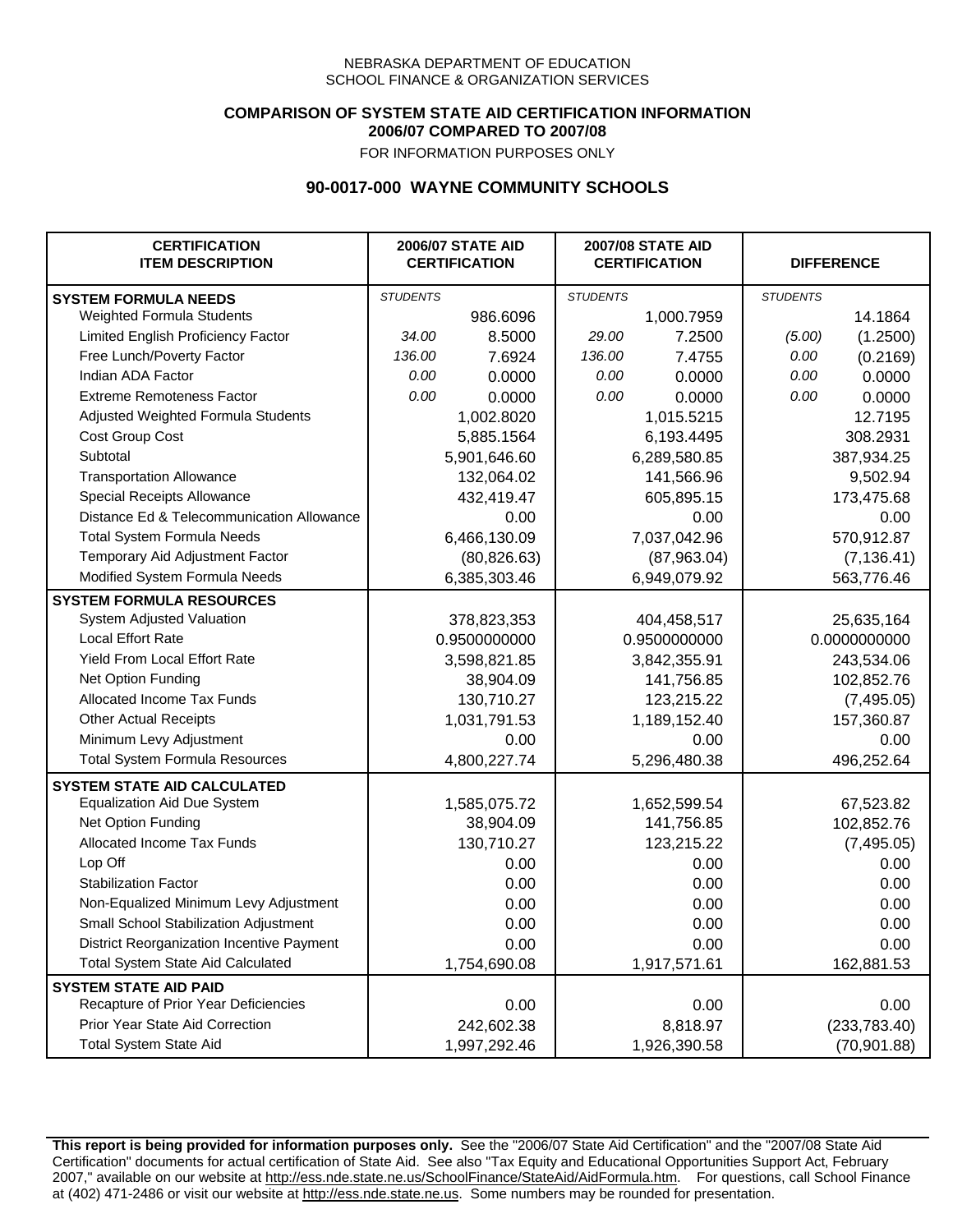### **COMPARISON OF SYSTEM STATE AID CERTIFICATION INFORMATION 2006/07 COMPARED TO 2007/08**

FOR INFORMATION PURPOSES ONLY

## **90-0017-000 WAYNE COMMUNITY SCHOOLS**

| <b>CERTIFICATION</b><br><b>ITEM DESCRIPTION</b> | <b>2006/07 STATE AID</b><br><b>CERTIFICATION</b> |              | <b>2007/08 STATE AID</b><br><b>CERTIFICATION</b> |              | <b>DIFFERENCE</b> |               |
|-------------------------------------------------|--------------------------------------------------|--------------|--------------------------------------------------|--------------|-------------------|---------------|
| <b>SYSTEM FORMULA NEEDS</b>                     | <b>STUDENTS</b>                                  |              | <b>STUDENTS</b>                                  |              | <b>STUDENTS</b>   |               |
| Weighted Formula Students                       |                                                  | 986.6096     |                                                  | 1,000.7959   |                   | 14.1864       |
| Limited English Proficiency Factor              | 34.00                                            | 8.5000       | 29.00                                            | 7.2500       | (5.00)            | (1.2500)      |
| Free Lunch/Poverty Factor                       | 136.00                                           | 7.6924       | 136.00                                           | 7.4755       | 0.00              | (0.2169)      |
| Indian ADA Factor                               | 0.00                                             | 0.0000       | 0.00                                             | 0.0000       | 0.00              | 0.0000        |
| <b>Extreme Remoteness Factor</b>                | 0.00                                             | 0.0000       | 0.00                                             | 0.0000       | 0.00              | 0.0000        |
| Adjusted Weighted Formula Students              |                                                  | 1,002.8020   |                                                  | 1,015.5215   |                   | 12.7195       |
| Cost Group Cost                                 |                                                  | 5,885.1564   | 6,193.4495                                       |              |                   | 308.2931      |
| Subtotal                                        |                                                  | 5,901,646.60 |                                                  | 6,289,580.85 |                   | 387,934.25    |
| <b>Transportation Allowance</b>                 |                                                  | 132,064.02   |                                                  | 141,566.96   |                   | 9,502.94      |
| Special Receipts Allowance                      |                                                  | 432,419.47   |                                                  | 605,895.15   |                   | 173,475.68    |
| Distance Ed & Telecommunication Allowance       |                                                  | 0.00         |                                                  | 0.00         |                   | 0.00          |
| <b>Total System Formula Needs</b>               |                                                  | 6,466,130.09 | 7,037,042.96                                     |              | 570,912.87        |               |
| Temporary Aid Adjustment Factor                 |                                                  | (80, 826.63) | (87,963.04)                                      |              | (7, 136.41)       |               |
| Modified System Formula Needs                   |                                                  | 6,385,303.46 |                                                  | 6,949,079.92 |                   | 563,776.46    |
| <b>SYSTEM FORMULA RESOURCES</b>                 |                                                  |              |                                                  |              |                   |               |
| System Adjusted Valuation                       |                                                  | 378,823,353  |                                                  | 404,458,517  |                   | 25,635,164    |
| <b>Local Effort Rate</b>                        |                                                  | 0.9500000000 |                                                  | 0.9500000000 |                   | 0.0000000000  |
| Yield From Local Effort Rate                    |                                                  | 3,598,821.85 | 3,842,355.91                                     |              | 243,534.06        |               |
| Net Option Funding                              |                                                  | 38,904.09    | 141,756.85                                       |              | 102,852.76        |               |
| Allocated Income Tax Funds                      |                                                  | 130,710.27   | 123,215.22                                       |              | (7, 495.05)       |               |
| <b>Other Actual Receipts</b>                    |                                                  | 1,031,791.53 | 1,189,152.40                                     |              | 157,360.87        |               |
| Minimum Levy Adjustment                         |                                                  | 0.00         | 0.00                                             |              | 0.00              |               |
| <b>Total System Formula Resources</b>           |                                                  | 4,800,227.74 |                                                  | 5,296,480.38 |                   | 496,252.64    |
| <b>SYSTEM STATE AID CALCULATED</b>              |                                                  |              |                                                  |              |                   |               |
| <b>Equalization Aid Due System</b>              |                                                  | 1,585,075.72 |                                                  | 1,652,599.54 |                   | 67,523.82     |
| Net Option Funding                              |                                                  | 38,904.09    |                                                  | 141,756.85   |                   | 102,852.76    |
| Allocated Income Tax Funds                      |                                                  | 130,710.27   |                                                  | 123,215.22   |                   | (7, 495.05)   |
| Lop Off                                         |                                                  | 0.00         |                                                  | 0.00         |                   | 0.00          |
| <b>Stabilization Factor</b>                     |                                                  | 0.00         |                                                  | 0.00         |                   | 0.00          |
| Non-Equalized Minimum Levy Adjustment           |                                                  | 0.00         |                                                  | 0.00         |                   | 0.00          |
| Small School Stabilization Adjustment           |                                                  | 0.00         |                                                  | 0.00         |                   | 0.00          |
| District Reorganization Incentive Payment       |                                                  | 0.00         |                                                  | 0.00         |                   | 0.00          |
| <b>Total System State Aid Calculated</b>        |                                                  | 1,754,690.08 |                                                  | 1,917,571.61 |                   | 162,881.53    |
| <b>SYSTEM STATE AID PAID</b>                    |                                                  |              |                                                  |              |                   |               |
| Recapture of Prior Year Deficiencies            |                                                  | 0.00         |                                                  | 0.00         |                   | 0.00          |
| Prior Year State Aid Correction                 |                                                  | 242,602.38   |                                                  | 8,818.97     |                   | (233, 783.40) |
| <b>Total System State Aid</b>                   |                                                  | 1,997,292.46 |                                                  | 1,926,390.58 |                   | (70, 901.88)  |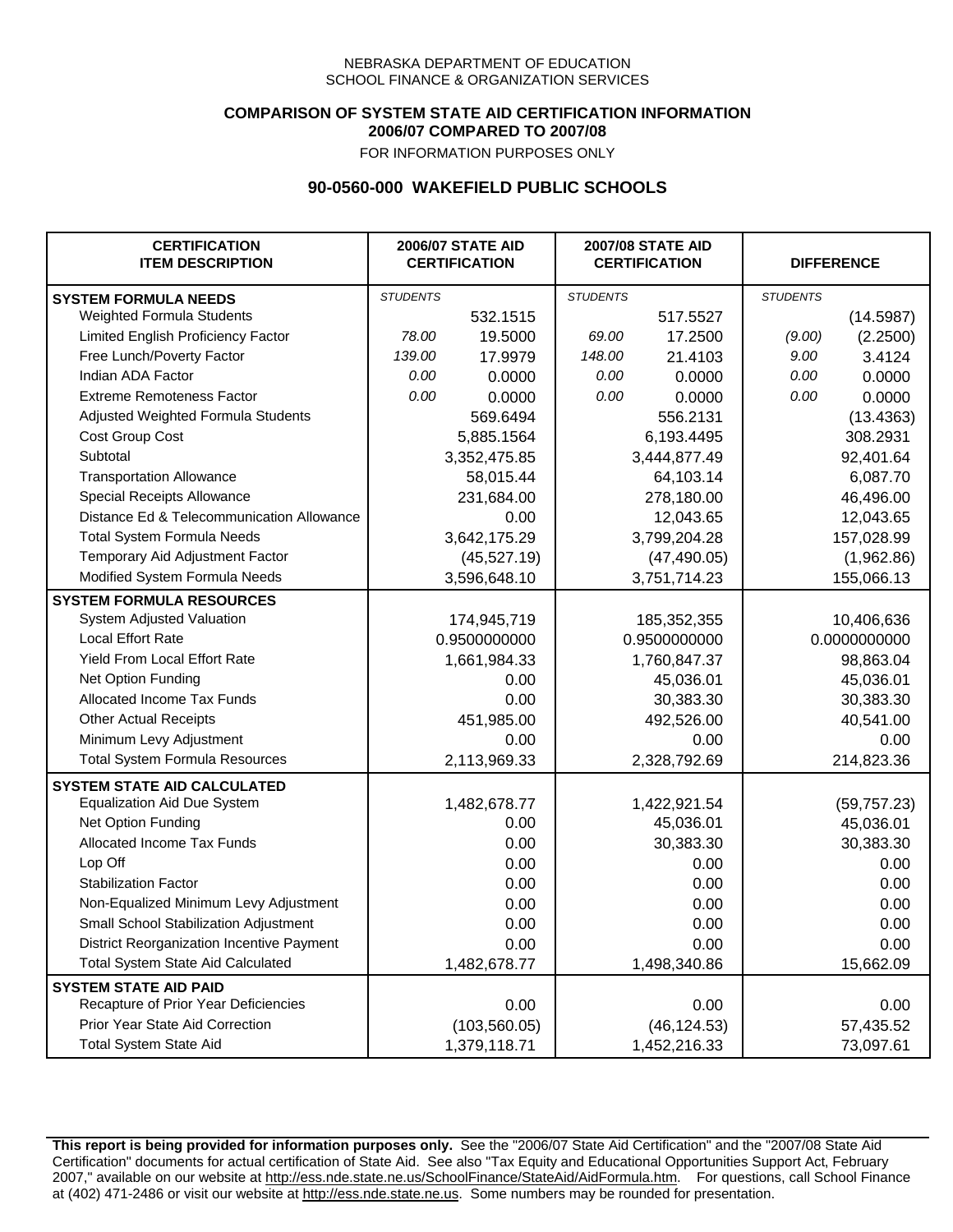### **COMPARISON OF SYSTEM STATE AID CERTIFICATION INFORMATION 2006/07 COMPARED TO 2007/08**

FOR INFORMATION PURPOSES ONLY

## **90-0560-000 WAKEFIELD PUBLIC SCHOOLS**

| <b>CERTIFICATION</b><br><b>ITEM DESCRIPTION</b> |                 | <b>2006/07 STATE AID</b><br><b>CERTIFICATION</b> | <b>2007/08 STATE AID</b><br><b>CERTIFICATION</b> |              | <b>DIFFERENCE</b> |              |
|-------------------------------------------------|-----------------|--------------------------------------------------|--------------------------------------------------|--------------|-------------------|--------------|
| <b>SYSTEM FORMULA NEEDS</b>                     | <b>STUDENTS</b> |                                                  | <b>STUDENTS</b>                                  |              | <b>STUDENTS</b>   |              |
| Weighted Formula Students                       |                 | 532.1515                                         |                                                  | 517.5527     |                   | (14.5987)    |
| Limited English Proficiency Factor              | 78.00           | 19.5000                                          | 69.00                                            | 17.2500      | (9.00)            | (2.2500)     |
| Free Lunch/Poverty Factor                       | 139.00          | 17.9979                                          | 148.00                                           | 21.4103      | 9.00              | 3.4124       |
| Indian ADA Factor                               | 0.00            | 0.0000                                           | 0.00                                             | 0.0000       | 0.00              | 0.0000       |
| <b>Extreme Remoteness Factor</b>                | 0.00            | 0.0000                                           | 0.00                                             | 0.0000       | 0.00              | 0.0000       |
| Adjusted Weighted Formula Students              |                 | 569.6494                                         |                                                  | 556.2131     |                   | (13.4363)    |
| Cost Group Cost                                 |                 | 5,885.1564                                       |                                                  | 6,193.4495   |                   | 308.2931     |
| Subtotal                                        |                 | 3,352,475.85                                     |                                                  | 3,444,877.49 |                   | 92,401.64    |
| <b>Transportation Allowance</b>                 |                 | 58,015.44                                        |                                                  | 64,103.14    |                   | 6,087.70     |
| Special Receipts Allowance                      |                 | 231,684.00                                       |                                                  | 278,180.00   |                   | 46,496.00    |
| Distance Ed & Telecommunication Allowance       |                 | 0.00                                             |                                                  | 12,043.65    |                   | 12,043.65    |
| <b>Total System Formula Needs</b>               |                 | 3,642,175.29                                     |                                                  | 3,799,204.28 | 157,028.99        |              |
| Temporary Aid Adjustment Factor                 |                 | (45,527.19)                                      | (47, 490.05)                                     |              | (1,962.86)        |              |
| Modified System Formula Needs                   |                 | 3,596,648.10                                     |                                                  | 3,751,714.23 |                   | 155,066.13   |
| <b>SYSTEM FORMULA RESOURCES</b>                 |                 |                                                  |                                                  |              |                   |              |
| System Adjusted Valuation                       |                 | 174,945,719                                      |                                                  | 185,352,355  |                   | 10,406,636   |
| <b>Local Effort Rate</b>                        |                 | 0.9500000000                                     |                                                  | 0.9500000000 |                   | 0.0000000000 |
| Yield From Local Effort Rate                    |                 | 1,661,984.33                                     | 1,760,847.37                                     |              | 98,863.04         |              |
| Net Option Funding                              |                 | 0.00                                             | 45,036.01                                        |              | 45,036.01         |              |
| Allocated Income Tax Funds                      |                 | 0.00                                             | 30,383.30                                        |              | 30,383.30         |              |
| <b>Other Actual Receipts</b>                    |                 | 451,985.00                                       | 492,526.00                                       |              | 40,541.00         |              |
| Minimum Levy Adjustment                         |                 | 0.00                                             |                                                  | 0.00         |                   | 0.00         |
| <b>Total System Formula Resources</b>           |                 | 2,113,969.33                                     |                                                  | 2,328,792.69 |                   | 214,823.36   |
| <b>SYSTEM STATE AID CALCULATED</b>              |                 |                                                  |                                                  |              |                   |              |
| <b>Equalization Aid Due System</b>              |                 | 1,482,678.77                                     |                                                  | 1,422,921.54 |                   | (59, 757.23) |
| Net Option Funding                              |                 | 0.00                                             |                                                  | 45,036.01    |                   | 45,036.01    |
| Allocated Income Tax Funds                      |                 | 0.00                                             |                                                  | 30,383.30    |                   | 30,383.30    |
| Lop Off                                         |                 | 0.00                                             |                                                  | 0.00         |                   | 0.00         |
| <b>Stabilization Factor</b>                     |                 | 0.00                                             |                                                  | 0.00         |                   | 0.00         |
| Non-Equalized Minimum Levy Adjustment           |                 | 0.00                                             |                                                  | 0.00         |                   | 0.00         |
| Small School Stabilization Adjustment           |                 | 0.00                                             |                                                  | 0.00         |                   | 0.00         |
| District Reorganization Incentive Payment       |                 | 0.00                                             |                                                  | 0.00         |                   | 0.00         |
| <b>Total System State Aid Calculated</b>        |                 | 1,482,678.77                                     |                                                  | 1,498,340.86 |                   | 15,662.09    |
| <b>SYSTEM STATE AID PAID</b>                    |                 |                                                  |                                                  |              |                   |              |
| Recapture of Prior Year Deficiencies            |                 | 0.00                                             |                                                  | 0.00         |                   | 0.00         |
| Prior Year State Aid Correction                 |                 | (103, 560.05)                                    |                                                  | (46, 124.53) |                   | 57,435.52    |
| <b>Total System State Aid</b>                   |                 | 1,379,118.71                                     |                                                  | 1,452,216.33 |                   | 73,097.61    |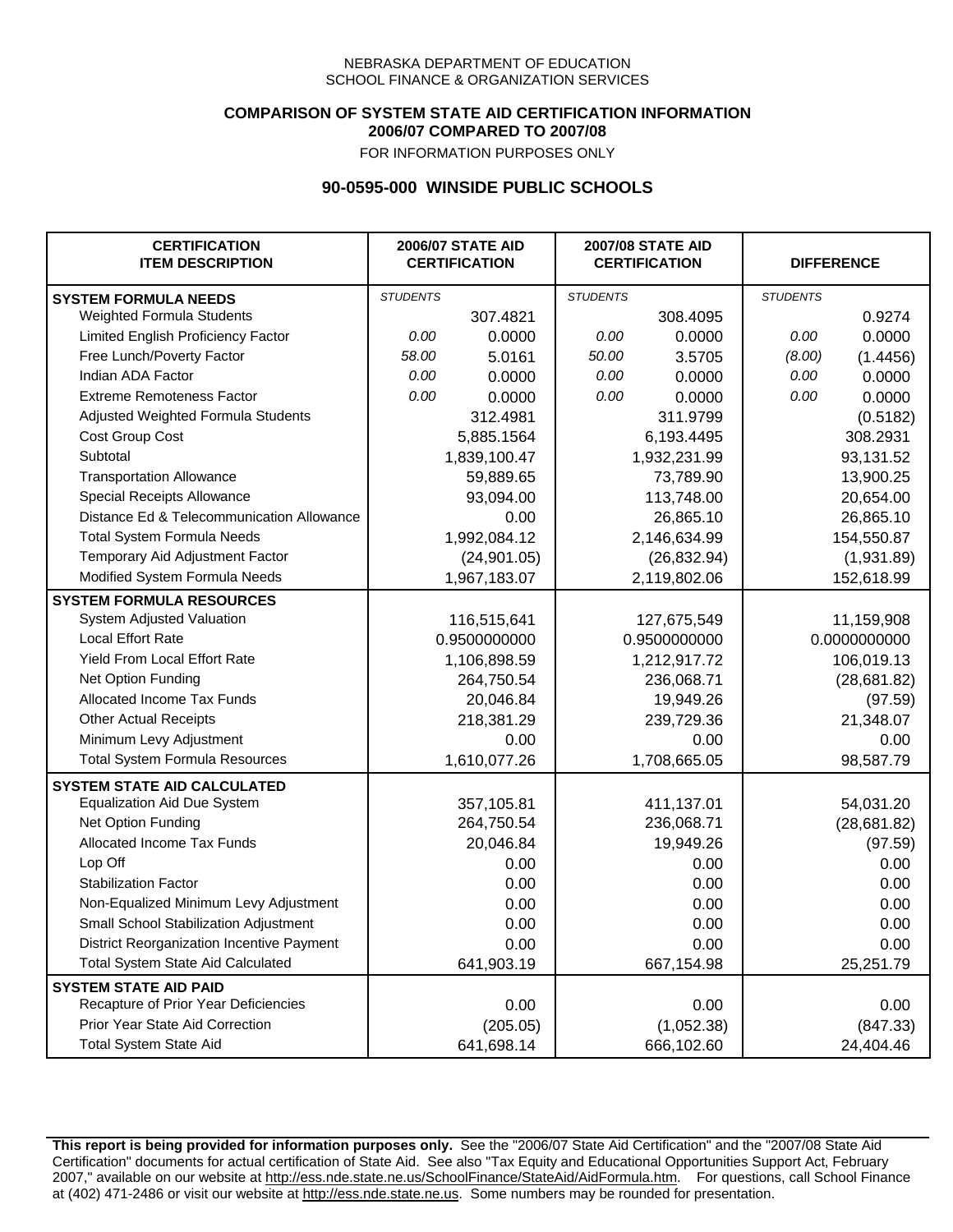### **COMPARISON OF SYSTEM STATE AID CERTIFICATION INFORMATION 2006/07 COMPARED TO 2007/08**

FOR INFORMATION PURPOSES ONLY

## **90-0595-000 WINSIDE PUBLIC SCHOOLS**

| <b>CERTIFICATION</b><br><b>ITEM DESCRIPTION</b> |                 | <b>2006/07 STATE AID</b><br><b>CERTIFICATION</b> | <b>2007/08 STATE AID</b><br><b>CERTIFICATION</b> |              | <b>DIFFERENCE</b> |              |
|-------------------------------------------------|-----------------|--------------------------------------------------|--------------------------------------------------|--------------|-------------------|--------------|
| <b>SYSTEM FORMULA NEEDS</b>                     | <b>STUDENTS</b> |                                                  | <b>STUDENTS</b>                                  |              | <b>STUDENTS</b>   |              |
| <b>Weighted Formula Students</b>                |                 | 307.4821                                         |                                                  | 308.4095     |                   | 0.9274       |
| Limited English Proficiency Factor              | 0.00            | 0.0000                                           | 0.00                                             | 0.0000       | 0.00              | 0.0000       |
| Free Lunch/Poverty Factor                       | 58.00           | 5.0161                                           | 50.00                                            | 3.5705       | (8.00)            | (1.4456)     |
| Indian ADA Factor                               | 0.00            | 0.0000                                           | 0.00                                             | 0.0000       | 0.00              | 0.0000       |
| <b>Extreme Remoteness Factor</b>                | 0.00            | 0.0000                                           | 0.00                                             | 0.0000       | 0.00              | 0.0000       |
| Adjusted Weighted Formula Students              |                 | 312.4981                                         |                                                  | 311.9799     |                   | (0.5182)     |
| Cost Group Cost                                 |                 | 5,885.1564                                       |                                                  | 6,193.4495   |                   | 308.2931     |
| Subtotal                                        |                 | 1,839,100.47                                     |                                                  | 1,932,231.99 |                   | 93,131.52    |
| <b>Transportation Allowance</b>                 |                 | 59,889.65                                        |                                                  | 73,789.90    |                   | 13,900.25    |
| Special Receipts Allowance                      |                 | 93,094.00                                        |                                                  | 113,748.00   |                   | 20,654.00    |
| Distance Ed & Telecommunication Allowance       |                 | 0.00                                             |                                                  | 26,865.10    |                   | 26,865.10    |
| <b>Total System Formula Needs</b>               |                 | 1,992,084.12                                     |                                                  | 2,146,634.99 | 154,550.87        |              |
| Temporary Aid Adjustment Factor                 |                 | (24, 901.05)                                     | (26, 832.94)                                     |              | (1,931.89)        |              |
| Modified System Formula Needs                   |                 | 1,967,183.07                                     |                                                  | 2,119,802.06 |                   | 152,618.99   |
| <b>SYSTEM FORMULA RESOURCES</b>                 |                 |                                                  |                                                  |              |                   |              |
| System Adjusted Valuation                       |                 | 116,515,641                                      |                                                  | 127,675,549  |                   | 11,159,908   |
| <b>Local Effort Rate</b>                        |                 | 0.9500000000                                     |                                                  | 0.9500000000 |                   | 0.0000000000 |
| Yield From Local Effort Rate                    |                 | 1,106,898.59                                     |                                                  | 1,212,917.72 |                   | 106,019.13   |
| Net Option Funding                              |                 | 264,750.54                                       | 236,068.71                                       |              | (28, 681.82)      |              |
| Allocated Income Tax Funds                      |                 | 20,046.84                                        | 19,949.26                                        |              | (97.59)           |              |
| <b>Other Actual Receipts</b>                    |                 | 218,381.29                                       | 239,729.36                                       |              | 21,348.07         |              |
| Minimum Levy Adjustment                         |                 | 0.00                                             |                                                  | 0.00         |                   | 0.00         |
| <b>Total System Formula Resources</b>           |                 | 1,610,077.26                                     |                                                  | 1,708,665.05 |                   | 98,587.79    |
| <b>SYSTEM STATE AID CALCULATED</b>              |                 |                                                  |                                                  |              |                   |              |
| <b>Equalization Aid Due System</b>              |                 | 357,105.81                                       |                                                  | 411,137.01   |                   | 54,031.20    |
| Net Option Funding                              |                 | 264,750.54                                       |                                                  | 236,068.71   |                   | (28, 681.82) |
| Allocated Income Tax Funds                      |                 | 20,046.84                                        |                                                  | 19,949.26    |                   | (97.59)      |
| Lop Off                                         |                 | 0.00                                             |                                                  | 0.00         |                   | 0.00         |
| <b>Stabilization Factor</b>                     |                 | 0.00                                             |                                                  | 0.00         |                   | 0.00         |
| Non-Equalized Minimum Levy Adjustment           |                 | 0.00                                             |                                                  | 0.00         |                   | 0.00         |
| Small School Stabilization Adjustment           |                 | 0.00                                             |                                                  | 0.00         |                   | 0.00         |
| District Reorganization Incentive Payment       |                 | 0.00                                             |                                                  | 0.00         |                   | 0.00         |
| <b>Total System State Aid Calculated</b>        |                 | 641,903.19                                       |                                                  | 667,154.98   |                   | 25,251.79    |
| <b>SYSTEM STATE AID PAID</b>                    |                 |                                                  |                                                  |              |                   |              |
| Recapture of Prior Year Deficiencies            |                 | 0.00                                             |                                                  | 0.00         |                   | 0.00         |
| Prior Year State Aid Correction                 |                 | (205.05)                                         |                                                  | (1,052.38)   |                   | (847.33)     |
| <b>Total System State Aid</b>                   |                 | 641,698.14                                       |                                                  | 666,102.60   |                   | 24,404.46    |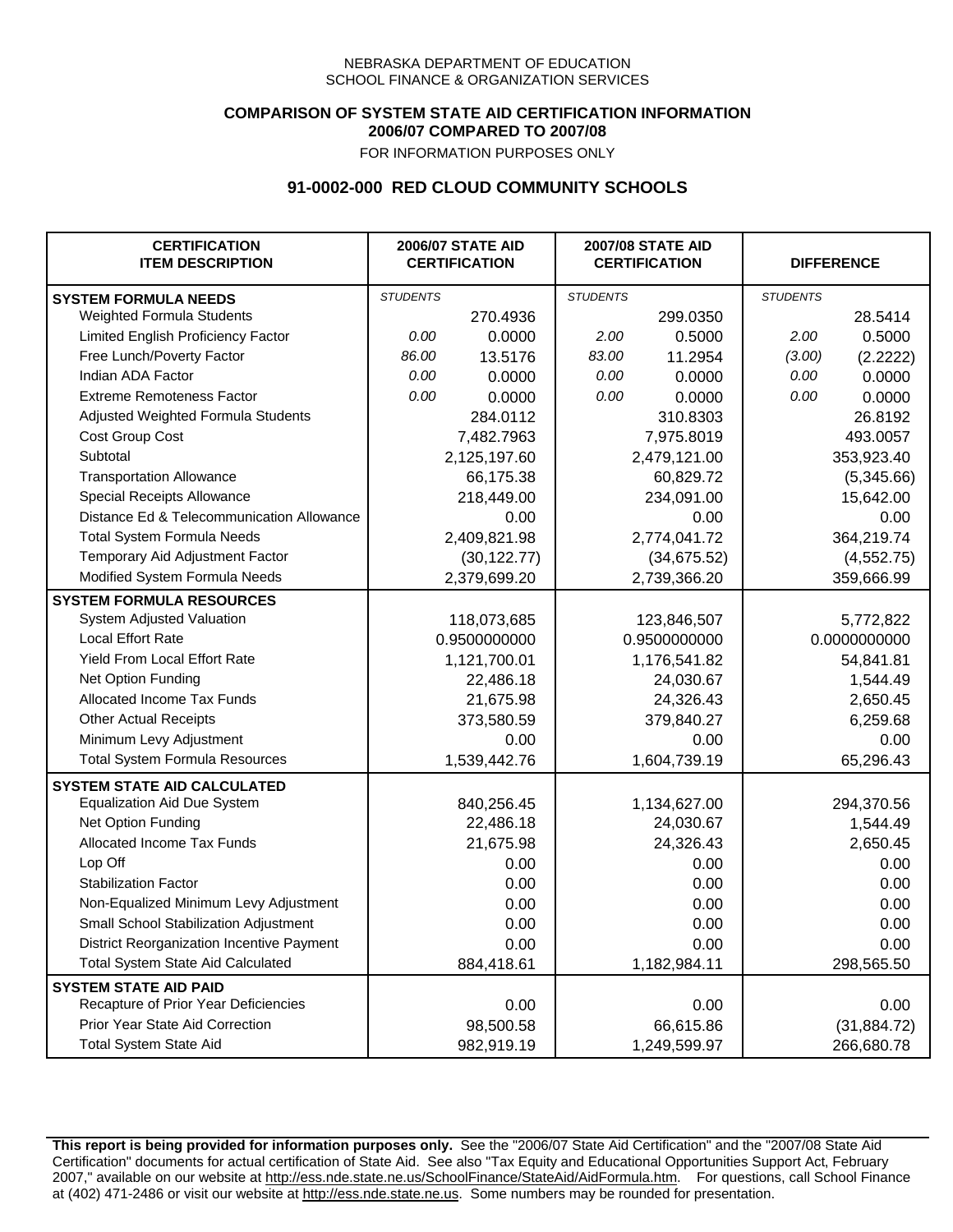## **COMPARISON OF SYSTEM STATE AID CERTIFICATION INFORMATION 2006/07 COMPARED TO 2007/08**

FOR INFORMATION PURPOSES ONLY

# **91-0002-000 RED CLOUD COMMUNITY SCHOOLS**

| <b>CERTIFICATION</b><br><b>ITEM DESCRIPTION</b> |                 | <b>2006/07 STATE AID</b><br><b>CERTIFICATION</b> | <b>2007/08 STATE AID</b><br><b>CERTIFICATION</b> |              | <b>DIFFERENCE</b> |              |
|-------------------------------------------------|-----------------|--------------------------------------------------|--------------------------------------------------|--------------|-------------------|--------------|
| <b>SYSTEM FORMULA NEEDS</b>                     | <b>STUDENTS</b> |                                                  | <b>STUDENTS</b>                                  |              | <b>STUDENTS</b>   |              |
| Weighted Formula Students                       |                 | 270.4936                                         |                                                  | 299.0350     |                   | 28.5414      |
| Limited English Proficiency Factor              | 0.00            | 0.0000                                           | 2.00                                             | 0.5000       | 2.00              | 0.5000       |
| Free Lunch/Poverty Factor                       | 86.00           | 13.5176                                          | 83.00                                            | 11.2954      | (3.00)            | (2.2222)     |
| Indian ADA Factor                               | 0.00            | 0.0000                                           | 0.00                                             | 0.0000       | 0.00              | 0.0000       |
| <b>Extreme Remoteness Factor</b>                | 0.00            | 0.0000                                           | 0.00                                             | 0.0000       | 0.00              | 0.0000       |
| Adjusted Weighted Formula Students              |                 | 284.0112                                         |                                                  | 310.8303     |                   | 26.8192      |
| Cost Group Cost                                 |                 | 7,482.7963                                       |                                                  | 7,975.8019   |                   | 493.0057     |
| Subtotal                                        |                 | 2,125,197.60                                     |                                                  | 2,479,121.00 |                   | 353,923.40   |
| <b>Transportation Allowance</b>                 |                 | 66,175.38                                        |                                                  | 60,829.72    |                   | (5,345.66)   |
| Special Receipts Allowance                      |                 | 218,449.00                                       |                                                  | 234,091.00   |                   | 15,642.00    |
| Distance Ed & Telecommunication Allowance       |                 | 0.00                                             |                                                  | 0.00         |                   | 0.00         |
| <b>Total System Formula Needs</b>               |                 | 2,409,821.98                                     | 2,774,041.72                                     |              | 364,219.74        |              |
| Temporary Aid Adjustment Factor                 |                 | (30, 122.77)                                     | (34, 675.52)                                     |              | (4, 552.75)       |              |
| Modified System Formula Needs                   |                 | 2,379,699.20                                     |                                                  | 2,739,366.20 |                   | 359,666.99   |
| <b>SYSTEM FORMULA RESOURCES</b>                 |                 |                                                  |                                                  |              |                   |              |
| System Adjusted Valuation                       |                 | 118,073,685                                      |                                                  | 123,846,507  |                   | 5,772,822    |
| <b>Local Effort Rate</b>                        |                 | 0.9500000000                                     |                                                  | 0.9500000000 | 0.0000000000      |              |
| Yield From Local Effort Rate                    |                 | 1,121,700.01                                     | 1,176,541.82                                     |              | 54,841.81         |              |
| Net Option Funding                              |                 | 22,486.18                                        | 24,030.67                                        |              | 1,544.49          |              |
| Allocated Income Tax Funds                      |                 | 21,675.98                                        | 24,326.43                                        |              | 2,650.45          |              |
| <b>Other Actual Receipts</b>                    |                 | 373,580.59                                       | 379,840.27                                       |              | 6,259.68          |              |
| Minimum Levy Adjustment                         |                 | 0.00                                             |                                                  | 0.00         |                   | 0.00         |
| <b>Total System Formula Resources</b>           |                 | 1,539,442.76                                     |                                                  | 1,604,739.19 |                   | 65,296.43    |
| <b>SYSTEM STATE AID CALCULATED</b>              |                 |                                                  |                                                  |              |                   |              |
| <b>Equalization Aid Due System</b>              |                 | 840,256.45                                       |                                                  | 1,134,627.00 |                   | 294,370.56   |
| Net Option Funding                              |                 | 22,486.18                                        |                                                  | 24,030.67    |                   | 1,544.49     |
| Allocated Income Tax Funds                      |                 | 21,675.98                                        |                                                  | 24,326.43    |                   | 2,650.45     |
| Lop Off                                         |                 | 0.00                                             |                                                  | 0.00         |                   | 0.00         |
| <b>Stabilization Factor</b>                     |                 | 0.00                                             |                                                  | 0.00         |                   | 0.00         |
| Non-Equalized Minimum Levy Adjustment           |                 | 0.00                                             |                                                  | 0.00         |                   | 0.00         |
| Small School Stabilization Adjustment           |                 | 0.00                                             |                                                  | 0.00         |                   | 0.00         |
| District Reorganization Incentive Payment       |                 | 0.00                                             |                                                  | 0.00         |                   | 0.00         |
| <b>Total System State Aid Calculated</b>        |                 | 884,418.61                                       |                                                  | 1,182,984.11 |                   | 298,565.50   |
| <b>SYSTEM STATE AID PAID</b>                    |                 |                                                  |                                                  |              |                   |              |
| Recapture of Prior Year Deficiencies            |                 | 0.00                                             |                                                  | 0.00         |                   | 0.00         |
| Prior Year State Aid Correction                 |                 | 98,500.58                                        |                                                  | 66,615.86    |                   | (31, 884.72) |
| <b>Total System State Aid</b>                   |                 | 982,919.19                                       |                                                  | 1,249,599.97 |                   | 266,680.78   |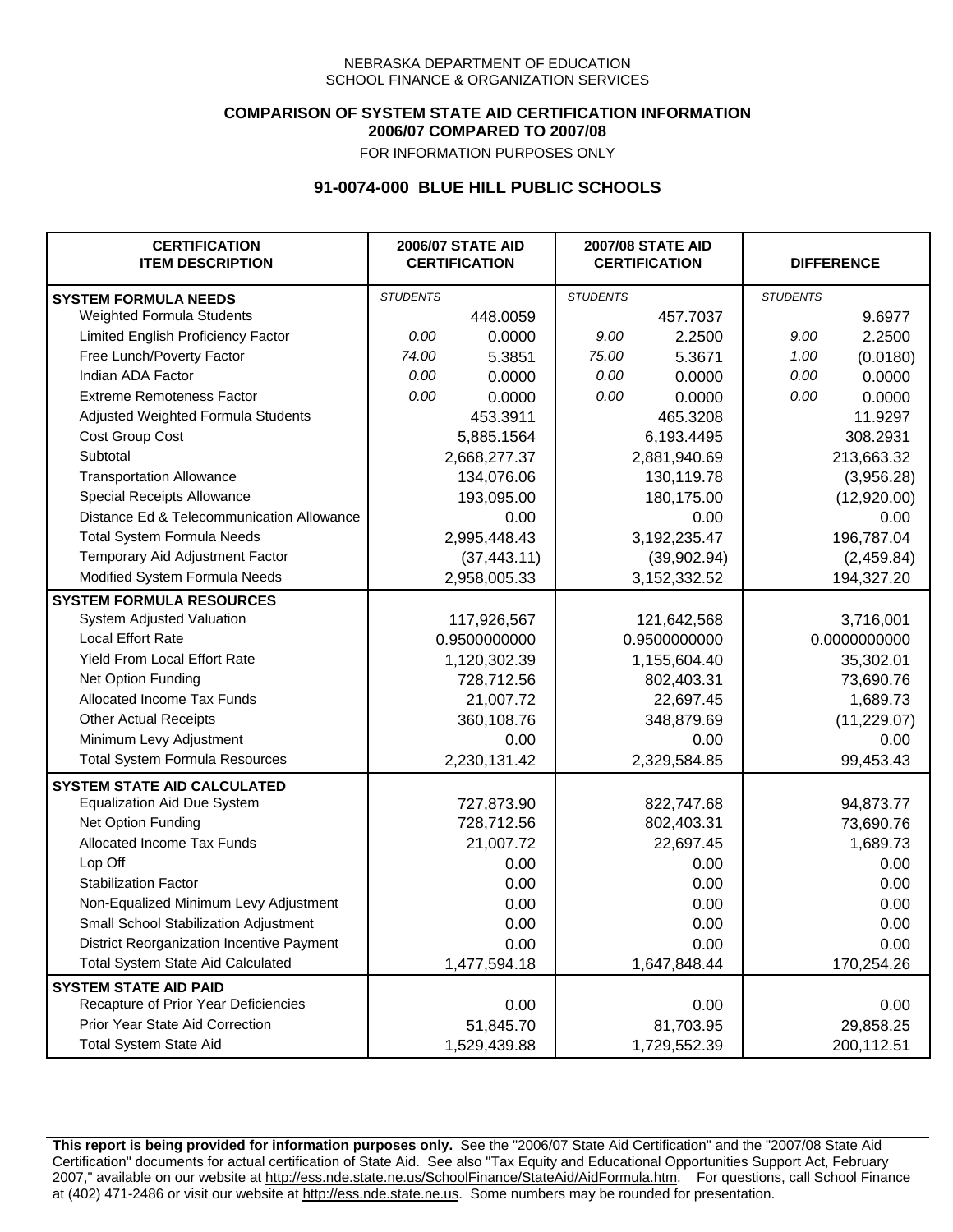### **COMPARISON OF SYSTEM STATE AID CERTIFICATION INFORMATION 2006/07 COMPARED TO 2007/08**

FOR INFORMATION PURPOSES ONLY

## **91-0074-000 BLUE HILL PUBLIC SCHOOLS**

| <b>CERTIFICATION</b><br><b>ITEM DESCRIPTION</b> |                 | <b>2006/07 STATE AID</b><br><b>CERTIFICATION</b> | <b>2007/08 STATE AID</b><br><b>CERTIFICATION</b> |                 | <b>DIFFERENCE</b> |              |
|-------------------------------------------------|-----------------|--------------------------------------------------|--------------------------------------------------|-----------------|-------------------|--------------|
| <b>SYSTEM FORMULA NEEDS</b>                     | <b>STUDENTS</b> |                                                  | <b>STUDENTS</b>                                  |                 | <b>STUDENTS</b>   |              |
| Weighted Formula Students                       |                 | 448.0059                                         |                                                  | 457.7037        |                   | 9.6977       |
| Limited English Proficiency Factor              | 0.00            | 0.0000                                           | 9.00                                             | 2.2500          | 9.00              | 2.2500       |
| Free Lunch/Poverty Factor                       | 74.00           | 5.3851                                           | 75.00                                            | 5.3671          | 1.00              | (0.0180)     |
| Indian ADA Factor                               | 0.00            | 0.0000                                           | 0.00                                             | 0.0000          | 0.00              | 0.0000       |
| <b>Extreme Remoteness Factor</b>                | 0.00            | 0.0000                                           | 0.00                                             | 0.0000          | 0.00              | 0.0000       |
| Adjusted Weighted Formula Students              |                 | 453.3911                                         |                                                  | 465.3208        |                   | 11.9297      |
| Cost Group Cost                                 |                 | 5,885.1564                                       |                                                  | 6,193.4495      |                   | 308.2931     |
| Subtotal                                        |                 | 2,668,277.37                                     |                                                  | 2,881,940.69    |                   | 213,663.32   |
| <b>Transportation Allowance</b>                 |                 | 134,076.06                                       |                                                  | 130,119.78      |                   | (3,956.28)   |
| Special Receipts Allowance                      |                 | 193,095.00                                       |                                                  | 180,175.00      |                   | (12,920.00)  |
| Distance Ed & Telecommunication Allowance       |                 | 0.00                                             |                                                  | 0.00            |                   | 0.00         |
| <b>Total System Formula Needs</b>               |                 | 2,995,448.43                                     |                                                  | 3,192,235.47    | 196,787.04        |              |
| Temporary Aid Adjustment Factor                 |                 | (37, 443.11)                                     | (39,902.94)                                      |                 | (2,459.84)        |              |
| Modified System Formula Needs                   |                 | 2,958,005.33                                     |                                                  | 3, 152, 332. 52 |                   | 194,327.20   |
| <b>SYSTEM FORMULA RESOURCES</b>                 |                 |                                                  |                                                  |                 |                   |              |
| System Adjusted Valuation                       |                 | 117,926,567                                      |                                                  | 121,642,568     |                   | 3,716,001    |
| <b>Local Effort Rate</b>                        |                 | 0.9500000000                                     |                                                  | 0.9500000000    |                   | 0.0000000000 |
| <b>Yield From Local Effort Rate</b>             |                 | 1,120,302.39                                     |                                                  | 1,155,604.40    |                   | 35,302.01    |
| Net Option Funding                              |                 | 728,712.56                                       |                                                  | 802,403.31      |                   | 73,690.76    |
| Allocated Income Tax Funds                      |                 | 21,007.72                                        |                                                  | 22,697.45       |                   | 1,689.73     |
| <b>Other Actual Receipts</b>                    |                 | 360,108.76                                       | 348,879.69                                       |                 | (11, 229.07)      |              |
| Minimum Levy Adjustment                         |                 | 0.00                                             |                                                  | 0.00            |                   | 0.00         |
| <b>Total System Formula Resources</b>           |                 | 2,230,131.42                                     |                                                  | 2,329,584.85    |                   | 99,453.43    |
| <b>SYSTEM STATE AID CALCULATED</b>              |                 |                                                  |                                                  |                 |                   |              |
| <b>Equalization Aid Due System</b>              |                 | 727,873.90                                       |                                                  | 822,747.68      |                   | 94,873.77    |
| Net Option Funding                              |                 | 728,712.56                                       |                                                  | 802,403.31      |                   | 73,690.76    |
| Allocated Income Tax Funds                      |                 | 21,007.72                                        |                                                  | 22,697.45       |                   | 1,689.73     |
| Lop Off                                         |                 | 0.00                                             |                                                  | 0.00            |                   | 0.00         |
| <b>Stabilization Factor</b>                     |                 | 0.00                                             |                                                  | 0.00            |                   | 0.00         |
| Non-Equalized Minimum Levy Adjustment           |                 | 0.00                                             |                                                  | 0.00            |                   | 0.00         |
| Small School Stabilization Adjustment           |                 | 0.00                                             |                                                  | 0.00            |                   | 0.00         |
| District Reorganization Incentive Payment       |                 | 0.00                                             |                                                  | 0.00            |                   | 0.00         |
| <b>Total System State Aid Calculated</b>        |                 | 1,477,594.18                                     |                                                  | 1,647,848.44    |                   | 170,254.26   |
| <b>SYSTEM STATE AID PAID</b>                    |                 |                                                  |                                                  |                 |                   |              |
| Recapture of Prior Year Deficiencies            |                 | 0.00                                             |                                                  | 0.00            |                   | 0.00         |
| Prior Year State Aid Correction                 |                 | 51,845.70                                        |                                                  | 81,703.95       |                   | 29,858.25    |
| <b>Total System State Aid</b>                   |                 | 1,529,439.88                                     |                                                  | 1,729,552.39    |                   | 200,112.51   |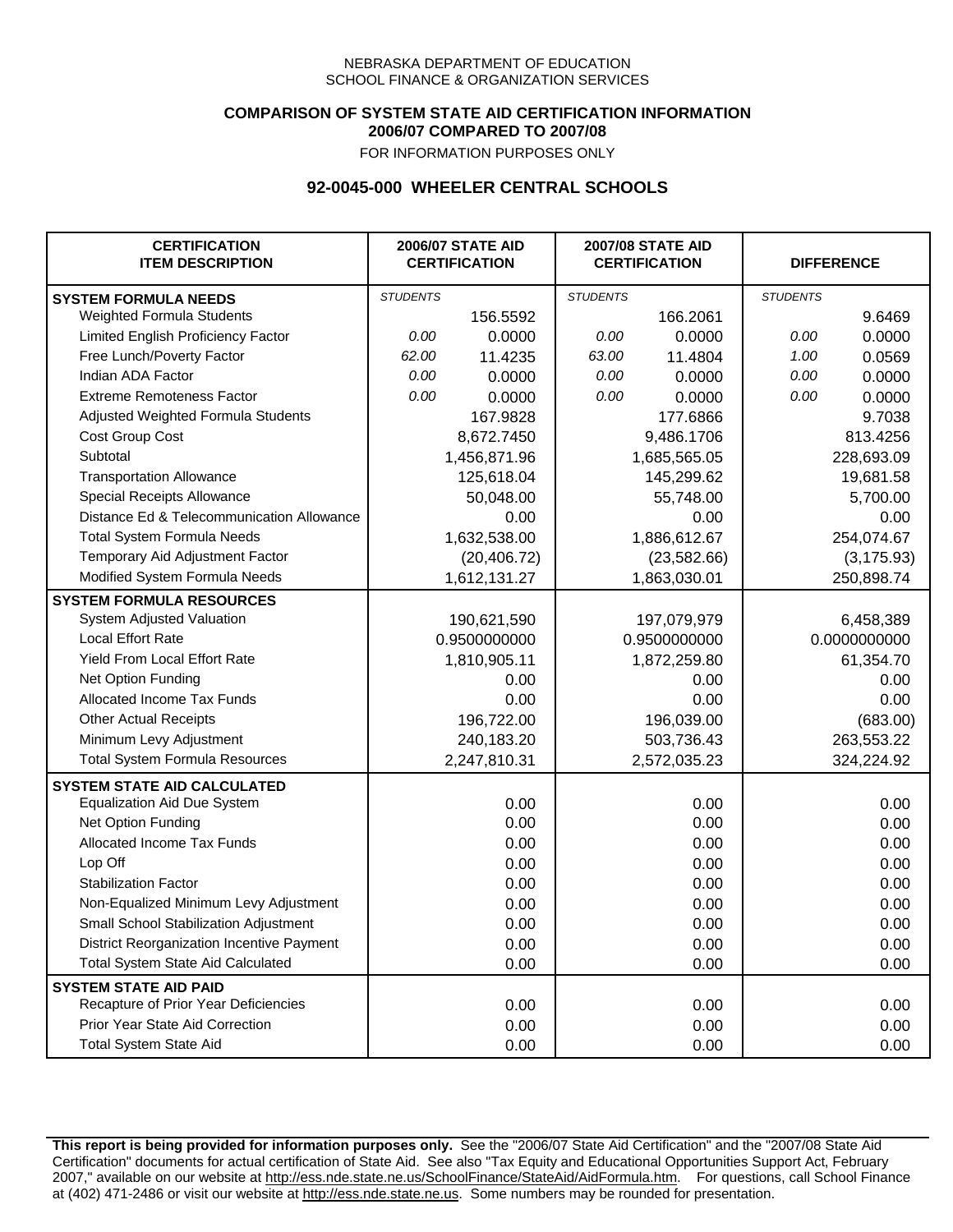### **COMPARISON OF SYSTEM STATE AID CERTIFICATION INFORMATION 2006/07 COMPARED TO 2007/08**

FOR INFORMATION PURPOSES ONLY

## **92-0045-000 WHEELER CENTRAL SCHOOLS**

| <b>CERTIFICATION</b><br><b>ITEM DESCRIPTION</b> |                 | <b>2006/07 STATE AID</b><br><b>CERTIFICATION</b> | <b>2007/08 STATE AID</b><br><b>CERTIFICATION</b> |              | <b>DIFFERENCE</b> |              |
|-------------------------------------------------|-----------------|--------------------------------------------------|--------------------------------------------------|--------------|-------------------|--------------|
| <b>SYSTEM FORMULA NEEDS</b>                     | <b>STUDENTS</b> |                                                  | <b>STUDENTS</b>                                  |              | <b>STUDENTS</b>   |              |
| <b>Weighted Formula Students</b>                |                 | 156.5592                                         |                                                  | 166.2061     |                   | 9.6469       |
| Limited English Proficiency Factor              | 0.00            | 0.0000                                           | 0.00                                             | 0.0000       | 0.00              | 0.0000       |
| Free Lunch/Poverty Factor                       | 62.00           | 11.4235                                          | 63.00                                            | 11.4804      | 1.00              | 0.0569       |
| Indian ADA Factor                               | 0.00            | 0.0000                                           | 0.00                                             | 0.0000       | 0.00              | 0.0000       |
| <b>Extreme Remoteness Factor</b>                | 0.00            | 0.0000                                           | 0.00                                             | 0.0000       | 0.00              | 0.0000       |
| Adjusted Weighted Formula Students              |                 | 167.9828                                         |                                                  | 177.6866     |                   | 9.7038       |
| Cost Group Cost                                 |                 | 8,672.7450                                       |                                                  | 9,486.1706   |                   | 813.4256     |
| Subtotal                                        |                 | 1,456,871.96                                     |                                                  | 1,685,565.05 |                   | 228,693.09   |
| <b>Transportation Allowance</b>                 |                 | 125,618.04                                       |                                                  | 145,299.62   |                   | 19,681.58    |
| Special Receipts Allowance                      |                 | 50,048.00                                        |                                                  | 55,748.00    |                   | 5,700.00     |
| Distance Ed & Telecommunication Allowance       |                 | 0.00                                             |                                                  | 0.00         |                   | 0.00         |
| <b>Total System Formula Needs</b>               |                 | 1,632,538.00                                     | 1,886,612.67                                     |              | 254,074.67        |              |
| Temporary Aid Adjustment Factor                 |                 | (20, 406.72)                                     | (23, 582.66)                                     |              | (3, 175.93)       |              |
| Modified System Formula Needs                   |                 | 1,612,131.27                                     |                                                  | 1,863,030.01 |                   | 250,898.74   |
| <b>SYSTEM FORMULA RESOURCES</b>                 |                 |                                                  |                                                  |              |                   |              |
| System Adjusted Valuation                       |                 | 190,621,590                                      |                                                  | 197,079,979  |                   | 6,458,389    |
| <b>Local Effort Rate</b>                        |                 | 0.9500000000                                     |                                                  | 0.9500000000 |                   | 0.0000000000 |
| <b>Yield From Local Effort Rate</b>             |                 | 1,810,905.11                                     |                                                  | 1,872,259.80 | 61,354.70         |              |
| Net Option Funding                              |                 | 0.00                                             |                                                  | 0.00         | 0.00              |              |
| Allocated Income Tax Funds                      |                 | 0.00                                             | 0.00                                             |              | 0.00              |              |
| <b>Other Actual Receipts</b>                    |                 | 196,722.00                                       |                                                  | 196,039.00   | (683.00)          |              |
| Minimum Levy Adjustment                         |                 | 240,183.20                                       |                                                  | 503,736.43   |                   | 263,553.22   |
| <b>Total System Formula Resources</b>           |                 | 2,247,810.31                                     |                                                  | 2,572,035.23 |                   | 324,224.92   |
| <b>SYSTEM STATE AID CALCULATED</b>              |                 |                                                  |                                                  |              |                   |              |
| <b>Equalization Aid Due System</b>              |                 | 0.00                                             |                                                  | 0.00         |                   | 0.00         |
| Net Option Funding                              |                 | 0.00                                             |                                                  | 0.00         |                   | 0.00         |
| Allocated Income Tax Funds                      |                 | 0.00                                             |                                                  | 0.00         |                   | 0.00         |
| Lop Off                                         |                 | 0.00                                             |                                                  | 0.00         |                   | 0.00         |
| <b>Stabilization Factor</b>                     |                 | 0.00                                             |                                                  | 0.00         |                   | 0.00         |
| Non-Equalized Minimum Levy Adjustment           |                 | 0.00                                             |                                                  | 0.00         |                   | 0.00         |
| Small School Stabilization Adjustment           |                 | 0.00                                             |                                                  | 0.00         |                   | 0.00         |
| District Reorganization Incentive Payment       |                 | 0.00                                             |                                                  | 0.00         |                   | 0.00         |
| <b>Total System State Aid Calculated</b>        |                 | 0.00                                             |                                                  | 0.00         |                   | 0.00         |
| <b>SYSTEM STATE AID PAID</b>                    |                 |                                                  |                                                  |              |                   |              |
| Recapture of Prior Year Deficiencies            |                 | 0.00                                             |                                                  | 0.00         |                   | 0.00         |
| Prior Year State Aid Correction                 |                 | 0.00                                             |                                                  | 0.00         |                   | 0.00         |
| <b>Total System State Aid</b>                   |                 | 0.00                                             |                                                  | 0.00         |                   | 0.00         |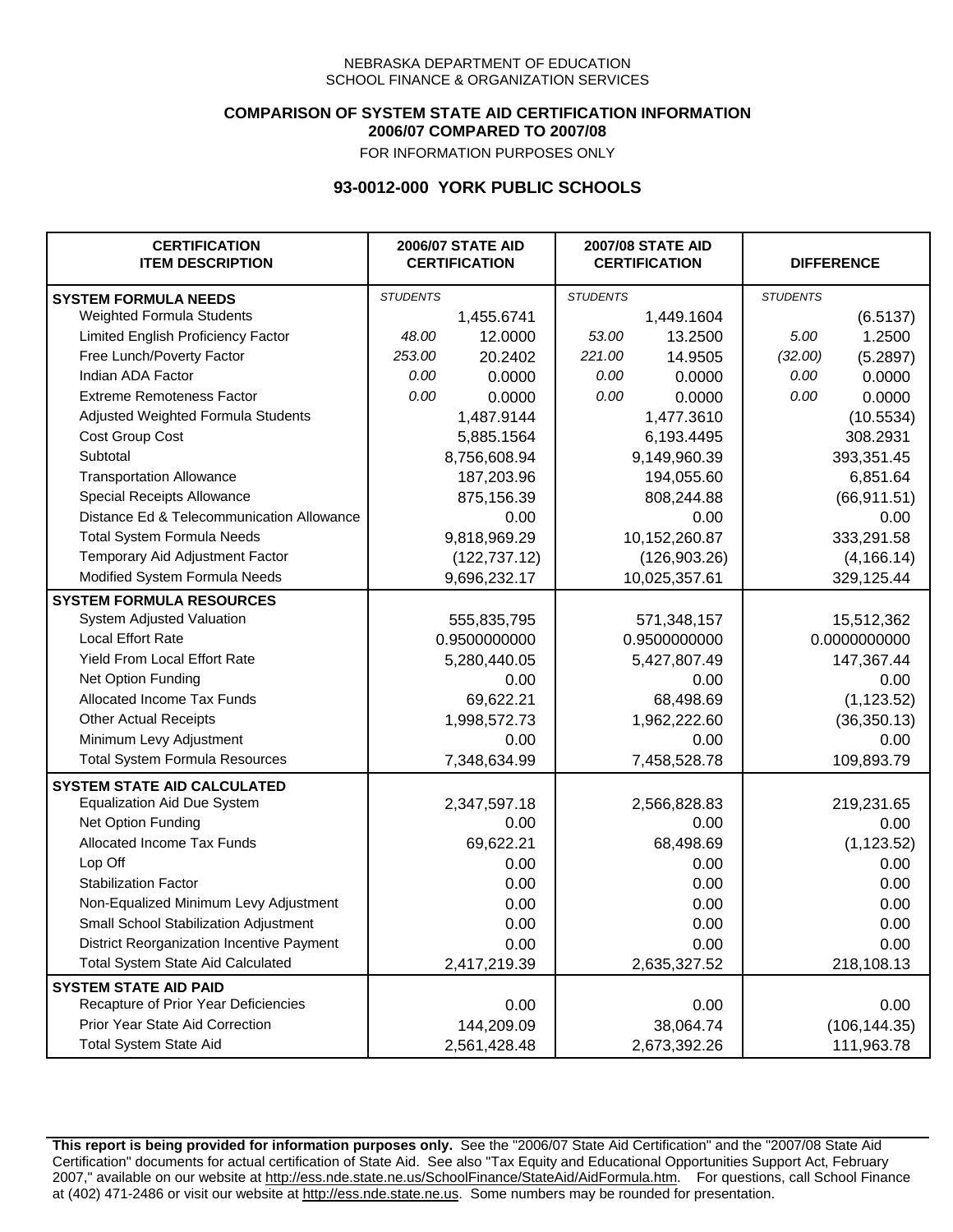## **COMPARISON OF SYSTEM STATE AID CERTIFICATION INFORMATION 2006/07 COMPARED TO 2007/08**

FOR INFORMATION PURPOSES ONLY

## **93-0012-000 YORK PUBLIC SCHOOLS**

| <b>CERTIFICATION</b><br><b>ITEM DESCRIPTION</b> |                 | <b>2006/07 STATE AID</b><br><b>CERTIFICATION</b> | <b>2007/08 STATE AID</b><br><b>CERTIFICATION</b> |               | <b>DIFFERENCE</b> |              |
|-------------------------------------------------|-----------------|--------------------------------------------------|--------------------------------------------------|---------------|-------------------|--------------|
| <b>SYSTEM FORMULA NEEDS</b>                     | <b>STUDENTS</b> |                                                  | <b>STUDENTS</b>                                  |               | <b>STUDENTS</b>   |              |
| Weighted Formula Students                       |                 | 1,455.6741                                       |                                                  | 1,449.1604    |                   | (6.5137)     |
| Limited English Proficiency Factor              | 48.00           | 12.0000                                          | 53.00                                            | 13.2500       | 5.00              | 1.2500       |
| Free Lunch/Poverty Factor                       | 253.00          | 20.2402                                          | 221.00                                           | 14.9505       | (32.00)           | (5.2897)     |
| Indian ADA Factor                               | 0.00            | 0.0000                                           | 0.00                                             | 0.0000        | 0.00              | 0.0000       |
| <b>Extreme Remoteness Factor</b>                | 0.00            | 0.0000                                           | 0.00                                             | 0.0000        | 0.00              | 0.0000       |
| Adjusted Weighted Formula Students              |                 | 1,487.9144                                       |                                                  | 1,477.3610    |                   | (10.5534)    |
| Cost Group Cost                                 |                 | 5,885.1564                                       |                                                  | 6,193.4495    |                   | 308.2931     |
| Subtotal                                        |                 | 8,756,608.94                                     |                                                  | 9,149,960.39  |                   | 393,351.45   |
| <b>Transportation Allowance</b>                 |                 | 187,203.96                                       |                                                  | 194,055.60    |                   | 6,851.64     |
| Special Receipts Allowance                      |                 | 875,156.39                                       |                                                  | 808,244.88    |                   | (66, 911.51) |
| Distance Ed & Telecommunication Allowance       |                 | 0.00                                             |                                                  | 0.00          |                   | 0.00         |
| <b>Total System Formula Needs</b>               |                 | 9,818,969.29                                     |                                                  | 10,152,260.87 |                   | 333,291.58   |
| Temporary Aid Adjustment Factor                 |                 | (122, 737.12)                                    | (126,903.26)                                     |               | (4, 166.14)       |              |
| Modified System Formula Needs                   |                 | 9,696,232.17                                     |                                                  | 10,025,357.61 |                   | 329,125.44   |
| <b>SYSTEM FORMULA RESOURCES</b>                 |                 |                                                  |                                                  |               |                   |              |
| System Adjusted Valuation                       |                 | 555,835,795                                      |                                                  | 571,348,157   |                   | 15,512,362   |
| <b>Local Effort Rate</b>                        |                 | 0.9500000000                                     |                                                  | 0.9500000000  | 0.0000000000      |              |
| <b>Yield From Local Effort Rate</b>             |                 | 5,280,440.05                                     |                                                  | 5,427,807.49  |                   | 147,367.44   |
| Net Option Funding                              |                 | 0.00                                             | 0.00                                             |               | 0.00              |              |
| Allocated Income Tax Funds                      |                 | 69,622.21                                        | 68,498.69                                        |               | (1, 123.52)       |              |
| <b>Other Actual Receipts</b>                    |                 | 1,998,572.73                                     | 1,962,222.60                                     |               | (36, 350.13)      |              |
| Minimum Levy Adjustment                         |                 | 0.00                                             |                                                  | 0.00          |                   | 0.00         |
| <b>Total System Formula Resources</b>           |                 | 7,348,634.99                                     |                                                  | 7,458,528.78  |                   | 109,893.79   |
| <b>SYSTEM STATE AID CALCULATED</b>              |                 |                                                  |                                                  |               |                   |              |
| <b>Equalization Aid Due System</b>              |                 | 2,347,597.18                                     |                                                  | 2,566,828.83  |                   | 219,231.65   |
| Net Option Funding                              |                 | 0.00                                             |                                                  | 0.00          |                   | 0.00         |
| Allocated Income Tax Funds                      |                 | 69,622.21                                        |                                                  | 68,498.69     |                   | (1, 123.52)  |
| Lop Off                                         |                 | 0.00                                             |                                                  | 0.00          |                   | 0.00         |
| <b>Stabilization Factor</b>                     |                 | 0.00                                             |                                                  | 0.00          |                   | 0.00         |
| Non-Equalized Minimum Levy Adjustment           |                 | 0.00                                             |                                                  | 0.00          |                   | 0.00         |
| Small School Stabilization Adjustment           |                 | 0.00                                             |                                                  | 0.00          |                   | 0.00         |
| District Reorganization Incentive Payment       |                 | 0.00                                             |                                                  | 0.00          |                   | 0.00         |
| Total System State Aid Calculated               |                 | 2,417,219.39                                     |                                                  | 2,635,327.52  |                   | 218,108.13   |
| <b>SYSTEM STATE AID PAID</b>                    |                 |                                                  |                                                  |               |                   |              |
| Recapture of Prior Year Deficiencies            |                 | 0.00                                             |                                                  | 0.00          |                   | 0.00         |
| Prior Year State Aid Correction                 |                 | 144,209.09                                       |                                                  | 38,064.74     | (106, 144.35)     |              |
| <b>Total System State Aid</b>                   |                 | 2,561,428.48                                     |                                                  | 2,673,392.26  | 111,963.78        |              |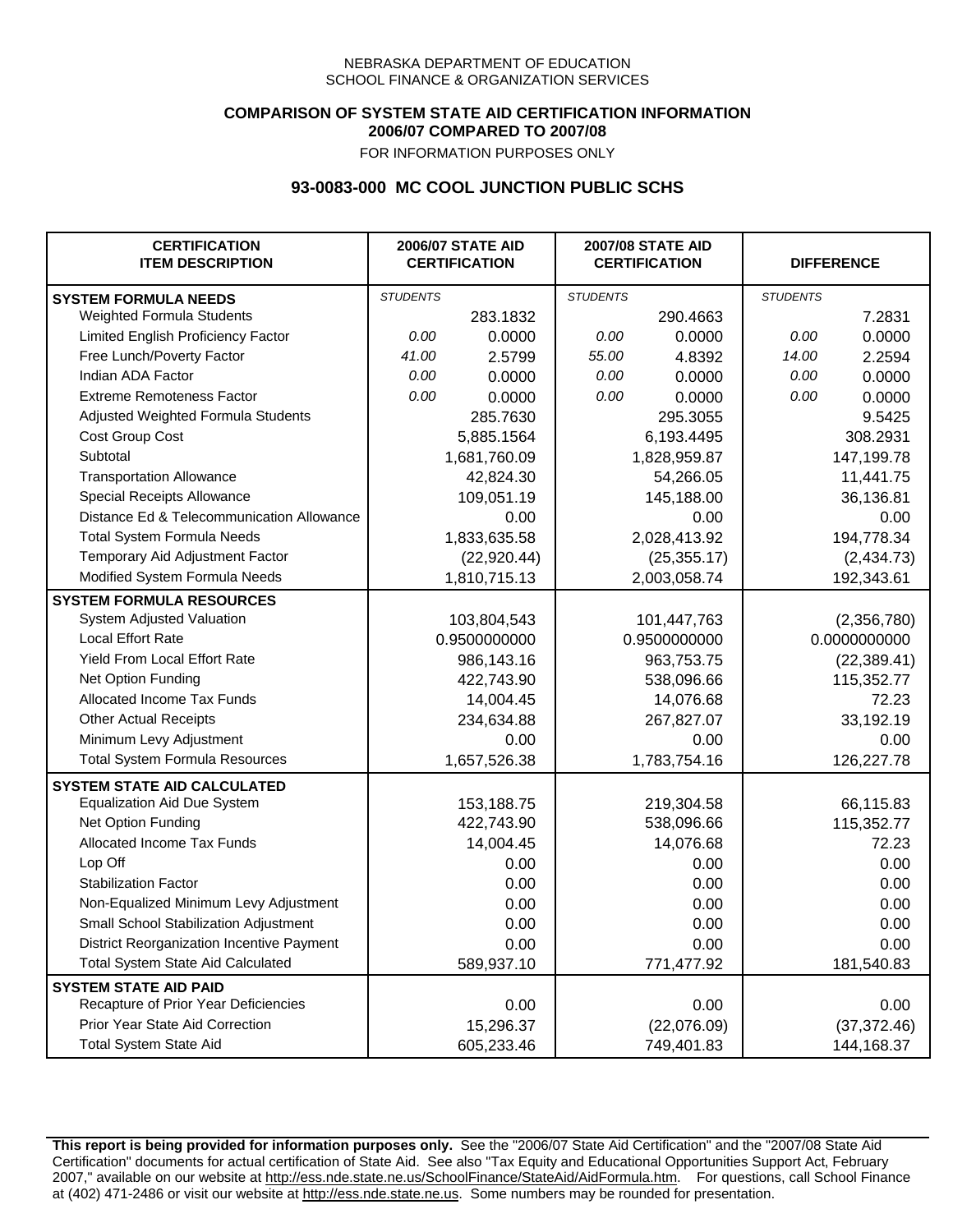### **COMPARISON OF SYSTEM STATE AID CERTIFICATION INFORMATION 2006/07 COMPARED TO 2007/08**

FOR INFORMATION PURPOSES ONLY

## **93-0083-000 MC COOL JUNCTION PUBLIC SCHS**

| <b>CERTIFICATION</b><br><b>ITEM DESCRIPTION</b> |                 | <b>2006/07 STATE AID</b><br><b>CERTIFICATION</b> | <b>2007/08 STATE AID</b><br><b>CERTIFICATION</b> |              | <b>DIFFERENCE</b> |              |  |
|-------------------------------------------------|-----------------|--------------------------------------------------|--------------------------------------------------|--------------|-------------------|--------------|--|
| <b>SYSTEM FORMULA NEEDS</b>                     | <b>STUDENTS</b> |                                                  | <b>STUDENTS</b>                                  |              | <b>STUDENTS</b>   |              |  |
| Weighted Formula Students                       |                 | 283.1832                                         |                                                  | 290.4663     |                   | 7.2831       |  |
| Limited English Proficiency Factor              | 0.00            | 0.0000                                           | 0.00                                             | 0.0000       | 0.00              | 0.0000       |  |
| Free Lunch/Poverty Factor                       | 41.00           | 2.5799                                           | 55.00                                            | 4.8392       | 14.00             | 2.2594       |  |
| Indian ADA Factor                               | 0.00            | 0.0000                                           | 0.00                                             | 0.0000       | 0.00              | 0.0000       |  |
| <b>Extreme Remoteness Factor</b>                | 0.00            | 0.0000                                           | 0.00                                             | 0.0000       | 0.00              | 0.0000       |  |
| Adjusted Weighted Formula Students              |                 | 285.7630                                         |                                                  | 295.3055     |                   | 9.5425       |  |
| Cost Group Cost                                 |                 | 5,885.1564                                       |                                                  | 6,193.4495   |                   | 308.2931     |  |
| Subtotal                                        |                 | 1,681,760.09                                     |                                                  | 1,828,959.87 |                   | 147,199.78   |  |
| <b>Transportation Allowance</b>                 |                 | 42,824.30                                        |                                                  | 54,266.05    |                   | 11,441.75    |  |
| Special Receipts Allowance                      |                 | 109,051.19                                       |                                                  | 145,188.00   |                   | 36,136.81    |  |
| Distance Ed & Telecommunication Allowance       |                 | 0.00                                             |                                                  | 0.00         |                   | 0.00         |  |
| <b>Total System Formula Needs</b>               |                 | 1,833,635.58                                     |                                                  | 2,028,413.92 |                   | 194,778.34   |  |
| Temporary Aid Adjustment Factor                 |                 | (22, 920.44)                                     | (25, 355.17)                                     |              | (2,434.73)        |              |  |
| Modified System Formula Needs                   |                 | 1,810,715.13                                     |                                                  | 2,003,058.74 |                   | 192,343.61   |  |
| <b>SYSTEM FORMULA RESOURCES</b>                 |                 |                                                  |                                                  |              |                   |              |  |
| System Adjusted Valuation                       |                 | 103,804,543                                      |                                                  | 101,447,763  |                   | (2,356,780)  |  |
| <b>Local Effort Rate</b>                        |                 | 0.9500000000                                     |                                                  | 0.9500000000 |                   | 0.0000000000 |  |
| Yield From Local Effort Rate                    |                 | 986,143.16                                       | 963,753.75                                       |              | (22, 389.41)      |              |  |
| Net Option Funding                              |                 | 422,743.90                                       | 538,096.66                                       |              | 115,352.77        |              |  |
| Allocated Income Tax Funds                      |                 | 14,004.45                                        | 14,076.68                                        |              | 72.23             |              |  |
| <b>Other Actual Receipts</b>                    |                 | 234,634.88                                       | 267,827.07                                       |              | 33,192.19         |              |  |
| Minimum Levy Adjustment                         |                 | 0.00                                             |                                                  | 0.00         |                   | 0.00         |  |
| <b>Total System Formula Resources</b>           |                 | 1,657,526.38                                     |                                                  | 1,783,754.16 |                   | 126,227.78   |  |
| <b>SYSTEM STATE AID CALCULATED</b>              |                 |                                                  |                                                  |              |                   |              |  |
| <b>Equalization Aid Due System</b>              |                 | 153,188.75                                       |                                                  | 219,304.58   |                   | 66,115.83    |  |
| Net Option Funding                              |                 | 422,743.90                                       |                                                  | 538,096.66   |                   | 115,352.77   |  |
| Allocated Income Tax Funds                      |                 | 14,004.45                                        |                                                  | 14,076.68    |                   | 72.23        |  |
| Lop Off                                         |                 | 0.00                                             |                                                  | 0.00         |                   | 0.00         |  |
| <b>Stabilization Factor</b>                     |                 | 0.00                                             |                                                  | 0.00         |                   | 0.00         |  |
| Non-Equalized Minimum Levy Adjustment           |                 | 0.00                                             |                                                  | 0.00         |                   | 0.00         |  |
| Small School Stabilization Adjustment           |                 | 0.00                                             |                                                  | 0.00         |                   | 0.00         |  |
| District Reorganization Incentive Payment       |                 | 0.00                                             |                                                  | 0.00         |                   | 0.00         |  |
| <b>Total System State Aid Calculated</b>        |                 | 589,937.10                                       |                                                  | 771,477.92   |                   | 181,540.83   |  |
| <b>SYSTEM STATE AID PAID</b>                    |                 |                                                  |                                                  |              |                   |              |  |
| Recapture of Prior Year Deficiencies            |                 | 0.00                                             |                                                  | 0.00         |                   | 0.00         |  |
| Prior Year State Aid Correction                 |                 | 15,296.37                                        |                                                  | (22,076.09)  |                   | (37, 372.46) |  |
| <b>Total System State Aid</b>                   |                 | 605,233.46                                       |                                                  | 749,401.83   |                   | 144,168.37   |  |